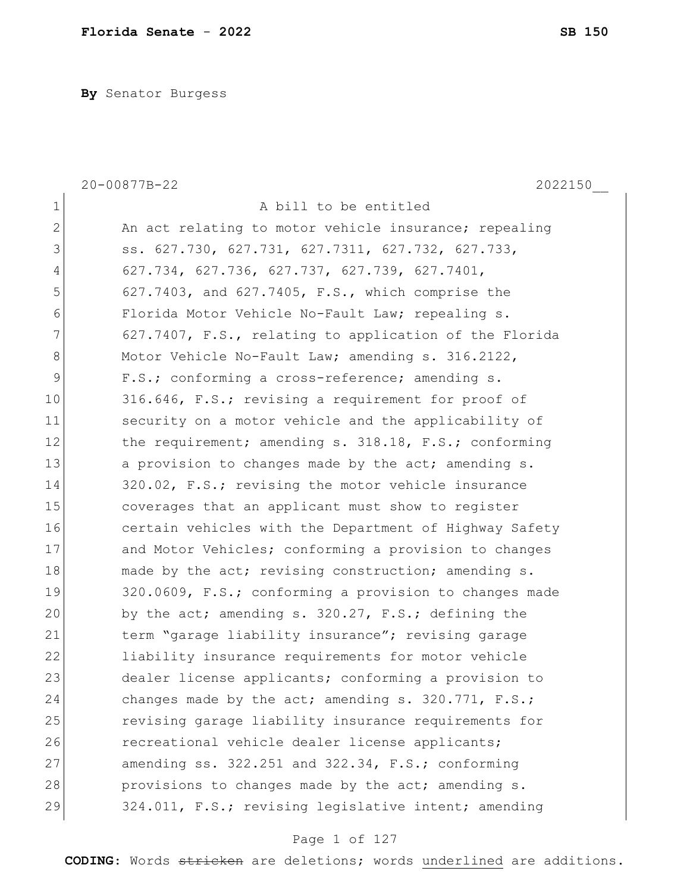**By** Senator Burgess

|              | 2022150<br>20-00877B-22                                |
|--------------|--------------------------------------------------------|
| $\mathbf 1$  | A bill to be entitled                                  |
| $\mathbf{2}$ | An act relating to motor vehicle insurance; repealing  |
| 3            | ss. 627.730, 627.731, 627.7311, 627.732, 627.733,      |
| 4            | 627.734, 627.736, 627.737, 627.739, 627.7401,          |
| 5            | 627.7403, and 627.7405, F.S., which comprise the       |
| 6            | Florida Motor Vehicle No-Fault Law; repealing s.       |
| 7            | 627.7407, F.S., relating to application of the Florida |
| $\,8\,$      | Motor Vehicle No-Fault Law; amending s. 316.2122,      |
| $\mathsf 9$  | F.S.; conforming a cross-reference; amending s.        |
| 10           | 316.646, F.S.; revising a requirement for proof of     |
| 11           | security on a motor vehicle and the applicability of   |
| 12           | the requirement; amending s. 318.18, F.S.; conforming  |
| 13           | a provision to changes made by the act; amending s.    |
| 14           | 320.02, F.S.; revising the motor vehicle insurance     |
| 15           | coverages that an applicant must show to register      |
| 16           | certain vehicles with the Department of Highway Safety |
| 17           | and Motor Vehicles; conforming a provision to changes  |
| 18           | made by the act; revising construction; amending s.    |
| 19           | 320.0609, F.S.; conforming a provision to changes made |
| 20           | by the act; amending s. 320.27, F.S.; defining the     |
| 21           | term "garage liability insurance"; revising garage     |
| 22           | liability insurance requirements for motor vehicle     |
| 23           | dealer license applicants; conforming a provision to   |
| 24           | changes made by the act; amending s. 320.771, F.S.;    |
| 25           | revising garage liability insurance requirements for   |
| 26           | recreational vehicle dealer license applicants;        |
| 27           | amending ss. 322.251 and 322.34, F.S.; conforming      |
| 28           | provisions to changes made by the act; amending s.     |
| 29           | 324.011, F.S.; revising legislative intent; amending   |

# Page 1 of 127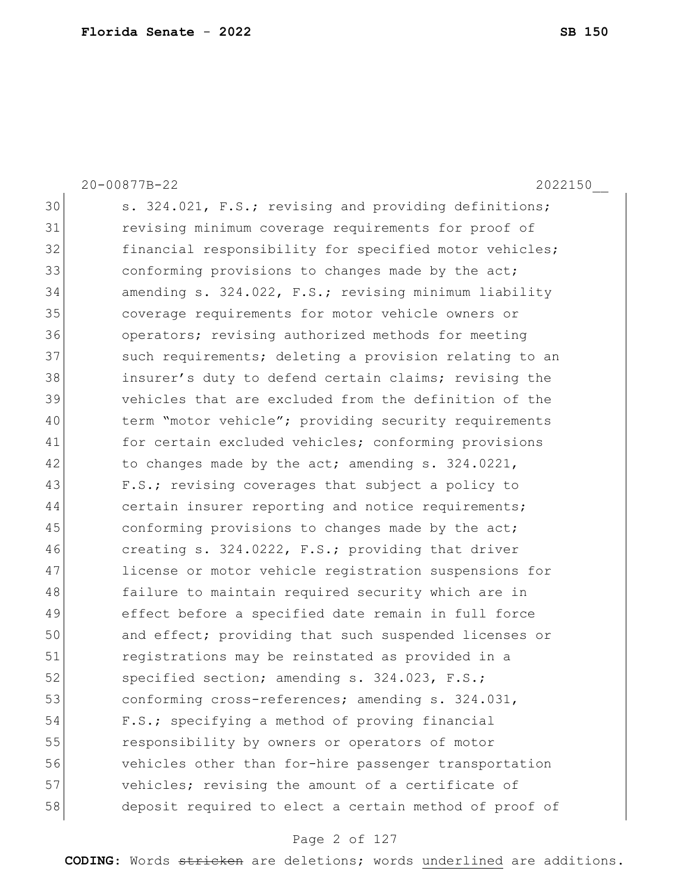20-00877B-22 2022150\_\_ 30 s. 324.021, F.S.; revising and providing definitions; 31 revising minimum coverage requirements for proof of 32 financial responsibility for specified motor vehicles; 33 conforming provisions to changes made by the act; 34 amending s. 324.022, F.S.; revising minimum liability 35 coverage requirements for motor vehicle owners or 36 operators; revising authorized methods for meeting 37 such requirements; deleting a provision relating to an 38 insurer's duty to defend certain claims; revising the 39 vehicles that are excluded from the definition of the 40 term "motor vehicle"; providing security requirements 41 for certain excluded vehicles; conforming provisions  $42$  to changes made by the act; amending s. 324.0221, 43 F.S.; revising coverages that subject a policy to 44 certain insurer reporting and notice requirements; 45 conforming provisions to changes made by the act; 46 creating s. 324.0222, F.S.; providing that driver 47 license or motor vehicle registration suspensions for 48 failure to maintain required security which are in 49 effect before a specified date remain in full force 50 and effect; providing that such suspended licenses or 51 registrations may be reinstated as provided in a 52 specified section; amending s. 324.023, F.S.; 53 conforming cross-references; amending s. 324.031, 54 F.S.; specifying a method of proving financial 55 responsibility by owners or operators of motor 56 vehicles other than for-hire passenger transportation 57 vehicles; revising the amount of a certificate of 58 deposit required to elect a certain method of proof of

#### Page 2 of 127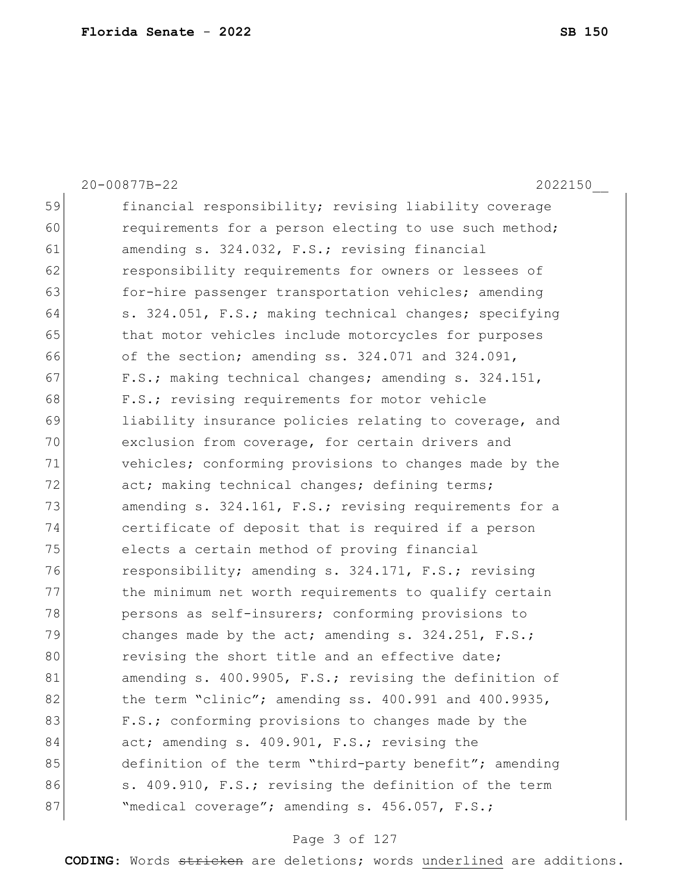|    | 2022150<br>20-00877B-22                                |
|----|--------------------------------------------------------|
| 59 | financial responsibility; revising liability coverage  |
| 60 | requirements for a person electing to use such method; |
| 61 | amending s. 324.032, F.S.; revising financial          |
| 62 | responsibility requirements for owners or lessees of   |
| 63 | for-hire passenger transportation vehicles; amending   |
| 64 | s. 324.051, F.S.; making technical changes; specifying |
| 65 | that motor vehicles include motorcycles for purposes   |
| 66 | of the section; amending ss. 324.071 and 324.091,      |
| 67 | F.S.; making technical changes; amending s. 324.151,   |
| 68 | F.S.; revising requirements for motor vehicle          |
| 69 | liability insurance policies relating to coverage, and |
| 70 | exclusion from coverage, for certain drivers and       |
| 71 | vehicles; conforming provisions to changes made by the |
| 72 | act; making technical changes; defining terms;         |
| 73 | amending s. 324.161, F.S.; revising requirements for a |
| 74 | certificate of deposit that is required if a person    |
| 75 | elects a certain method of proving financial           |
| 76 | responsibility; amending s. 324.171, F.S.; revising    |
| 77 | the minimum net worth requirements to qualify certain  |
| 78 | persons as self-insurers; conforming provisions to     |
| 79 | changes made by the act; amending s. $324.251$ , F.S.; |
| 80 | revising the short title and an effective date;        |
| 81 | amending s. 400.9905, F.S.; revising the definition of |
| 82 | the term "clinic"; amending ss. 400.991 and 400.9935,  |
| 83 | F.S.; conforming provisions to changes made by the     |
| 84 | act; amending s. 409.901, F.S.; revising the           |
| 85 | definition of the term "third-party benefit"; amending |
| 86 | s. 409.910, F.S.; revising the definition of the term  |
| 87 | "medical coverage"; amending s. 456.057, F.S.;         |

# Page 3 of 127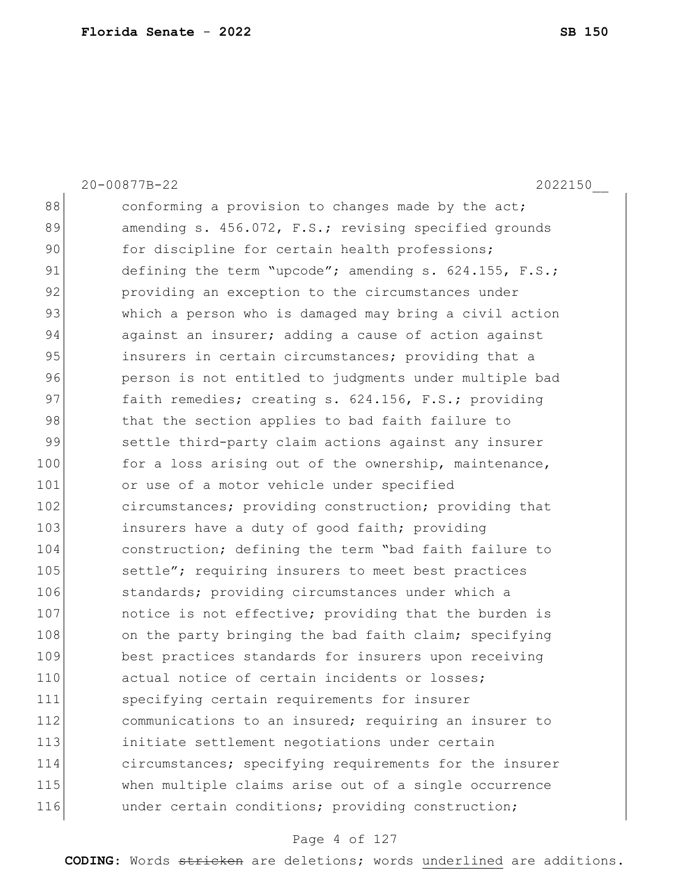|     | 20-00877B-22<br>2022150                                |
|-----|--------------------------------------------------------|
| 88  | conforming a provision to changes made by the act;     |
| 89  | amending s. 456.072, F.S.; revising specified grounds  |
| 90  | for discipline for certain health professions;         |
| 91  | defining the term "upcode"; amending s. 624.155, F.S.; |
| 92  | providing an exception to the circumstances under      |
| 93  | which a person who is damaged may bring a civil action |
| 94  | against an insurer; adding a cause of action against   |
| 95  | insurers in certain circumstances; providing that a    |
| 96  | person is not entitled to judgments under multiple bad |
| 97  | faith remedies; creating s. 624.156, F.S.; providing   |
| 98  | that the section applies to bad faith failure to       |
| 99  | settle third-party claim actions against any insurer   |
| 100 | for a loss arising out of the ownership, maintenance,  |
| 101 | or use of a motor vehicle under specified              |
| 102 | circumstances; providing construction; providing that  |
| 103 | insurers have a duty of good faith; providing          |
| 104 | construction; defining the term "bad faith failure to  |
| 105 | settle"; requiring insurers to meet best practices     |
| 106 | standards; providing circumstances under which a       |
| 107 | notice is not effective; providing that the burden is  |
| 108 | on the party bringing the bad faith claim; specifying  |
| 109 | best practices standards for insurers upon receiving   |
| 110 | actual notice of certain incidents or losses;          |
| 111 | specifying certain requirements for insurer            |
| 112 | communications to an insured; requiring an insurer to  |
| 113 | initiate settlement negotiations under certain         |
| 114 | circumstances; specifying requirements for the insurer |
| 115 | when multiple claims arise out of a single occurrence  |
| 116 | under certain conditions; providing construction;      |

# Page 4 of 127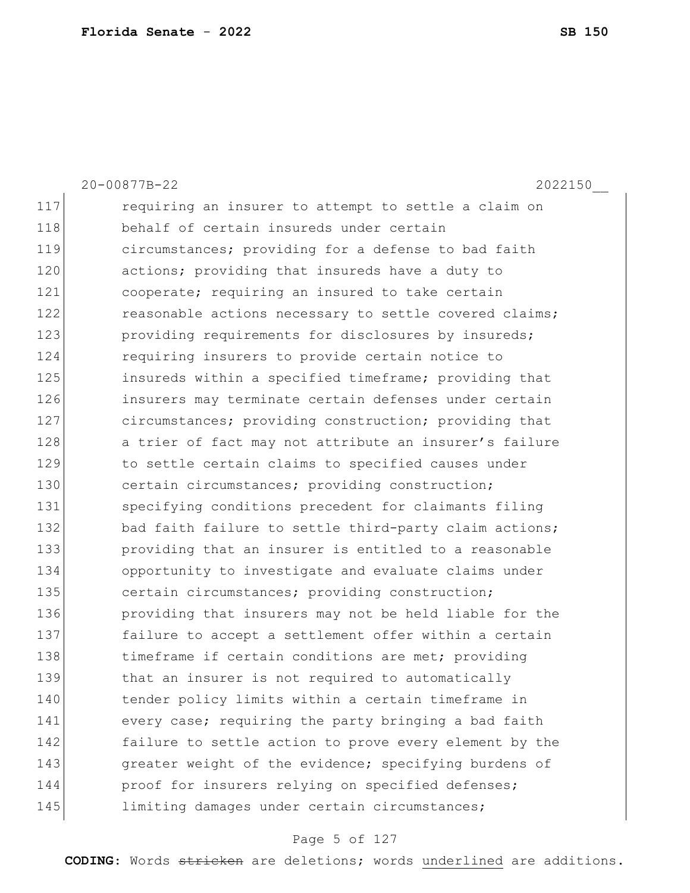|     | 20-00877B-22<br>2022150                                |
|-----|--------------------------------------------------------|
| 117 | requiring an insurer to attempt to settle a claim on   |
| 118 | behalf of certain insureds under certain               |
| 119 | circumstances; providing for a defense to bad faith    |
| 120 | actions; providing that insureds have a duty to        |
| 121 | cooperate; requiring an insured to take certain        |
| 122 | reasonable actions necessary to settle covered claims; |
| 123 | providing requirements for disclosures by insureds;    |
| 124 | requiring insurers to provide certain notice to        |
| 125 | insureds within a specified timeframe; providing that  |
| 126 | insurers may terminate certain defenses under certain  |
| 127 | circumstances; providing construction; providing that  |
| 128 | a trier of fact may not attribute an insurer's failure |
| 129 | to settle certain claims to specified causes under     |
| 130 | certain circumstances; providing construction;         |
| 131 | specifying conditions precedent for claimants filing   |
| 132 | bad faith failure to settle third-party claim actions; |
| 133 | providing that an insurer is entitled to a reasonable  |
| 134 | opportunity to investigate and evaluate claims under   |
| 135 | certain circumstances; providing construction;         |
| 136 | providing that insurers may not be held liable for the |
| 137 | failure to accept a settlement offer within a certain  |
| 138 | timeframe if certain conditions are met; providing     |
| 139 | that an insurer is not required to automatically       |
| 140 | tender policy limits within a certain timeframe in     |
| 141 | every case; requiring the party bringing a bad faith   |
| 142 | failure to settle action to prove every element by the |
| 143 | greater weight of the evidence; specifying burdens of  |
| 144 | proof for insurers relying on specified defenses;      |
| 145 | limiting damages under certain circumstances;          |

# Page 5 of 127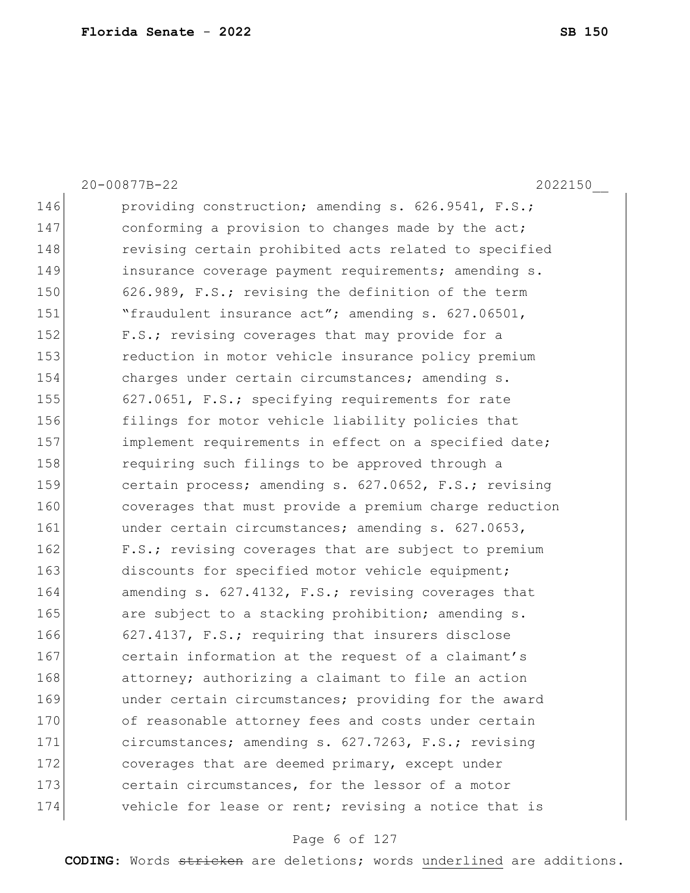20-00877B-22 2022150\_\_ 146 providing construction; amending s. 626.9541, F.S.; 147 conforming a provision to changes made by the act; 148 revising certain prohibited acts related to specified 149 insurance coverage payment requirements; amending s. 150 626.989, F.S.; revising the definition of the term 151 The "fraudulent insurance act"; amending s. 627.06501, 152 F.S.; revising coverages that may provide for a 153 reduction in motor vehicle insurance policy premium 154 charges under certain circumstances; amending s. 155 627.0651, F.S.; specifying requirements for rate 156 filings for motor vehicle liability policies that 157 implement requirements in effect on a specified date; 158 requiring such filings to be approved through a 159 certain process; amending s. 627.0652, F.S.; revising 160 coverages that must provide a premium charge reduction 161 **under certain circumstances; amending s. 627.0653,** 162 F.S.; revising coverages that are subject to premium 163 discounts for specified motor vehicle equipment; 164 amending s. 627.4132, F.S.; revising coverages that 165 are subject to a stacking prohibition; amending s. 166 627.4137, F.S.; requiring that insurers disclose 167 certain information at the request of a claimant's 168 attorney; authorizing a claimant to file an action 169 ander certain circumstances; providing for the award 170 of reasonable attorney fees and costs under certain 171 circumstances; amending s. 627.7263, F.S.; revising 172 coverages that are deemed primary, except under 173 certain circumstances, for the lessor of a motor 174 vehicle for lease or rent; revising a notice that is

#### Page 6 of 127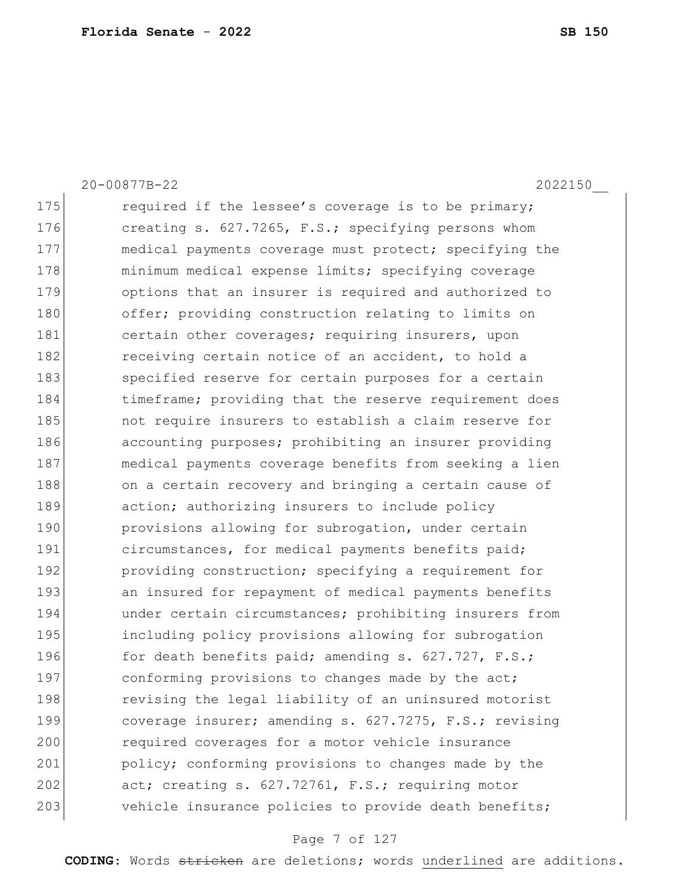20-00877B-22 2022150\_\_ 175 required if the lessee's coverage is to be primary; 176 creating s. 627.7265, F.S.; specifying persons whom 177 medical payments coverage must protect; specifying the 178 minimum medical expense limits; specifying coverage 179 options that an insurer is required and authorized to 180 offer; providing construction relating to limits on 181 certain other coverages; requiring insurers, upon 182 receiving certain notice of an accident, to hold a 183 specified reserve for certain purposes for a certain 184 timeframe; providing that the reserve requirement does 185 not require insurers to establish a claim reserve for 186 accounting purposes; prohibiting an insurer providing 187 medical payments coverage benefits from seeking a lien 188 on a certain recovery and bringing a certain cause of 189 action; authorizing insurers to include policy 190 **provisions allowing for subrogation, under certain** 191 circumstances, for medical payments benefits paid; 192 **providing construction;** specifying a requirement for 193 an insured for repayment of medical payments benefits 194 ander certain circumstances; prohibiting insurers from 195 including policy provisions allowing for subrogation 196 for death benefits paid; amending s. 627.727, F.S.; 197 conforming provisions to changes made by the act; 198 revising the legal liability of an uninsured motorist 199 coverage insurer; amending s. 627.7275, F.S.; revising 200 required coverages for a motor vehicle insurance 201 policy; conforming provisions to changes made by the 202 act; creating s. 627.72761, F.S.; requiring motor 203 vehicle insurance policies to provide death benefits;

#### Page 7 of 127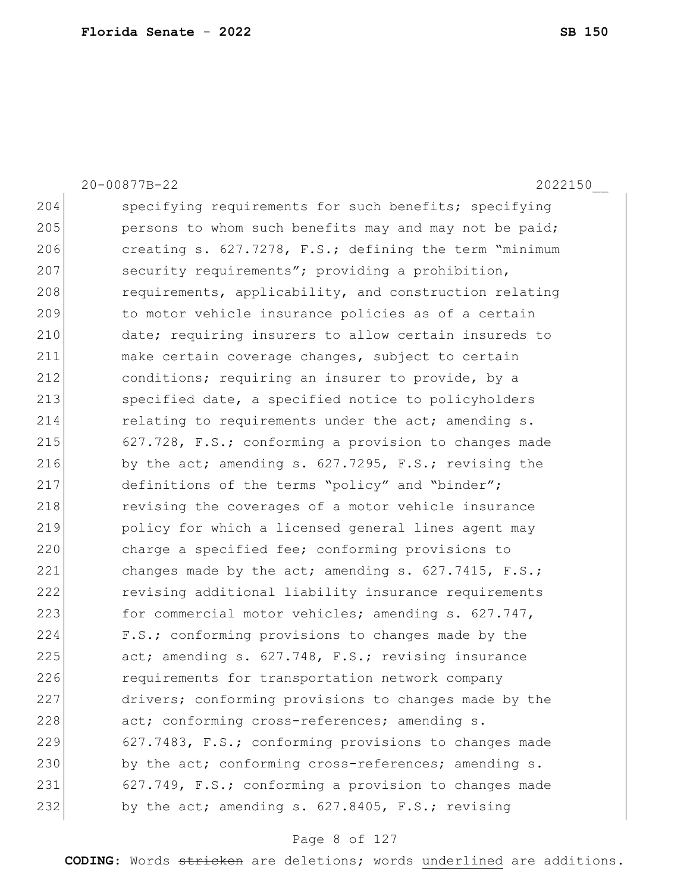20-00877B-22 2022150\_\_ 204 Specifying requirements for such benefits; specifying 205 **persons to whom such benefits may and may not be paid;** 206 creating s. 627.7278, F.S.; defining the term "minimum 207 security requirements"; providing a prohibition, 208 requirements, applicability, and construction relating 209 to motor vehicle insurance policies as of a certain 210 date; requiring insurers to allow certain insureds to 211 make certain coverage changes, subject to certain 212 conditions; requiring an insurer to provide, by a 213 specified date, a specified notice to policyholders  $214$  relating to requirements under the act; amending s. 215 627.728,  $F.S.$ ; conforming a provision to changes made 216 by the act; amending s. 627.7295, F.S.; revising the 217 definitions of the terms "policy" and "binder"; 218 revising the coverages of a motor vehicle insurance 219 policy for which a licensed general lines agent may 220 charge a specified fee; conforming provisions to 221 changes made by the act; amending  $s. 627.7415$ ,  $F.S.;$ 222 revising additional liability insurance requirements 223 for commercial motor vehicles; amending s. 627.747, 224 F.S.; conforming provisions to changes made by the  $225$  act; amending s.  $627.748$ , F.S.; revising insurance 226 requirements for transportation network company 227 drivers; conforming provisions to changes made by the 228 act; conforming cross-references; amending s. 229 627.7483, F.S.; conforming provisions to changes made 230 by the act; conforming cross-references; amending s. 231 627.749, F.S.; conforming a provision to changes made 232 by the act; amending s.  $627.8405$ , F.S.; revising

#### Page 8 of 127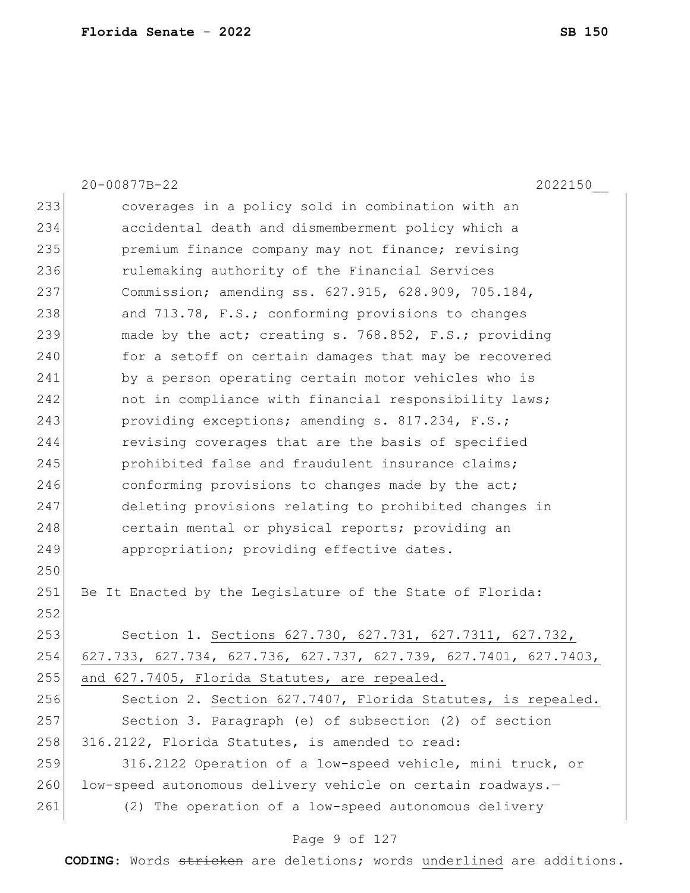20-00877B-22 2022150\_\_ 233 coverages in a policy sold in combination with an 234 accidental death and dismemberment policy which a 235 premium finance company may not finance; revising 236 rulemaking authority of the Financial Services 237 Commission; amending ss. 627.915, 628.909, 705.184, 238 and 713.78, F.S.; conforming provisions to changes 239 made by the act; creating s. 768.852, F.S.; providing 240 for a setoff on certain damages that may be recovered 241 by a person operating certain motor vehicles who is 242 **not in compliance with financial responsibility laws;** 243 providing exceptions; amending s. 817.234, F.S.; 244 revising coverages that are the basis of specified 245 **prohibited false and fraudulent insurance claims;** 246 conforming provisions to changes made by the act; 247 deleting provisions relating to prohibited changes in 248 certain mental or physical reports; providing an 249 appropriation; providing effective dates. 250 251 Be It Enacted by the Legislature of the State of Florida: 252 253 Section 1. Sections 627.730, 627.731, 627.7311, 627.732, 254 627.733, 627.734, 627.736, 627.737, 627.739, 627.7401, 627.7403, 255 and 627.7405, Florida Statutes, are repealed. 256 Section 2. Section 627.7407, Florida Statutes, is repealed. 257 Section 3. Paragraph (e) of subsection (2) of section 258 316.2122, Florida Statutes, is amended to read: 259 316.2122 Operation of a low-speed vehicle, mini truck, or 260 low-speed autonomous delivery vehicle on certain roadways.-261 (2) The operation of a low-speed autonomous delivery

#### Page 9 of 127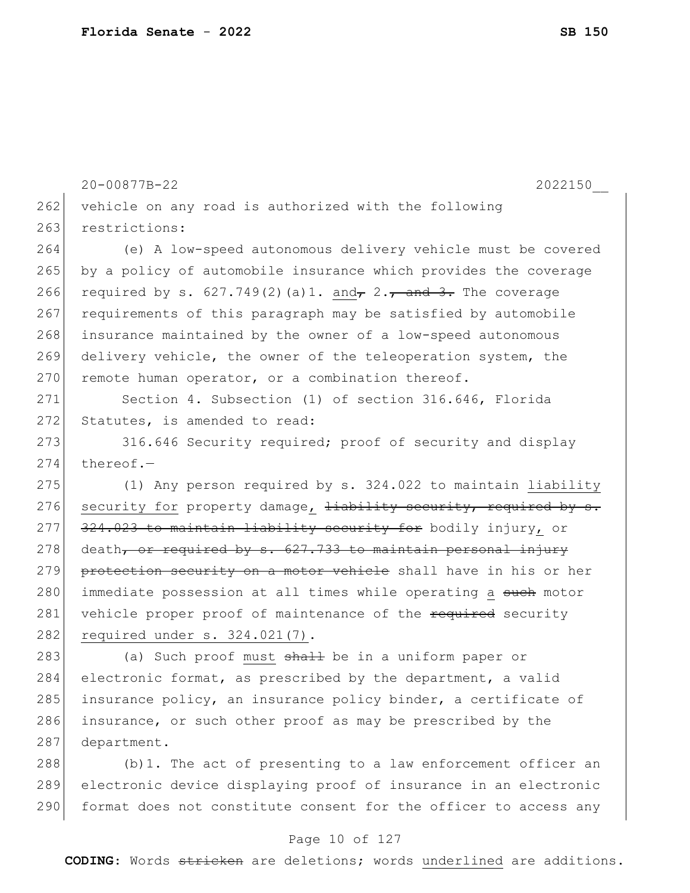20-00877B-22 2022150\_\_ 262 vehicle on any road is authorized with the following 263 restrictions: 264 (e) A low-speed autonomous delivery vehicle must be covered 265 by a policy of automobile insurance which provides the coverage 266 required by s. 627.749(2)(a)1. and  $\tau$  2.  $\tau$  and 3. The coverage 267 requirements of this paragraph may be satisfied by automobile 268 insurance maintained by the owner of a low-speed autonomous 269 delivery vehicle, the owner of the teleoperation system, the  $270$  remote human operator, or a combination thereof. 271 Section 4. Subsection (1) of section 316.646, Florida 272 Statutes, is amended to read: 273 316.646 Security required; proof of security and display  $274$  thereof.-275 (1) Any person required by s. 324.022 to maintain liability 276 security for property damage, liability security, required by s. 277 324.023 to maintain liability security for bodily injury, or  $278$  death, or required by s. 627.733 to maintain personal injury 279 protection security on a motor vehicle shall have in his or her 280 immediate possession at all times while operating a such motor 281 vehicle proper proof of maintenance of the required security 282 required under s. 324.021(7). 283 (a) Such proof must shall be in a uniform paper or 284 electronic format, as prescribed by the department, a valid 285 insurance policy, an insurance policy binder, a certificate of 286 insurance, or such other proof as may be prescribed by the 287 department. 288 (b)1. The act of presenting to a law enforcement officer an 289 electronic device displaying proof of insurance in an electronic

#### Page 10 of 127

290 format does not constitute consent for the officer to access any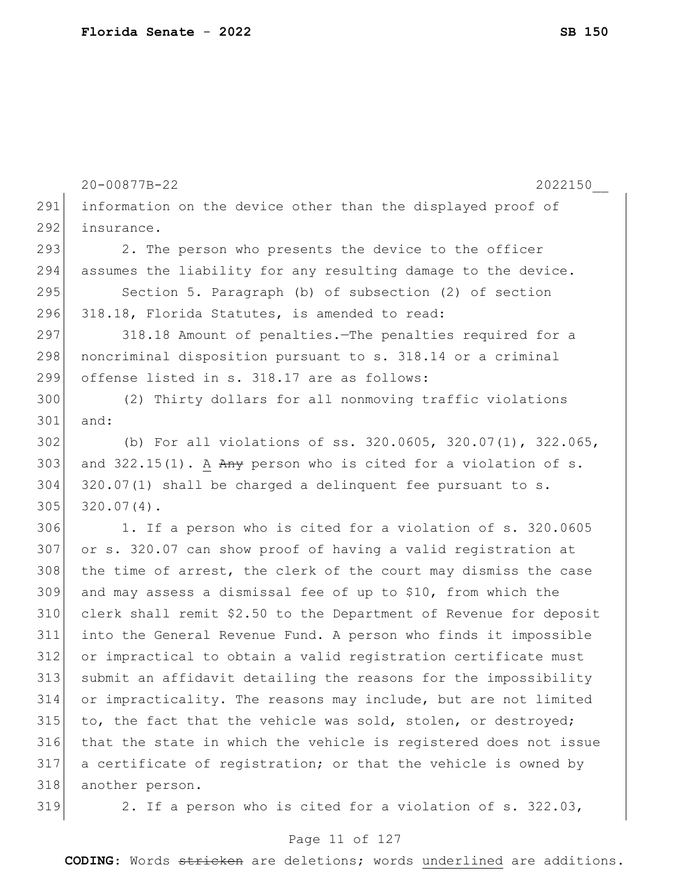|     | 20-00877B-22<br>2022150                                           |
|-----|-------------------------------------------------------------------|
| 291 | information on the device other than the displayed proof of       |
| 292 | insurance.                                                        |
| 293 | 2. The person who presents the device to the officer              |
| 294 | assumes the liability for any resulting damage to the device.     |
| 295 | Section 5. Paragraph (b) of subsection (2) of section             |
| 296 | 318.18, Florida Statutes, is amended to read:                     |
| 297 | 318.18 Amount of penalties. The penalties required for a          |
| 298 | noncriminal disposition pursuant to s. 318.14 or a criminal       |
| 299 | offense listed in s. 318.17 are as follows:                       |
| 300 | (2) Thirty dollars for all nonmoving traffic violations           |
| 301 | and:                                                              |
| 302 | (b) For all violations of ss. 320.0605, 320.07(1), 322.065,       |
| 303 | and $322.15(1)$ . A Any person who is cited for a violation of s. |
| 304 | $320.07(1)$ shall be charged a delinquent fee pursuant to s.      |
| 305 | $320.07(4)$ .                                                     |
| 306 | 1. If a person who is cited for a violation of s. 320.0605        |
| 307 | or s. 320.07 can show proof of having a valid registration at     |
| 308 | the time of arrest, the clerk of the court may dismiss the case   |
| 309 | and may assess a dismissal fee of up to \$10, from which the      |
| 310 | clerk shall remit \$2.50 to the Department of Revenue for deposit |
| 311 | into the General Revenue Fund. A person who finds it impossible   |
| 312 | or impractical to obtain a valid registration certificate must    |
| 313 | submit an affidavit detailing the reasons for the impossibility   |
| 314 | or impracticality. The reasons may include, but are not limited   |
| 315 | to, the fact that the vehicle was sold, stolen, or destroyed;     |
| 316 | that the state in which the vehicle is registered does not issue  |
| 317 | a certificate of registration; or that the vehicle is owned by    |
| 318 | another person.                                                   |
| 319 | 2. If a person who is cited for a violation of s. 322.03,         |

# Page 11 of 127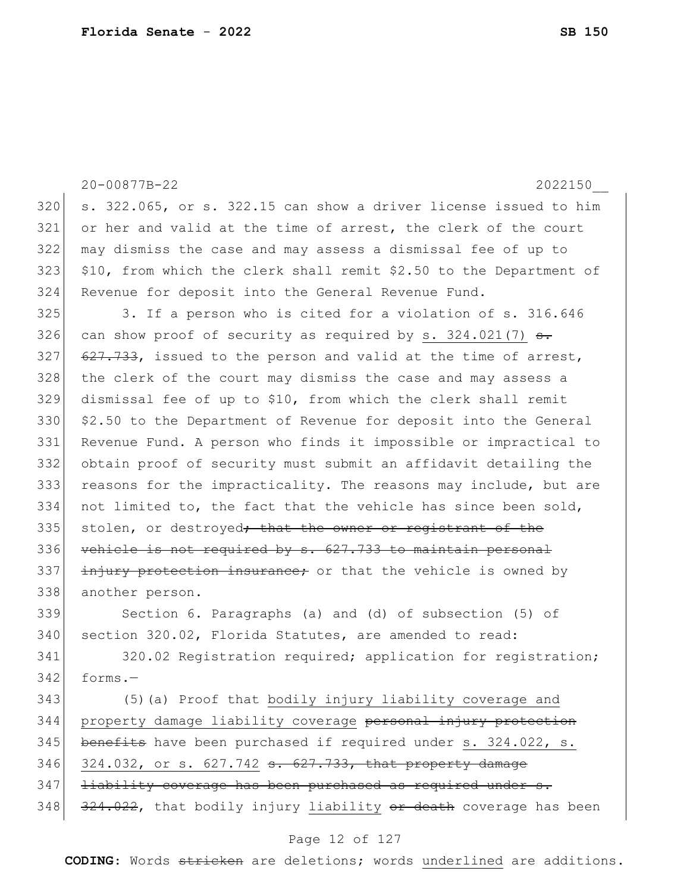|     | 20-00877B-22<br>2022150                                               |
|-----|-----------------------------------------------------------------------|
| 320 | s. 322.065, or s. 322.15 can show a driver license issued to him      |
| 321 | or her and valid at the time of arrest, the clerk of the court        |
| 322 | may dismiss the case and may assess a dismissal fee of up to          |
| 323 | \$10, from which the clerk shall remit \$2.50 to the Department of    |
| 324 | Revenue for deposit into the General Revenue Fund.                    |
| 325 | 3. If a person who is cited for a violation of s. 316.646             |
| 326 | can show proof of security as required by s. 324.021(7) $\frac{1}{2}$ |
| 327 | 627.733, issued to the person and valid at the time of arrest,        |
| 328 | the clerk of the court may dismiss the case and may assess a          |
| 329 | dismissal fee of up to \$10, from which the clerk shall remit         |
| 330 | \$2.50 to the Department of Revenue for deposit into the General      |
| 331 | Revenue Fund. A person who finds it impossible or impractical to      |
| 332 | obtain proof of security must submit an affidavit detailing the       |
| 333 | reasons for the impracticality. The reasons may include, but are      |
| 334 | not limited to, the fact that the vehicle has since been sold,        |
| 335 | stolen, or destroyed <del>; that the owner or registrant of the</del> |
| 336 | vehicle is not required by s. 627.733 to maintain personal            |
| 337 | injury protection insurance; or that the vehicle is owned by          |
| 338 | another person.                                                       |
| 339 | Section 6. Paragraphs (a) and (d) of subsection (5) of                |
| 340 | section 320.02, Florida Statutes, are amended to read:                |
| 341 | 320.02 Registration required; application for registration;           |
| 342 | forms.-                                                               |
| 343 | (5) (a) Proof that bodily injury liability coverage and               |
| 344 | property damage liability coverage personal injury protection         |
| 345 | benefits have been purchased if required under s. 324.022, s.         |
| 346 | 324.032, or s. 627.742 s. 627.733, that property damage               |
| 347 | liability coverage has been purchased as required under s.            |
| 348 | 324.022, that bodily injury liability or death coverage has been      |

# Page 12 of 127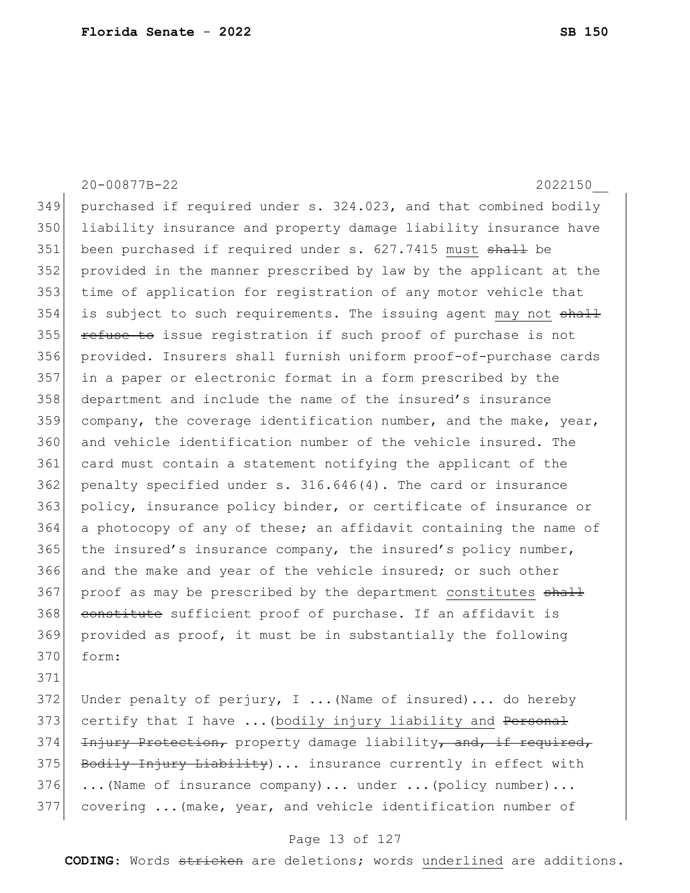20-00877B-22 2022150\_\_ 349 purchased if required under s. 324.023, and that combined bodily 350 liability insurance and property damage liability insurance have 351 been purchased if required under s. 627.7415 must shall be 352 provided in the manner prescribed by law by the applicant at the 353 time of application for registration of any motor vehicle that 354 is subject to such requirements. The issuing agent may not shall 355 refuse to issue registration if such proof of purchase is not 356 provided. Insurers shall furnish uniform proof-of-purchase cards 357 in a paper or electronic format in a form prescribed by the 358 department and include the name of the insured's insurance  $359$  company, the coverage identification number, and the make, year, 360 and vehicle identification number of the vehicle insured. The 361 card must contain a statement notifying the applicant of the  $362$  penalty specified under s.  $316.646(4)$ . The card or insurance 363 policy, insurance policy binder, or certificate of insurance or 364 a photocopy of any of these; an affidavit containing the name of 365 the insured's insurance company, the insured's policy number, 366 and the make and year of the vehicle insured; or such other 367 proof as may be prescribed by the department constitutes shall 368 constitute sufficient proof of purchase. If an affidavit is 369 provided as proof, it must be in substantially the following 370 form: 371

372 Under penalty of perjury, I ... (Name of insured)... do hereby 373 certify that I have ... (bodily injury liability and Personal 374 Injury Protection, property damage liability, and, if required, 375 Bodily Injury Liability)... insurance currently in effect with  $376$  ...(Name of insurance company)... under ...(policy number)... 377 covering ...(make, year, and vehicle identification number of

#### Page 13 of 127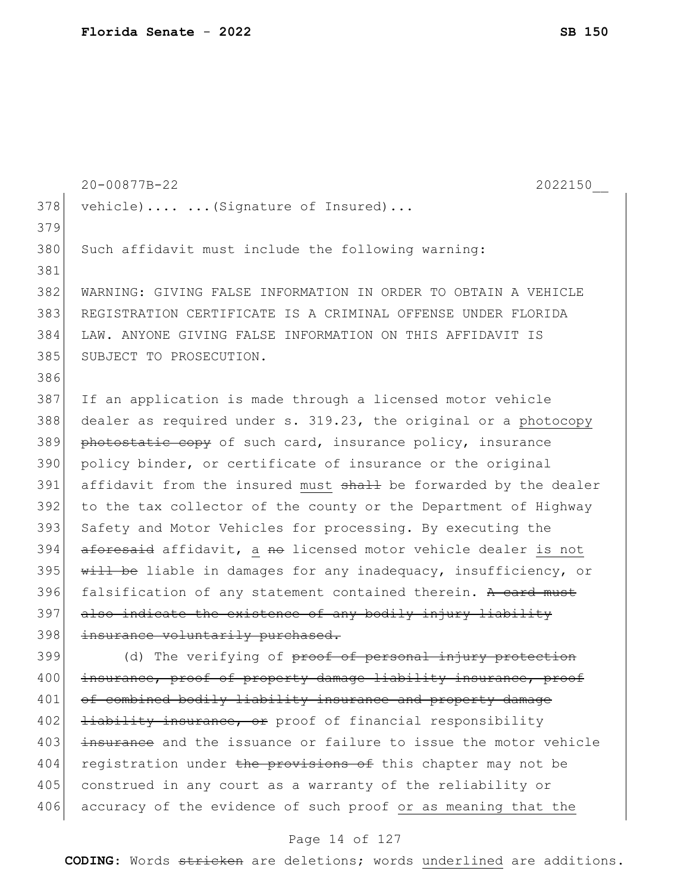|     | 20-00877B-22<br>2022150                                          |
|-----|------------------------------------------------------------------|
| 378 | vehicle)   (Signature of Insured)                                |
| 379 |                                                                  |
| 380 | Such affidavit must include the following warning:               |
| 381 |                                                                  |
| 382 | WARNING: GIVING FALSE INFORMATION IN ORDER TO OBTAIN A VEHICLE   |
| 383 | REGISTRATION CERTIFICATE IS A CRIMINAL OFFENSE UNDER FLORIDA     |
| 384 | LAW. ANYONE GIVING FALSE INFORMATION ON THIS AFFIDAVIT IS        |
| 385 | SUBJECT TO PROSECUTION.                                          |
| 386 |                                                                  |
| 387 | If an application is made through a licensed motor vehicle       |
| 388 | dealer as required under s. 319.23, the original or a photocopy  |
| 389 | photostatic copy of such card, insurance policy, insurance       |
| 390 | policy binder, or certificate of insurance or the original       |
| 391 | affidavit from the insured must shall be forwarded by the dealer |
| 392 | to the tax collector of the county or the Department of Highway  |
| 393 | Safety and Motor Vehicles for processing. By executing the       |
| 394 | aforesaid affidavit, a no licensed motor vehicle dealer is not   |
| 395 | will be liable in damages for any inadequacy, insufficiency, or  |
| 396 | falsification of any statement contained therein. A card must    |
| 397 | also indicate the existence of any bodily injury liability       |
| 398 | insurance voluntarily purchased.                                 |
| 399 | (d) The verifying of proof of personal injury protection         |
| 400 | insurance, proof of property damage liability insurance, proof   |
| 401 | of combined bodily liability insurance and property damage       |
| 402 | <b>liability insurance, or</b> proof of financial responsibility |
| 403 | insurance and the issuance or failure to issue the motor vehicle |
| 404 | registration under the provisions of this chapter may not be     |
| 405 | construed in any court as a warranty of the reliability or       |
| 406 | accuracy of the evidence of such proof or as meaning that the    |

### Page 14 of 127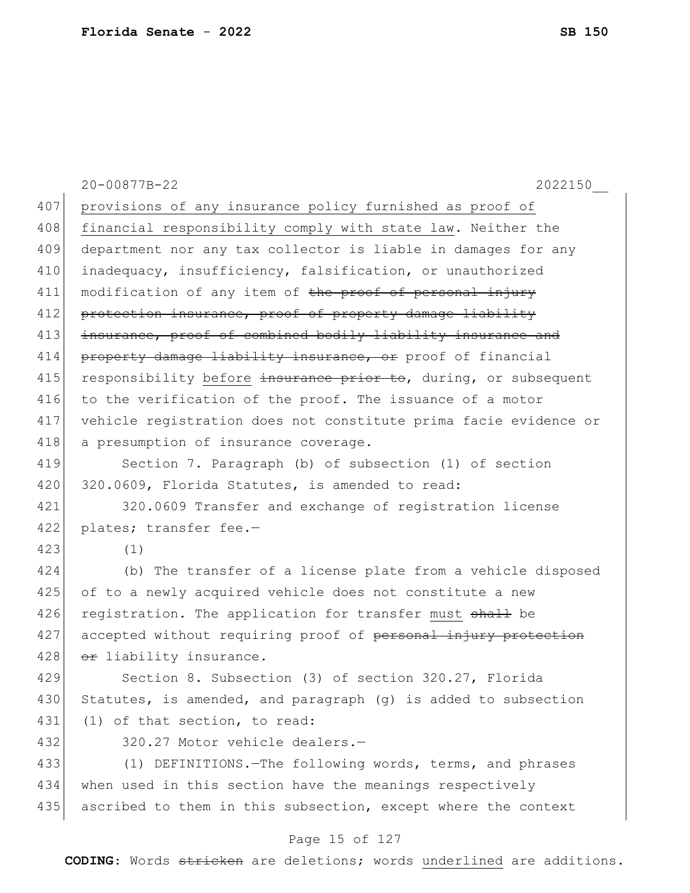|     | 20-00877B-22<br>2022150                                          |
|-----|------------------------------------------------------------------|
| 407 | provisions of any insurance policy furnished as proof of         |
| 408 | financial responsibility comply with state law. Neither the      |
| 409 | department nor any tax collector is liable in damages for any    |
| 410 | inadequacy, insufficiency, falsification, or unauthorized        |
| 411 | modification of any item of the proof of personal injury         |
| 412 | protection insurance, proof of property damage liability         |
| 413 | insurance, proof of combined bodily liability insurance and      |
| 414 | property damage liability insurance, or proof of financial       |
| 415 | responsibility before insurance prior to, during, or subsequent  |
| 416 | to the verification of the proof. The issuance of a motor        |
| 417 | vehicle registration does not constitute prima facie evidence or |
| 418 | a presumption of insurance coverage.                             |
| 419 | Section 7. Paragraph (b) of subsection (1) of section            |
| 420 | 320.0609, Florida Statutes, is amended to read:                  |
| 421 | 320.0609 Transfer and exchange of registration license           |
| 422 | plates; transfer fee.-                                           |
| 423 | (1)                                                              |
| 424 | (b) The transfer of a license plate from a vehicle disposed      |
| 425 | of to a newly acquired vehicle does not constitute a new         |
| 426 | registration. The application for transfer must shall be         |
| 427 | accepted without requiring proof of personal injury protection   |
| 428 | <del>or</del> liability insurance.                               |
| 429 | Section 8. Subsection (3) of section 320.27, Florida             |
| 430 | Statutes, is amended, and paragraph (g) is added to subsection   |
| 431 | (1) of that section, to read:                                    |
| 432 | 320.27 Motor vehicle dealers.-                                   |
| 433 | (1) DEFINITIONS. - The following words, terms, and phrases       |
| 434 | when used in this section have the meanings respectively         |
| 435 | ascribed to them in this subsection, except where the context    |

# Page 15 of 127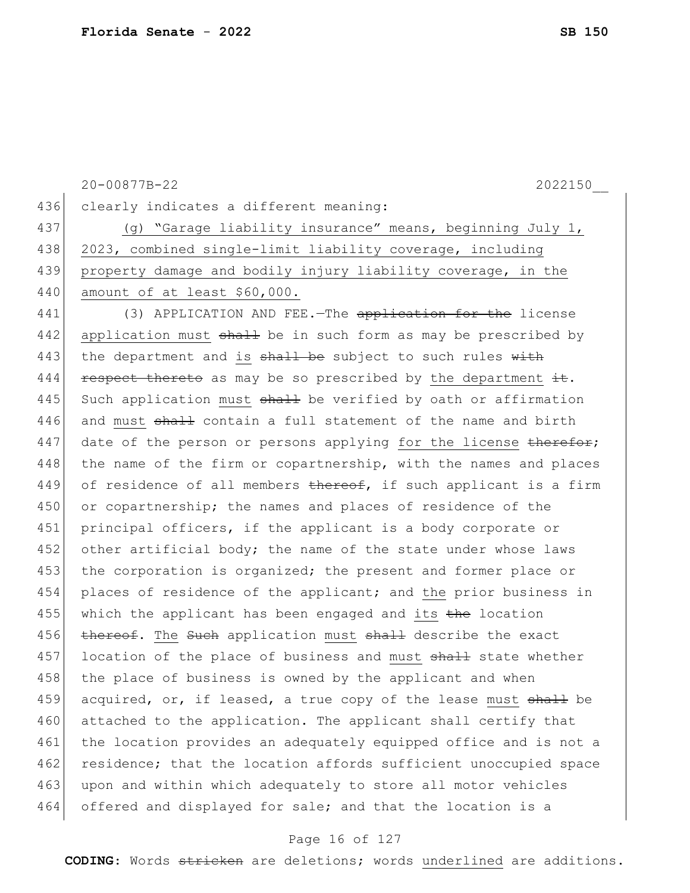|     | 20-00877B-22<br>2022150                                          |
|-----|------------------------------------------------------------------|
| 436 | clearly indicates a different meaning:                           |
| 437 | (g) "Garage liability insurance" means, beginning July 1,        |
| 438 | 2023, combined single-limit liability coverage, including        |
| 439 | property damage and bodily injury liability coverage, in the     |
| 440 | amount of at least \$60,000.                                     |
| 441 | (3) APPLICATION AND FEE. - The application for the license       |
| 442 | application must shall be in such form as may be prescribed by   |
| 443 | the department and is shall be subject to such rules with        |
| 444 | respect thereto as may be so prescribed by the department it.    |
| 445 | Such application must shall be verified by oath or affirmation   |
| 446 | and must shall contain a full statement of the name and birth    |
| 447 | date of the person or persons applying for the license therefor; |
| 448 | the name of the firm or copartnership, with the names and places |
| 449 | of residence of all members thereof, if such applicant is a firm |
| 450 | or copartnership; the names and places of residence of the       |
| 451 | principal officers, if the applicant is a body corporate or      |
| 452 | other artificial body; the name of the state under whose laws    |
| 453 | the corporation is organized; the present and former place or    |
| 454 | places of residence of the applicant; and the prior business in  |
| 455 | which the applicant has been engaged and its the location        |
| 456 | thereof. The Such application must shall describe the exact      |
| 457 | location of the place of business and must shall state whether   |
| 458 | the place of business is owned by the applicant and when         |
| 459 | acquired, or, if leased, a true copy of the lease must shall be  |
| 460 | attached to the application. The applicant shall certify that    |
| 461 | the location provides an adequately equipped office and is not a |
| 462 | residence; that the location affords sufficient unoccupied space |
| 463 | upon and within which adequately to store all motor vehicles     |
| 464 | offered and displayed for sale; and that the location is a       |

# Page 16 of 127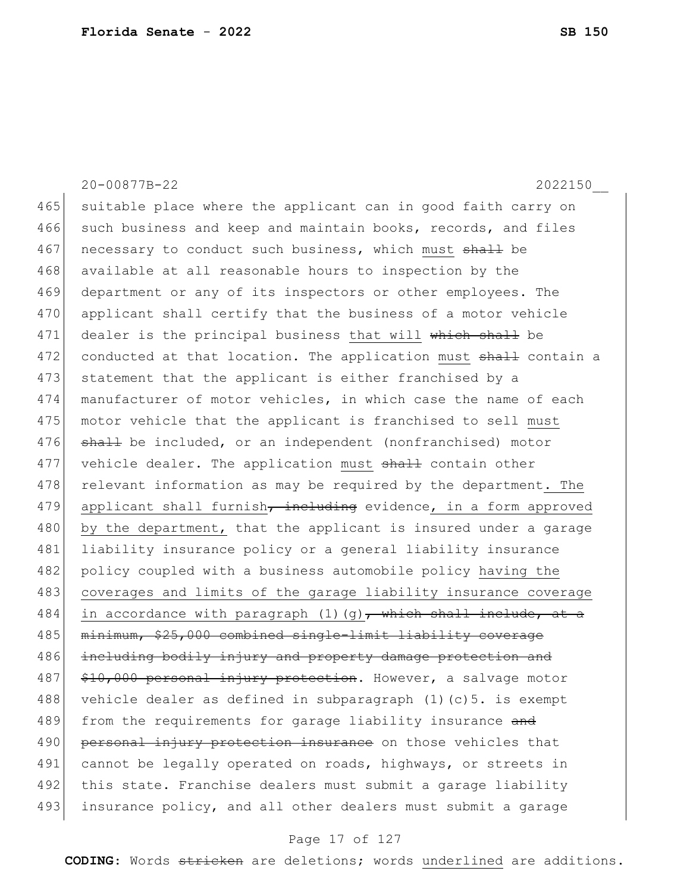20-00877B-22 2022150\_\_ 465 suitable place where the applicant can in good faith carry on 466 such business and keep and maintain books, records, and files 467 necessary to conduct such business, which must shall be 468 available at all reasonable hours to inspection by the 469 department or any of its inspectors or other employees. The 470 applicant shall certify that the business of a motor vehicle 471 dealer is the principal business that will which shall be 472 conducted at that location. The application must shall contain a 473 statement that the applicant is either franchised by a 474 manufacturer of motor vehicles, in which case the name of each 475 motor vehicle that the applicant is franchised to sell must 476 shall be included, or an independent (nonfranchised) motor 477 vehicle dealer. The application must shall contain other 478 relevant information as may be required by the department. The 479 applicant shall furnish, including evidence, in a form approved 480 by the department, that the applicant is insured under a garage 481 liability insurance policy or a general liability insurance 482 policy coupled with a business automobile policy having the 483 coverages and limits of the garage liability insurance coverage 484 in accordance with paragraph (1)(g), which shall include, at a 485 minimum, \$25,000 combined single-limit liability coverage 486 including bodily injury and property damage protection and 487 \$10,000 personal injury protection. However, a salvage motor 488 vehicle dealer as defined in subparagraph (1)(c)5. is exempt 489 from the requirements for garage liability insurance and 490 personal injury protection insurance on those vehicles that 491 cannot be legally operated on roads, highways, or streets in 492 this state. Franchise dealers must submit a garage liability 493 insurance policy, and all other dealers must submit a garage

#### Page 17 of 127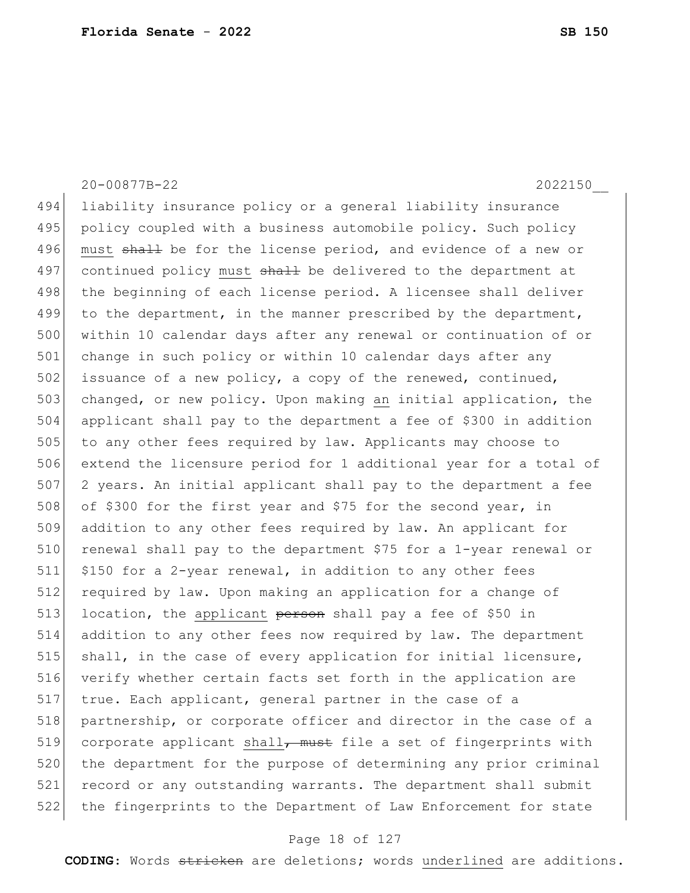20-00877B-22 2022150\_\_

494 liability insurance policy or a general liability insurance 495 policy coupled with a business automobile policy. Such policy 496 must shall be for the license period, and evidence of a new or 497 continued policy must shall be delivered to the department at 498 the beginning of each license period. A licensee shall deliver 499 to the department, in the manner prescribed by the department, 500 within 10 calendar days after any renewal or continuation of or 501 change in such policy or within 10 calendar days after any 502 issuance of a new policy, a copy of the renewed, continued, 503 changed, or new policy. Upon making an initial application, the 504 applicant shall pay to the department a fee of \$300 in addition 505 to any other fees required by law. Applicants may choose to 506 extend the licensure period for 1 additional year for a total of 507 2 years. An initial applicant shall pay to the department a fee 508 of \$300 for the first year and \$75 for the second year, in 509 addition to any other fees required by law. An applicant for 510 renewal shall pay to the department \$75 for a 1-year renewal or 511 \$150 for a 2-year renewal, in addition to any other fees 512 required by law. Upon making an application for a change of 513 location, the applicant person shall pay a fee of \$50 in 514 addition to any other fees now required by law. The department 515 shall, in the case of every application for initial licensure, 516 verify whether certain facts set forth in the application are 517 true. Each applicant, general partner in the case of a 518 partnership, or corporate officer and director in the case of a 519 corporate applicant shall<del>, must</del> file a set of fingerprints with 520 the department for the purpose of determining any prior criminal 521 record or any outstanding warrants. The department shall submit 522 the fingerprints to the Department of Law Enforcement for state

#### Page 18 of 127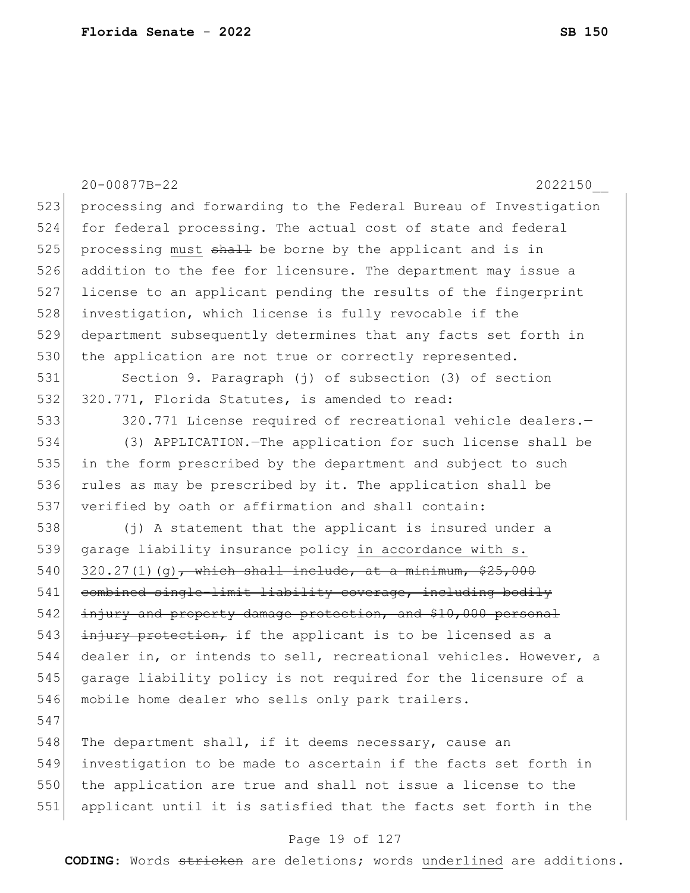|     | 20-00877B-22<br>2022150                                          |
|-----|------------------------------------------------------------------|
| 523 | processing and forwarding to the Federal Bureau of Investigation |
| 524 | for federal processing. The actual cost of state and federal     |
| 525 | processing must shall be borne by the applicant and is in        |
| 526 | addition to the fee for licensure. The department may issue a    |
| 527 | license to an applicant pending the results of the fingerprint   |
| 528 | investigation, which license is fully revocable if the           |
| 529 | department subsequently determines that any facts set forth in   |
| 530 | the application are not true or correctly represented.           |
| 531 | Section 9. Paragraph (j) of subsection (3) of section            |
| 532 | 320.771, Florida Statutes, is amended to read:                   |
| 533 | 320.771 License required of recreational vehicle dealers.-       |
| 534 | (3) APPLICATION. - The application for such license shall be     |
| 535 | in the form prescribed by the department and subject to such     |
| 536 | rules as may be prescribed by it. The application shall be       |
| 537 | verified by oath or affirmation and shall contain:               |
| 538 | (j) A statement that the applicant is insured under a            |
| 539 | garage liability insurance policy in accordance with s.          |
| 540 | $320.27(1)(g)$ , which shall include, at a minimum, \$25,000     |
| 541 | combined single-limit liability coverage, including bodily       |
| 542 | injury and property damage protection, and \$10,000 personal     |
| 543 | injury protection, if the applicant is to be licensed as a       |
| 544 | dealer in, or intends to sell, recreational vehicles. However, a |
| 545 | garage liability policy is not required for the licensure of a   |
| 546 | mobile home dealer who sells only park trailers.                 |
| 547 |                                                                  |
| 548 | The department shall, if it deems necessary, cause an            |
| 549 | investigation to be made to ascertain if the facts set forth in  |
| 550 | the application are true and shall not issue a license to the    |
| 551 | applicant until it is satisfied that the facts set forth in the  |

# Page 19 of 127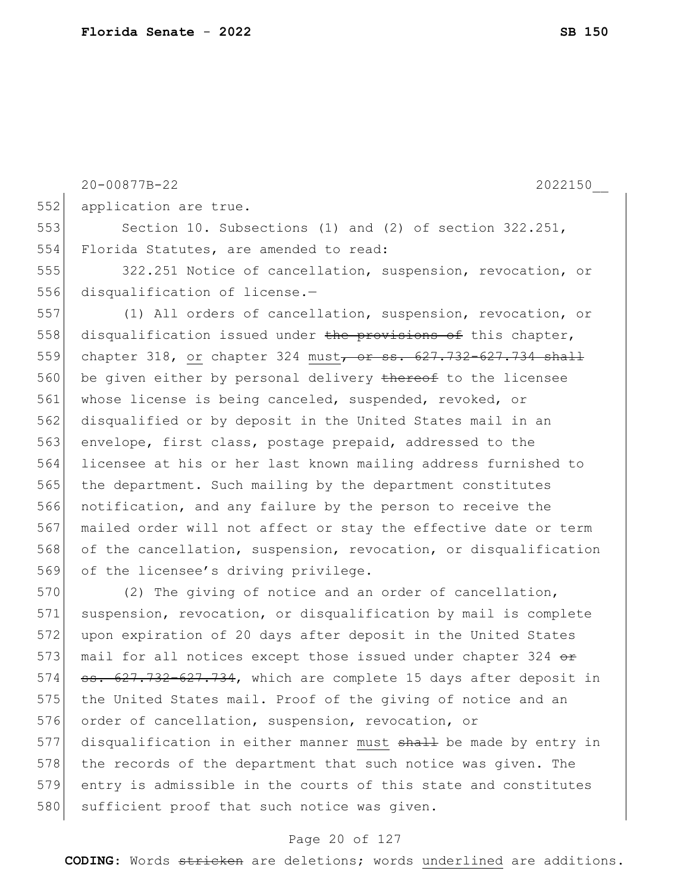20-00877B-22 2022150\_\_ application are true. Section 10. Subsections (1) and (2) of section 322.251, Florida Statutes, are amended to read: 322.251 Notice of cancellation, suspension, revocation, or disqualification of license.— (1) All orders of cancellation, suspension, revocation, or disqualification issued under the provisions of this chapter, chapter 318, or chapter 324 must, or ss. 627.732-627.734 shall be given either by personal delivery thereof to the licensee whose license is being canceled, suspended, revoked, or disqualified or by deposit in the United States mail in an envelope, first class, postage prepaid, addressed to the licensee at his or her last known mailing address furnished to the department. Such mailing by the department constitutes notification, and any failure by the person to receive the mailed order will not affect or stay the effective date or term of the cancellation, suspension, revocation, or disqualification of the licensee's driving privilege. (2) The giving of notice and an order of cancellation, suspension, revocation, or disqualification by mail is complete upon expiration of 20 days after deposit in the United States mail for all notices except those issued under chapter 324 or ss. 627.732–627.734, which are complete 15 days after deposit in

#### Page 20 of 127

575 the United States mail. Proof of the giving of notice and an

the records of the department that such notice was given. The

entry is admissible in the courts of this state and constitutes

577 disqualification in either manner must shall be made by entry in

576 order of cancellation, suspension, revocation, or

580 sufficient proof that such notice was given.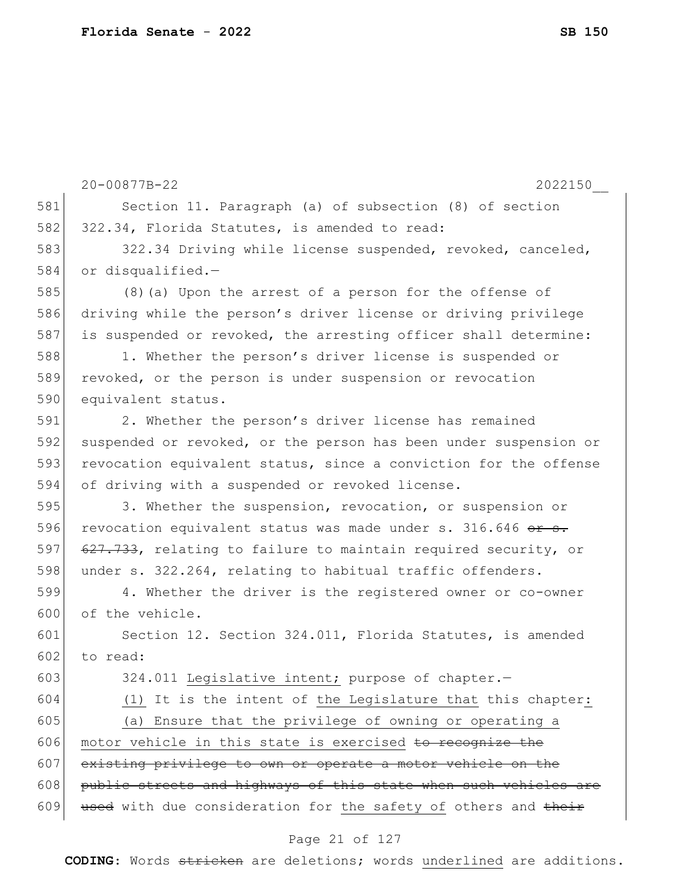|     | 20-00877B-22<br>2022150                                          |
|-----|------------------------------------------------------------------|
| 581 | Section 11. Paragraph (a) of subsection (8) of section           |
| 582 | 322.34, Florida Statutes, is amended to read:                    |
| 583 | 322.34 Driving while license suspended, revoked, canceled,       |
| 584 | or disqualified.-                                                |
| 585 | (8) (a) Upon the arrest of a person for the offense of           |
| 586 | driving while the person's driver license or driving privilege   |
| 587 | is suspended or revoked, the arresting officer shall determine:  |
| 588 | 1. Whether the person's driver license is suspended or           |
| 589 | revoked, or the person is under suspension or revocation         |
| 590 | equivalent status.                                               |
| 591 | 2. Whether the person's driver license has remained              |
| 592 | suspended or revoked, or the person has been under suspension or |
| 593 | revocation equivalent status, since a conviction for the offense |
| 594 | of driving with a suspended or revoked license.                  |
| 595 | 3. Whether the suspension, revocation, or suspension or          |
| 596 | revocation equivalent status was made under s. 316.646 or s.     |
| 597 | 627.733, relating to failure to maintain required security, or   |
| 598 | under s. 322.264, relating to habitual traffic offenders.        |
| 599 | 4. Whether the driver is the registered owner or co-owner        |
| 600 | of the vehicle.                                                  |
| 601 | Section 12. Section 324.011, Florida Statutes, is amended        |
| 602 | to read:                                                         |
| 603 | 324.011 Legislative intent; purpose of chapter.-                 |
| 604 | (1) It is the intent of the Legislature that this chapter:       |
| 605 | (a) Ensure that the privilege of owning or operating a           |
| 606 | motor vehicle in this state is exercised to recognize the        |
| 607 | existing privilege to own or operate a motor vehicle on the      |
| 608 | public streets and highways of this state when such vehicles are |
| 609 | used with due consideration for the safety of others and their   |

# Page 21 of 127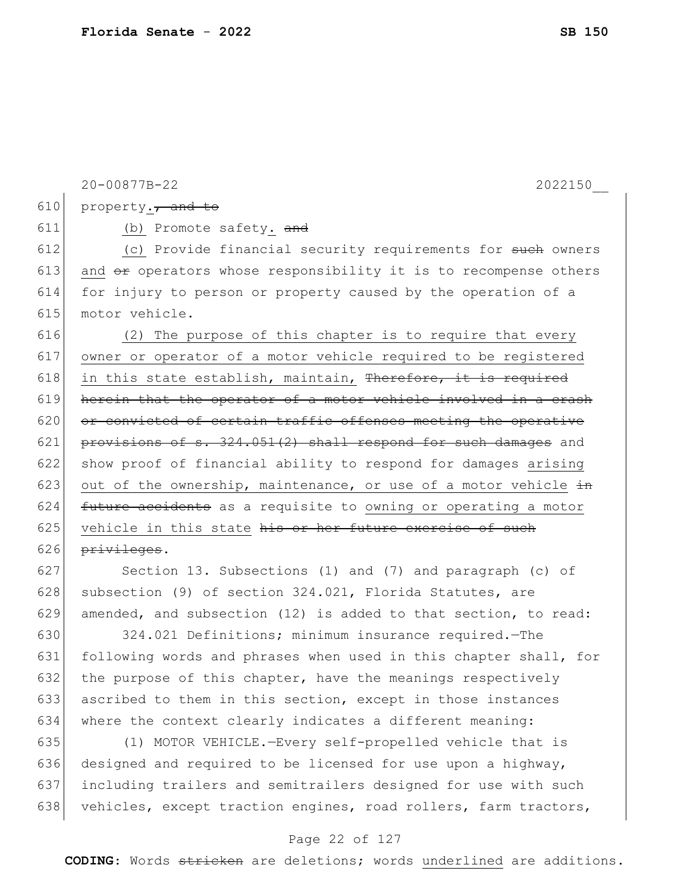|     | 20-00877B-22<br>2022150                                                |
|-----|------------------------------------------------------------------------|
| 610 | property., and to                                                      |
| 611 | (b) Promote safety. and                                                |
| 612 | (c) Provide financial security requirements for such owners            |
| 613 | and $\theta$ eperators whose responsibility it is to recompense others |
| 614 | for injury to person or property caused by the operation of a          |
| 615 | motor vehicle.                                                         |
| 616 | (2) The purpose of this chapter is to require that every               |
| 617 | owner or operator of a motor vehicle required to be registered         |
| 618 | in this state establish, maintain, Therefore, it is required           |
| 619 | herein that the operator of a motor vehicle involved in a crash        |
| 620 | or convicted of certain traffic offenses meeting the operative         |
| 621 | provisions of s. 324.051(2) shall respond for such damages and         |
| 622 | show proof of financial ability to respond for damages arising         |
| 623 | out of the ownership, maintenance, or use of a motor vehicle in        |
| 624 | future accidents as a requisite to owning or operating a motor         |
| 625 | vehicle in this state his or her future exercise of such               |
| 626 | privileges.                                                            |
| 627 | Section 13. Subsections (1) and (7) and paragraph (c) of               |
| 628 | subsection (9) of section 324.021, Florida Statutes, are               |
| 629 | amended, and subsection (12) is added to that section, to read:        |

630 324.021 Definitions; minimum insurance required.—The 631 following words and phrases when used in this chapter shall, for 632 the purpose of this chapter, have the meanings respectively 633 ascribed to them in this section, except in those instances 634 where the context clearly indicates a different meaning:

635 (1) MOTOR VEHICLE.—Every self-propelled vehicle that is 636 designed and required to be licensed for use upon a highway, 637 including trailers and semitrailers designed for use with such 638 vehicles, except traction engines, road rollers, farm tractors,

#### Page 22 of 127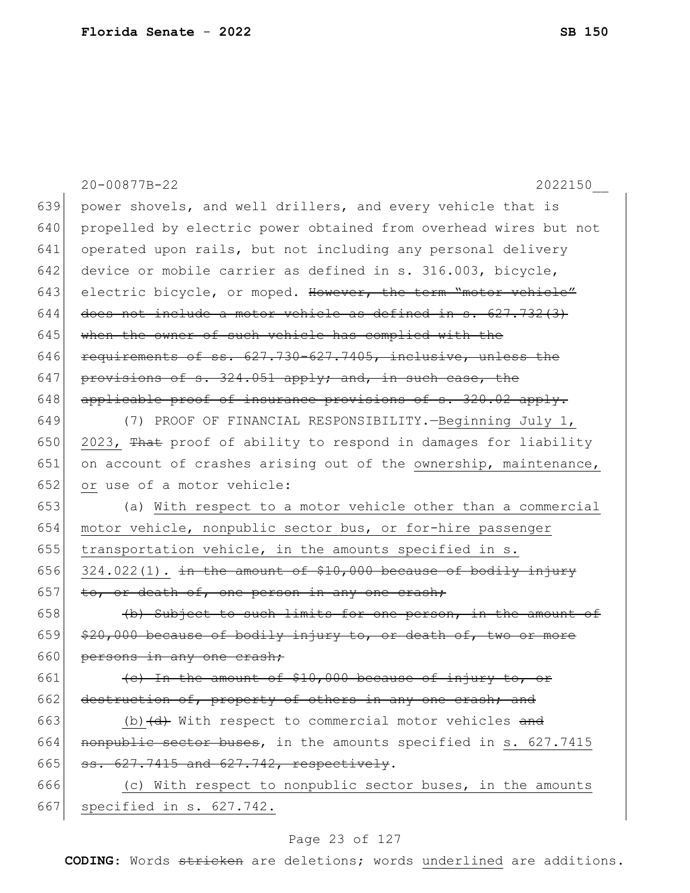|     | 20-00877B-22<br>2022150                                                     |
|-----|-----------------------------------------------------------------------------|
| 639 | power shovels, and well drillers, and every vehicle that is                 |
| 640 | propelled by electric power obtained from overhead wires but not            |
| 641 | operated upon rails, but not including any personal delivery                |
| 642 | device or mobile carrier as defined in s. 316.003, bicycle,                 |
| 643 | electric bicycle, or moped. However, the term "motor vehicle"               |
| 644 | does not include a motor vehicle as defined in s. 627.732(3)                |
| 645 | when the owner of such vehicle has complied with the                        |
| 646 | requirements of ss. 627.730-627.7405, inclusive, unless the                 |
| 647 | provisions of s. 324.051 apply; and, in such case, the                      |
| 648 | applicable proof of insurance provisions of s. 320.02 apply.                |
| 649 | (7) PROOF OF FINANCIAL RESPONSIBILITY. - Beginning July 1,                  |
| 650 | 2023, That proof of ability to respond in damages for liability             |
| 651 | on account of crashes arising out of the ownership, maintenance,            |
| 652 | or use of a motor vehicle:                                                  |
| 653 | (a) With respect to a motor vehicle other than a commercial                 |
| 654 | motor vehicle, nonpublic sector bus, or for-hire passenger                  |
| 655 | transportation vehicle, in the amounts specified in s.                      |
| 656 | $324.022(1)$ . in the amount of \$10,000 because of bodily injury           |
| 657 | to, or death of, one person in any one crash;                               |
| 658 | (b) Subject to such limits for one person, in the amount of                 |
| 659 | \$20,000 because of bodily injury to, or death of, two or more              |
| 660 | persons in any one crash;                                                   |
| 661 | (c) In the amount of \$10,000 because of injury to, or                      |
| 662 | destruction of, property of others in any one crash; and                    |
| 663 | (b) $\left(\mathrm{d}\right)$ With respect to commercial motor vehicles and |
| 664 | nonpublic sector buses, in the amounts specified in s. 627.7415             |
| 665 | ss. 627.7415 and 627.742, respectively.                                     |
| 666 | (c) With respect to nonpublic sector buses, in the amounts                  |
| 667 | specified in s. 627.742.                                                    |

# Page 23 of 127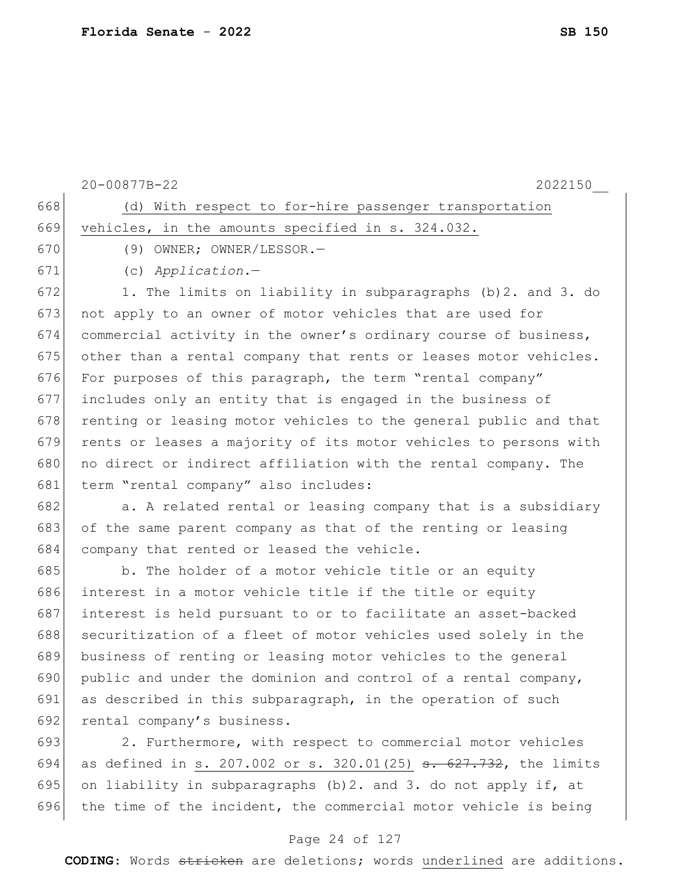|     | 20-00877B-22<br>2022150                                                      |
|-----|------------------------------------------------------------------------------|
| 668 | (d) With respect to for-hire passenger transportation                        |
| 669 | vehicles, in the amounts specified in s. 324.032.                            |
| 670 | (9) OWNER; OWNER/LESSOR.-                                                    |
| 671 | $(c)$ Application.-                                                          |
| 672 | 1. The limits on liability in subparagraphs (b) 2. and 3. do                 |
| 673 | not apply to an owner of motor vehicles that are used for                    |
| 674 | commercial activity in the owner's ordinary course of business,              |
| 675 | other than a rental company that rents or leases motor vehicles.             |
| 676 | For purposes of this paragraph, the term "rental company"                    |
| 677 | includes only an entity that is engaged in the business of                   |
| 678 | renting or leasing motor vehicles to the general public and that             |
| 679 | rents or leases a majority of its motor vehicles to persons with             |
| 680 | no direct or indirect affiliation with the rental company. The               |
| 681 | term "rental company" also includes:                                         |
| 682 | a. A related rental or leasing company that is a subsidiary                  |
| 683 | of the same parent company as that of the renting or leasing                 |
| 684 | company that rented or leased the vehicle.                                   |
| 685 | b. The holder of a motor vehicle title or an equity                          |
| 686 | interest in a motor vehicle title if the title or equity                     |
| 687 | interest is held pursuant to or to facilitate an asset-backed                |
| 688 | securitization of a fleet of motor vehicles used solely in the               |
| 689 | business of renting or leasing motor vehicles to the general                 |
| 690 | public and under the dominion and control of a rental company,               |
| 691 | as described in this subparagraph, in the operation of such                  |
| 692 | rental company's business.                                                   |
| 693 | 2. Furthermore, with respect to commercial motor vehicles                    |
| 694 | as defined in s. 207.002 or s. 320.01(25) <del>s. 627.732</del> , the limits |
| 695 | on liability in subparagraphs (b) 2. and 3. do not apply if, at              |
| 696 | the time of the incident, the commercial motor vehicle is being              |

# Page 24 of 127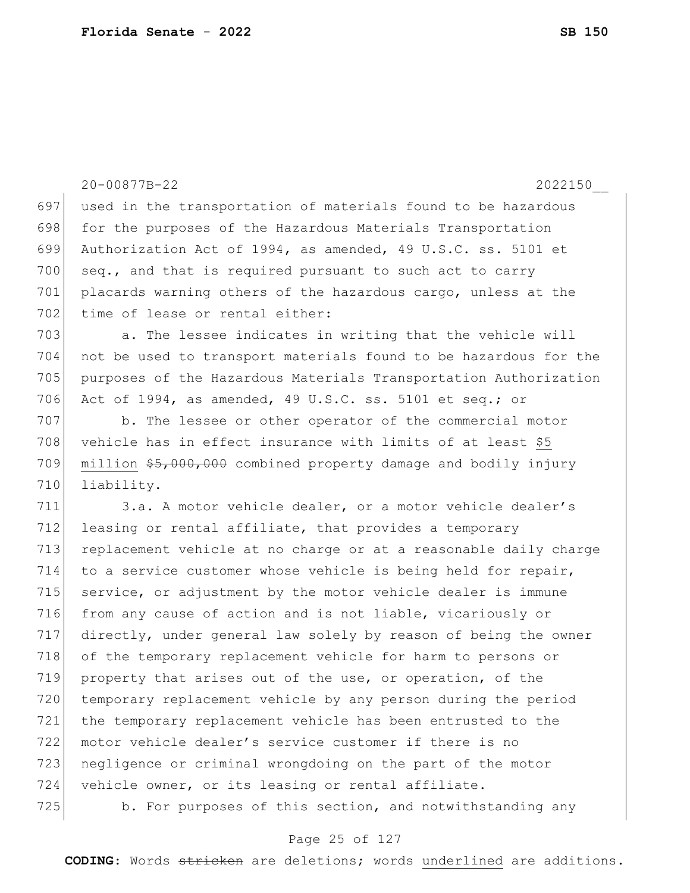20-00877B-22 2022150\_\_ 697 used in the transportation of materials found to be hazardous 698 for the purposes of the Hazardous Materials Transportation 699 Authorization Act of 1994, as amended, 49 U.S.C. ss. 5101 et  $700$  seq., and that is required pursuant to such act to carry 701 placards warning others of the hazardous cargo, unless at the 702 time of lease or rental either: 703 a. The lessee indicates in writing that the vehicle will 704 not be used to transport materials found to be hazardous for the 705 purposes of the Hazardous Materials Transportation Authorization 706 Act of 1994, as amended, 49 U.S.C. ss. 5101 et seq.; or 707 b. The lessee or other operator of the commercial motor 708 vehicle has in effect insurance with limits of at least  $$5$ 709 million \$5,000,000 combined property damage and bodily injury 710 liability. 711 3.a. A motor vehicle dealer, or a motor vehicle dealer's 712 leasing or rental affiliate, that provides a temporary 713 replacement vehicle at no charge or at a reasonable daily charge 714 to a service customer whose vehicle is being held for repair, 715 service, or adjustment by the motor vehicle dealer is immune 716 from any cause of action and is not liable, vicariously or 717 directly, under general law solely by reason of being the owner 718 of the temporary replacement vehicle for harm to persons or 719 property that arises out of the use, or operation, of the 720 temporary replacement vehicle by any person during the period 721 the temporary replacement vehicle has been entrusted to the 722 motor vehicle dealer's service customer if there is no 723 negligence or criminal wrongdoing on the part of the motor 724 vehicle owner, or its leasing or rental affiliate. 725 b. For purposes of this section, and notwithstanding any

#### Page 25 of 127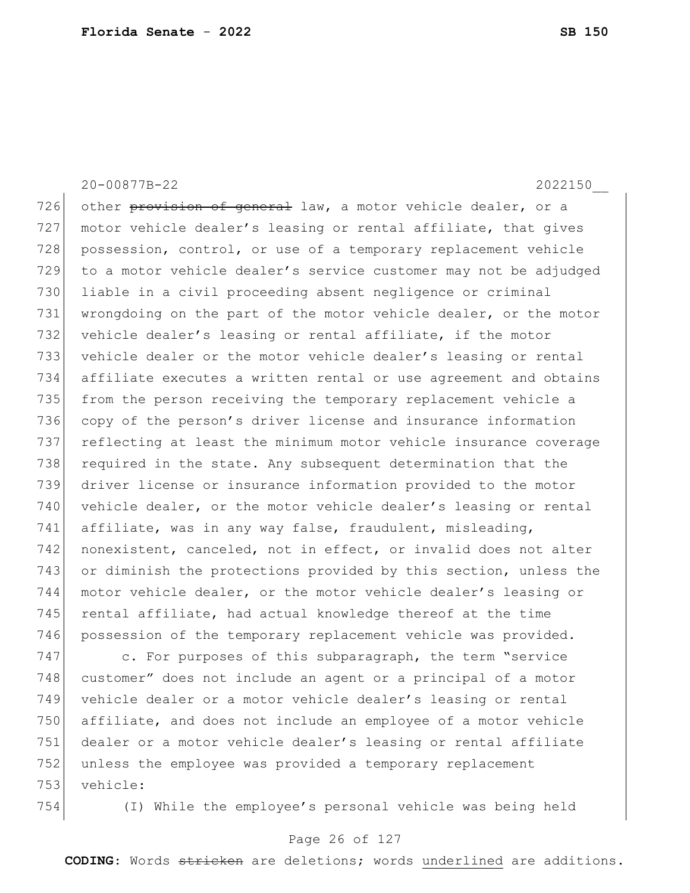726 other provision of general law, a motor vehicle dealer, or a 727 motor vehicle dealer's leasing or rental affiliate, that gives 728 possession, control, or use of a temporary replacement vehicle 729 to a motor vehicle dealer's service customer may not be adjudged 730 liable in a civil proceeding absent negligence or criminal 731 wrongdoing on the part of the motor vehicle dealer, or the motor 732 vehicle dealer's leasing or rental affiliate, if the motor 733 vehicle dealer or the motor vehicle dealer's leasing or rental 734 affiliate executes a written rental or use agreement and obtains 735 from the person receiving the temporary replacement vehicle a 736 copy of the person's driver license and insurance information 737 reflecting at least the minimum motor vehicle insurance coverage 738 required in the state. Any subsequent determination that the 739 driver license or insurance information provided to the motor 740 vehicle dealer, or the motor vehicle dealer's leasing or rental 741 affiliate, was in any way false, fraudulent, misleading, 742 nonexistent, canceled, not in effect, or invalid does not alter 743 or diminish the protections provided by this section, unless the 744 motor vehicle dealer, or the motor vehicle dealer's leasing or  $745$  rental affiliate, had actual knowledge thereof at the time 746 possession of the temporary replacement vehicle was provided.

20-00877B-22 2022150\_\_

747 c. For purposes of this subparagraph, the term "service" 748 customer" does not include an agent or a principal of a motor 749 vehicle dealer or a motor vehicle dealer's leasing or rental 750 affiliate, and does not include an employee of a motor vehicle 751 dealer or a motor vehicle dealer's leasing or rental affiliate 752 unless the employee was provided a temporary replacement 753 vehicle:

754 (I) While the employee's personal vehicle was being held

#### Page 26 of 127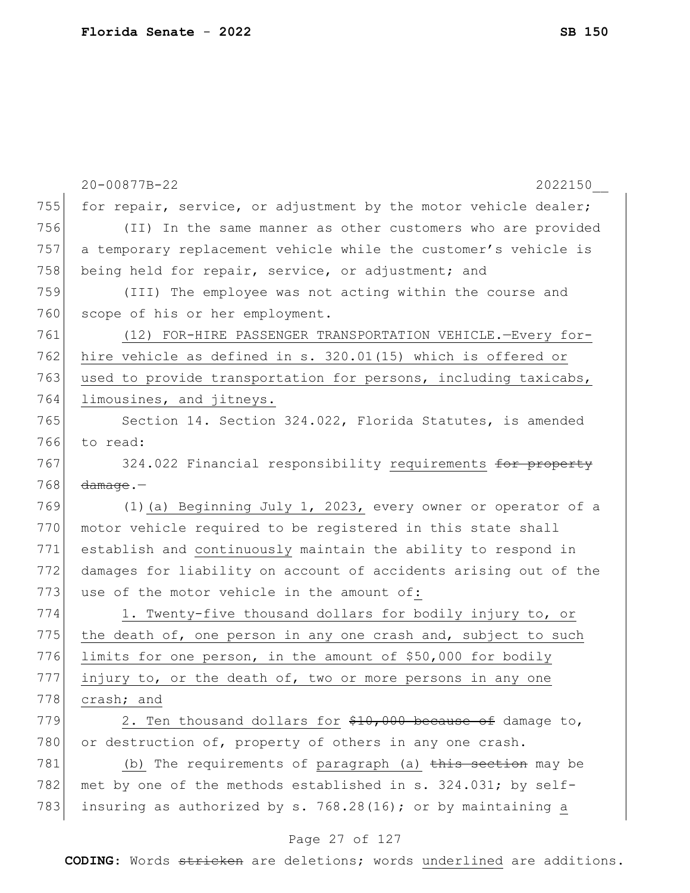|     | 20-00877B-22<br>2022150                                          |
|-----|------------------------------------------------------------------|
| 755 | for repair, service, or adjustment by the motor vehicle dealer;  |
| 756 | (II) In the same manner as other customers who are provided      |
| 757 | a temporary replacement vehicle while the customer's vehicle is  |
| 758 | being held for repair, service, or adjustment; and               |
| 759 | (III) The employee was not acting within the course and          |
| 760 | scope of his or her employment.                                  |
| 761 | (12) FOR-HIRE PASSENGER TRANSPORTATION VEHICLE.-Every for-       |
| 762 | hire vehicle as defined in s. 320.01(15) which is offered or     |
| 763 | used to provide transportation for persons, including taxicabs,  |
| 764 | limousines, and jitneys.                                         |
| 765 | Section 14. Section 324.022, Florida Statutes, is amended        |
| 766 | to read:                                                         |
| 767 | 324.022 Financial responsibility requirements for property       |
| 768 | $d$ amaqe. $-$                                                   |
| 769 | (1) (a) Beginning July 1, 2023, every owner or operator of a     |
| 770 | motor vehicle required to be registered in this state shall      |
| 771 | establish and continuously maintain the ability to respond in    |
| 772 | damages for liability on account of accidents arising out of the |
| 773 | use of the motor vehicle in the amount of:                       |
| 774 | 1. Twenty-five thousand dollars for bodily injury to, or         |
| 775 | the death of, one person in any one crash and, subject to such   |
| 776 | limits for one person, in the amount of \$50,000 for bodily      |
| 777 | injury to, or the death of, two or more persons in any one       |
| 778 | crash; and                                                       |
| 779 | 2. Ten thousand dollars for \$10,000 because of damage to,       |
| 780 | or destruction of, property of others in any one crash.          |
| 781 | (b) The requirements of paragraph (a) this section may be        |
| 782 | met by one of the methods established in s. 324.031; by self-    |
| 783 | insuring as authorized by s. 768.28(16); or by maintaining a     |

# Page 27 of 127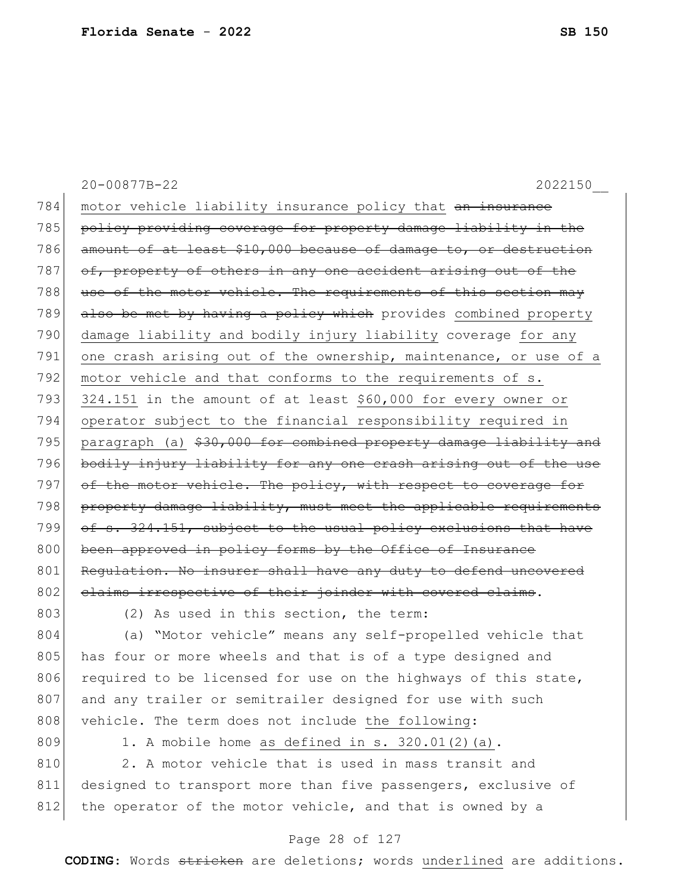|     | 20-00877B-22<br>2022150                                           |
|-----|-------------------------------------------------------------------|
| 784 | motor vehicle liability insurance policy that an insurance        |
| 785 | policy providing coverage for property damage liability in the    |
| 786 | amount of at least \$10,000 because of damage to, or destruction  |
| 787 | of, property of others in any one accident arising out of the     |
| 788 | use of the motor vehicle. The requirements of this section may    |
| 789 | also be met by having a policy which provides combined property   |
| 790 | damage liability and bodily injury liability coverage for any     |
| 791 | one crash arising out of the ownership, maintenance, or use of a  |
| 792 | motor vehicle and that conforms to the requirements of s.         |
| 793 | 324.151 in the amount of at least \$60,000 for every owner or     |
| 794 | operator subject to the financial responsibility required in      |
| 795 | paragraph (a) \$30,000 for combined property damage liability and |
| 796 | bodily injury liability for any one crash arising out of the use  |
| 797 | of the motor vehicle. The policy, with respect to coverage for    |
| 798 | property damage liability, must meet the applicable requirements  |
| 799 | of s. 324.151, subject to the usual policy exclusions that have   |
| 800 | been approved in policy forms by the Office of Insurance          |
| 801 | Regulation. No insurer shall have any duty to defend uncovered    |
| 802 | claims irrespective of their joinder with covered claims.         |
| 803 | (2) As used in this section, the term:                            |
| 804 | (a) "Motor vehicle" means any self-propelled vehicle that         |
| 805 | has four or more wheels and that is of a type designed and        |
| 806 | required to be licensed for use on the highways of this state,    |
| 807 | and any trailer or semitrailer designed for use with such         |
| 808 | vehicle. The term does not include the following:                 |
| 809 | 1. A mobile home as defined in s. 320.01(2)(a).                   |
| 810 | 2. A motor vehicle that is used in mass transit and               |
| 811 | designed to transport more than five passengers, exclusive of     |
| 812 | the operator of the motor vehicle, and that is owned by a         |

# Page 28 of 127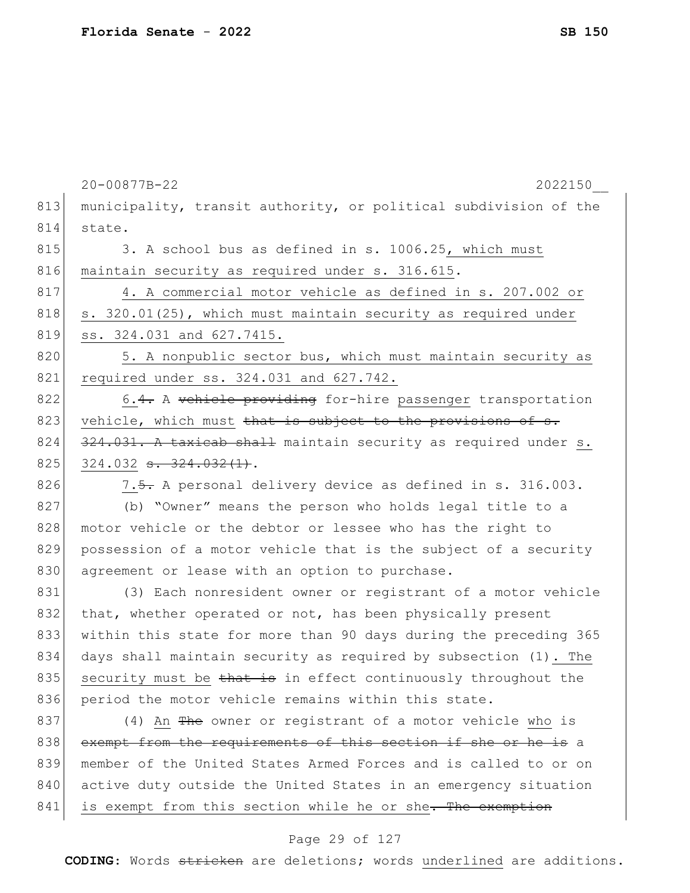|     | 20-00877B-22<br>2022150                                          |
|-----|------------------------------------------------------------------|
| 813 | municipality, transit authority, or political subdivision of the |
| 814 | state.                                                           |
| 815 | 3. A school bus as defined in s. 1006.25, which must             |
| 816 | maintain security as required under s. 316.615.                  |
| 817 | 4. A commercial motor vehicle as defined in s. 207.002 or        |
| 818 | s. 320.01(25), which must maintain security as required under    |
| 819 | ss. 324.031 and 627.7415.                                        |
| 820 | 5. A nonpublic sector bus, which must maintain security as       |
| 821 | required under ss. 324.031 and 627.742.                          |
| 822 | 6.4. A vehicle providing for-hire passenger transportation       |
| 823 | vehicle, which must that is subject to the provisions of s.      |
| 824 | 324.031. A taxicab shall maintain security as required under s.  |
| 825 | $324.032$ s. $324.032(1)$ .                                      |
| 826 | 7.5. A personal delivery device as defined in s. 316.003.        |
| 827 | (b) "Owner" means the person who holds legal title to a          |
| 828 | motor vehicle or the debtor or lessee who has the right to       |
| 829 | possession of a motor vehicle that is the subject of a security  |
| 830 | agreement or lease with an option to purchase.                   |
| 831 | (3) Each nonresident owner or registrant of a motor vehicle      |
| 832 | that, whether operated or not, has been physically present       |
| 833 | within this state for more than 90 days during the preceding 365 |
| 834 | days shall maintain security as required by subsection (1). The  |
| 835 | security must be that is in effect continuously throughout the   |
| 836 | period the motor vehicle remains within this state.              |
| 837 | (4) An The owner or registrant of a motor vehicle who is         |
| 838 | exempt from the requirements of this section if she or he is a   |
| 839 | member of the United States Armed Forces and is called to or on  |
| 840 | active duty outside the United States in an emergency situation  |
| 841 | is exempt from this section while he or she. The exemption       |
|     |                                                                  |

### Page 29 of 127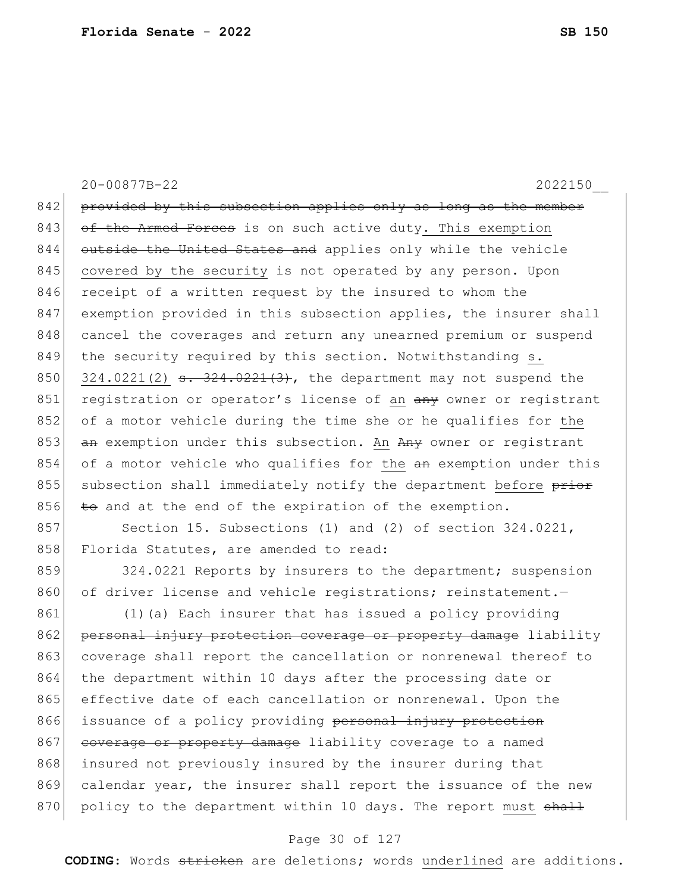20-00877B-22 2022150\_\_ 842 provided by this subsection applies only as long as the member 843 of the Armed Forces is on such active duty. This exemption 844 outside the United States and applies only while the vehicle 845 covered by the security is not operated by any person. Upon 846 receipt of a written request by the insured to whom the 847 exemption provided in this subsection applies, the insurer shall 848 cancel the coverages and return any unearned premium or suspend 849 the security required by this section. Notwithstanding s. 850 324.0221(2) s. 324.0221(3), the department may not suspend the 851 registration or operator's license of an  $\frac{a}{b}$  owner or registrant 852 of a motor vehicle during the time she or he qualifies for the 853  $\frac{a_n}{b_n}$  exemption under this subsection. An  $\frac{a_n}{b_n}$  owner or registrant 854 of a motor vehicle who qualifies for the an exemption under this 855 subsection shall immediately notify the department before prior  $856$  to and at the end of the expiration of the exemption. 857 Section 15. Subsections (1) and (2) of section 324.0221,

858 Florida Statutes, are amended to read:

859 324.0221 Reports by insurers to the department; suspension 860 of driver license and vehicle registrations; reinstatement.

861 (1) (a) Each insurer that has issued a policy providing 862 personal injury protection coverage or property damage liability 863 coverage shall report the cancellation or nonrenewal thereof to 864 the department within 10 days after the processing date or 865 effective date of each cancellation or nonrenewal. Upon the 866 issuance of a policy providing personal injury protection 867 coverage or property damage liability coverage to a named 868 insured not previously insured by the insurer during that 869 calendar year, the insurer shall report the issuance of the new 870 policy to the department within 10 days. The report must shall

#### Page 30 of 127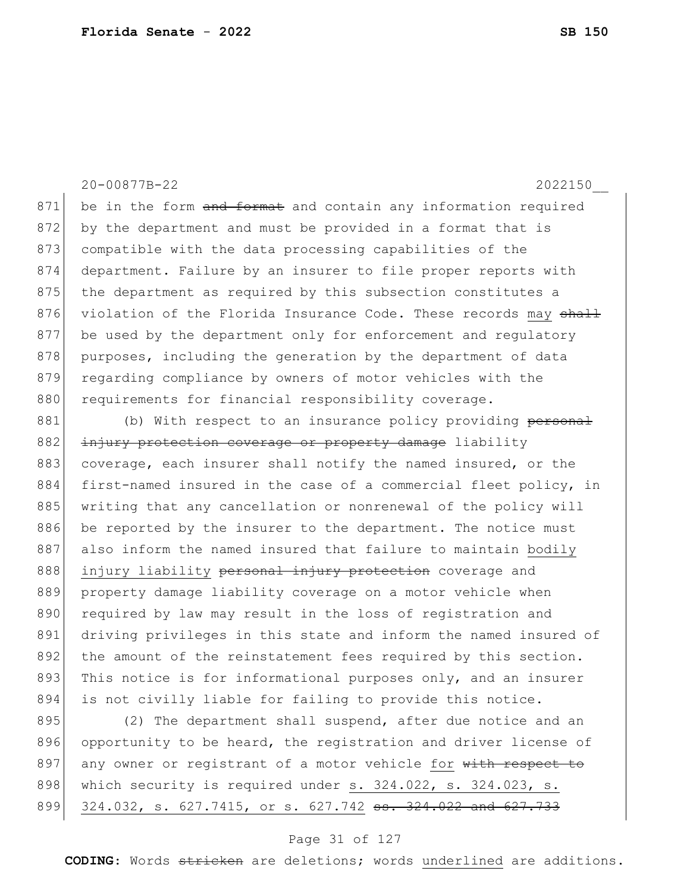20-00877B-22 2022150\_\_  $871$  be in the form and format and contain any information required 872 by the department and must be provided in a format that is 873 compatible with the data processing capabilities of the 874 department. Failure by an insurer to file proper reports with 875 the department as required by this subsection constitutes a 876 violation of the Florida Insurance Code. These records may shall 877 be used by the department only for enforcement and regulatory 878 purposes, including the generation by the department of data 879 regarding compliance by owners of motor vehicles with the 880 requirements for financial responsibility coverage. 881 (b) With respect to an insurance policy providing personal 882 injury protection coverage or property damage liability 883 coverage, each insurer shall notify the named insured, or the 884 first-named insured in the case of a commercial fleet policy, in 885 writing that any cancellation or nonrenewal of the policy will 886 be reported by the insurer to the department. The notice must 887 also inform the named insured that failure to maintain bodily 888 injury liability personal injury protection coverage and 889 property damage liability coverage on a motor vehicle when 890 required by law may result in the loss of registration and 891 driving privileges in this state and inform the named insured of 892 the amount of the reinstatement fees required by this section. 893 This notice is for informational purposes only, and an insurer

895 (2) The department shall suspend, after due notice and an 896 opportunity to be heard, the registration and driver license of 897 any owner or registrant of a motor vehicle for with respect to 898 which security is required under  $s. 324.022$ ,  $s. 324.023$ ,  $s.$ 899 324.032, s. 627.7415, or s. 627.742 <del>ss. 324.022 and 627.733</del>

894 is not civilly liable for failing to provide this notice.

#### Page 31 of 127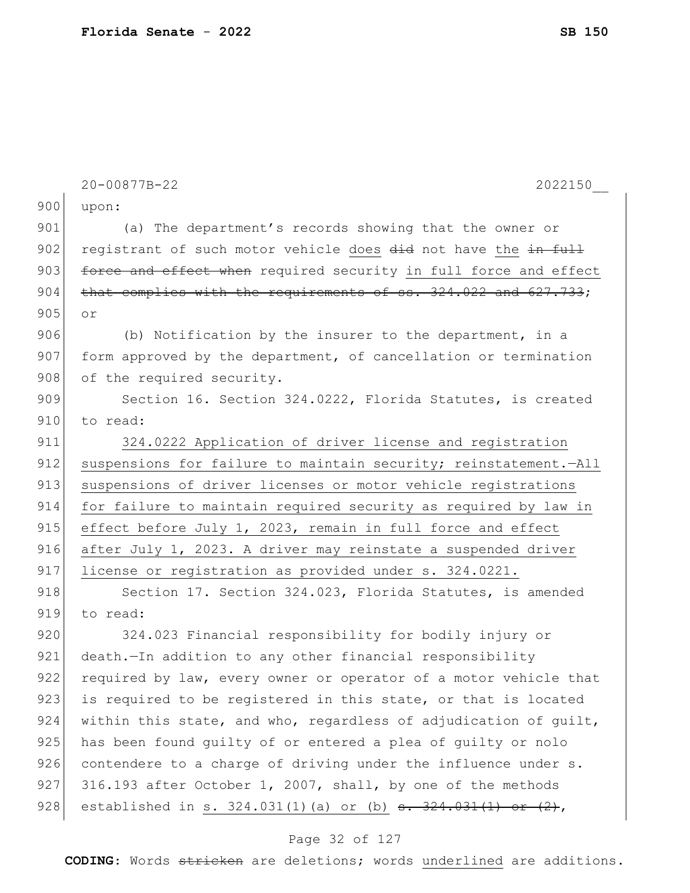|     | 20-00877B-22<br>2022150                                                              |
|-----|--------------------------------------------------------------------------------------|
| 900 | upon:                                                                                |
| 901 | (a) The department's records showing that the owner or                               |
| 902 | registrant of such motor vehicle does did not have the in full                       |
| 903 | force and effect when required security in full force and effect                     |
| 904 | that complies with the requirements of ss. 324.022 and 627.733;                      |
| 905 | or                                                                                   |
| 906 | (b) Notification by the insurer to the department, in a                              |
| 907 | form approved by the department, of cancellation or termination                      |
| 908 | of the required security.                                                            |
| 909 | Section 16. Section 324.0222, Florida Statutes, is created                           |
| 910 | to read:                                                                             |
| 911 | 324.0222 Application of driver license and registration                              |
| 912 | suspensions for failure to maintain security; reinstatement.-All                     |
| 913 | suspensions of driver licenses or motor vehicle registrations                        |
| 914 | for failure to maintain required security as required by law in                      |
| 915 | effect before July 1, 2023, remain in full force and effect                          |
| 916 | after July 1, 2023. A driver may reinstate a suspended driver                        |
| 917 | license or registration as provided under s. 324.0221.                               |
| 918 | Section 17. Section 324.023, Florida Statutes, is amended                            |
| 919 | to read:                                                                             |
| 920 | 324.023 Financial responsibility for bodily injury or                                |
| 921 | death. - In addition to any other financial responsibility                           |
| 922 | required by law, every owner or operator of a motor vehicle that                     |
| 923 | is required to be registered in this state, or that is located                       |
| 924 | within this state, and who, regardless of adjudication of quilt,                     |
| 925 | has been found quilty of or entered a plea of quilty or nolo                         |
| 926 | contendere to a charge of driving under the influence under s.                       |
| 927 | 316.193 after October 1, 2007, shall, by one of the methods                          |
| 928 | established in s. $324.031(1)$ (a) or (b) $\frac{1}{1}324.031(1)$ or $\frac{2}{1}$ , |

# Page 32 of 127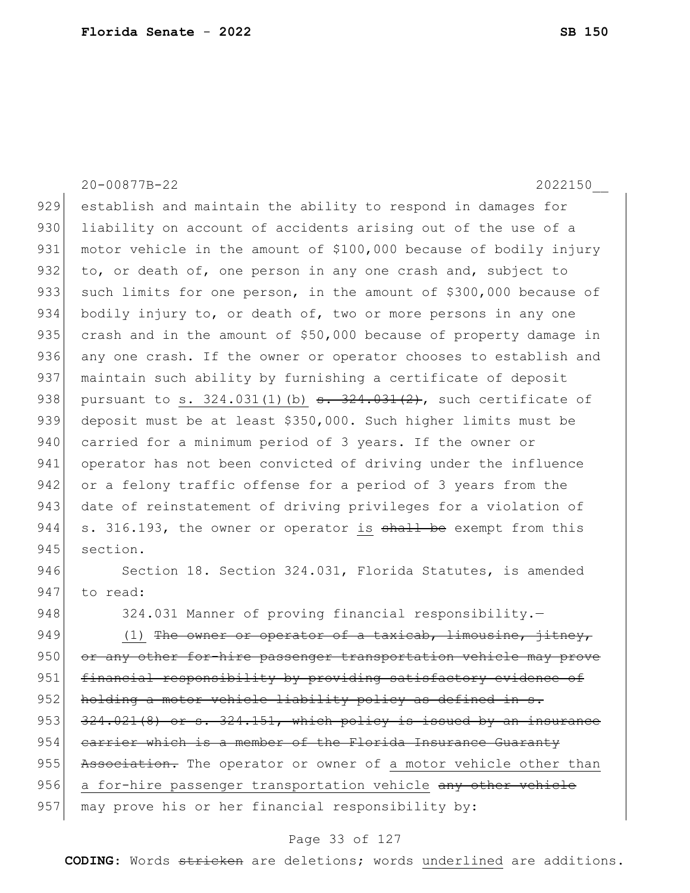20-00877B-22 2022150\_\_ 929 establish and maintain the ability to respond in damages for 930 liability on account of accidents arising out of the use of a 931 motor vehicle in the amount of \$100,000 because of bodily injury 932 to, or death of, one person in any one crash and, subject to 933 such limits for one person, in the amount of \$300,000 because of 934 bodily injury to, or death of, two or more persons in any one 935 crash and in the amount of \$50,000 because of property damage in 936 any one crash. If the owner or operator chooses to establish and 937 maintain such ability by furnishing a certificate of deposit 938 pursuant to s. 324.031(1)(b) s. 324.031(2), such certificate of 939 deposit must be at least \$350,000. Such higher limits must be 940 carried for a minimum period of 3 years. If the owner or 941 operator has not been convicted of driving under the influence 942 or a felony traffic offense for a period of 3 years from the 943 date of reinstatement of driving privileges for a violation of  $944$  s. 316.193, the owner or operator is shall be exempt from this 945 section. 946 Section 18. Section 324.031, Florida Statutes, is amended 947 to read: 948 324.031 Manner of proving financial responsibility.-949  $(1)$  The owner or operator of a taxicab, limousine, jitney, 950 or any other for-hire passenger transportation vehicle may prove 951 financial responsibility by providing satisfactory evidence of 952 holding a motor vehicle liability policy as defined in s.  $953$   $324.021(8)$  or s.  $324.151$ , which policy is issued by an insurance  $954$  carrier which is a member of the Florida Insurance Guaranty 955 Association. The operator or owner of a motor vehicle other than 956 a for-hire passenger transportation vehicle any other vehicle

### 957 may prove his or her financial responsibility by:

#### Page 33 of 127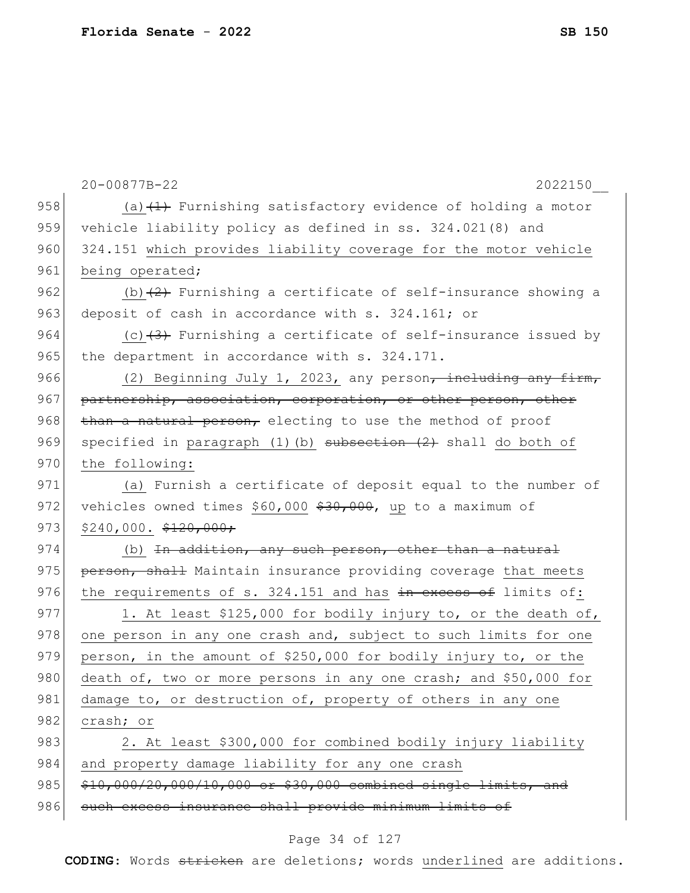|     | 20-00877B-22<br>2022150                                                 |
|-----|-------------------------------------------------------------------------|
| 958 | (a) $(1)$ Furnishing satisfactory evidence of holding a motor           |
| 959 | vehicle liability policy as defined in ss. 324.021(8) and               |
| 960 | 324.151 which provides liability coverage for the motor vehicle         |
| 961 | being operated;                                                         |
| 962 | (b) $(2)$ Furnishing a certificate of self-insurance showing a          |
| 963 | deposit of cash in accordance with s. 324.161; or                       |
| 964 | (c) $(3)$ Furnishing a certificate of self-insurance issued by          |
| 965 | the department in accordance with s. 324.171.                           |
| 966 | (2) Beginning July 1, 2023, any person <del>, including any firm,</del> |
| 967 | partnership, association, corporation, or other person, other           |
| 968 | than a natural person, electing to use the method of proof              |
| 969 | specified in paragraph $(1)$ (b) subsection $(2)$ shall do both of      |
| 970 | the following:                                                          |
| 971 | (a) Furnish a certificate of deposit equal to the number of             |
| 972 | vehicles owned times \$60,000 \$30,000, up to a maximum of              |
| 973 | $$240,000.$ $$120,000.$                                                 |
| 974 | (b) In addition, any such person, other than a natural                  |
| 975 | person, shall Maintain insurance providing coverage that meets          |
| 976 | the requirements of s. 324.151 and has in excess of limits of:          |
| 977 | 1. At least \$125,000 for bodily injury to, or the death of,            |
| 978 | one person in any one crash and, subject to such limits for one         |
| 979 | person, in the amount of \$250,000 for bodily injury to, or the         |
| 980 | death of, two or more persons in any one crash; and \$50,000 for        |
| 981 | damage to, or destruction of, property of others in any one             |
| 982 | crash; or                                                               |
| 983 | 2. At least \$300,000 for combined bodily injury liability              |
| 984 | and property damage liability for any one crash                         |
| 985 | \$10,000/20,000/10,000 or \$30,000 combined single limits, and          |
| 986 | such excess insurance shall provide minimum limits of                   |
|     |                                                                         |

# Page 34 of 127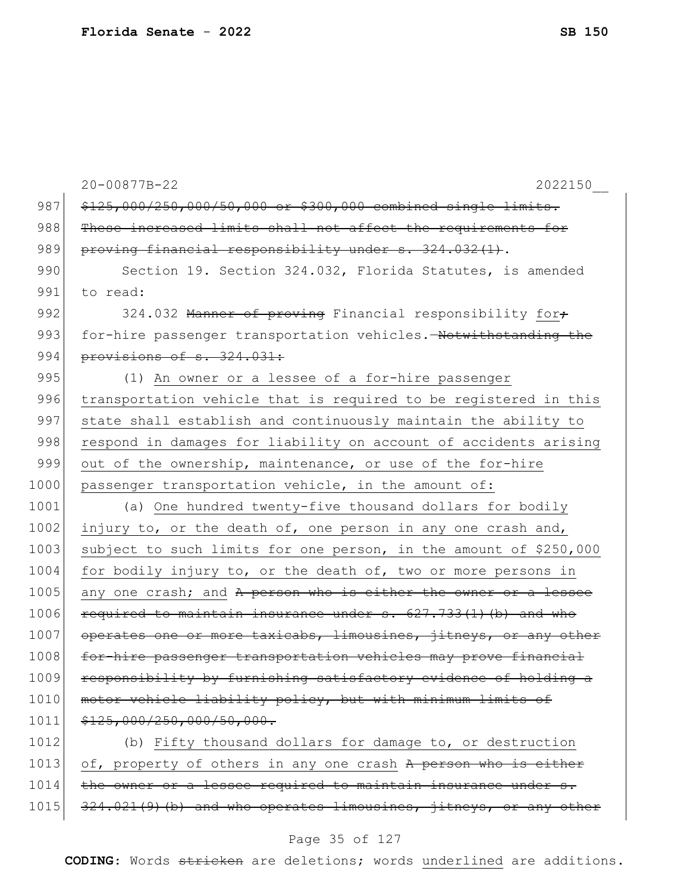|      | 20-00877B-22<br>2022150                                           |
|------|-------------------------------------------------------------------|
| 987  | \$125,000/250,000/50,000 or \$300,000 combined single limits.     |
| 988  | These increased limits shall not affect the requirements for      |
| 989  | proving financial responsibility under s. 324.032(1).             |
| 990  | Section 19. Section 324.032, Florida Statutes, is amended         |
| 991  | to read:                                                          |
| 992  | 324.032 Manner of proving Financial responsibility for+           |
| 993  | for-hire passenger transportation vehicles. Notwithstanding the   |
| 994  | provisions of s. 324.031:                                         |
| 995  | (1) An owner or a lessee of a for-hire passenger                  |
| 996  | transportation vehicle that is required to be registered in this  |
| 997  | state shall establish and continuously maintain the ability to    |
| 998  | respond in damages for liability on account of accidents arising  |
| 999  | out of the ownership, maintenance, or use of the for-hire         |
| 1000 | passenger transportation vehicle, in the amount of:               |
| 1001 | (a) One hundred twenty-five thousand dollars for bodily           |
| 1002 | injury to, or the death of, one person in any one crash and,      |
| 1003 | subject to such limits for one person, in the amount of \$250,000 |
| 1004 | for bodily injury to, or the death of, two or more persons in     |
| 1005 | any one crash; and A person who is either the owner or a lessee   |
| 1006 | required to maintain insurance under s. 627.733(1) (b) and who    |
| 1007 | operates one or more taxicabs, limousines, jitneys, or any other  |
| 1008 | for-hire passenger transportation vehicles may prove financial    |
| 1009 | responsibility by furnishing satisfactory evidence of holding a   |
| 1010 | motor vehicle liability policy, but with minimum limits of        |
| 1011 | \$125,000/250,000/50,000.                                         |
| 1012 | (b) Fifty thousand dollars for damage to, or destruction          |
| 1013 | of, property of others in any one crash A person who is either    |
| 1014 | the owner or a lessee required to maintain insurance under s.     |
| 1015 | 324.021(9)(b) and who operates limousines, jitneys, or any other  |
|      |                                                                   |

# Page 35 of 127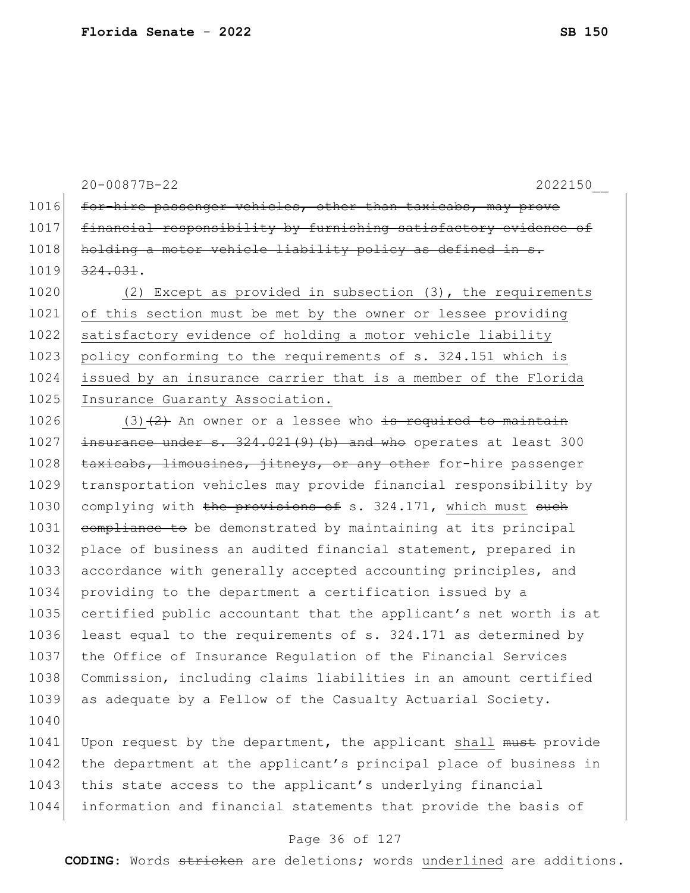20-00877B-22 2022150\_\_

1016 for-hire passenger vehicles, other than taxicabs, may prove 1017 financial responsibility by furnishing satisfactory evidence of 1018 holding a motor vehicle liability policy as defined in s. 1019 324.031.

1020 (2) Except as provided in subsection (3), the requirements 1021 of this section must be met by the owner or lessee providing 1022 satisfactory evidence of holding a motor vehicle liability 1023 policy conforming to the requirements of s. 324.151 which is 1024 issued by an insurance carrier that is a member of the Florida 1025 Insurance Guaranty Association.

 $1026$  (3)(2) An owner or a lessee who is required to maintain  $1027$  insurance under s.  $324.021(9)$  (b) and who operates at least 300 1028 taxicabs, limousines, jitneys, or any other for-hire passenger 1029 transportation vehicles may provide financial responsibility by 1030 complying with the provisions of s. 324.171, which must such 1031 compliance to be demonstrated by maintaining at its principal 1032 place of business an audited financial statement, prepared in 1033 accordance with generally accepted accounting principles, and 1034 providing to the department a certification issued by a 1035 certified public accountant that the applicant's net worth is at 1036 least equal to the requirements of s. 324.171 as determined by 1037 the Office of Insurance Regulation of the Financial Services 1038 Commission, including claims liabilities in an amount certified 1039 as adequate by a Fellow of the Casualty Actuarial Society.

1040

1041 Upon request by the department, the applicant shall must provide 1042 the department at the applicant's principal place of business in 1043 this state access to the applicant's underlying financial 1044 information and financial statements that provide the basis of

#### Page 36 of 127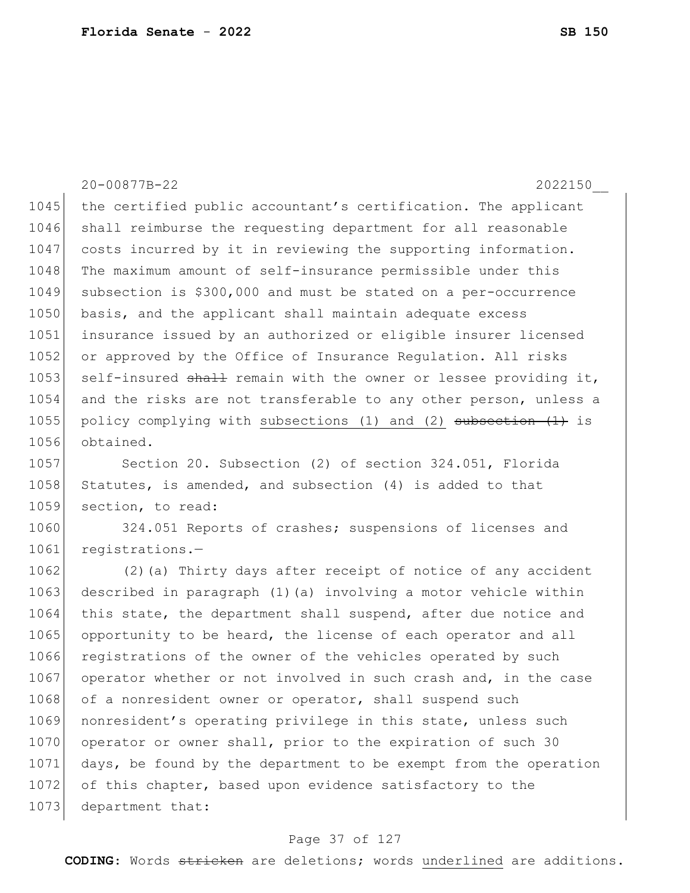20-00877B-22 2022150\_\_ 1045 the certified public accountant's certification. The applicant 1046 shall reimburse the requesting department for all reasonable 1047 costs incurred by it in reviewing the supporting information. 1048 The maximum amount of self-insurance permissible under this 1049 subsection is \$300,000 and must be stated on a per-occurrence 1050 basis, and the applicant shall maintain adequate excess 1051 insurance issued by an authorized or eligible insurer licensed 1052 or approved by the Office of Insurance Requlation. All risks 1053 self-insured shall remain with the owner or lessee providing it, 1054 and the risks are not transferable to any other person, unless a 1055 policy complying with subsections (1) and (2) subsection  $(1)$  is 1056 obtained. 1057 Section 20. Subsection (2) of section 324.051, Florida 1058 Statutes, is amended, and subsection (4) is added to that 1059 section, to read: 1060 324.051 Reports of crashes; suspensions of licenses and 1061 registrations.-1062 (2)(a) Thirty days after receipt of notice of any accident 1063 described in paragraph (1) (a) involving a motor vehicle within

1064 this state, the department shall suspend, after due notice and 1065 opportunity to be heard, the license of each operator and all 1066 registrations of the owner of the vehicles operated by such 1067 operator whether or not involved in such crash and, in the case 1068 of a nonresident owner or operator, shall suspend such 1069 nonresident's operating privilege in this state, unless such 1070 operator or owner shall, prior to the expiration of such 30 1071 days, be found by the department to be exempt from the operation 1072 of this chapter, based upon evidence satisfactory to the 1073 department that:

#### Page 37 of 127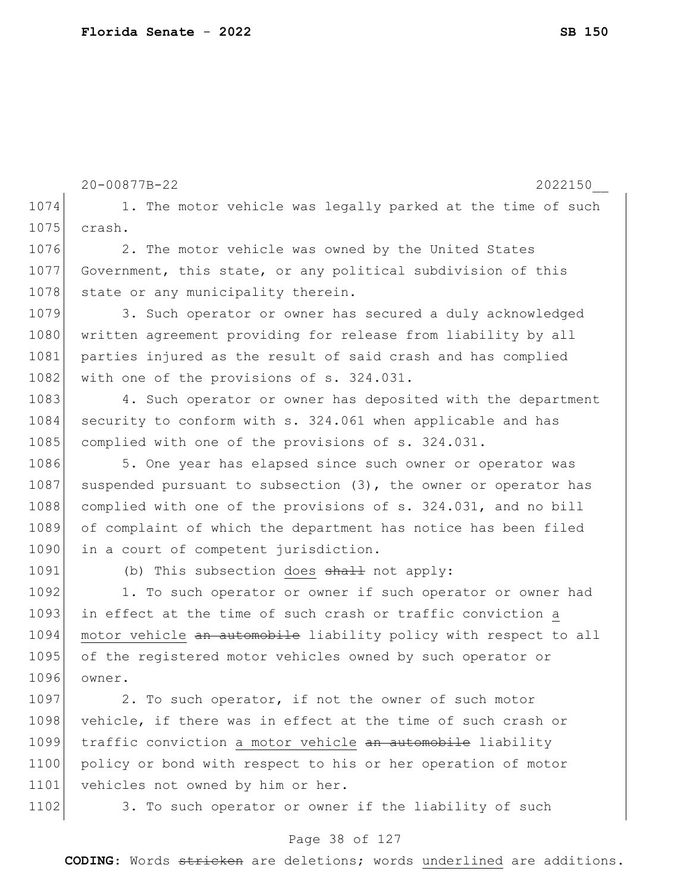```
20-00877B-22 2022150__
1074 1. The motor vehicle was legally parked at the time of such
1075 crash.
1076 2. The motor vehicle was owned by the United States
1077 Government, this state, or any political subdivision of this 
1078 state or any municipality therein.
1079 3. Such operator or owner has secured a duly acknowledged
1080 written agreement providing for release from liability by all
1081 parties injured as the result of said crash and has complied
1082 with one of the provisions of s. 324.031.
1083 4. Such operator or owner has deposited with the department
1084 security to conform with s. 324.061 when applicable and has
1085 complied with one of the provisions of s. 324.031.
1086 5. One year has elapsed since such owner or operator was
1087 suspended pursuant to subsection (3), the owner or operator has
1088 complied with one of the provisions of s. 324.031, and no bill
1089 of complaint of which the department has notice has been filed 
1090 in a court of competent jurisdiction.
1091 (b) This subsection does shall not apply:
1092 1. To such operator or owner if such operator or owner had
1093 in effect at the time of such crash or traffic conviction a
1094 motor vehicle an automobile liability policy with respect to all
1095 of the registered motor vehicles owned by such operator or
1096 owner.
1097 2. To such operator, if not the owner of such motor
1098 vehicle, if there was in effect at the time of such crash or
1099 traffic conviction a motor vehicle an automobile liability
1100 policy or bond with respect to his or her operation of motor
```
1101 vehicles not owned by him or her.

1102 3. To such operator or owner if the liability of such

#### Page 38 of 127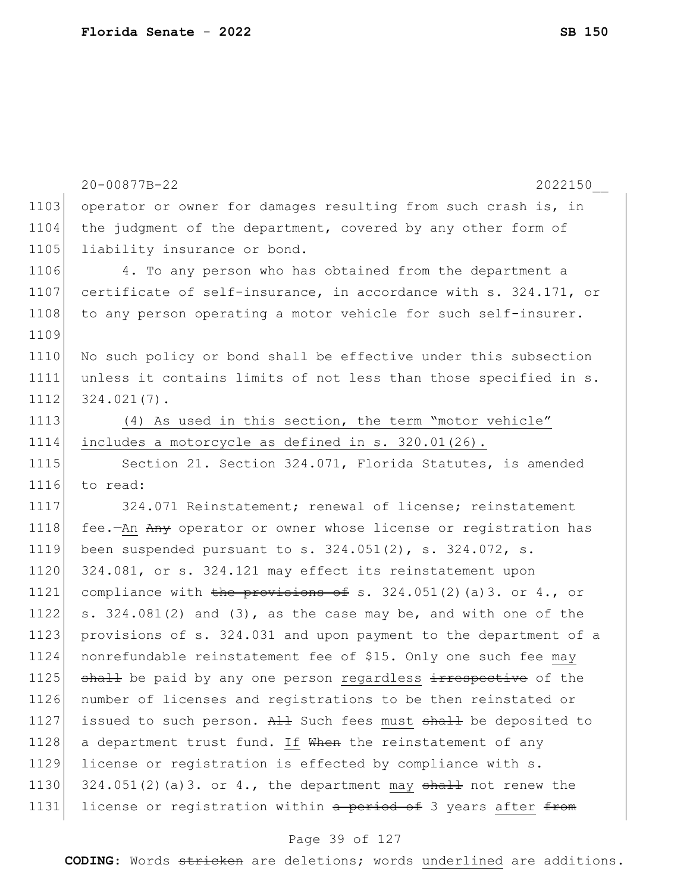|      | 20-00877B-22<br>2022150                                           |
|------|-------------------------------------------------------------------|
| 1103 | operator or owner for damages resulting from such crash is, in    |
| 1104 | the judgment of the department, covered by any other form of      |
| 1105 | liability insurance or bond.                                      |
| 1106 | 4. To any person who has obtained from the department a           |
| 1107 | certificate of self-insurance, in accordance with s. 324.171, or  |
| 1108 | to any person operating a motor vehicle for such self-insurer.    |
| 1109 |                                                                   |
| 1110 | No such policy or bond shall be effective under this subsection   |
| 1111 | unless it contains limits of not less than those specified in s.  |
| 1112 | $324.021(7)$ .                                                    |
| 1113 | (4) As used in this section, the term "motor vehicle"             |
| 1114 | includes a motorcycle as defined in s. 320.01(26).                |
| 1115 | Section 21. Section 324.071, Florida Statutes, is amended         |
| 1116 | to read:                                                          |
| 1117 | 324.071 Reinstatement; renewal of license; reinstatement          |
| 1118 | fee.-An Any operator or owner whose license or registration has   |
| 1119 | been suspended pursuant to s. $324.051(2)$ , s. $324.072$ , s.    |
| 1120 | 324.081, or s. 324.121 may effect its reinstatement upon          |
| 1121 | compliance with the provisions of s. 324.051(2)(a)3. or 4., or    |
| 1122 | s. 324.081(2) and (3), as the case may be, and with one of the    |
| 1123 | provisions of s. 324.031 and upon payment to the department of a  |
| 1124 | nonrefundable reinstatement fee of \$15. Only one such fee may    |
| 1125 | shall be paid by any one person regardless irrespective of the    |
| 1126 | number of licenses and registrations to be then reinstated or     |
| 1127 | issued to such person. All Such fees must shall be deposited to   |
| 1128 | a department trust fund. If When the reinstatement of any         |
| 1129 | license or registration is effected by compliance with s.         |
| 1130 | $324.051(2)$ (a) 3. or 4., the department may shall not renew the |
| 1131 | license or registration within a period of 3 years after from     |

# Page 39 of 127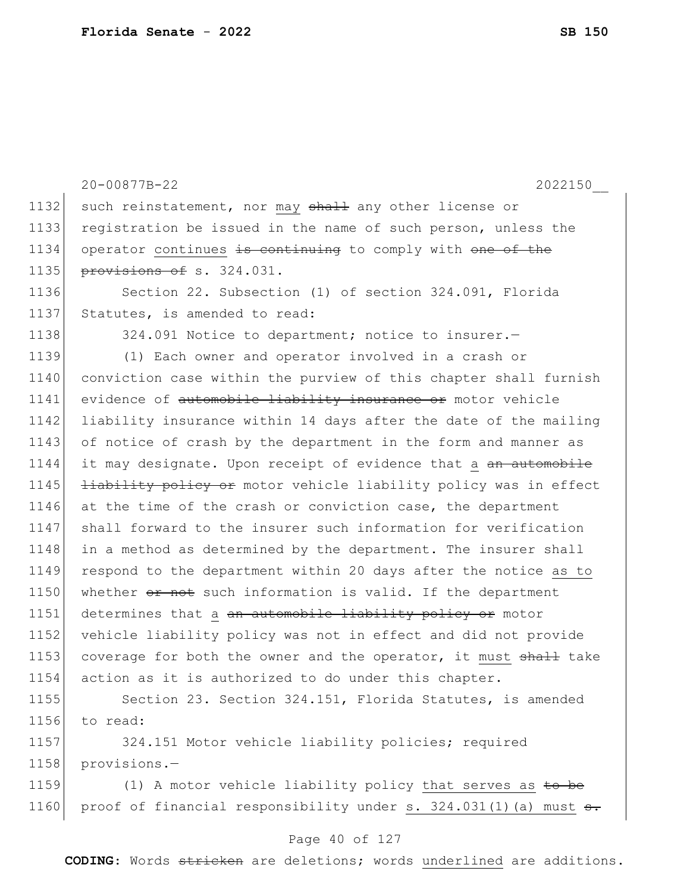|      | 20-00877B-22<br>2022150                                                 |
|------|-------------------------------------------------------------------------|
| 1132 | such reinstatement, nor may shall any other license or                  |
| 1133 | registration be issued in the name of such person, unless the           |
| 1134 | operator continues is continuing to comply with one of the              |
| 1135 | provisions of s. 324.031.                                               |
| 1136 | Section 22. Subsection (1) of section 324.091, Florida                  |
| 1137 | Statutes, is amended to read:                                           |
| 1138 | 324.091 Notice to department; notice to insurer.-                       |
| 1139 | (1) Each owner and operator involved in a crash or                      |
| 1140 | conviction case within the purview of this chapter shall furnish        |
| 1141 | evidence of automobile liability insurance or motor vehicle             |
| 1142 | liability insurance within 14 days after the date of the mailing        |
| 1143 | of notice of crash by the department in the form and manner as          |
| 1144 | it may designate. Upon receipt of evidence that a an automobile         |
| 1145 | <b>liability policy or</b> motor vehicle liability policy was in effect |
| 1146 | at the time of the crash or conviction case, the department             |
| 1147 | shall forward to the insurer such information for verification          |
| 1148 | in a method as determined by the department. The insurer shall          |
| 1149 | respond to the department within 20 days after the notice as to         |
| 1150 | whether or not such information is valid. If the department             |
| 1151 | determines that a an automobile liability policy or motor               |
| 1152 | vehicle liability policy was not in effect and did not provide          |
| 1153 | coverage for both the owner and the operator, it must shall take        |
| 1154 | action as it is authorized to do under this chapter.                    |
| 1155 | Section 23. Section 324.151, Florida Statutes, is amended               |
| 1156 | to read:                                                                |
| 1157 | 324.151 Motor vehicle liability policies; required                      |
| 1158 | provisions.-                                                            |
| 1150 | $(1)$ a motor uphiolo lightlity policy that correct                     |

1159 (1) A motor vehicle liability policy that serves as to be 1160 proof of financial responsibility under  $s. 324.031(1)$  (a) must  $s.$ 

#### Page 40 of 127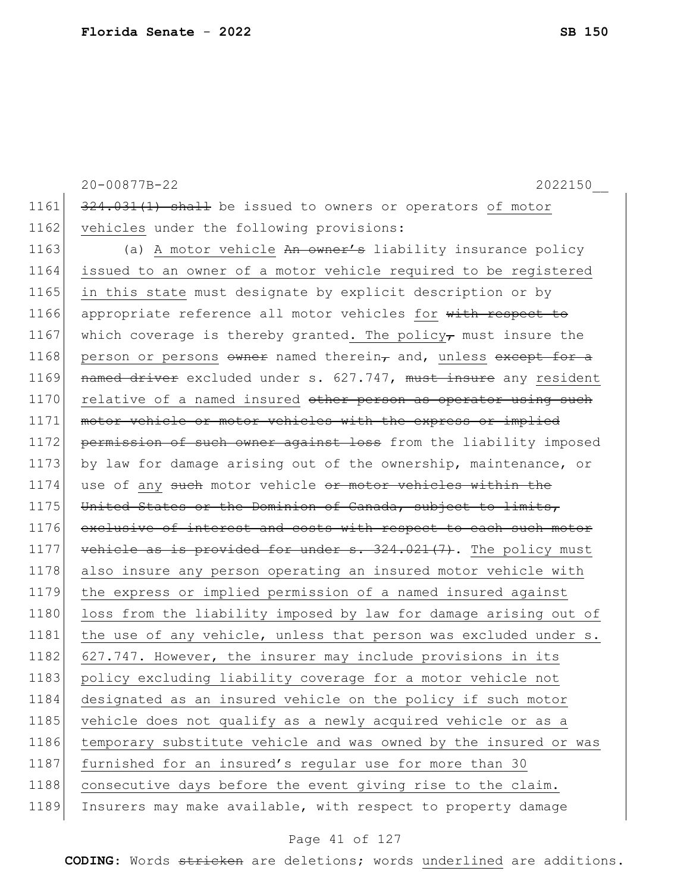1161 324.031(1) shall be issued to owners or operators of motor 1162 vehicles under the following provisions: 1163 (a) A motor vehicle An owner's liability insurance policy 1164 issued to an owner of a motor vehicle required to be registered 1165 in this state must designate by explicit description or by 1166 appropriate reference all motor vehicles for with respect to 1167 which coverage is thereby granted. The policy, must insure the 1168 person or persons  $\frac{168}{100}$  owner named therein, and, unless except for a 1169 named driver excluded under s. 627.747, must insure any resident 1170 relative of a named insured other person as operator using such 1171 motor vehicle or motor vehicles with the express or implied 1172 permission of such owner against loss from the liability imposed 1173 by law for damage arising out of the ownership, maintenance, or 1174 use of any such motor vehicle or motor vehicles within the 1175 United States or the Dominion of Canada, subject to limits, 1176 exclusive of interest and costs with respect to each such motor 1177 vehicle as is provided for under  $s. 324.021(7)$ . The policy must 1178 also insure any person operating an insured motor vehicle with 1179 the express or implied permission of a named insured against 1180 loss from the liability imposed by law for damage arising out of 1181 the use of any vehicle, unless that person was excluded under s. 1182 627.747. However, the insurer may include provisions in its 1183 policy excluding liability coverage for a motor vehicle not 1184 designated as an insured vehicle on the policy if such motor 1185 vehicle does not qualify as a newly acquired vehicle or as a 1186 temporary substitute vehicle and was owned by the insured or was 1187 furnished for an insured's regular use for more than 30 1188 consecutive days before the event giving rise to the claim. 1189 Insurers may make available, with respect to property damage

20-00877B-22 2022150\_\_

#### Page 41 of 127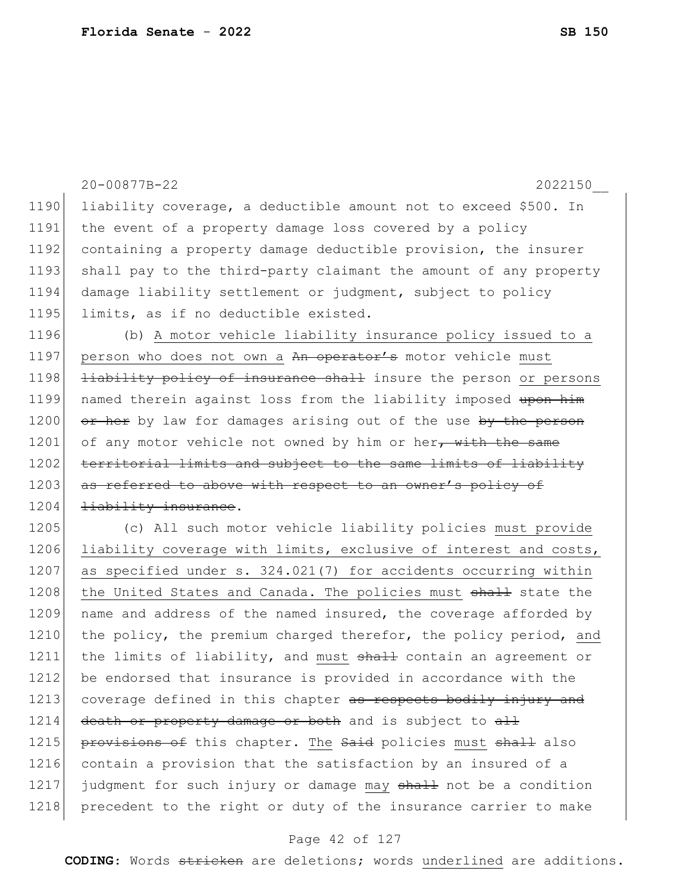|      | 20-00877B-22<br>2022150                                                 |
|------|-------------------------------------------------------------------------|
| 1190 | liability coverage, a deductible amount not to exceed \$500. In         |
| 1191 | the event of a property damage loss covered by a policy                 |
| 1192 | containing a property damage deductible provision, the insurer          |
| 1193 | shall pay to the third-party claimant the amount of any property        |
| 1194 | damage liability settlement or judgment, subject to policy              |
| 1195 | limits, as if no deductible existed.                                    |
| 1196 | (b) A motor vehicle liability insurance policy issued to a              |
| 1197 | person who does not own a An operator's motor vehicle must              |
| 1198 | <b>liability policy of insurance shall</b> insure the person or persons |
| 1199 | named therein against loss from the liability imposed upon him          |
| 1200 | or her by law for damages arising out of the use by the person          |
| 1201 | of any motor vehicle not owned by him or her, with the same             |
| 1202 | territorial limits and subject to the same limits of liability          |
| 1203 | as referred to above with respect to an owner's policy of               |
| 1204 | liability insurance.                                                    |
| 1205 | (c) All such motor vehicle liability policies must provide              |
| 1206 | liability coverage with limits, exclusive of interest and costs,        |
| 1207 | as specified under s. 324.021(7) for accidents occurring within         |
| 1208 | the United States and Canada. The policies must shall state the         |
| 1209 | name and address of the named insured, the coverage afforded by         |
| 1210 | the policy, the premium charged therefor, the policy period, and        |
| 1211 | the limits of liability, and must shall contain an agreement or         |
| 1212 | be endorsed that insurance is provided in accordance with the           |
| 1213 | coverage defined in this chapter as respects bodily injury and          |
| 1214 | death or property damage or both and is subject to all                  |
| 1215 | provisions of this chapter. The Said policies must shall also           |
| 1216 | contain a provision that the satisfaction by an insured of a            |
| 1217 | judgment for such injury or damage may shall not be a condition         |
| 1218 | precedent to the right or duty of the insurance carrier to make         |

# Page 42 of 127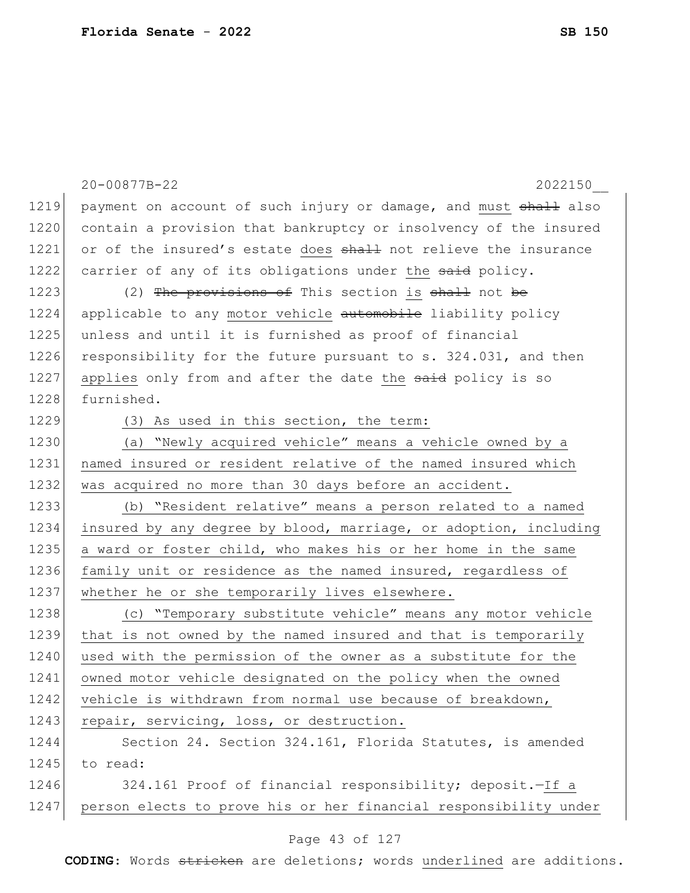|      | 20-00877B-22<br>2022150                                          |
|------|------------------------------------------------------------------|
| 1219 | payment on account of such injury or damage, and must shall also |
| 1220 | contain a provision that bankruptcy or insolvency of the insured |
| 1221 | or of the insured's estate does shall not relieve the insurance  |
| 1222 | carrier of any of its obligations under the said policy.         |
| 1223 | (2) The provisions of This section is shall not be               |
| 1224 | applicable to any motor vehicle automobile liability policy      |
| 1225 | unless and until it is furnished as proof of financial           |
| 1226 | responsibility for the future pursuant to s. 324.031, and then   |
| 1227 | applies only from and after the date the said policy is so       |
| 1228 | furnished.                                                       |
| 1229 | (3) As used in this section, the term:                           |
| 1230 | (a) "Newly acquired vehicle" means a vehicle owned by a          |
| 1231 | named insured or resident relative of the named insured which    |
| 1232 | was acquired no more than 30 days before an accident.            |
| 1233 | (b) "Resident relative" means a person related to a named        |
| 1234 | insured by any degree by blood, marriage, or adoption, including |
| 1235 | a ward or foster child, who makes his or her home in the same    |
| 1236 | family unit or residence as the named insured, regardless of     |
| 1237 | whether he or she temporarily lives elsewhere.                   |
| 1238 | (c) "Temporary substitute vehicle" means any motor vehicle       |
| 1239 | that is not owned by the named insured and that is temporarily   |
| 1240 | used with the permission of the owner as a substitute for the    |
| 1241 | owned motor vehicle designated on the policy when the owned      |
| 1242 | vehicle is withdrawn from normal use because of breakdown,       |
| 1243 | repair, servicing, loss, or destruction.                         |
| 1244 | Section 24. Section 324.161, Florida Statutes, is amended        |
| 1245 | to read:                                                         |
| 1246 | 324.161 Proof of financial responsibility; deposit. - If a       |
| 1247 | person elects to prove his or her financial responsibility under |

#### Page 43 of 127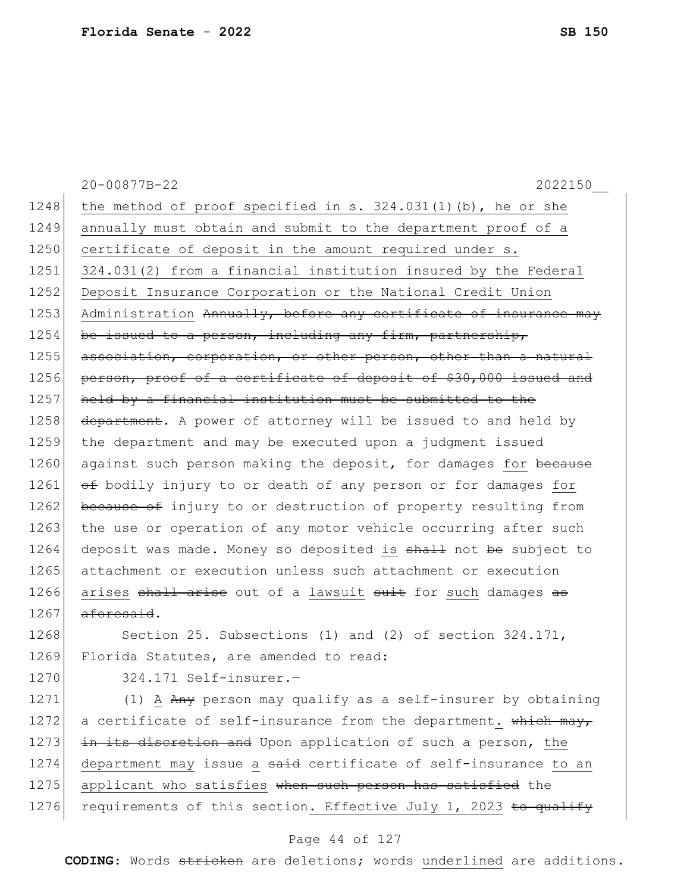|      | 20-00877B-22<br>2022150                                          |
|------|------------------------------------------------------------------|
| 1248 | the method of proof specified in s. $324.031(1)$ (b), he or she  |
| 1249 | annually must obtain and submit to the department proof of a     |
| 1250 | certificate of deposit in the amount required under s.           |
| 1251 | 324.031(2) from a financial institution insured by the Federal   |
| 1252 | Deposit Insurance Corporation or the National Credit Union       |
| 1253 | Administration Annually, before any certificate of insurance may |
| 1254 | be issued to a person, including any firm, partnership,          |
| 1255 | association, corporation, or other person, other than a natural  |
| 1256 | person, proof of a certificate of deposit of \$30,000 issued and |
| 1257 | held by a financial institution must be submitted to the         |
| 1258 | department. A power of attorney will be issued to and held by    |
| 1259 | the department and may be executed upon a judgment issued        |
| 1260 | against such person making the deposit, for damages for because  |
| 1261 | of bodily injury to or death of any person or for damages for    |
| 1262 | because of injury to or destruction of property resulting from   |
| 1263 | the use or operation of any motor vehicle occurring after such   |
| 1264 | deposit was made. Money so deposited is shall not be subject to  |
| 1265 | attachment or execution unless such attachment or execution      |
| 1266 | arises shall arise out of a lawsuit suit for such damages as     |
| 1267 | <del>aforesaid</del> .                                           |
| 1268 | Section 25. Subsections (1) and (2) of section $324.171$ ,       |
| 1269 | Florida Statutes, are amended to read:                           |
| 1270 | 324.171 Self-insurer.-                                           |
| 1271 | (1) A Any person may qualify as a self-insurer by obtaining      |
| 1272 | a certificate of self-insurance from the department. which may,  |
| 1273 | in its discretion and Upon application of such a person, the     |
| 1274 | department may issue a said certificate of self-insurance to an  |
| 1275 | applicant who satisfies when such person has satisfied the       |
| 1276 | requirements of this section. Effective July 1, 2023 to qualify  |

# Page 44 of 127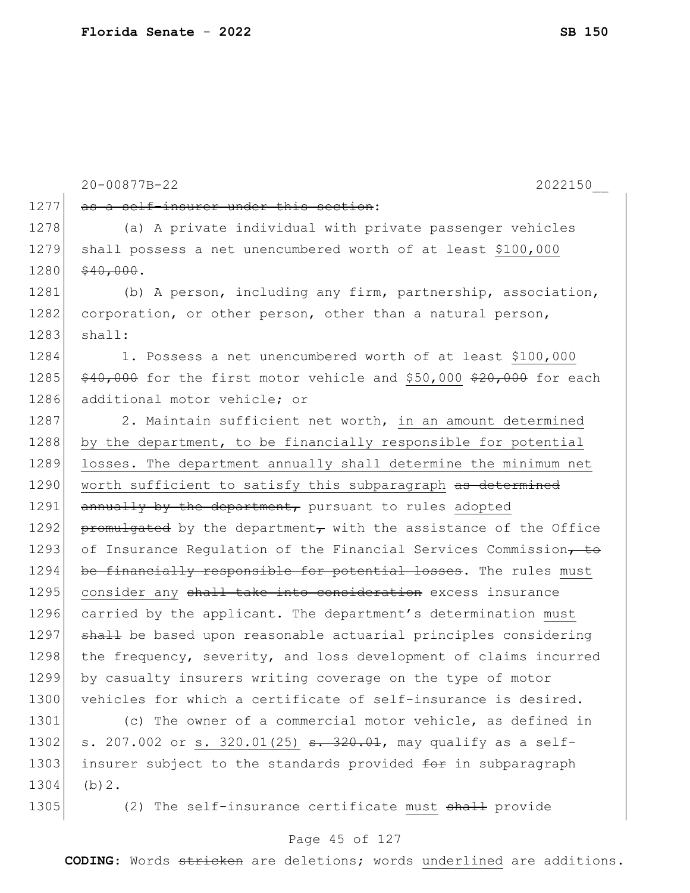1277 as a self-insurer under this section: 1278 (a) A private individual with private passenger vehicles 1279 shall possess a net unencumbered worth of at least \$100,000 1280 \$40,000. 1281 (b) A person, including any firm, partnership, association, 1282 corporation, or other person, other than a natural person, 1283 shall: 1284 1. Possess a net unencumbered worth of at least \$100,000 1285  $\frac{40,000}{20}$  for the first motor vehicle and \$50,000 \$20,000 for each 1286 additional motor vehicle; or 1287 2. Maintain sufficient net worth, in an amount determined 1288 by the department, to be financially responsible for potential 1289 losses. The department annually shall determine the minimum net 1290 worth sufficient to satisfy this subparagraph as determined  $1291$  annually by the department, pursuant to rules adopted 1292 promulgated by the department<sub>r</sub> with the assistance of the Office 1293 of Insurance Regulation of the Financial Services Commission, to 1294 be financially responsible for potential losses. The rules must 1295 consider any shall take into consideration excess insurance 1296 carried by the applicant. The department's determination must 1297 shall be based upon reasonable actuarial principles considering 1298 | the frequency, severity, and loss development of claims incurred 1299 by casualty insurers writing coverage on the type of motor 1300 vehicles for which a certificate of self-insurance is desired. 1301 (c) The owner of a commercial motor vehicle, as defined in

1302 s. 207.002 or s. 320.01(25)  $s. 320.01$ , may qualify as a self-1303 insurer subject to the standards provided for in subparagraph 1304 (b)2.

1305 (2) The self-insurance certificate must shall provide

#### Page 45 of 127

**CODING**: Words stricken are deletions; words underlined are additions.

20-00877B-22 2022150\_\_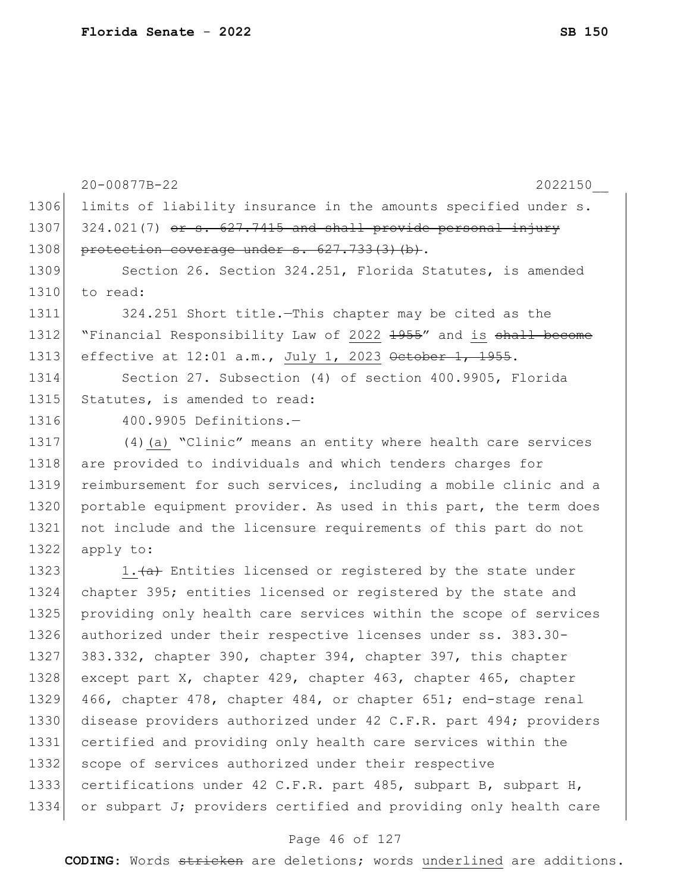1306 limits of liability insurance in the amounts specified under s.  $1307$  324.021(7) or s. 627.7415 and shall provide personal injury 1308 protection coverage under s. 627.733(3)(b). 1309 Section 26. Section 324.251, Florida Statutes, is amended  $1310$  to read: 1311 324.251 Short title.—This chapter may be cited as the 1312 "Financial Responsibility Law of 2022 1955" and is shall become 1313 effective at 12:01 a.m., July 1, 2023 October 1, 1955. 1314 Section 27. Subsection (4) of section 400.9905, Florida 1315 Statutes, is amended to read: 1316 400.9905 Definitions.-1317 (4)(a) "Clinic" means an entity where health care services 1318 are provided to individuals and which tenders charges for 1319 reimbursement for such services, including a mobile clinic and a 1320 portable equipment provider. As used in this part, the term does 1321 not include and the licensure requirements of this part do not 1322 apply to: 1323 1. $\frac{a}{a}$  Entities licensed or registered by the state under 1324 chapter 395; entities licensed or registered by the state and 1325 providing only health care services within the scope of services 1326 authorized under their respective licenses under ss. 383.30- 1327 383.332, chapter 390, chapter 394, chapter 397, this chapter 1328 except part X, chapter 429, chapter 463, chapter 465, chapter 1329 466, chapter 478, chapter 484, or chapter 651; end-stage renal 1330 disease providers authorized under 42 C.F.R. part 494; providers 1331 certified and providing only health care services within the 1332 scope of services authorized under their respective 1333 certifications under 42 C.F.R. part 485, subpart B, subpart H, 1334 or subpart J; providers certified and providing only health care

20-00877B-22 2022150\_\_

#### Page 46 of 127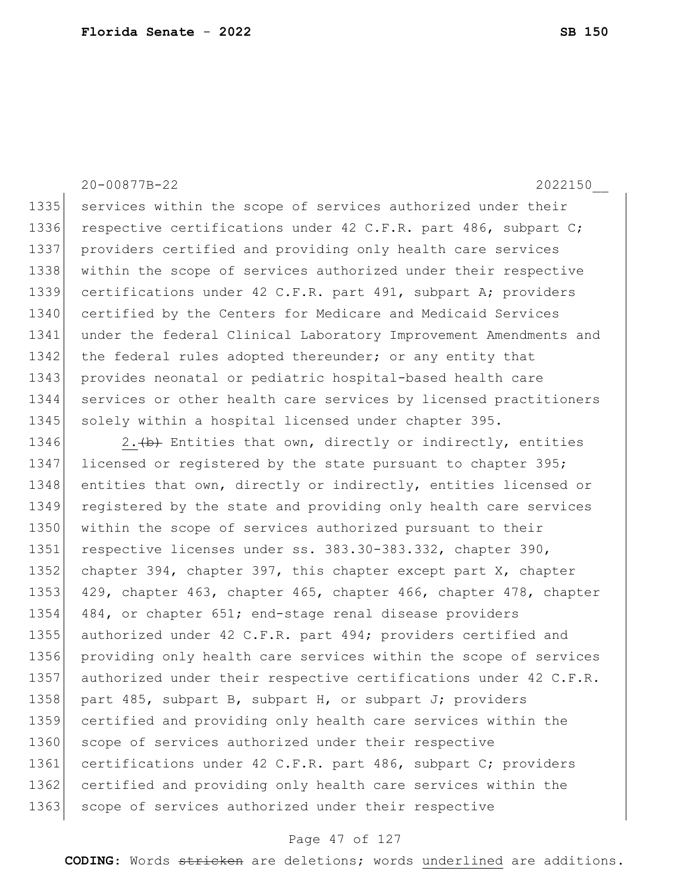20-00877B-22 2022150\_\_

1335 services within the scope of services authorized under their 1336 respective certifications under 42 C.F.R. part 486, subpart C; 1337 providers certified and providing only health care services 1338 within the scope of services authorized under their respective 1339 certifications under 42 C.F.R. part 491, subpart A; providers 1340 certified by the Centers for Medicare and Medicaid Services 1341 under the federal Clinical Laboratory Improvement Amendments and 1342 the federal rules adopted thereunder; or any entity that 1343 provides neonatal or pediatric hospital-based health care 1344 services or other health care services by licensed practitioners 1345 | solely within a hospital licensed under chapter 395.

1346 2.  $\left(\frac{b}{b}\right)$  Entities that own, directly or indirectly, entities 1347 licensed or registered by the state pursuant to chapter 395; 1348 entities that own, directly or indirectly, entities licensed or 1349 registered by the state and providing only health care services 1350 within the scope of services authorized pursuant to their 1351 respective licenses under ss. 383.30-383.332, chapter 390, 1352 chapter 394, chapter 397, this chapter except part X, chapter 1353 429, chapter 463, chapter 465, chapter 466, chapter 478, chapter 1354 484, or chapter 651; end-stage renal disease providers 1355 authorized under 42 C.F.R. part 494; providers certified and 1356 providing only health care services within the scope of services 1357 authorized under their respective certifications under 42 C.F.R. 1358 part 485, subpart B, subpart H, or subpart J; providers 1359 certified and providing only health care services within the 1360 scope of services authorized under their respective 1361 certifications under 42 C.F.R. part 486, subpart C; providers 1362 certified and providing only health care services within the 1363 scope of services authorized under their respective

#### Page 47 of 127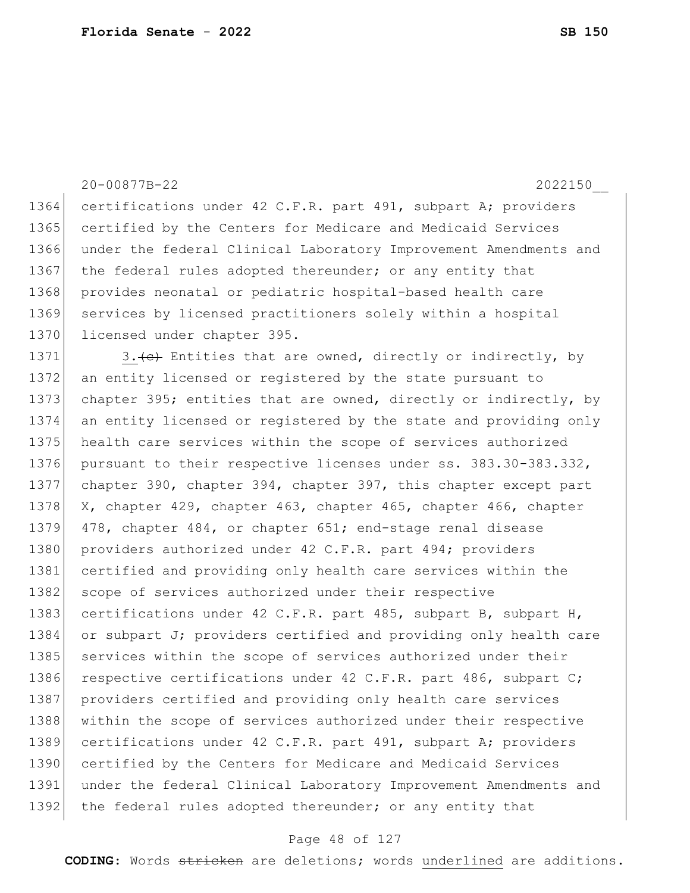#### 20-00877B-22 2022150\_\_

1364 certifications under 42 C.F.R. part 491, subpart A; providers 1365 certified by the Centers for Medicare and Medicaid Services 1366 under the federal Clinical Laboratory Improvement Amendments and 1367 | the federal rules adopted thereunder; or any entity that 1368 provides neonatal or pediatric hospital-based health care 1369 services by licensed practitioners solely within a hospital 1370 licensed under chapter 395.

1371  $\vert$  3. (e) Entities that are owned, directly or indirectly, by 1372 an entity licensed or registered by the state pursuant to 1373 chapter 395; entities that are owned, directly or indirectly, by 1374 an entity licensed or registered by the state and providing only 1375 health care services within the scope of services authorized 1376 pursuant to their respective licenses under ss. 383.30-383.332, 1377 chapter 390, chapter 394, chapter 397, this chapter except part 1378 X, chapter 429, chapter 463, chapter 465, chapter 466, chapter 1379 478, chapter 484, or chapter 651; end-stage renal disease 1380 providers authorized under 42 C.F.R. part 494; providers 1381 certified and providing only health care services within the 1382 scope of services authorized under their respective 1383 certifications under 42 C.F.R. part 485, subpart B, subpart H, 1384 or subpart J; providers certified and providing only health care 1385 services within the scope of services authorized under their 1386 respective certifications under 42 C.F.R. part 486, subpart C; 1387 providers certified and providing only health care services 1388 within the scope of services authorized under their respective 1389 certifications under 42 C.F.R. part 491, subpart A; providers 1390 certified by the Centers for Medicare and Medicaid Services 1391 under the federal Clinical Laboratory Improvement Amendments and 1392 the federal rules adopted thereunder; or any entity that

#### Page 48 of 127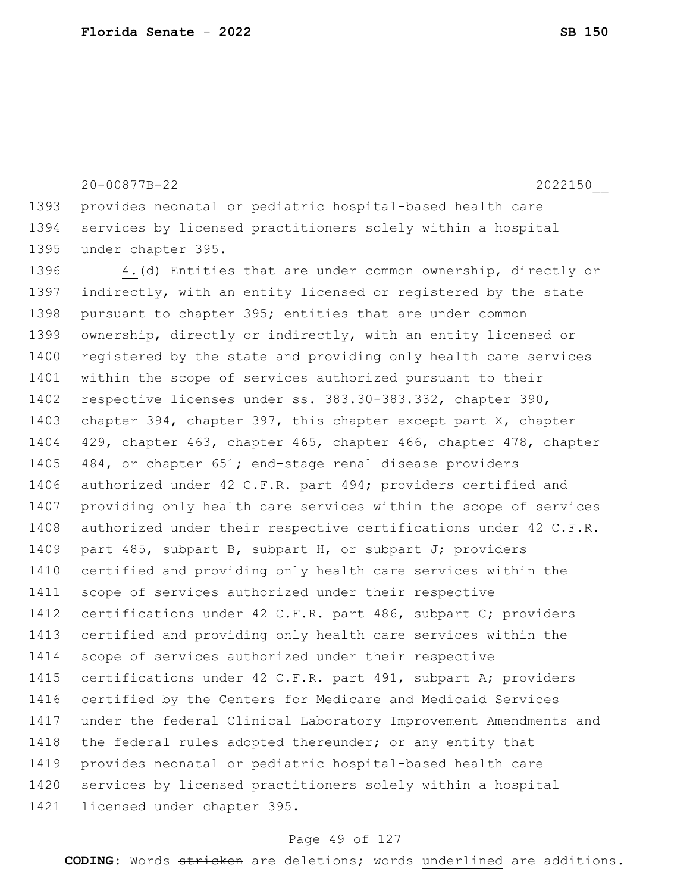20-00877B-22 2022150\_\_ 1393 provides neonatal or pediatric hospital-based health care 1394 services by licensed practitioners solely within a hospital 1395 under chapter 395. 1396 4. (d) Entities that are under common ownership, directly or 1397 indirectly, with an entity licensed or registered by the state 1398 pursuant to chapter 395; entities that are under common 1399 ownership, directly or indirectly, with an entity licensed or 1400 registered by the state and providing only health care services 1401 within the scope of services authorized pursuant to their 1402 respective licenses under ss. 383.30-383.332, chapter 390, 1403 chapter 394, chapter 397, this chapter except part X, chapter 1404 429, chapter 463, chapter 465, chapter 466, chapter 478, chapter 1405 484, or chapter 651; end-stage renal disease providers 1406 authorized under 42 C.F.R. part 494; providers certified and 1407 providing only health care services within the scope of services 1408 authorized under their respective certifications under 42 C.F.R. 1409 part 485, subpart B, subpart H, or subpart J; providers 1410 certified and providing only health care services within the 1411 scope of services authorized under their respective

# 1412 certifications under 42 C.F.R. part 486, subpart C; providers 1413 certified and providing only health care services within the 1414 scope of services authorized under their respective 1415 certifications under 42 C.F.R. part 491, subpart A; providers 1416 certified by the Centers for Medicare and Medicaid Services 1417 under the federal Clinical Laboratory Improvement Amendments and 1418 the federal rules adopted thereunder; or any entity that 1419 provides neonatal or pediatric hospital-based health care 1420 services by licensed practitioners solely within a hospital 1421 licensed under chapter 395.

#### Page 49 of 127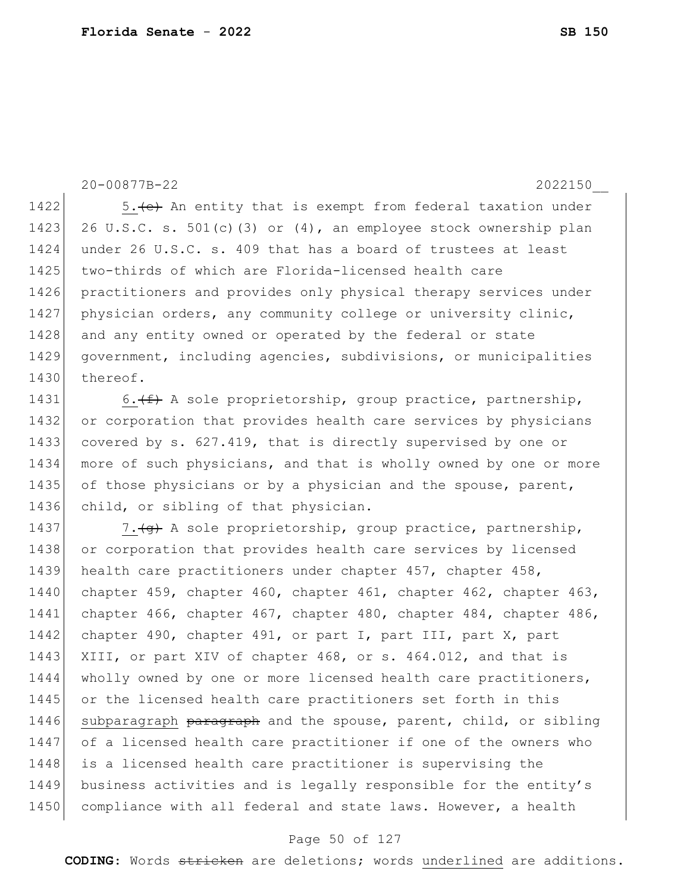20-00877B-22 2022150\_\_

1422  $\vert$  5. (e) An entity that is exempt from federal taxation under 1423 26 U.S.C. s. 501(c)(3) or  $(4)$ , an employee stock ownership plan 1424 under 26 U.S.C. s. 409 that has a board of trustees at least 1425 two-thirds of which are Florida-licensed health care 1426 practitioners and provides only physical therapy services under 1427 physician orders, any community college or university clinic, 1428 and any entity owned or operated by the federal or state 1429 government, including agencies, subdivisions, or municipalities 1430 thereof.

1431 6.  $(f)$  A sole proprietorship, group practice, partnership, 1432 or corporation that provides health care services by physicians 1433 covered by s. 627.419, that is directly supervised by one or 1434 more of such physicians, and that is wholly owned by one or more 1435 of those physicians or by a physician and the spouse, parent, 1436 child, or sibling of that physician.

1437 7.  $\left(4\right)$  A sole proprietorship, group practice, partnership, 1438 or corporation that provides health care services by licensed 1439 health care practitioners under chapter 457, chapter 458, 1440 chapter 459, chapter 460, chapter 461, chapter 462, chapter 463, 1441 chapter 466, chapter 467, chapter 480, chapter 484, chapter 486, 1442 chapter 490, chapter 491, or part I, part III, part X, part 1443 XIII, or part XIV of chapter 468, or s. 464.012, and that is 1444 wholly owned by one or more licensed health care practitioners, 1445 or the licensed health care practitioners set forth in this 1446 subparagraph paragraph and the spouse, parent, child, or sibling 1447 of a licensed health care practitioner if one of the owners who 1448 is a licensed health care practitioner is supervising the 1449 business activities and is legally responsible for the entity's 1450 compliance with all federal and state laws. However, a health

#### Page 50 of 127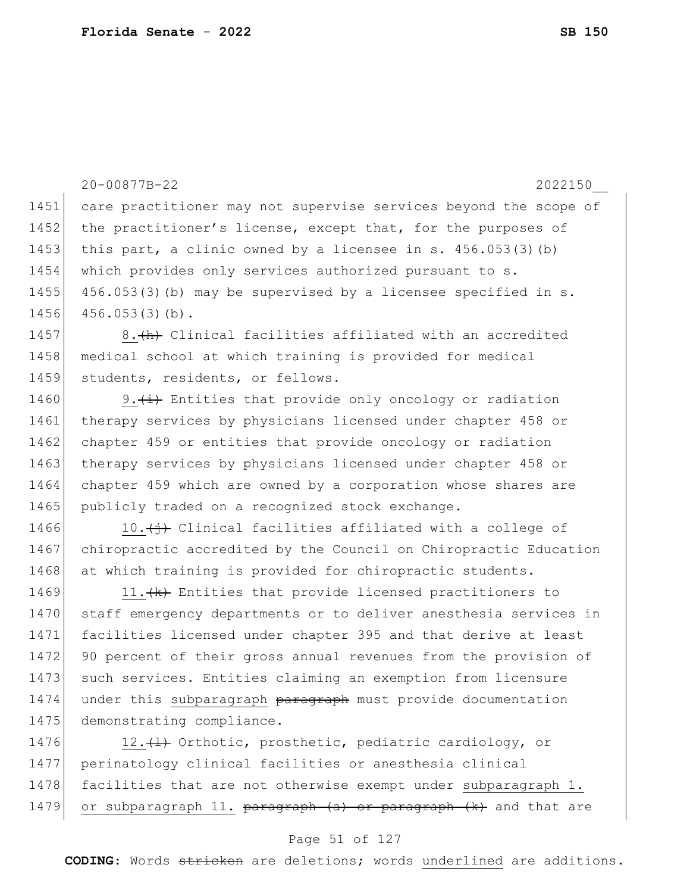|      | 20-00877B-22<br>2022150                                                       |
|------|-------------------------------------------------------------------------------|
| 1451 | care practitioner may not supervise services beyond the scope of              |
| 1452 | the practitioner's license, except that, for the purposes of                  |
| 1453 | this part, a clinic owned by a licensee in s. $456.053(3)$ (b)                |
| 1454 | which provides only services authorized pursuant to s.                        |
| 1455 | 456.053(3) (b) may be supervised by a licensee specified in s.                |
| 1456 | $456.053(3)(b)$ .                                                             |
| 1457 | 8. (h) Clinical facilities affiliated with an accredited                      |
| 1458 | medical school at which training is provided for medical                      |
| 1459 | students, residents, or fellows.                                              |
| 1460 | 9. $(\pm)$ Entities that provide only oncology or radiation                   |
| 1461 | therapy services by physicians licensed under chapter 458 or                  |
| 1462 | chapter 459 or entities that provide oncology or radiation                    |
| 1463 | therapy services by physicians licensed under chapter 458 or                  |
| 1464 | chapter 459 which are owned by a corporation whose shares are                 |
| 1465 | publicly traded on a recognized stock exchange.                               |
| 1466 | 10. $\overleftrightarrow{ }$ Clinical facilities affiliated with a college of |
| 1467 | chiropractic accredited by the Council on Chiropractic Education              |
| 1468 | at which training is provided for chiropractic students.                      |
| 1469 | 11. (k) Entities that provide licensed practitioners to                       |
| 1470 | staff emergency departments or to deliver anesthesia services in              |
| 1471 | facilities licensed under chapter 395 and that derive at least                |
| 1472 | 90 percent of their gross annual revenues from the provision of               |
| 1473 | such services. Entities claiming an exemption from licensure                  |
| 1474 | under this subparagraph paragraph must provide documentation                  |
| 1475 | demonstrating compliance.                                                     |
| 1476 | 12. (1) Orthotic, prosthetic, pediatric cardiology, or                        |
| 1477 | perinatology clinical facilities or anesthesia clinical                       |
| 1478 | facilities that are not otherwise exempt under subparagraph 1.                |
| 1479 | or subparagraph 11. paragraph (a) or paragraph (k) and that are               |

# Page 51 of 127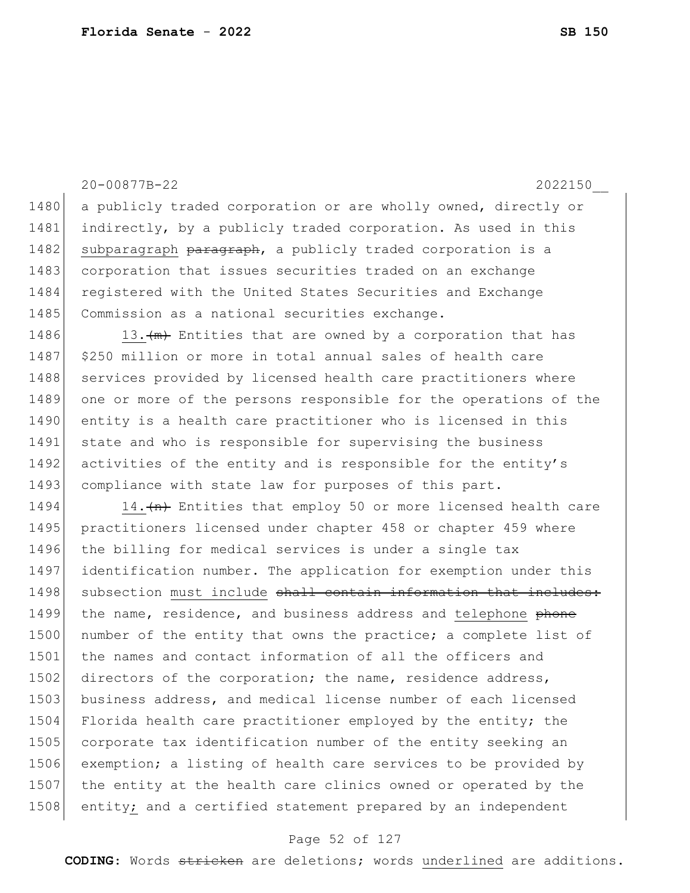1480 a publicly traded corporation or are wholly owned, directly or 1481 indirectly, by a publicly traded corporation. As used in this 1482 subparagraph paragraph, a publicly traded corporation is a 1483 corporation that issues securities traded on an exchange 1484 registered with the United States Securities and Exchange 1485 Commission as a national securities exchange. 1486 13. $\frac{m}{m}$  Entities that are owned by a corporation that has 1487 \$250 million or more in total annual sales of health care 1488 services provided by licensed health care practitioners where 1489 one or more of the persons responsible for the operations of the 1490 entity is a health care practitioner who is licensed in this 1491 state and who is responsible for supervising the business 1492 activities of the entity and is responsible for the entity's 1493 compliance with state law for purposes of this part. 1494 14. $\frac{1494}{14}$  Entities that employ 50 or more licensed health care 1495 practitioners licensed under chapter 458 or chapter 459 where 1496 the billing for medical services is under a single tax 1497 | identification number. The application for exemption under this 1498 subsection must include shall contain information that includes: 1499 the name, residence, and business address and telephone phone 1500 number of the entity that owns the practice; a complete list of 1501 the names and contact information of all the officers and 1502 directors of the corporation; the name, residence address, 1503 business address, and medical license number of each licensed 1504 Florida health care practitioner employed by the entity; the 1505 corporate tax identification number of the entity seeking an 1506 exemption; a listing of health care services to be provided by 1507 the entity at the health care clinics owned or operated by the 1508 entity; and a certified statement prepared by an independent

20-00877B-22 2022150\_\_

#### Page 52 of 127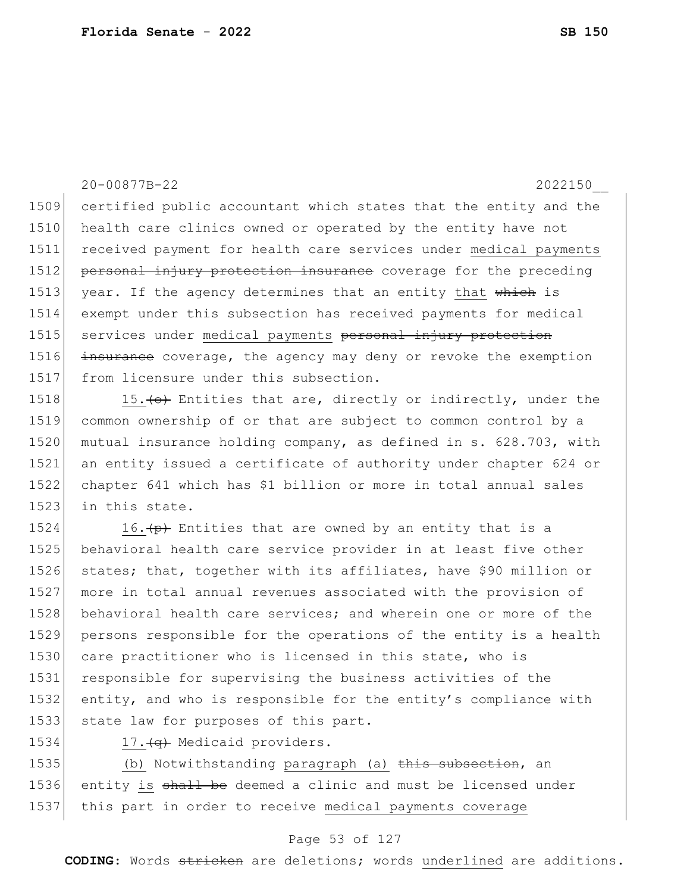20-00877B-22 2022150\_\_ 1509 certified public accountant which states that the entity and the 1510 health care clinics owned or operated by the entity have not 1511 received payment for health care services under medical payments 1512 personal injury protection insurance coverage for the preceding 1513 year. If the agency determines that an entity that which is 1514 exempt under this subsection has received payments for medical 1515 services under medical payments personal injury protection 1516 insurance coverage, the agency may deny or revoke the exemption 1517 from licensure under this subsection.

1518 15.  $\leftrightarrow$  Entities that are, directly or indirectly, under the 1519 common ownership of or that are subject to common control by a 1520 mutual insurance holding company, as defined in s. 628.703, with 1521 an entity issued a certificate of authority under chapter 624 or 1522 chapter 641 which has \$1 billion or more in total annual sales 1523 in this state.

1524 16. $\left\langle p\right\rangle$  Entities that are owned by an entity that is a 1525 behavioral health care service provider in at least five other 1526 states; that, together with its affiliates, have \$90 million or 1527 more in total annual revenues associated with the provision of 1528 behavioral health care services; and wherein one or more of the 1529 persons responsible for the operations of the entity is a health 1530 care practitioner who is licensed in this state, who is 1531 responsible for supervising the business activities of the 1532 entity, and who is responsible for the entity's compliance with 1533 state law for purposes of this part.

1534 17. (q) Medicaid providers.

1535 (b) Notwithstanding paragraph (a) this subsection, an 1536 entity is shall be deemed a clinic and must be licensed under 1537 this part in order to receive medical payments coverage

#### Page 53 of 127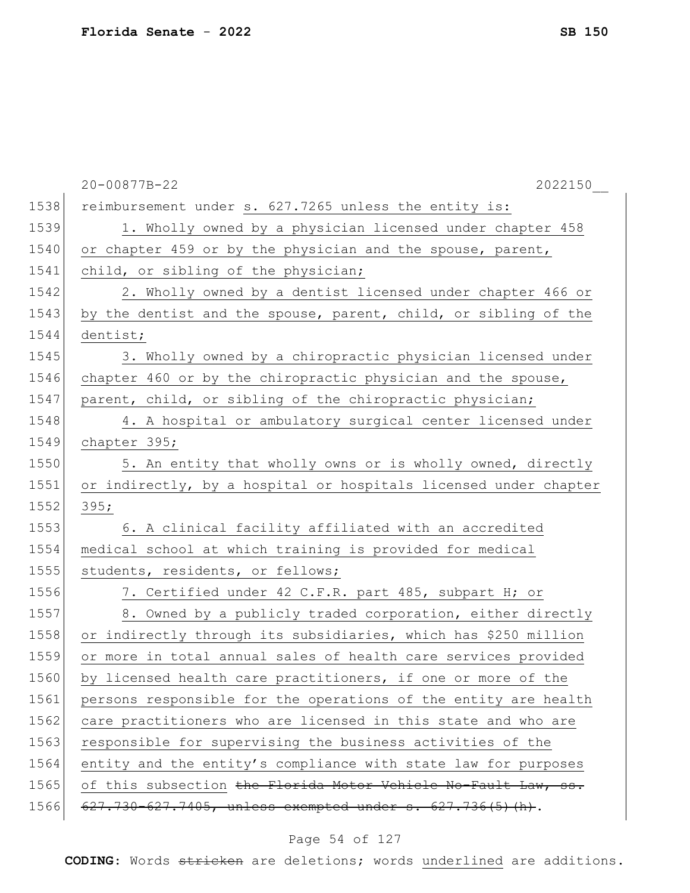|      | 20-00877B-22<br>2022150                                          |
|------|------------------------------------------------------------------|
| 1538 | reimbursement under s. 627.7265 unless the entity is:            |
| 1539 | 1. Wholly owned by a physician licensed under chapter 458        |
| 1540 | or chapter 459 or by the physician and the spouse, parent,       |
| 1541 | child, or sibling of the physician;                              |
| 1542 | 2. Wholly owned by a dentist licensed under chapter 466 or       |
| 1543 | by the dentist and the spouse, parent, child, or sibling of the  |
| 1544 | dentist;                                                         |
| 1545 | 3. Wholly owned by a chiropractic physician licensed under       |
| 1546 | chapter 460 or by the chiropractic physician and the spouse,     |
| 1547 | parent, child, or sibling of the chiropractic physician;         |
| 1548 | 4. A hospital or ambulatory surgical center licensed under       |
| 1549 | chapter 395;                                                     |
| 1550 | 5. An entity that wholly owns or is wholly owned, directly       |
| 1551 | or indirectly, by a hospital or hospitals licensed under chapter |
| 1552 | 395;                                                             |
| 1553 | 6. A clinical facility affiliated with an accredited             |
| 1554 | medical school at which training is provided for medical         |
| 1555 | students, residents, or fellows;                                 |
| 1556 | 7. Certified under 42 C.F.R. part 485, subpart H; or             |
| 1557 | 8. Owned by a publicly traded corporation, either directly       |
| 1558 | or indirectly through its subsidiaries, which has \$250 million  |
| 1559 | or more in total annual sales of health care services provided   |
| 1560 | by licensed health care practitioners, if one or more of the     |
| 1561 | persons responsible for the operations of the entity are health  |
| 1562 | care practitioners who are licensed in this state and who are    |
| 1563 | responsible for supervising the business activities of the       |
| 1564 | entity and the entity's compliance with state law for purposes   |
| 1565 | of this subsection the Florida Motor Vehicle No-Fault Law, ss.   |
| 1566 | 627.730-627.7405, unless exempted under s. 627.736(5) (h).       |

# Page 54 of 127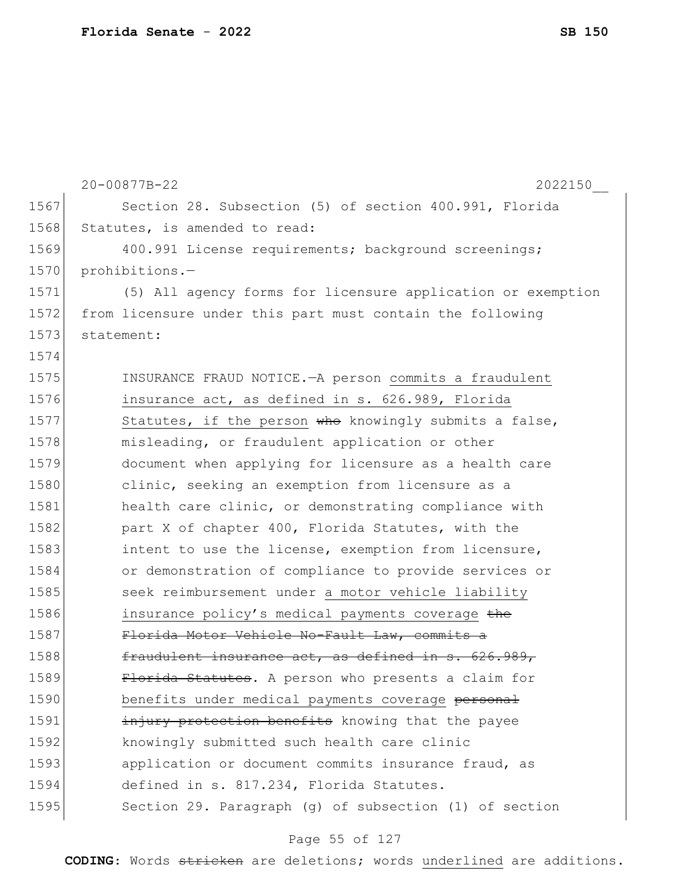|      | 20-00877B-22<br>2022150                                     |
|------|-------------------------------------------------------------|
| 1567 | Section 28. Subsection (5) of section 400.991, Florida      |
| 1568 | Statutes, is amended to read:                               |
| 1569 | 400.991 License requirements; background screenings;        |
| 1570 | prohibitions.-                                              |
| 1571 | (5) All agency forms for licensure application or exemption |
| 1572 | from licensure under this part must contain the following   |
| 1573 | statement:                                                  |
| 1574 |                                                             |
| 1575 | INSURANCE FRAUD NOTICE. - A person commits a fraudulent     |
| 1576 | insurance act, as defined in s. 626.989, Florida            |
| 1577 | Statutes, if the person who knowingly submits a false,      |
| 1578 | misleading, or fraudulent application or other              |
| 1579 | document when applying for licensure as a health care       |
| 1580 | clinic, seeking an exemption from licensure as a            |
| 1581 | health care clinic, or demonstrating compliance with        |
| 1582 | part X of chapter 400, Florida Statutes, with the           |
| 1583 | intent to use the license, exemption from licensure,        |
| 1584 | or demonstration of compliance to provide services or       |
| 1585 | seek reimbursement under a motor vehicle liability          |
| 1586 | insurance policy's medical payments coverage the            |
| 1587 | Florida Motor Vehicle No-Fault Law, commits a               |
| 1588 | fraudulent insurance act, as defined in s. 626.989,         |
| 1589 | Florida Statutes. A person who presents a claim for         |
| 1590 | benefits under medical payments coverage personal           |
| 1591 | injury protection benefits knowing that the payee           |
| 1592 | knowingly submitted such health care clinic                 |
| 1593 | application or document commits insurance fraud, as         |
| 1594 | defined in s. 817.234, Florida Statutes.                    |
| 1595 | Section 29. Paragraph (g) of subsection (1) of section      |

# Page 55 of 127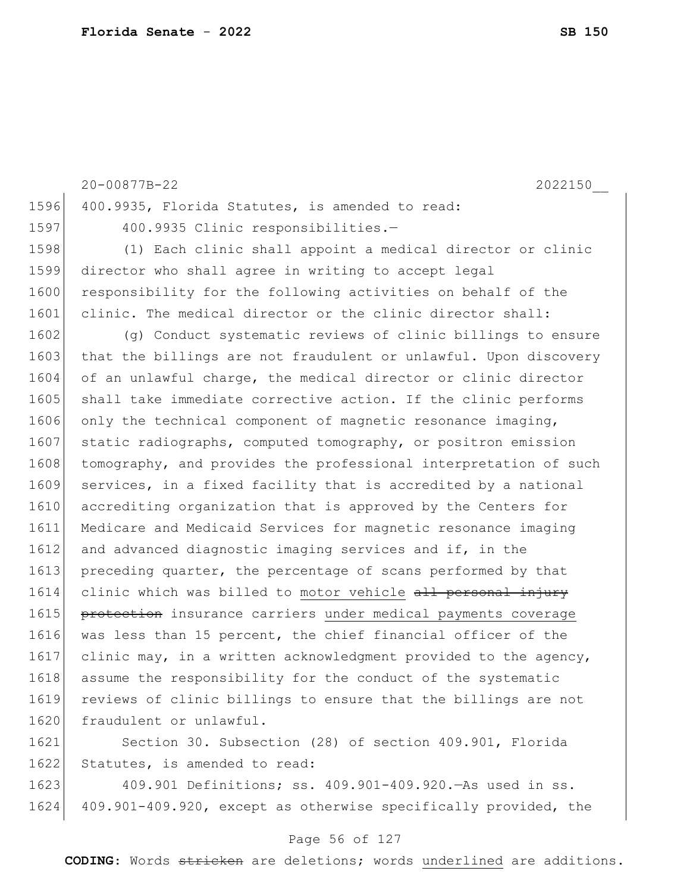|      | 20-00877B-22<br>2022150                                          |
|------|------------------------------------------------------------------|
| 1596 | 400.9935, Florida Statutes, is amended to read:                  |
| 1597 | 400.9935 Clinic responsibilities.-                               |
| 1598 | (1) Each clinic shall appoint a medical director or clinic       |
| 1599 | director who shall agree in writing to accept legal              |
| 1600 | responsibility for the following activities on behalf of the     |
| 1601 | clinic. The medical director or the clinic director shall:       |
| 1602 | (q) Conduct systematic reviews of clinic billings to ensure      |
| 1603 | that the billings are not fraudulent or unlawful. Upon discovery |
| 1604 | of an unlawful charge, the medical director or clinic director   |
| 1605 | shall take immediate corrective action. If the clinic performs   |
| 1606 | only the technical component of magnetic resonance imaging,      |
| 1607 | static radiographs, computed tomography, or positron emission    |
| 1608 | tomography, and provides the professional interpretation of such |
| 1609 | services, in a fixed facility that is accredited by a national   |
| 1610 | accrediting organization that is approved by the Centers for     |
| 1611 | Medicare and Medicaid Services for magnetic resonance imaging    |
| 1612 | and advanced diagnostic imaging services and if, in the          |
| 1613 | preceding quarter, the percentage of scans performed by that     |
| 1614 | clinic which was billed to motor vehicle all personal injury     |
| 1615 | protection insurance carriers under medical payments coverage    |
| 1616 | was less than 15 percent, the chief financial officer of the     |
| 1617 | clinic may, in a written acknowledgment provided to the agency,  |
| 1618 | assume the responsibility for the conduct of the systematic      |
| 1619 | reviews of clinic billings to ensure that the billings are not   |
| 1620 | fraudulent or unlawful.                                          |
| 1621 | Section 30. Subsection (28) of section 409.901, Florida          |

1622 Statutes, is amended to read:

1623 409.901 Definitions; ss. 409.901-409.920. As used in ss. 1624 409.901-409.920, except as otherwise specifically provided, the

#### Page 56 of 127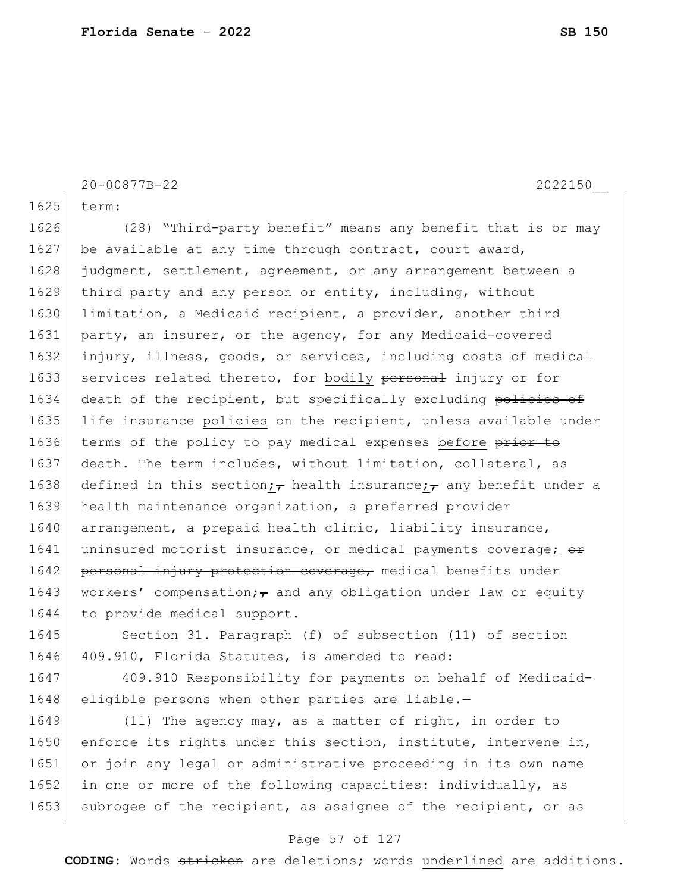```
20-00877B-22 2022150__
1625 term:
1626 (28) "Third-party benefit" means any benefit that is or may 
1627 be available at any time through contract, court award,
1628 judgment, settlement, agreement, or any arrangement between a
1629 third party and any person or entity, including, without
1630 limitation, a Medicaid recipient, a provider, another third
1631 party, an insurer, or the agency, for any Medicaid-covered
1632 injury, illness, goods, or services, including costs of medical 
1633 services related thereto, for bodily personal injury or for
1634 death of the recipient, but specifically excluding policies of
1635 life insurance policies on the recipient, unless available under
1636 terms of the policy to pay medical expenses before prior to
1637 death. The term includes, without limitation, collateral, as
1638 defined in this section; health insurance; any benefit under a
1639 health maintenance organization, a preferred provider 
1640 arrangement, a prepaid health clinic, liability insurance,
1641 uninsured motorist insurance, or medical payments coverage; \theta1642 personal injury protection coverage, medical benefits under
1643 workers' compensation; and any obligation under law or equity
1644 to provide medical support.
1645 Section 31. Paragraph (f) of subsection (11) of section
1646 409.910, Florida Statutes, is amended to read:
1647 409.910 Responsibility for payments on behalf of Medicaid-
1648 eligible persons when other parties are liable.-
```
1649 (11) The agency may, as a matter of right, in order to 1650 enforce its rights under this section, institute, intervene in, 1651 or join any legal or administrative proceeding in its own name 1652 in one or more of the following capacities: individually, as 1653 subrogee of the recipient, as assignee of the recipient, or as

#### Page 57 of 127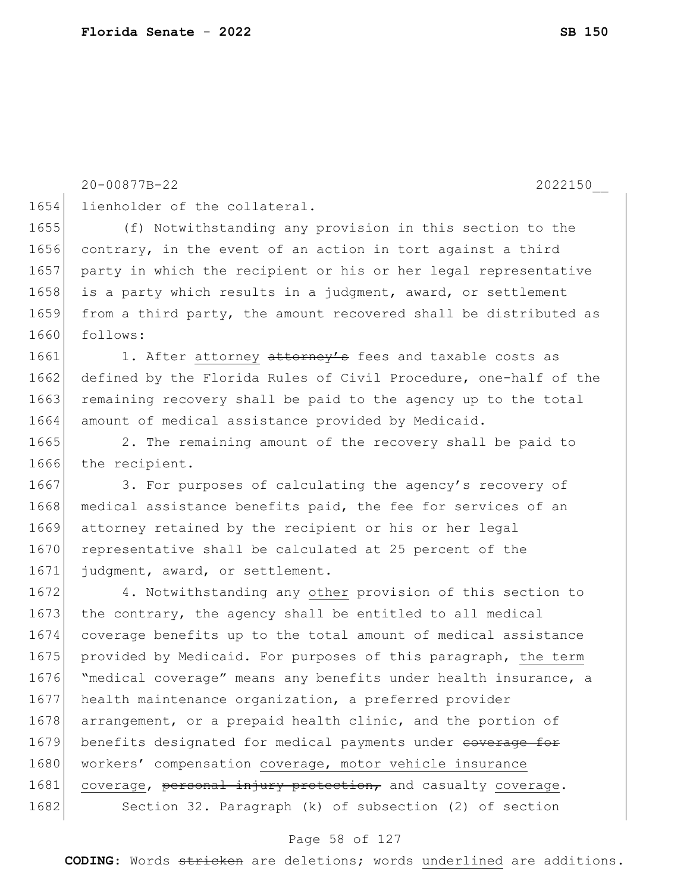20-00877B-22 2022150\_\_

1654 lienholder of the collateral.

1655 (f) Notwithstanding any provision in this section to the 1656 contrary, in the event of an action in tort against a third 1657 party in which the recipient or his or her legal representative 1658 is a party which results in a judgment, award, or settlement 1659 from a third party, the amount recovered shall be distributed as 1660 follows:

1661 1. After attorney attorney's fees and taxable costs as 1662 defined by the Florida Rules of Civil Procedure, one-half of the 1663 remaining recovery shall be paid to the agency up to the total 1664 amount of medical assistance provided by Medicaid.

1665 2. The remaining amount of the recovery shall be paid to 1666 the recipient.

1667 3. For purposes of calculating the agency's recovery of 1668 medical assistance benefits paid, the fee for services of an 1669 attorney retained by the recipient or his or her legal 1670 representative shall be calculated at 25 percent of the 1671 judgment, award, or settlement.

1672 4. Notwithstanding any other provision of this section to 1673 the contrary, the agency shall be entitled to all medical 1674 coverage benefits up to the total amount of medical assistance 1675 provided by Medicaid. For purposes of this paragraph, the term 1676 "medical coverage" means any benefits under health insurance, a 1677 health maintenance organization, a preferred provider 1678 arrangement, or a prepaid health clinic, and the portion of 1679 benefits designated for medical payments under coverage for 1680 workers' compensation coverage, motor vehicle insurance 1681 coverage, personal injury protection, and casualty coverage. 1682 Section 32. Paragraph (k) of subsection (2) of section

#### Page 58 of 127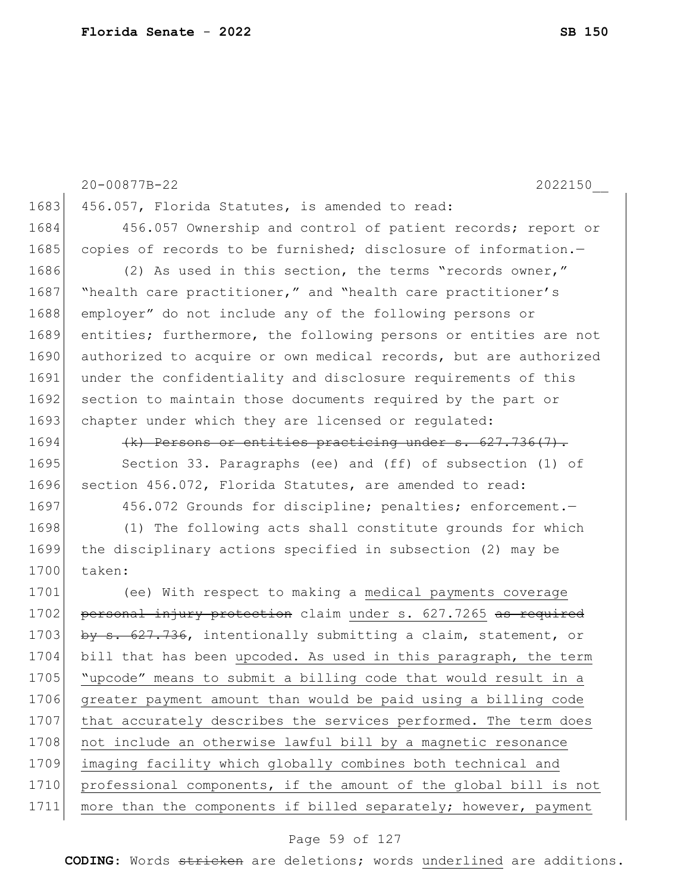1683 456.057, Florida Statutes, is amended to read: 1684 456.057 Ownership and control of patient records; report or 1685 copies of records to be furnished; disclosure of information.-1686 (2) As used in this section, the terms "records owner," 1687 | "health care practitioner," and "health care practitioner's 1688 employer" do not include any of the following persons or 1689 entities; furthermore, the following persons or entities are not 1690 authorized to acquire or own medical records, but are authorized 1691 under the confidentiality and disclosure requirements of this 1692 section to maintain those documents required by the part or 1693 chapter under which they are licensed or regulated:  $1694$  (k) Persons or entities practicing under s.  $627.736(7)$ . 1695 Section 33. Paragraphs (ee) and (ff) of subsection (1) of 1696 section 456.072, Florida Statutes, are amended to read: 1697 456.072 Grounds for discipline; penalties; enforcement. 1698 (1) The following acts shall constitute grounds for which 1699 the disciplinary actions specified in subsection (2) may be 1700 taken: 1701 (ee) With respect to making a medical payments coverage 1702 personal injury protection claim under s. 627.7265 as required 1703 by s. 627.736, intentionally submitting a claim, statement, or 1704 bill that has been upcoded. As used in this paragraph, the term 1705 "upcode" means to submit a billing code that would result in a 1706 greater payment amount than would be paid using a billing code 1707 that accurately describes the services performed. The term does 1708 not include an otherwise lawful bill by a magnetic resonance 1709 imaging facility which globally combines both technical and 1710 professional components, if the amount of the global bill is not 1711 more than the components if billed separately; however, payment

20-00877B-22 2022150\_\_

#### Page 59 of 127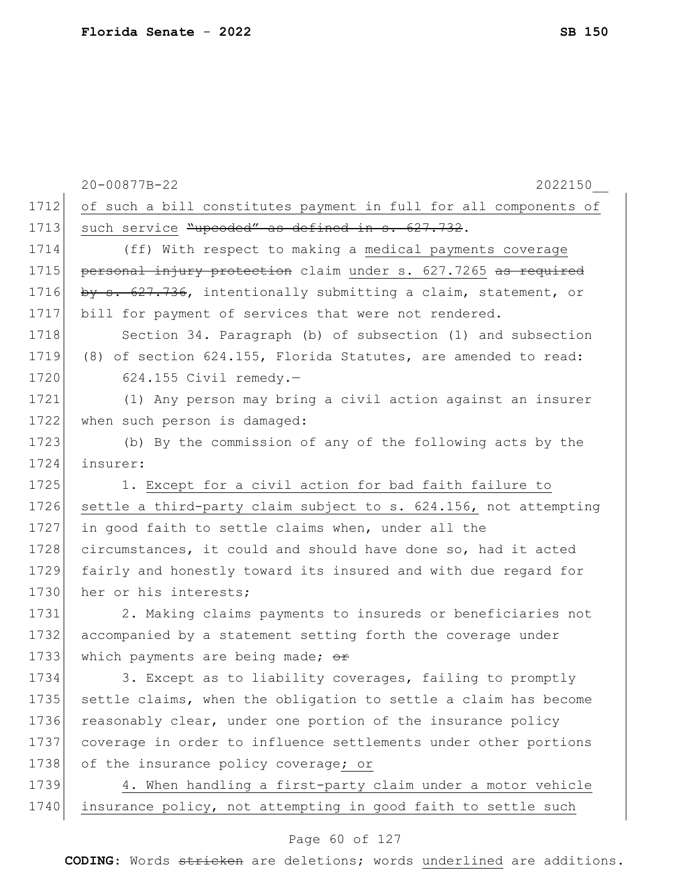|      | 20-00877B-22<br>2022150                                          |
|------|------------------------------------------------------------------|
| 1712 | of such a bill constitutes payment in full for all components of |
| 1713 | such service "upcoded" as defined in s. 627.732.                 |
| 1714 | (ff) With respect to making a medical payments coverage          |
| 1715 | personal injury protection claim under s. 627.7265 as required   |
| 1716 | by s. 627.736, intentionally submitting a claim, statement, or   |
| 1717 | bill for payment of services that were not rendered.             |
| 1718 | Section 34. Paragraph (b) of subsection (1) and subsection       |
| 1719 | (8) of section 624.155, Florida Statutes, are amended to read:   |
| 1720 | $624.155$ Civil remedy.-                                         |
| 1721 | (1) Any person may bring a civil action against an insurer       |
| 1722 | when such person is damaged:                                     |
| 1723 | (b) By the commission of any of the following acts by the        |
| 1724 | insurer:                                                         |
| 1725 | 1. Except for a civil action for bad faith failure to            |
| 1726 | settle a third-party claim subject to s. 624.156, not attempting |
| 1727 | in good faith to settle claims when, under all the               |
| 1728 | circumstances, it could and should have done so, had it acted    |
| 1729 | fairly and honestly toward its insured and with due regard for   |
| 1730 | her or his interests;                                            |
| 1731 | 2. Making claims payments to insureds or beneficiaries not       |
| 1732 | accompanied by a statement setting forth the coverage under      |
| 1733 | which payments are being made; or                                |
| 1734 | 3. Except as to liability coverages, failing to promptly         |
| 1735 | settle claims, when the obligation to settle a claim has become  |
| 1736 | reasonably clear, under one portion of the insurance policy      |
| 1737 | coverage in order to influence settlements under other portions  |
| 1738 | of the insurance policy coverage; or                             |
| 1739 | 4. When handling a first-party claim under a motor vehicle       |
| 1740 | insurance policy, not attempting in good faith to settle such    |
|      |                                                                  |

# Page 60 of 127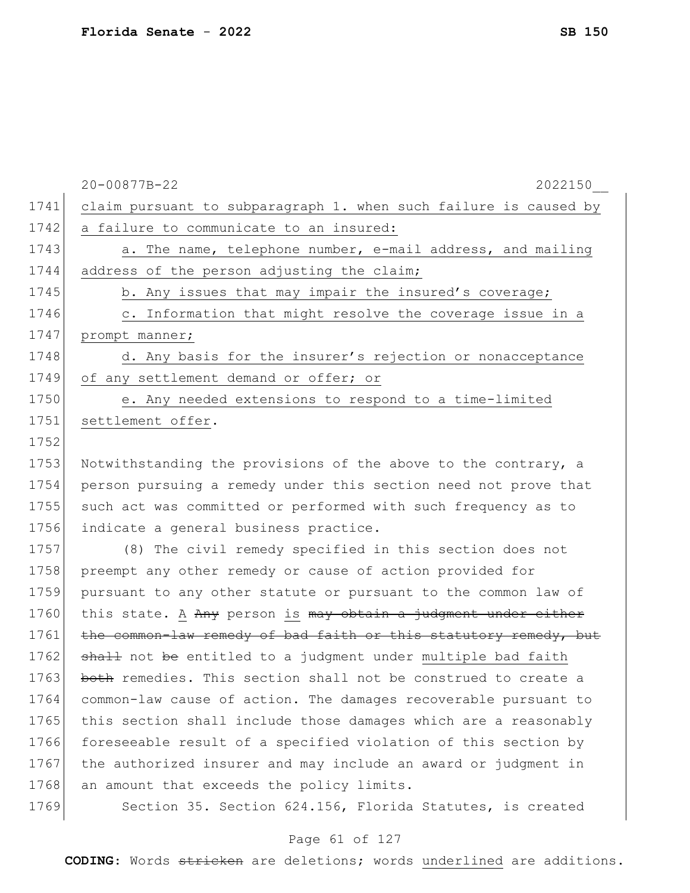|      | 20-00877B-22<br>2022150                                          |
|------|------------------------------------------------------------------|
| 1741 | claim pursuant to subparagraph 1. when such failure is caused by |
| 1742 | a failure to communicate to an insured:                          |
| 1743 | a. The name, telephone number, e-mail address, and mailing       |
| 1744 | address of the person adjusting the claim;                       |
| 1745 | b. Any issues that may impair the insured's coverage;            |
| 1746 | c. Information that might resolve the coverage issue in a        |
| 1747 | prompt manner;                                                   |
| 1748 | d. Any basis for the insurer's rejection or nonacceptance        |
| 1749 | of any settlement demand or offer; or                            |
| 1750 | e. Any needed extensions to respond to a time-limited            |
| 1751 | settlement offer.                                                |
| 1752 |                                                                  |
| 1753 | Notwithstanding the provisions of the above to the contrary, a   |
| 1754 | person pursuing a remedy under this section need not prove that  |
| 1755 | such act was committed or performed with such frequency as to    |
| 1756 | indicate a general business practice.                            |
| 1757 | (8) The civil remedy specified in this section does not          |
| 1758 | preempt any other remedy or cause of action provided for         |
| 1759 | pursuant to any other statute or pursuant to the common law of   |
| 1760 | this state. A Any person is may obtain a judgment under either   |

1761 the common-law remedy of bad faith or this statutory remedy, but 1762 shall not be entitled to a judgment under multiple bad faith 1763 both remedies. This section shall not be construed to create a 1764 common-law cause of action. The damages recoverable pursuant to 1765 this section shall include those damages which are a reasonably 1766 foreseeable result of a specified violation of this section by 1767 the authorized insurer and may include an award or judgment in 1768 an amount that exceeds the policy limits.

1769 Section 35. Section 624.156, Florida Statutes, is created

#### Page 61 of 127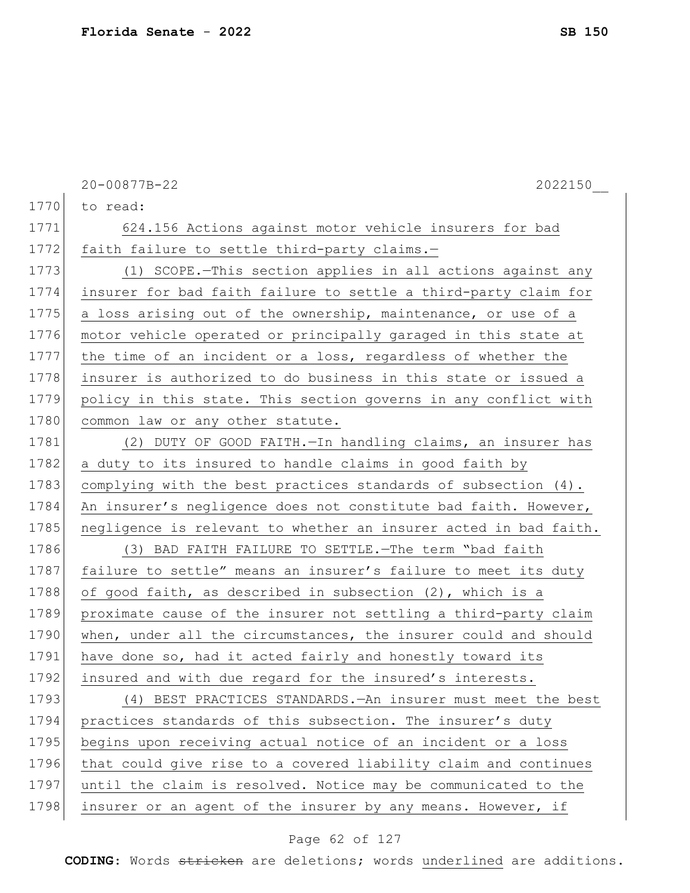|      | 20-00877B-22<br>2022150                                          |
|------|------------------------------------------------------------------|
| 1770 | to read:                                                         |
| 1771 | 624.156 Actions against motor vehicle insurers for bad           |
| 1772 | faith failure to settle third-party claims.-                     |
| 1773 | (1) SCOPE.-This section applies in all actions against any       |
| 1774 | insurer for bad faith failure to settle a third-party claim for  |
| 1775 | a loss arising out of the ownership, maintenance, or use of a    |
| 1776 | motor vehicle operated or principally garaged in this state at   |
| 1777 | the time of an incident or a loss, regardless of whether the     |
| 1778 | insurer is authorized to do business in this state or issued a   |
| 1779 | policy in this state. This section governs in any conflict with  |
| 1780 | common law or any other statute.                                 |
| 1781 | (2) DUTY OF GOOD FAITH. - In handling claims, an insurer has     |
| 1782 | a duty to its insured to handle claims in good faith by          |
| 1783 | complying with the best practices standards of subsection (4).   |
| 1784 | An insurer's negligence does not constitute bad faith. However,  |
| 1785 | negligence is relevant to whether an insurer acted in bad faith. |
| 1786 | (3) BAD FAITH FAILURE TO SETTLE. The term "bad faith             |
| 1787 | failure to settle" means an insurer's failure to meet its duty   |
| 1788 | of good faith, as described in subsection (2), which is a        |
| 1789 | proximate cause of the insurer not settling a third-party claim  |
| 1790 | when, under all the circumstances, the insurer could and should  |
| 1791 | have done so, had it acted fairly and honestly toward its        |
| 1792 | insured and with due regard for the insured's interests.         |
| 1793 | (4) BEST PRACTICES STANDARDS. - An insurer must meet the best    |
| 1794 | practices standards of this subsection. The insurer's duty       |
| 1795 | begins upon receiving actual notice of an incident or a loss     |
| 1796 | that could give rise to a covered liability claim and continues  |
| 1797 | until the claim is resolved. Notice may be communicated to the   |
| 1798 | insurer or an agent of the insurer by any means. However, if     |
|      |                                                                  |

# Page 62 of 127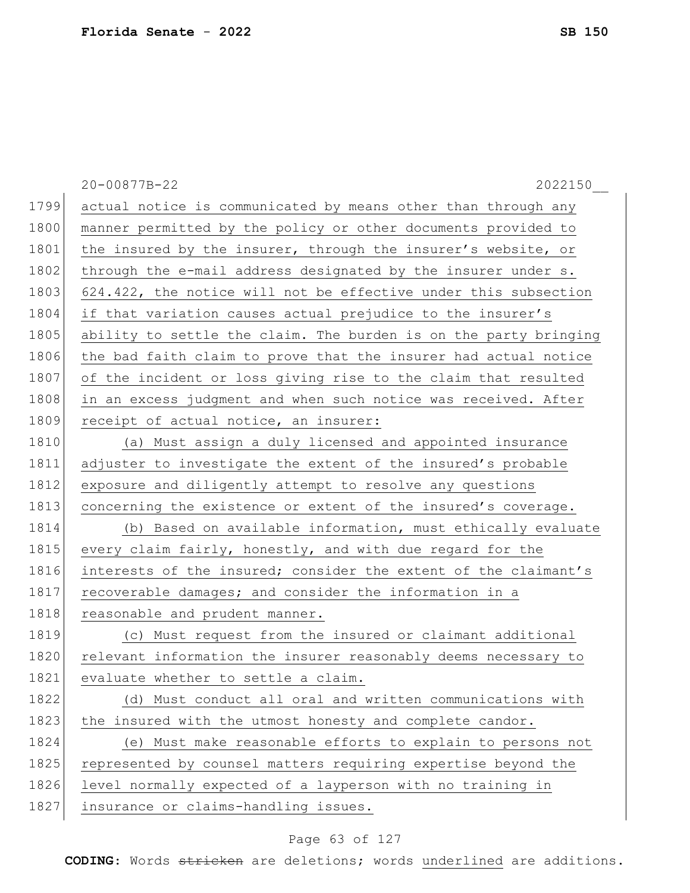20-00877B-22 2022150\_\_ 1799 actual notice is communicated by means other than through any 1800 manner permitted by the policy or other documents provided to 1801 the insured by the insurer, through the insurer's website, or 1802 through the e-mail address designated by the insurer under s. 1803 624.422, the notice will not be effective under this subsection 1804 if that variation causes actual prejudice to the insurer's 1805 ability to settle the claim. The burden is on the party bringing 1806 the bad faith claim to prove that the insurer had actual notice 1807 of the incident or loss giving rise to the claim that resulted 1808 in an excess judgment and when such notice was received. After 1809 receipt of actual notice, an insurer: 1810 (a) Must assign a duly licensed and appointed insurance 1811 adjuster to investigate the extent of the insured's probable 1812 exposure and diligently attempt to resolve any questions 1813 concerning the existence or extent of the insured's coverage. 1814 (b) Based on available information, must ethically evaluate 1815 every claim fairly, honestly, and with due regard for the 1816 interests of the insured; consider the extent of the claimant's 1817 recoverable damages; and consider the information in a 1818 reasonable and prudent manner. 1819 (c) Must request from the insured or claimant additional 1820 relevant information the insurer reasonably deems necessary to 1821 evaluate whether to settle a claim. 1822 (d) Must conduct all oral and written communications with 1823 the insured with the utmost honesty and complete candor. 1824 (e) Must make reasonable efforts to explain to persons not 1825 represented by counsel matters requiring expertise beyond the 1826 level normally expected of a layperson with no training in 1827 insurance or claims-handling issues.

#### Page 63 of 127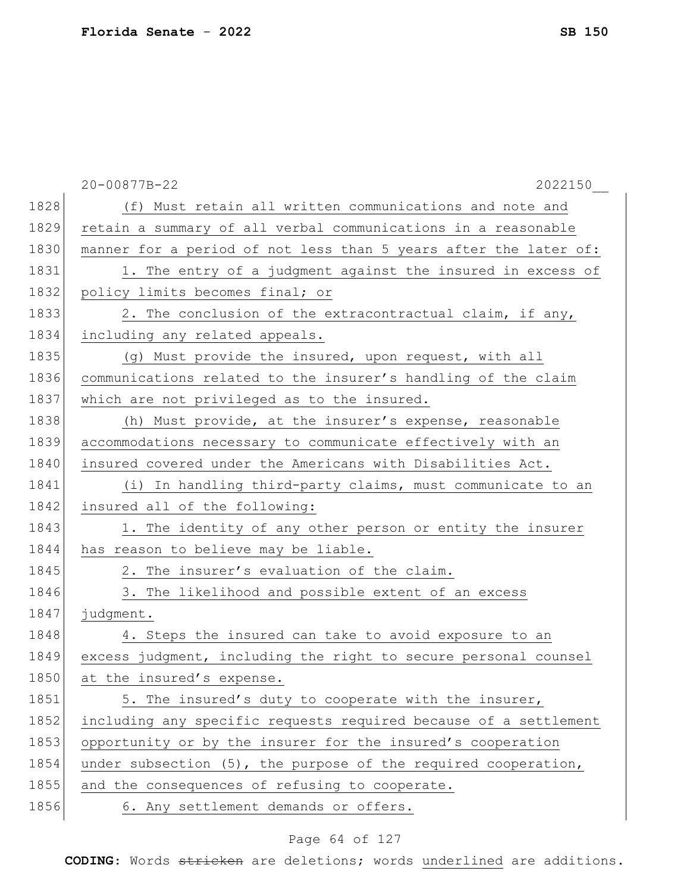|      | 20-00877B-22<br>2022150                                          |
|------|------------------------------------------------------------------|
| 1828 | (f) Must retain all written communications and note and          |
| 1829 | retain a summary of all verbal communications in a reasonable    |
| 1830 | manner for a period of not less than 5 years after the later of: |
| 1831 | 1. The entry of a judgment against the insured in excess of      |
| 1832 | policy limits becomes final; or                                  |
| 1833 | 2. The conclusion of the extracontractual claim, if any,         |
| 1834 | including any related appeals.                                   |
| 1835 | (g) Must provide the insured, upon request, with all             |
| 1836 | communications related to the insurer's handling of the claim    |
| 1837 | which are not privileged as to the insured.                      |
| 1838 | (h) Must provide, at the insurer's expense, reasonable           |
| 1839 | accommodations necessary to communicate effectively with an      |
| 1840 | insured covered under the Americans with Disabilities Act.       |
| 1841 | (i) In handling third-party claims, must communicate to an       |
| 1842 | insured all of the following:                                    |
| 1843 | 1. The identity of any other person or entity the insurer        |
| 1844 | has reason to believe may be liable.                             |
| 1845 | 2. The insurer's evaluation of the claim.                        |
| 1846 | 3. The likelihood and possible extent of an excess               |
| 1847 | judgment.                                                        |
| 1848 | 4. Steps the insured can take to avoid exposure to an            |
| 1849 | excess judgment, including the right to secure personal counsel  |
| 1850 | at the insured's expense.                                        |
| 1851 | 5. The insured's duty to cooperate with the insurer,             |
| 1852 | including any specific requests required because of a settlement |
| 1853 | opportunity or by the insurer for the insured's cooperation      |
| 1854 | under subsection (5), the purpose of the required cooperation,   |
| 1855 | and the consequences of refusing to cooperate.                   |
| 1856 | 6. Any settlement demands or offers.                             |

# Page 64 of 127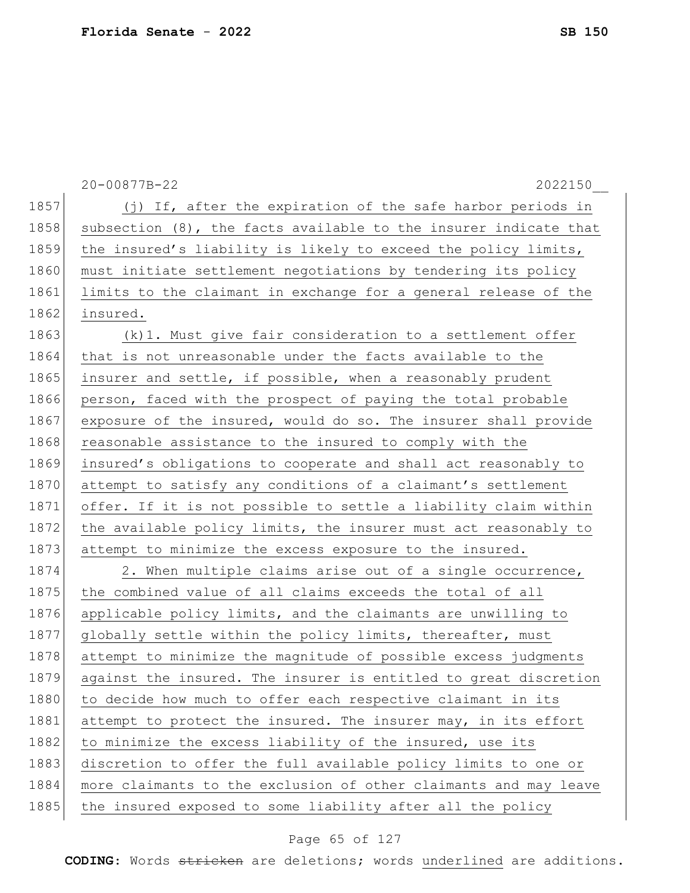|      | 20-00877B-22<br>2022150                                          |
|------|------------------------------------------------------------------|
| 1857 | (j) If, after the expiration of the safe harbor periods in       |
| 1858 | subsection (8), the facts available to the insurer indicate that |
| 1859 | the insured's liability is likely to exceed the policy limits,   |
| 1860 | must initiate settlement negotiations by tendering its policy    |
| 1861 | limits to the claimant in exchange for a general release of the  |
| 1862 | insured.                                                         |
| 1863 | (k) 1. Must give fair consideration to a settlement offer        |
| 1864 | that is not unreasonable under the facts available to the        |
| 1865 | insurer and settle, if possible, when a reasonably prudent       |
| 1866 | person, faced with the prospect of paying the total probable     |
| 1867 | exposure of the insured, would do so. The insurer shall provide  |
| 1868 | reasonable assistance to the insured to comply with the          |
| 1869 | insured's obligations to cooperate and shall act reasonably to   |
| 1870 | attempt to satisfy any conditions of a claimant's settlement     |
| 1871 | offer. If it is not possible to settle a liability claim within  |
| 1872 | the available policy limits, the insurer must act reasonably to  |
| 1873 | attempt to minimize the excess exposure to the insured.          |
| 1874 | 2. When multiple claims arise out of a single occurrence,        |
| 1875 | the combined value of all claims exceeds the total of all        |
| 1876 | applicable policy limits, and the claimants are unwilling to     |
| 1877 | globally settle within the policy limits, thereafter, must       |
| 1878 | attempt to minimize the magnitude of possible excess judgments   |
| 1879 | against the insured. The insurer is entitled to great discretion |
| 1880 | to decide how much to offer each respective claimant in its      |
| 1881 | attempt to protect the insured. The insurer may, in its effort   |
| 1882 | to minimize the excess liability of the insured, use its         |
| 1883 | discretion to offer the full available policy limits to one or   |
| 1884 | more claimants to the exclusion of other claimants and may leave |
| 1885 | the insured exposed to some liability after all the policy       |

# Page 65 of 127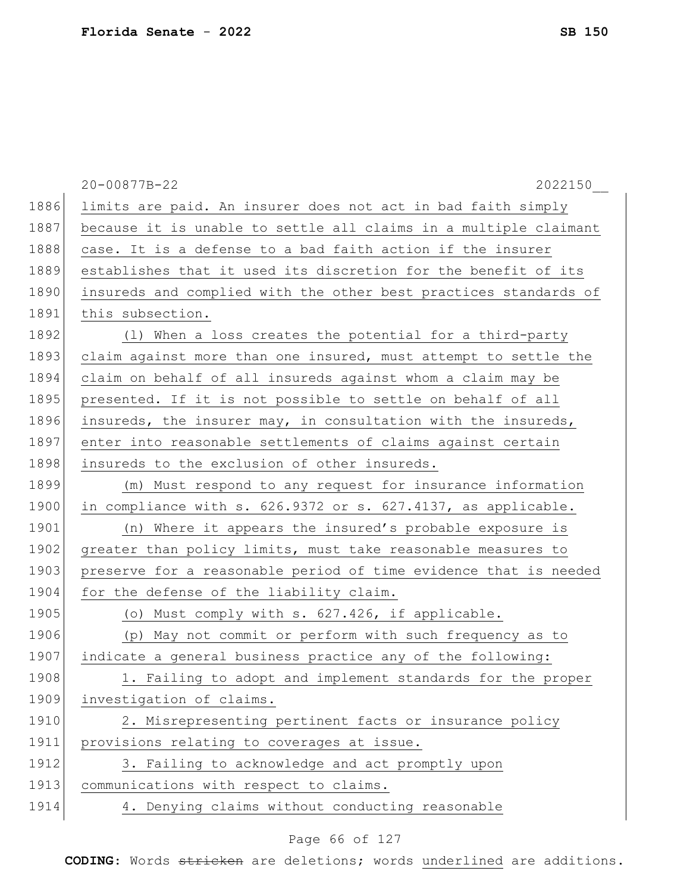|      | 20-00877B-22<br>2022150                                          |
|------|------------------------------------------------------------------|
| 1886 | limits are paid. An insurer does not act in bad faith simply     |
| 1887 | because it is unable to settle all claims in a multiple claimant |
| 1888 | case. It is a defense to a bad faith action if the insurer       |
| 1889 | establishes that it used its discretion for the benefit of its   |
| 1890 | insureds and complied with the other best practices standards of |
| 1891 | this subsection.                                                 |
| 1892 | (1) When a loss creates the potential for a third-party          |
| 1893 | claim against more than one insured, must attempt to settle the  |
| 1894 | claim on behalf of all insureds against whom a claim may be      |
| 1895 | presented. If it is not possible to settle on behalf of all      |
| 1896 | insureds, the insurer may, in consultation with the insureds,    |
| 1897 | enter into reasonable settlements of claims against certain      |
| 1898 | insureds to the exclusion of other insureds.                     |
| 1899 | (m) Must respond to any request for insurance information        |
| 1900 | in compliance with s. 626.9372 or s. 627.4137, as applicable.    |
| 1901 | (n) Where it appears the insured's probable exposure is          |
| 1902 | greater than policy limits, must take reasonable measures to     |
| 1903 | preserve for a reasonable period of time evidence that is needed |
| 1904 | for the defense of the liability claim.                          |
| 1905 | (o) Must comply with s. 627.426, if applicable.                  |
| 1906 | (p) May not commit or perform with such frequency as to          |
| 1907 | indicate a general business practice any of the following:       |
| 1908 | 1. Failing to adopt and implement standards for the proper       |
| 1909 | investigation of claims.                                         |
| 1910 | 2. Misrepresenting pertinent facts or insurance policy           |
| 1911 | provisions relating to coverages at issue.                       |
| 1912 | 3. Failing to acknowledge and act promptly upon                  |
| 1913 | communications with respect to claims.                           |
| 1914 | 4. Denying claims without conducting reasonable                  |

# Page 66 of 127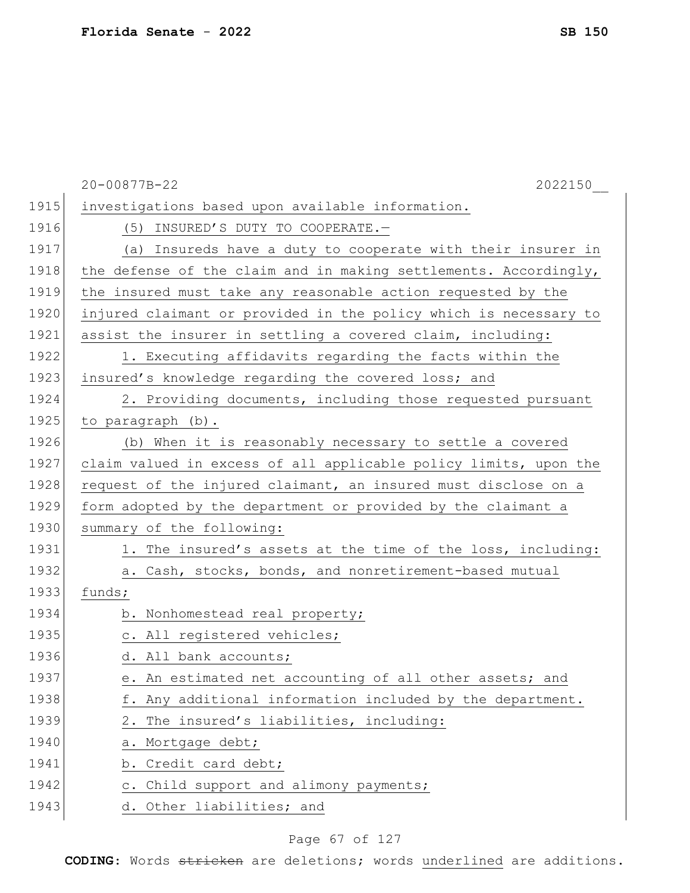|      | 20-00877B-22<br>2022150                                          |
|------|------------------------------------------------------------------|
| 1915 | investigations based upon available information.                 |
| 1916 | (5) INSURED'S DUTY TO COOPERATE.-                                |
| 1917 | (a) Insureds have a duty to cooperate with their insurer in      |
| 1918 | the defense of the claim and in making settlements. Accordingly, |
| 1919 | the insured must take any reasonable action requested by the     |
| 1920 | injured claimant or provided in the policy which is necessary to |
| 1921 | assist the insurer in settling a covered claim, including:       |
| 1922 | 1. Executing affidavits regarding the facts within the           |
| 1923 | insured's knowledge regarding the covered loss; and              |
| 1924 | 2. Providing documents, including those requested pursuant       |
| 1925 | to paragraph (b).                                                |
| 1926 | (b) When it is reasonably necessary to settle a covered          |
| 1927 | claim valued in excess of all applicable policy limits, upon the |
| 1928 | request of the injured claimant, an insured must disclose on a   |
| 1929 | form adopted by the department or provided by the claimant a     |
| 1930 | summary of the following:                                        |
| 1931 | 1. The insured's assets at the time of the loss, including:      |
| 1932 | a. Cash, stocks, bonds, and nonretirement-based mutual           |
| 1933 | funds;                                                           |
| 1934 | b. Nonhomestead real property;                                   |
| 1935 | c. All registered vehicles;                                      |
| 1936 | d. All bank accounts;                                            |
| 1937 | e. An estimated net accounting of all other assets; and          |
| 1938 | f. Any additional information included by the department.        |
| 1939 | 2. The insured's liabilities, including:                         |
| 1940 | a. Mortgage debt;                                                |
| 1941 | b. Credit card debt;                                             |
| 1942 | c. Child support and alimony payments;                           |
| 1943 | d. Other liabilities; and                                        |

# Page 67 of 127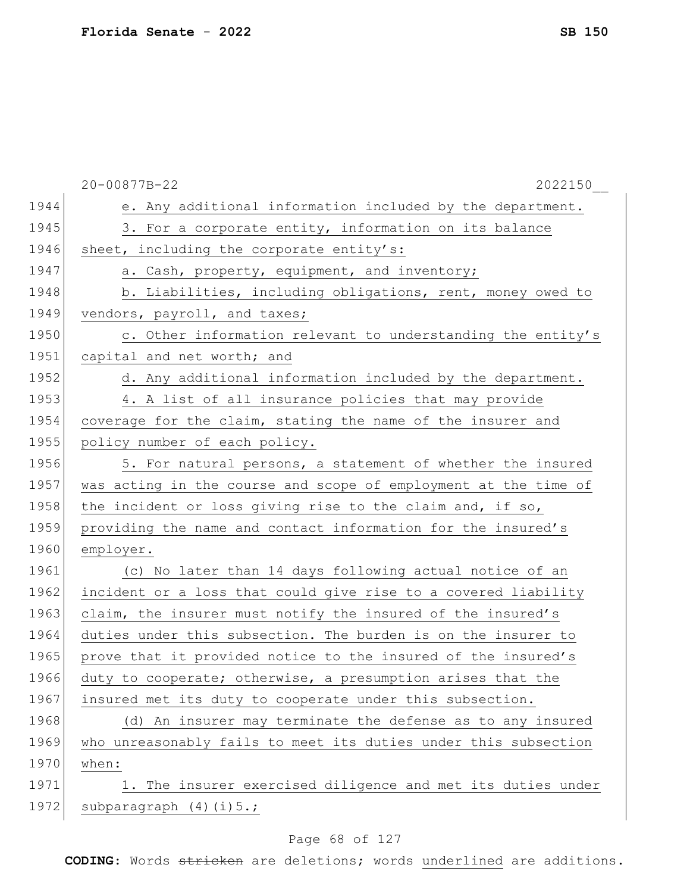|      | 20-00877B-22<br>2022150                                         |
|------|-----------------------------------------------------------------|
| 1944 | e. Any additional information included by the department.       |
| 1945 | 3. For a corporate entity, information on its balance           |
| 1946 | sheet, including the corporate entity's:                        |
| 1947 | a. Cash, property, equipment, and inventory;                    |
| 1948 | b. Liabilities, including obligations, rent, money owed to      |
| 1949 | vendors, payroll, and taxes;                                    |
| 1950 | c. Other information relevant to understanding the entity's     |
| 1951 | capital and net worth; and                                      |
| 1952 | d. Any additional information included by the department.       |
| 1953 | 4. A list of all insurance policies that may provide            |
| 1954 | coverage for the claim, stating the name of the insurer and     |
| 1955 | policy number of each policy.                                   |
| 1956 | 5. For natural persons, a statement of whether the insured      |
| 1957 | was acting in the course and scope of employment at the time of |
| 1958 | the incident or loss giving rise to the claim and, if so,       |
| 1959 | providing the name and contact information for the insured's    |
| 1960 | employer.                                                       |
| 1961 | (c) No later than 14 days following actual notice of an         |
| 1962 | incident or a loss that could give rise to a covered liability  |
| 1963 | claim, the insurer must notify the insured of the insured's     |
| 1964 | duties under this subsection. The burden is on the insurer to   |
| 1965 | prove that it provided notice to the insured of the insured's   |
| 1966 | duty to cooperate; otherwise, a presumption arises that the     |
| 1967 | insured met its duty to cooperate under this subsection.        |
| 1968 | (d) An insurer may terminate the defense as to any insured      |
| 1969 | who unreasonably fails to meet its duties under this subsection |
| 1970 | when:                                                           |
| 1971 | 1. The insurer exercised diligence and met its duties under     |
| 1972 | subparagraph $(4)(i)$ 5.;                                       |

# Page 68 of 127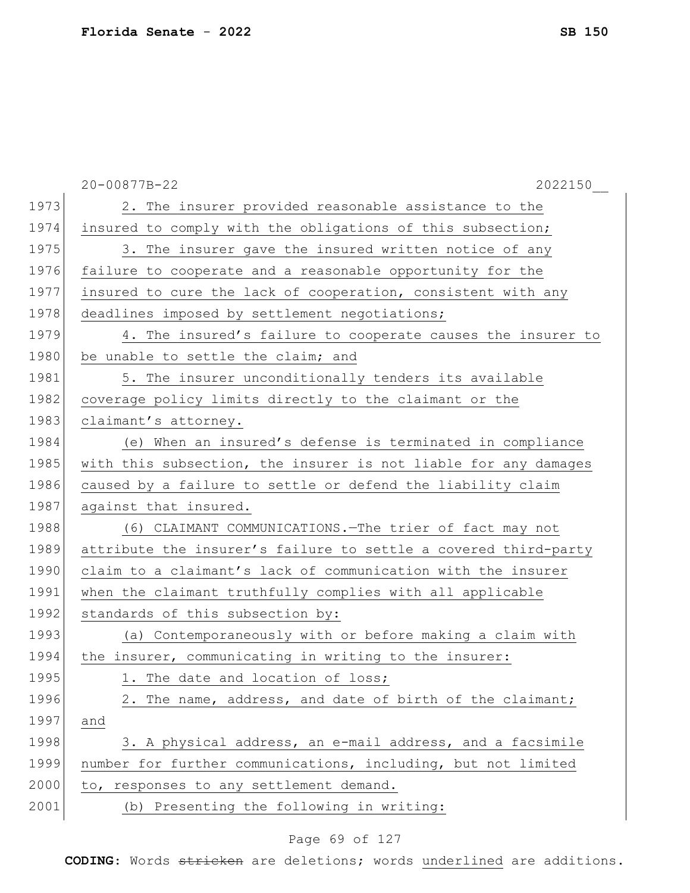|      | 2022150<br>20-00877B-22                                         |
|------|-----------------------------------------------------------------|
| 1973 | 2. The insurer provided reasonable assistance to the            |
| 1974 | insured to comply with the obligations of this subsection;      |
| 1975 | 3. The insurer gave the insured written notice of any           |
| 1976 | failure to cooperate and a reasonable opportunity for the       |
| 1977 | insured to cure the lack of cooperation, consistent with any    |
| 1978 | deadlines imposed by settlement negotiations;                   |
| 1979 | 4. The insured's failure to cooperate causes the insurer to     |
| 1980 | be unable to settle the claim; and                              |
| 1981 | 5. The insurer unconditionally tenders its available            |
| 1982 | coverage policy limits directly to the claimant or the          |
| 1983 | claimant's attorney.                                            |
| 1984 | (e) When an insured's defense is terminated in compliance       |
| 1985 | with this subsection, the insurer is not liable for any damages |
| 1986 | caused by a failure to settle or defend the liability claim     |
| 1987 | against that insured.                                           |
| 1988 | (6) CLAIMANT COMMUNICATIONS. - The trier of fact may not        |
| 1989 | attribute the insurer's failure to settle a covered third-party |
| 1990 | claim to a claimant's lack of communication with the insurer    |
| 1991 | when the claimant truthfully complies with all applicable       |
| 1992 | standards of this subsection by:                                |
| 1993 | (a) Contemporaneously with or before making a claim with        |
| 1994 | the insurer, communicating in writing to the insurer:           |
| 1995 | 1. The date and location of loss;                               |
| 1996 | 2. The name, address, and date of birth of the claimant;        |
| 1997 | and                                                             |
| 1998 | 3. A physical address, an e-mail address, and a facsimile       |
| 1999 | number for further communications, including, but not limited   |
| 2000 | to, responses to any settlement demand.                         |
| 2001 | (b) Presenting the following in writing:                        |
|      |                                                                 |

# Page 69 of 127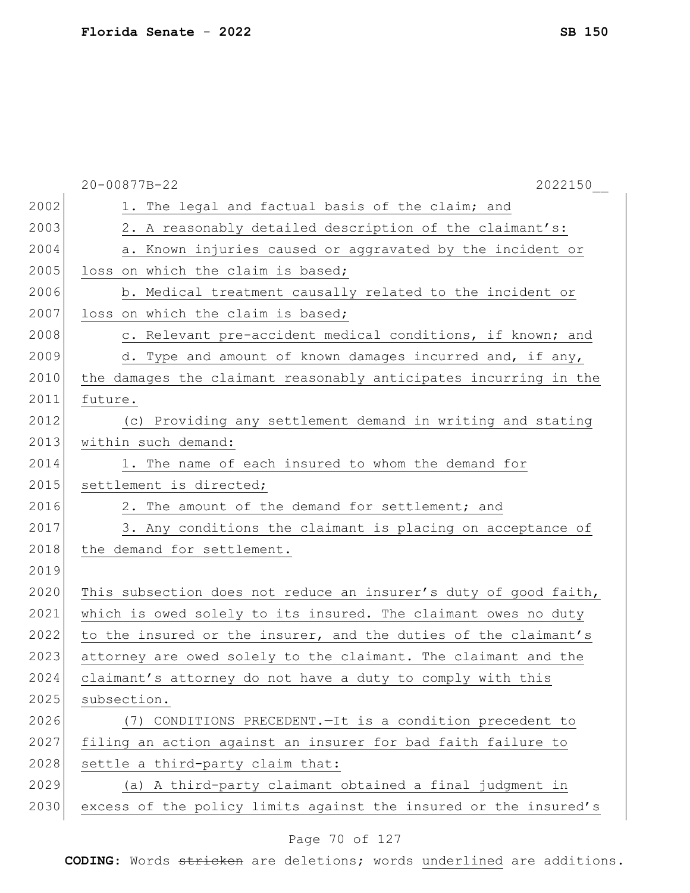|      | 20-00877B-22<br>2022150                                          |
|------|------------------------------------------------------------------|
| 2002 | 1. The legal and factual basis of the claim; and                 |
| 2003 | 2. A reasonably detailed description of the claimant's:          |
| 2004 | a. Known injuries caused or aggravated by the incident or        |
| 2005 | loss on which the claim is based;                                |
| 2006 | b. Medical treatment causally related to the incident or         |
| 2007 | loss on which the claim is based;                                |
| 2008 | c. Relevant pre-accident medical conditions, if known; and       |
| 2009 | d. Type and amount of known damages incurred and, if any,        |
| 2010 | the damages the claimant reasonably anticipates incurring in the |
| 2011 | future.                                                          |
| 2012 | (c) Providing any settlement demand in writing and stating       |
| 2013 | within such demand:                                              |
| 2014 | 1. The name of each insured to whom the demand for               |
| 2015 | settlement is directed;                                          |
| 2016 | 2. The amount of the demand for settlement; and                  |
| 2017 | 3. Any conditions the claimant is placing on acceptance of       |
| 2018 | the demand for settlement.                                       |
| 2019 |                                                                  |
| 2020 | This subsection does not reduce an insurer's duty of good faith, |
| 2021 | which is owed solely to its insured. The claimant owes no duty   |
| 2022 | to the insured or the insurer, and the duties of the claimant's  |
| 2023 | attorney are owed solely to the claimant. The claimant and the   |
| 2024 | claimant's attorney do not have a duty to comply with this       |
| 2025 | subsection.                                                      |
| 2026 | (7) CONDITIONS PRECEDENT. - It is a condition precedent to       |
| 2027 | filing an action against an insurer for bad faith failure to     |
| 2028 | settle a third-party claim that:                                 |
| 2029 | (a) A third-party claimant obtained a final judgment in          |
| 2030 | excess of the policy limits against the insured or the insured's |
|      |                                                                  |

# Page 70 of 127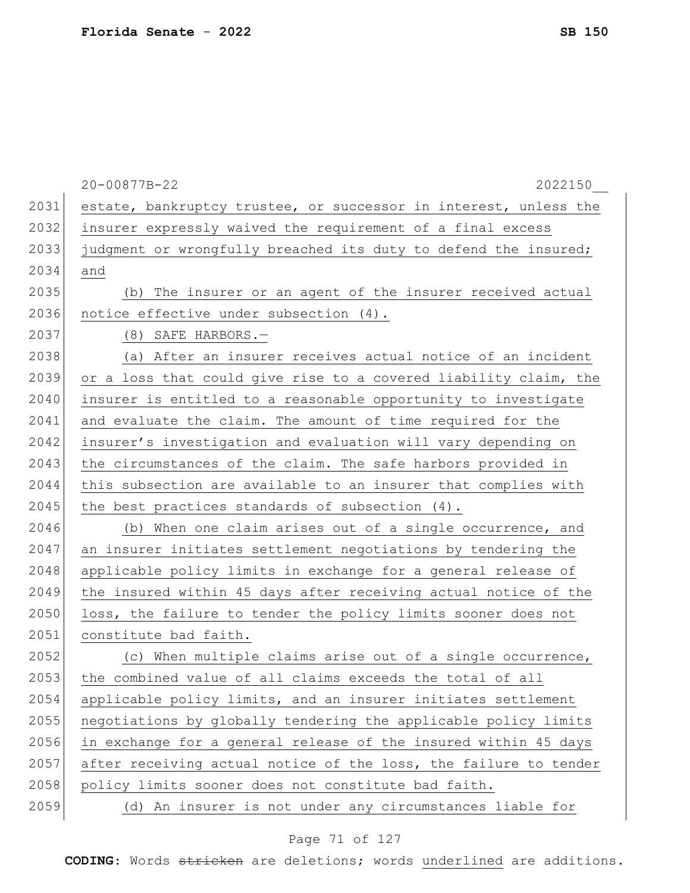|      | 20-00877B-22<br>2022150                                          |
|------|------------------------------------------------------------------|
| 2031 | estate, bankruptcy trustee, or successor in interest, unless the |
| 2032 | insurer expressly waived the requirement of a final excess       |
| 2033 | judgment or wrongfully breached its duty to defend the insured;  |
| 2034 | and                                                              |
| 2035 | (b) The insurer or an agent of the insurer received actual       |
| 2036 | notice effective under subsection (4).                           |
| 2037 | $(8)$ SAFE HARBORS.-                                             |
| 2038 | (a) After an insurer receives actual notice of an incident       |
| 2039 | or a loss that could give rise to a covered liability claim, the |
| 2040 | insurer is entitled to a reasonable opportunity to investigate   |
| 2041 | and evaluate the claim. The amount of time required for the      |
| 2042 | insurer's investigation and evaluation will vary depending on    |
| 2043 | the circumstances of the claim. The safe harbors provided in     |
| 2044 | this subsection are available to an insurer that complies with   |
| 2045 | the best practices standards of subsection (4).                  |
| 2046 | (b) When one claim arises out of a single occurrence, and        |
| 2047 | an insurer initiates settlement negotiations by tendering the    |
| 2048 | applicable policy limits in exchange for a general release of    |
| 2049 | the insured within 45 days after receiving actual notice of the  |
| 2050 | loss, the failure to tender the policy limits sooner does not    |
| 2051 | constitute bad faith.                                            |
| 2052 | (c) When multiple claims arise out of a single occurrence,       |
| 2053 | the combined value of all claims exceeds the total of all        |
| 2054 | applicable policy limits, and an insurer initiates settlement    |
| 2055 | negotiations by globally tendering the applicable policy limits  |
| 2056 | in exchange for a general release of the insured within 45 days  |
| 2057 | after receiving actual notice of the loss, the failure to tender |
| 2058 | policy limits sooner does not constitute bad faith.              |
| 2059 | (d) An insurer is not under any circumstances liable for         |

# Page 71 of 127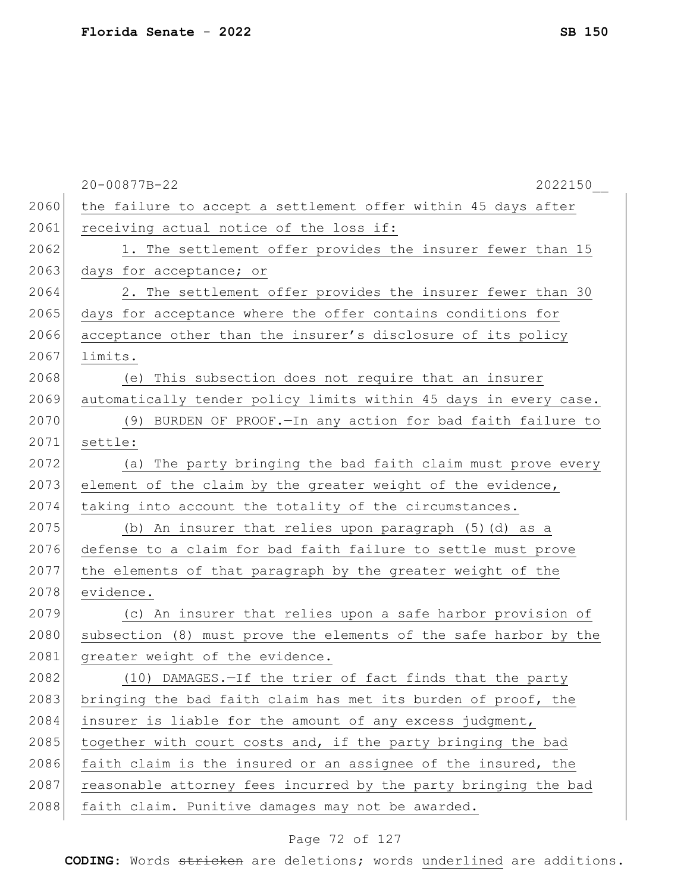|      | 20-00877B-22<br>2022150                                          |
|------|------------------------------------------------------------------|
| 2060 | the failure to accept a settlement offer within 45 days after    |
| 2061 | receiving actual notice of the loss if:                          |
| 2062 | 1. The settlement offer provides the insurer fewer than 15       |
| 2063 | days for acceptance; or                                          |
| 2064 | 2. The settlement offer provides the insurer fewer than 30       |
| 2065 | days for acceptance where the offer contains conditions for      |
| 2066 | acceptance other than the insurer's disclosure of its policy     |
| 2067 | limits.                                                          |
| 2068 | (e) This subsection does not require that an insurer             |
| 2069 | automatically tender policy limits within 45 days in every case. |
| 2070 | (9) BURDEN OF PROOF. - In any action for bad faith failure to    |
| 2071 | settle:                                                          |
| 2072 | (a) The party bringing the bad faith claim must prove every      |
| 2073 | element of the claim by the greater weight of the evidence,      |
| 2074 | taking into account the totality of the circumstances.           |
| 2075 | (b) An insurer that relies upon paragraph (5) (d) as a           |
| 2076 | defense to a claim for bad faith failure to settle must prove    |
| 2077 | the elements of that paragraph by the greater weight of the      |
| 2078 | evidence.                                                        |
| 2079 | (c) An insurer that relies upon a safe harbor provision of       |
| 2080 | subsection (8) must prove the elements of the safe harbor by the |
| 2081 | greater weight of the evidence.                                  |
| 2082 | (10) DAMAGES.-If the trier of fact finds that the party          |
| 2083 | bringing the bad faith claim has met its burden of proof, the    |
| 2084 | insurer is liable for the amount of any excess judgment,         |
| 2085 | together with court costs and, if the party bringing the bad     |
| 2086 | faith claim is the insured or an assignee of the insured, the    |
| 2087 | reasonable attorney fees incurred by the party bringing the bad  |
| 2088 | faith claim. Punitive damages may not be awarded.                |

# Page 72 of 127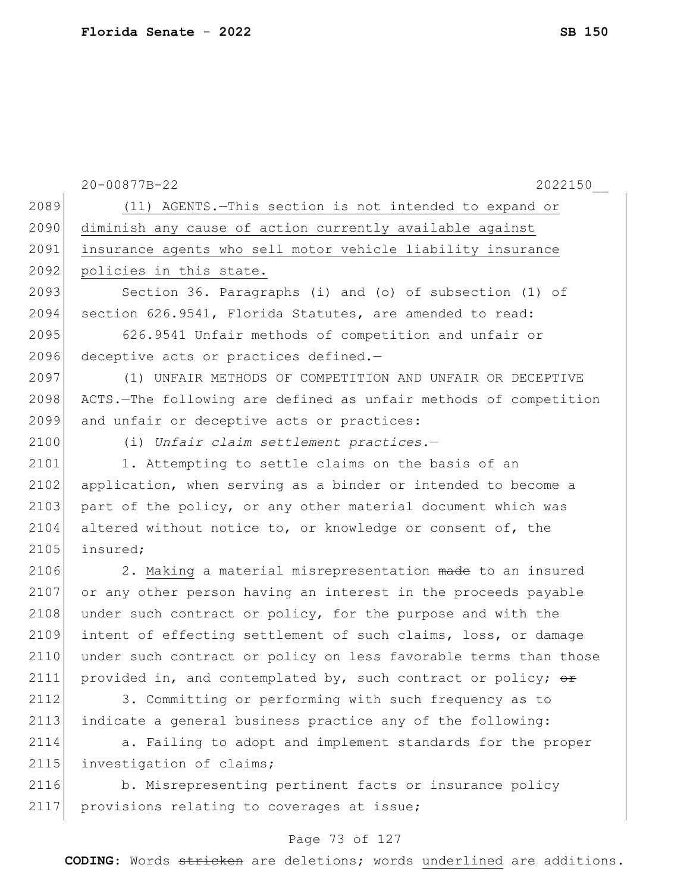|      | 20-00877B-22<br>2022150                                          |
|------|------------------------------------------------------------------|
| 2089 | (11) AGENTS. - This section is not intended to expand or         |
| 2090 | diminish any cause of action currently available against         |
| 2091 | insurance agents who sell motor vehicle liability insurance      |
| 2092 | policies in this state.                                          |
| 2093 | Section 36. Paragraphs (i) and (o) of subsection (1) of          |
| 2094 | section 626.9541, Florida Statutes, are amended to read:         |
| 2095 | 626.9541 Unfair methods of competition and unfair or             |
| 2096 | deceptive acts or practices defined.-                            |
| 2097 | (1) UNFAIR METHODS OF COMPETITION AND UNFAIR OR DECEPTIVE        |
| 2098 | ACTS.-The following are defined as unfair methods of competition |
| 2099 | and unfair or deceptive acts or practices:                       |
| 2100 | (i) Unfair claim settlement practices.-                          |
| 2101 | 1. Attempting to settle claims on the basis of an                |
| 2102 | application, when serving as a binder or intended to become a    |
| 2103 | part of the policy, or any other material document which was     |
| 2104 | altered without notice to, or knowledge or consent of, the       |
| 2105 | insured;                                                         |
| 2106 | 2. Making a material misrepresentation made to an insured        |
| 2107 | or any other person having an interest in the proceeds payable   |
| 2108 | under such contract or policy, for the purpose and with the      |
| 2109 | intent of effecting settlement of such claims, loss, or damage   |
| 2110 | under such contract or policy on less favorable terms than those |
| 2111 | provided in, and contemplated by, such contract or policy; or    |
| 2112 | 3. Committing or performing with such frequency as to            |
| 2113 | indicate a general business practice any of the following:       |
| 2114 | a. Failing to adopt and implement standards for the proper       |
| 2115 | investigation of claims;                                         |
| 2116 | b. Misrepresenting pertinent facts or insurance policy           |
| 2117 | provisions relating to coverages at issue;                       |
|      |                                                                  |

# Page 73 of 127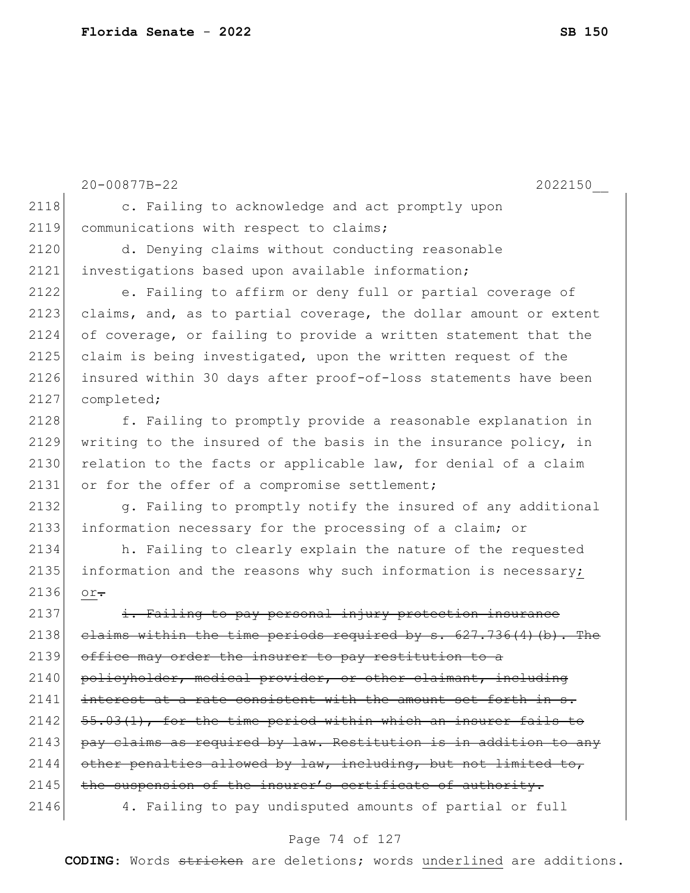```
20-00877B-22 2022150__
2118 c. Failing to acknowledge and act promptly upon
2119 communications with respect to claims;
2120 d. Denying claims without conducting reasonable 
2121 investigations based upon available information;
2122 e. Failing to affirm or deny full or partial coverage of 
2123 claims, and, as to partial coverage, the dollar amount or extent
2124 of coverage, or failing to provide a written statement that the 
2125 claim is being investigated, upon the written request of the
2126 insured within 30 days after proof-of-loss statements have been 
2127 completed;
2128 f. Failing to promptly provide a reasonable explanation in
2129 writing to the insured of the basis in the insurance policy, in 
2130 relation to the facts or applicable law, for denial of a claim
2131 or for the offer of a compromise settlement;
2132 g. Failing to promptly notify the insured of any additional
2133 information necessary for the processing of a claim; or
2134 h. Failing to clearly explain the nature of the requested 
2135 information and the reasons why such information is necessary;
2136 or.
2137 i. Failing to pay personal injury protection insurance
2138 claims within the time periods required by s. 627.736(4)(b). The
2139 office may order the insurer to pay restitution to a
2140 policyholder, medical provider, or other claimant, including
2141 interest at a rate consistent with the amount set forth in s.
2142 55.03(1), for the time period within which an insurer fails to
2143 pay claims as required by law. Restitution is in addition to any
2144 other penalties allowed by law, including, but not limited to,
2145 the suspension of the insurer's certificate of authority.
2146 4. Failing to pay undisputed amounts of partial or full
```
#### Page 74 of 127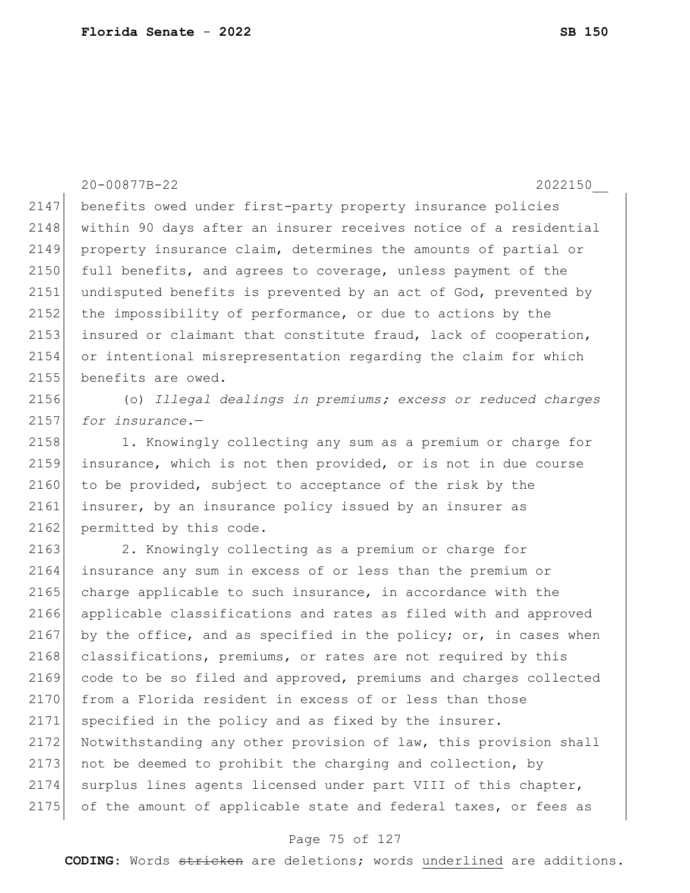20-00877B-22 2022150\_\_ 2147 benefits owed under first-party property insurance policies 2148 within 90 days after an insurer receives notice of a residential 2149 property insurance claim, determines the amounts of partial or 2150 full benefits, and agrees to coverage, unless payment of the 2151 undisputed benefits is prevented by an act of God, prevented by 2152 the impossibility of performance, or due to actions by the 2153 insured or claimant that constitute fraud, lack of cooperation, 2154 or intentional misrepresentation regarding the claim for which 2155 benefits are owed. 2156 (o) *Illegal dealings in premiums; excess or reduced charges*  2157 *for insurance.*—

2158 1. Knowingly collecting any sum as a premium or charge for 2159 insurance, which is not then provided, or is not in due course 2160 to be provided, subject to acceptance of the risk by the 2161 insurer, by an insurance policy issued by an insurer as 2162 permitted by this code.

2163 2. Knowingly collecting as a premium or charge for 2164 insurance any sum in excess of or less than the premium or  $2165$  charge applicable to such insurance, in accordance with the 2166 applicable classifications and rates as filed with and approved 2167 by the office, and as specified in the policy; or, in cases when 2168 classifications, premiums, or rates are not required by this 2169 code to be so filed and approved, premiums and charges collected 2170 from a Florida resident in excess of or less than those 2171 specified in the policy and as fixed by the insurer. 2172 Notwithstanding any other provision of law, this provision shall 2173 not be deemed to prohibit the charging and collection, by 2174 surplus lines agents licensed under part VIII of this chapter, 2175 of the amount of applicable state and federal taxes, or fees as

#### Page 75 of 127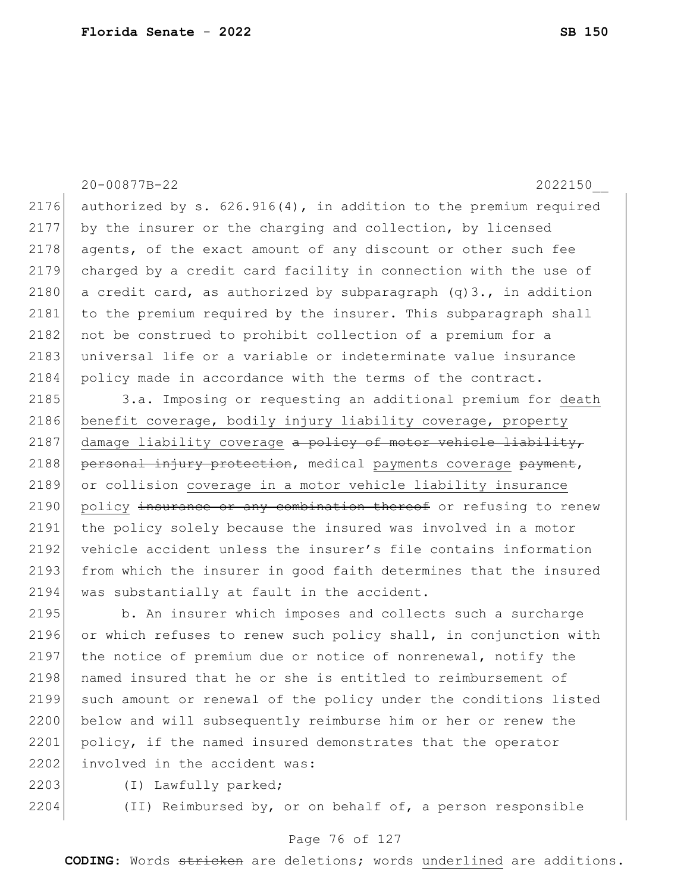20-00877B-22 2022150\_\_ 2176 authorized by s.  $626.916(4)$ , in addition to the premium required 2177 by the insurer or the charging and collection, by licensed 2178 agents, of the exact amount of any discount or other such fee 2179 charged by a credit card facility in connection with the use of 2180 a credit card, as authorized by subparagraph  $(q)3$ ., in addition 2181 to the premium required by the insurer. This subparagraph shall 2182 not be construed to prohibit collection of a premium for a 2183 universal life or a variable or indeterminate value insurance 2184 policy made in accordance with the terms of the contract. 2185 3.a. Imposing or requesting an additional premium for death 2186 benefit coverage, bodily injury liability coverage, property

2187 damage liability coverage  $a$  policy of motor vehicle liability, 2188 personal injury protection, medical payments coverage payment, 2189 or collision coverage in a motor vehicle liability insurance 2190 policy insurance or any combination thereof or refusing to renew 2191 the policy solely because the insured was involved in a motor 2192 vehicle accident unless the insurer's file contains information 2193 from which the insurer in good faith determines that the insured 2194 was substantially at fault in the accident.

2195 b. An insurer which imposes and collects such a surcharge 2196 or which refuses to renew such policy shall, in conjunction with 2197 the notice of premium due or notice of nonrenewal, notify the 2198 named insured that he or she is entitled to reimbursement of 2199 such amount or renewal of the policy under the conditions listed 2200 below and will subsequently reimburse him or her or renew the 2201 policy, if the named insured demonstrates that the operator 2202 involved in the accident was:

2203 (I) Lawfully parked;

2204 (II) Reimbursed by, or on behalf of, a person responsible

### Page 76 of 127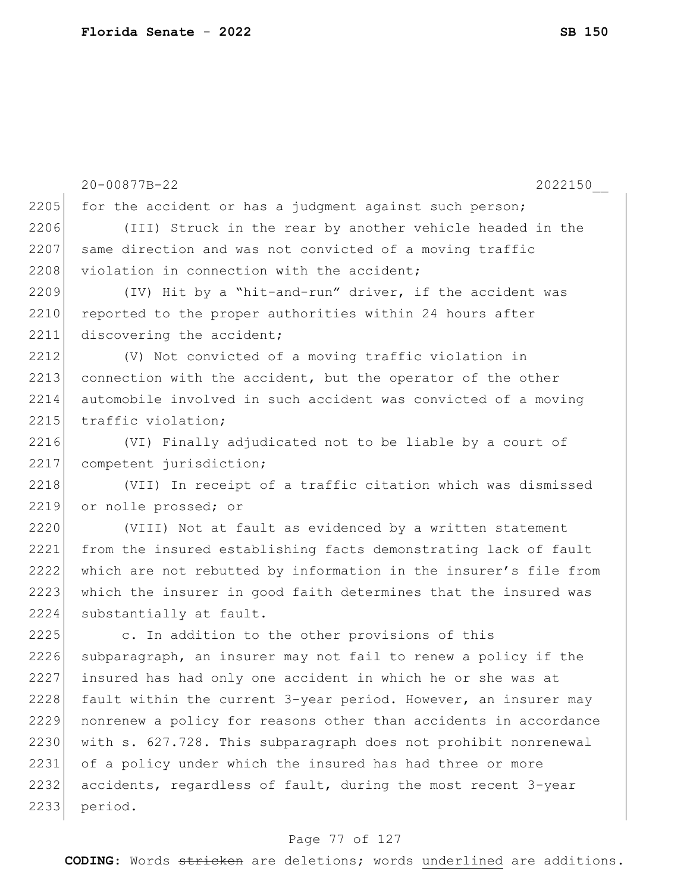|      | 20-00877B-22<br>2022150                                          |
|------|------------------------------------------------------------------|
| 2205 | for the accident or has a judgment against such person;          |
| 2206 | (III) Struck in the rear by another vehicle headed in the        |
| 2207 | same direction and was not convicted of a moving traffic         |
| 2208 | violation in connection with the accident;                       |
| 2209 | (IV) Hit by a "hit-and-run" driver, if the accident was          |
| 2210 | reported to the proper authorities within 24 hours after         |
| 2211 | discovering the accident;                                        |
| 2212 | (V) Not convicted of a moving traffic violation in               |
| 2213 | connection with the accident, but the operator of the other      |
| 2214 | automobile involved in such accident was convicted of a moving   |
| 2215 | traffic violation;                                               |
| 2216 | (VI) Finally adjudicated not to be liable by a court of          |
| 2217 | competent jurisdiction;                                          |
| 2218 | (VII) In receipt of a traffic citation which was dismissed       |
| 2219 | or nolle prossed; or                                             |
| 2220 | (VIII) Not at fault as evidenced by a written statement          |
| 2221 | from the insured establishing facts demonstrating lack of fault  |
| 2222 | which are not rebutted by information in the insurer's file from |
| 2223 | which the insurer in good faith determines that the insured was  |
| 2224 | substantially at fault.                                          |
| 2225 | c. In addition to the other provisions of this                   |
| 2226 | subparagraph, an insurer may not fail to renew a policy if the   |
| 2227 | insured has had only one accident in which he or she was at      |
| 2228 | fault within the current 3-year period. However, an insurer may  |
| 2229 | nonrenew a policy for reasons other than accidents in accordance |
| 2230 | with s. 627.728. This subparagraph does not prohibit nonrenewal  |
| 2231 | of a policy under which the insured has had three or more        |
| 2232 | accidents, regardless of fault, during the most recent 3-year    |
| 2233 | period.                                                          |
|      |                                                                  |

# Page 77 of 127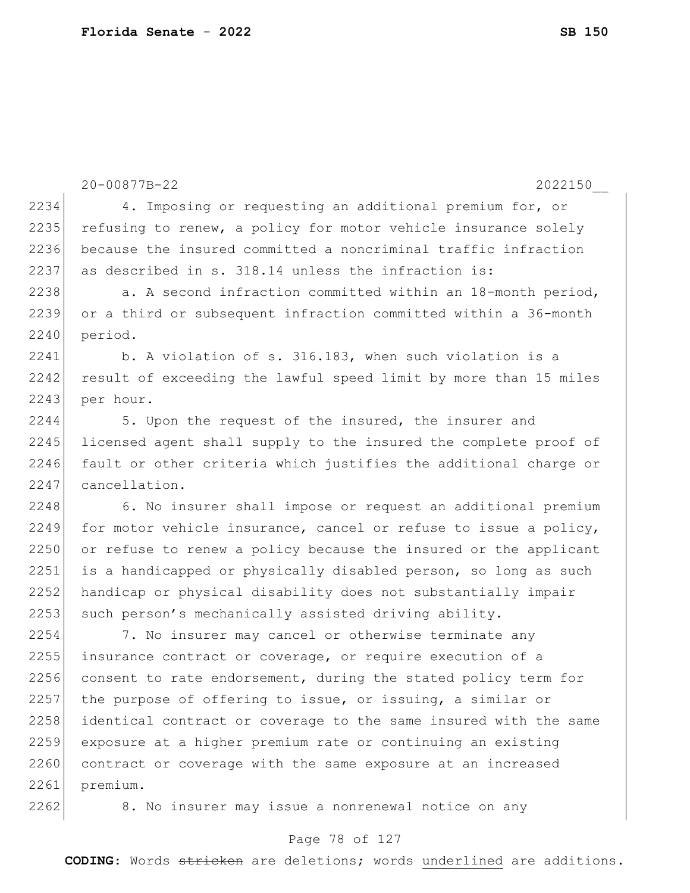```
2234 4. Imposing or requesting an additional premium for, or
2235 refusing to renew, a policy for motor vehicle insurance solely
2236 because the insured committed a noncriminal traffic infraction 
2237 as described in s. 318.14 unless the infraction is:
2238 a. A second infraction committed within an 18-month period,
2239 or a third or subsequent infraction committed within a 36-month 
2240 period.
2241 b. A violation of s. 316.183, when such violation is a
2242 result of exceeding the lawful speed limit by more than 15 miles
2243 per hour.
2244 5. Upon the request of the insured, the insurer and 
2245 licensed agent shall supply to the insured the complete proof of
2246 fault or other criteria which justifies the additional charge or
2247 cancellation.
2248 6. No insurer shall impose or request an additional premium
2249 for motor vehicle insurance, cancel or refuse to issue a policy,
2250 or refuse to renew a policy because the insured or the applicant 
2251 is a handicapped or physically disabled person, so long as such
2252 handicap or physical disability does not substantially impair
2253 such person's mechanically assisted driving ability.
2254 7. No insurer may cancel or otherwise terminate any 
2255 insurance contract or coverage, or require execution of a
2256 consent to rate endorsement, during the stated policy term for
2257 the purpose of offering to issue, or issuing, a similar or
```
2258 identical contract or coverage to the same insured with the same 2259 exposure at a higher premium rate or continuing an existing 2260 contract or coverage with the same exposure at an increased 2261 premium.

2262 8. No insurer may issue a nonrenewal notice on any

#### Page 78 of 127

20-00877B-22 2022150\_\_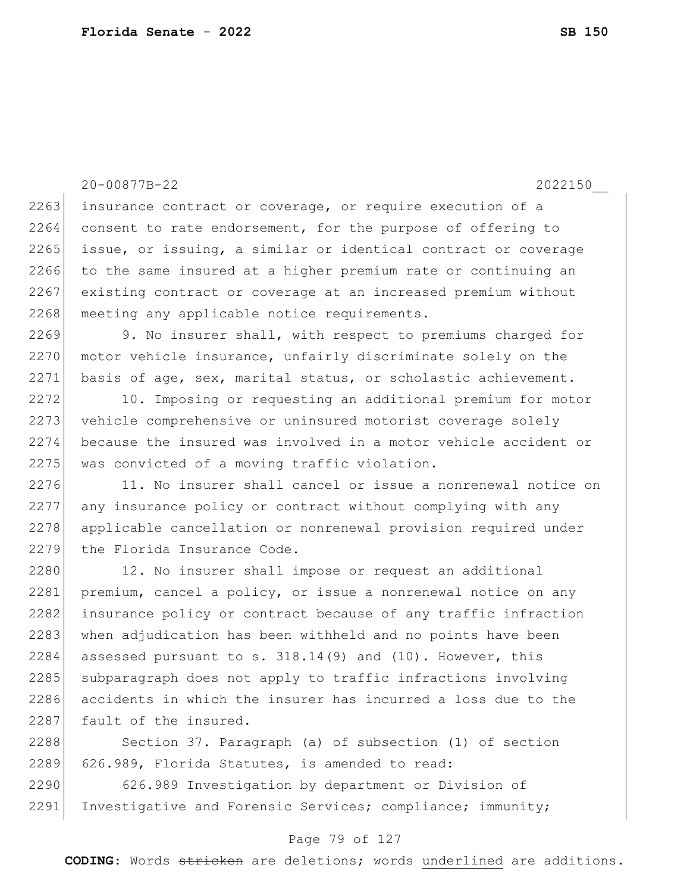20-00877B-22 2022150\_\_ 2263 insurance contract or coverage, or require execution of a 2264 consent to rate endorsement, for the purpose of offering to 2265 issue, or issuing, a similar or identical contract or coverage 2266 to the same insured at a higher premium rate or continuing an 2267 existing contract or coverage at an increased premium without 2268 meeting any applicable notice requirements. 2269 9. No insurer shall, with respect to premiums charged for

2270 motor vehicle insurance, unfairly discriminate solely on the 2271 basis of age, sex, marital status, or scholastic achievement.

2272 10. Imposing or requesting an additional premium for motor 2273 vehicle comprehensive or uninsured motorist coverage solely 2274 because the insured was involved in a motor vehicle accident or 2275 was convicted of a moving traffic violation.

2276 11. No insurer shall cancel or issue a nonrenewal notice on 2277 any insurance policy or contract without complying with any 2278 applicable cancellation or nonrenewal provision required under 2279 the Florida Insurance Code.

2280 12. No insurer shall impose or request an additional 2281 premium, cancel a policy, or issue a nonrenewal notice on any 2282 insurance policy or contract because of any traffic infraction 2283 when adjudication has been withheld and no points have been  $2284$  assessed pursuant to s. 318.14(9) and (10). However, this 2285 subparagraph does not apply to traffic infractions involving 2286 accidents in which the insurer has incurred a loss due to the 2287 fault of the insured.

2288 Section 37. Paragraph (a) of subsection (1) of section 2289 626.989, Florida Statutes, is amended to read:

2290 626.989 Investigation by department or Division of 2291 Investigative and Forensic Services; compliance; immunity;

#### Page 79 of 127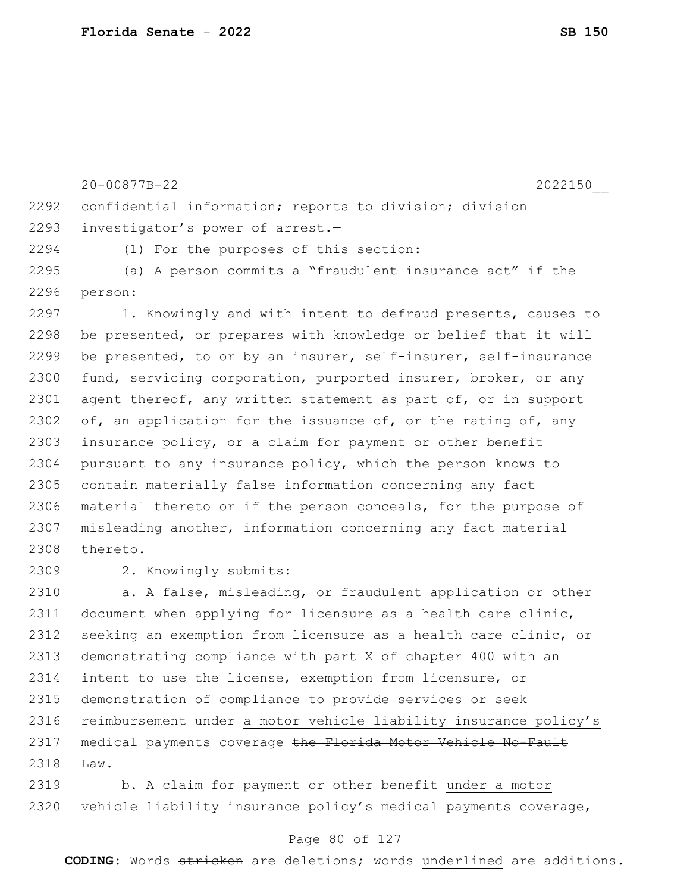|      | 20-00877B-22<br>2022150                                          |
|------|------------------------------------------------------------------|
| 2292 | confidential information; reports to division; division          |
| 2293 | investigator's power of arrest.-                                 |
| 2294 | (1) For the purposes of this section:                            |
| 2295 | (a) A person commits a "fraudulent insurance act" if the         |
| 2296 | person:                                                          |
| 2297 | 1. Knowingly and with intent to defraud presents, causes to      |
| 2298 | be presented, or prepares with knowledge or belief that it will  |
| 2299 | be presented, to or by an insurer, self-insurer, self-insurance  |
| 2300 | fund, servicing corporation, purported insurer, broker, or any   |
| 2301 | agent thereof, any written statement as part of, or in support   |
| 2302 | of, an application for the issuance of, or the rating of, any    |
| 2303 | insurance policy, or a claim for payment or other benefit        |
| 2304 | pursuant to any insurance policy, which the person knows to      |
| 2305 | contain materially false information concerning any fact         |
| 2306 | material thereto or if the person conceals, for the purpose of   |
| 2307 | misleading another, information concerning any fact material     |
| 2308 | thereto.                                                         |
| 2309 | 2. Knowingly submits:                                            |
| 2310 | a. A false, misleading, or fraudulent application or other       |
| 2311 | document when applying for licensure as a health care clinic,    |
| 2312 | seeking an exemption from licensure as a health care clinic, or  |
| 2313 | demonstrating compliance with part X of chapter 400 with an      |
| 2314 | intent to use the license, exemption from licensure, or          |
| 2315 | demonstration of compliance to provide services or seek          |
| 2316 | reimbursement under a motor vehicle liability insurance policy's |
| 2317 | medical payments coverage the Florida Motor Vehicle No-Fault     |
| 2318 | $\text{Law}$ .                                                   |

2319 b. A claim for payment or other benefit under a motor 2320 vehicle liability insurance policy's medical payments coverage,

### Page 80 of 127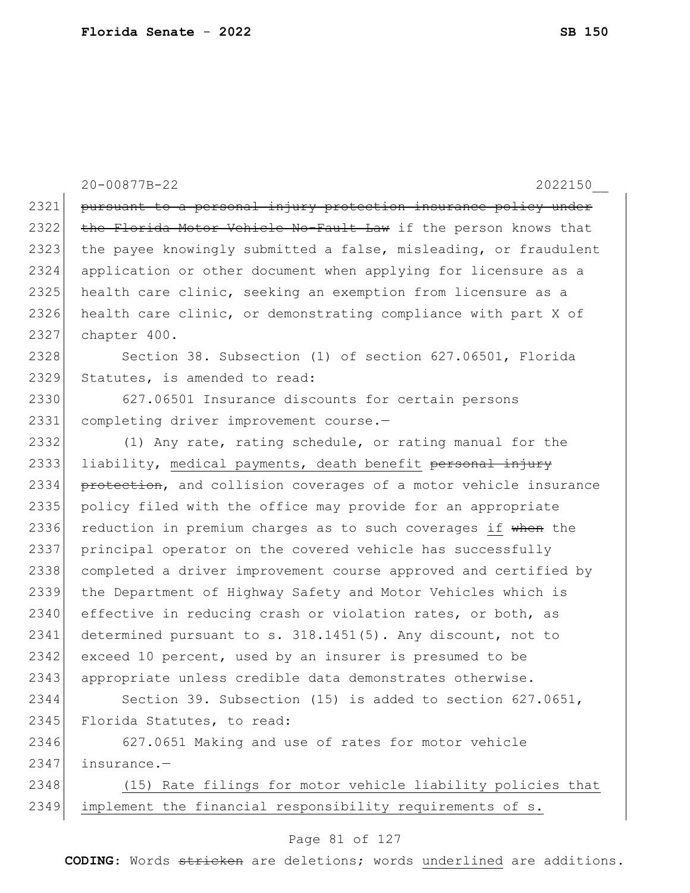20-00877B-22 2022150\_\_ 2321 pursuant to a personal injury protection insurance policy under 2322 the Florida Motor Vehicle No-Fault Law if the person knows that 2323 the payee knowingly submitted a false, misleading, or fraudulent 2324 application or other document when applying for licensure as a 2325 health care clinic, seeking an exemption from licensure as a 2326 health care clinic, or demonstrating compliance with part X of 2327 chapter 400. 2328 Section 38. Subsection (1) of section 627.06501, Florida 2329 Statutes, is amended to read: 2330 627.06501 Insurance discounts for certain persons 2331 completing driver improvement course.-2332 (1) Any rate, rating schedule, or rating manual for the 2333 liability, medical payments, death benefit personal injury 2334 protection, and collision coverages of a motor vehicle insurance 2335 policy filed with the office may provide for an appropriate 2336 reduction in premium charges as to such coverages if when the 2337 principal operator on the covered vehicle has successfully 2338 completed a driver improvement course approved and certified by 2339 the Department of Highway Safety and Motor Vehicles which is 2340 effective in reducing crash or violation rates, or both, as 2341 determined pursuant to s. 318.1451(5). Any discount, not to 2342 exceed 10 percent, used by an insurer is presumed to be 2343 appropriate unless credible data demonstrates otherwise. 2344 Section 39. Subsection (15) is added to section 627.0651, 2345 Florida Statutes, to read: 2346 627.0651 Making and use of rates for motor vehicle 2347 insurance.— 2348 (15) Rate filings for motor vehicle liability policies that 2349 implement the financial responsibility requirements of s.

#### Page 81 of 127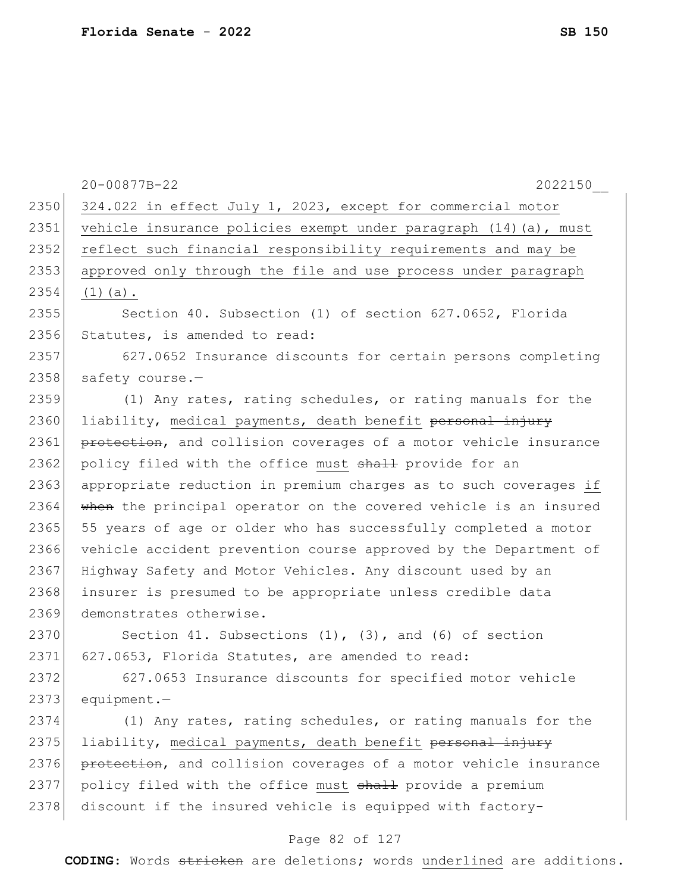|      | 20-00877B-22<br>2022150                                          |
|------|------------------------------------------------------------------|
| 2350 | 324.022 in effect July 1, 2023, except for commercial motor      |
| 2351 | vehicle insurance policies exempt under paragraph (14) (a), must |
| 2352 | reflect such financial responsibility requirements and may be    |
| 2353 | approved only through the file and use process under paragraph   |
| 2354 | $(1)$ (a).                                                       |
| 2355 | Section 40. Subsection (1) of section 627.0652, Florida          |
| 2356 | Statutes, is amended to read:                                    |
| 2357 | 627.0652 Insurance discounts for certain persons completing      |
| 2358 | safety course.-                                                  |
| 2359 | (1) Any rates, rating schedules, or rating manuals for the       |
| 2360 | liability, medical payments, death benefit personal injury       |
| 2361 | protection, and collision coverages of a motor vehicle insurance |
| 2362 | policy filed with the office must shall provide for an           |
| 2363 | appropriate reduction in premium charges as to such coverages if |
| 2364 | when the principal operator on the covered vehicle is an insured |
| 2365 | 55 years of age or older who has successfully completed a motor  |
| 2366 | vehicle accident prevention course approved by the Department of |
| 2367 | Highway Safety and Motor Vehicles. Any discount used by an       |
| 2368 | insurer is presumed to be appropriate unless credible data       |
| 2369 | demonstrates otherwise.                                          |
| 2370 | Section 41. Subsections $(1)$ , $(3)$ , and $(6)$ of section     |
| 2371 | 627.0653, Florida Statutes, are amended to read:                 |
| 2372 | 627.0653 Insurance discounts for specified motor vehicle         |
| 2373 | $equipment. -$                                                   |
| 2374 | (1) Any rates, rating schedules, or rating manuals for the       |
| 2375 | liability, medical payments, death benefit personal injury       |
| 2376 | protection, and collision coverages of a motor vehicle insurance |
| 2377 | policy filed with the office must shall provide a premium        |
| 2378 | discount if the insured vehicle is equipped with factory-        |
|      |                                                                  |

# Page 82 of 127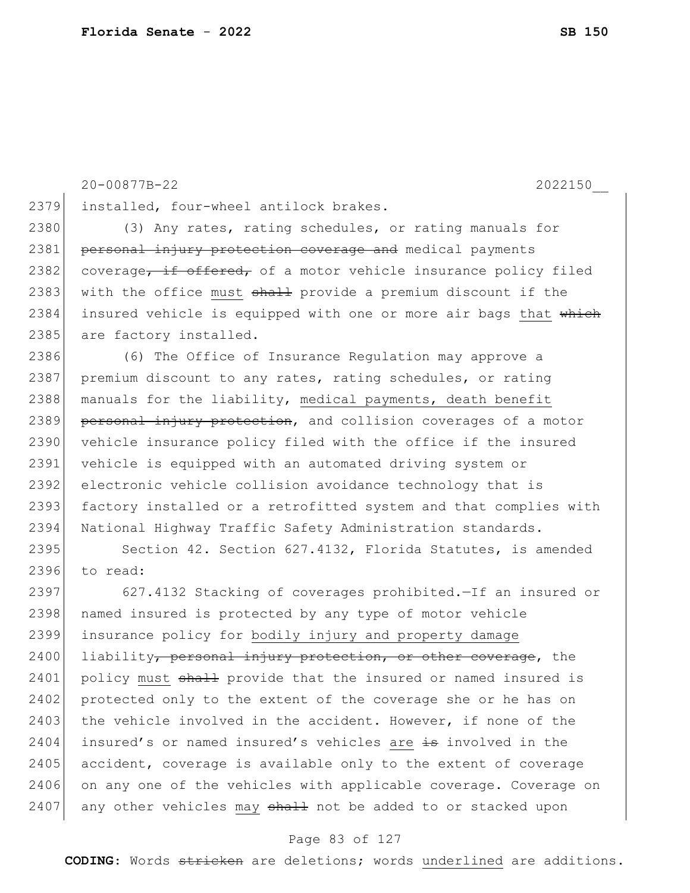2379 installed, four-wheel antilock brakes. 2380 (3) Any rates, rating schedules, or rating manuals for 2381 personal injury protection coverage and medical payments 2382 coverage, if offered, of a motor vehicle insurance policy filed 2383 with the office must shall provide a premium discount if the 2384 insured vehicle is equipped with one or more air bags that which 2385 are factory installed. 2386 (6) The Office of Insurance Regulation may approve a 2387 premium discount to any rates, rating schedules, or rating 2388 manuals for the liability, medical payments, death benefit 2389 personal injury protection, and collision coverages of a motor 2390 vehicle insurance policy filed with the office if the insured 2391 vehicle is equipped with an automated driving system or 2392 electronic vehicle collision avoidance technology that is 2393 factory installed or a retrofitted system and that complies with 2394 National Highway Traffic Safety Administration standards. 2395 Section 42. Section 627.4132, Florida Statutes, is amended 2396 to read: 2397 627.4132 Stacking of coverages prohibited.—If an insured or 2398 | named insured is protected by any type of motor vehicle 2399 insurance policy for bodily injury and property damage 2400 liability, personal injury protection, or other coverage, the

20-00877B-22 2022150\_\_

2401 policy must shall provide that the insured or named insured is 2402 protected only to the extent of the coverage she or he has on 2403 the vehicle involved in the accident. However, if none of the 2404 insured's or named insured's vehicles are is involved in the 2405 accident, coverage is available only to the extent of coverage 2406 on any one of the vehicles with applicable coverage. Coverage on  $2407$  any other vehicles may  $shath$  not be added to or stacked upon

#### Page 83 of 127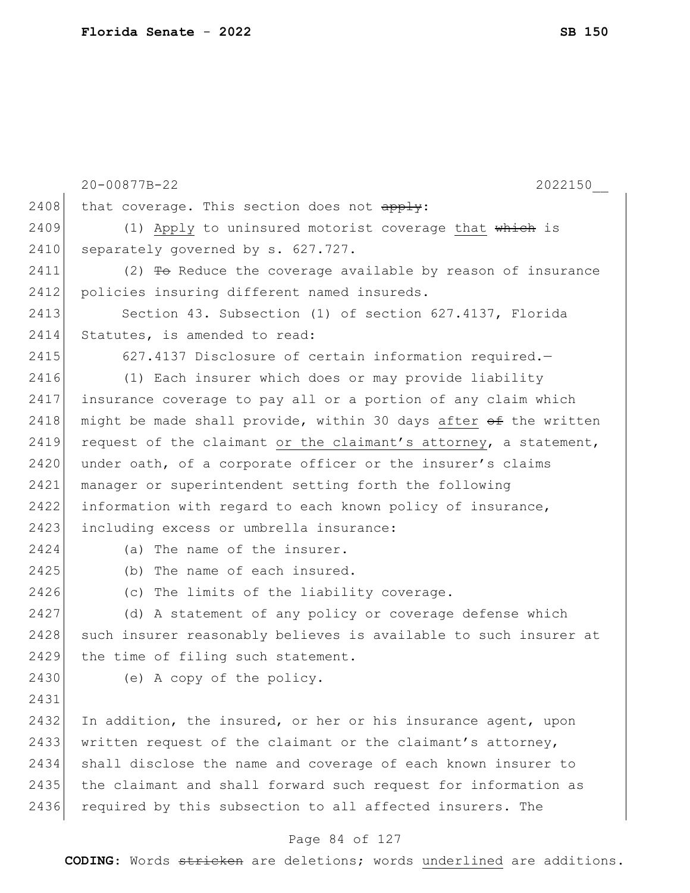|      | 20-00877B-22<br>2022150                                                  |
|------|--------------------------------------------------------------------------|
| 2408 | that coverage. This section does not apply:                              |
| 2409 | (1) Apply to uninsured motorist coverage that which is                   |
| 2410 | separately governed by s. 627.727.                                       |
| 2411 | $(2)$ <del>To</del> Reduce the coverage available by reason of insurance |
| 2412 | policies insuring different named insureds.                              |
| 2413 | Section 43. Subsection (1) of section 627.4137, Florida                  |
| 2414 | Statutes, is amended to read:                                            |
| 2415 | 627.4137 Disclosure of certain information required.-                    |
| 2416 | (1) Each insurer which does or may provide liability                     |
| 2417 | insurance coverage to pay all or a portion of any claim which            |
| 2418 | might be made shall provide, within 30 days after of the written         |
| 2419 | request of the claimant or the claimant's attorney, a statement,         |
| 2420 | under oath, of a corporate officer or the insurer's claims               |
| 2421 | manager or superintendent setting forth the following                    |
| 2422 | information with regard to each known policy of insurance,               |
| 2423 | including excess or umbrella insurance:                                  |
| 2424 | (a) The name of the insurer.                                             |
| 2425 | (b) The name of each insured.                                            |
| 2426 | (c) The limits of the liability coverage.                                |
| 2427 | (d) A statement of any policy or coverage defense which                  |
| 2428 | such insurer reasonably believes is available to such insurer at         |
| 2429 | the time of filing such statement.                                       |
| 2430 | (e) A copy of the policy.                                                |
| 2431 |                                                                          |
| 2432 | In addition, the insured, or her or his insurance agent, upon            |
| 2433 | written request of the claimant or the claimant's attorney,              |
| 2434 | shall disclose the name and coverage of each known insurer to            |
| 2435 | the claimant and shall forward such request for information as           |
| 2436 | required by this subsection to all affected insurers. The                |

# Page 84 of 127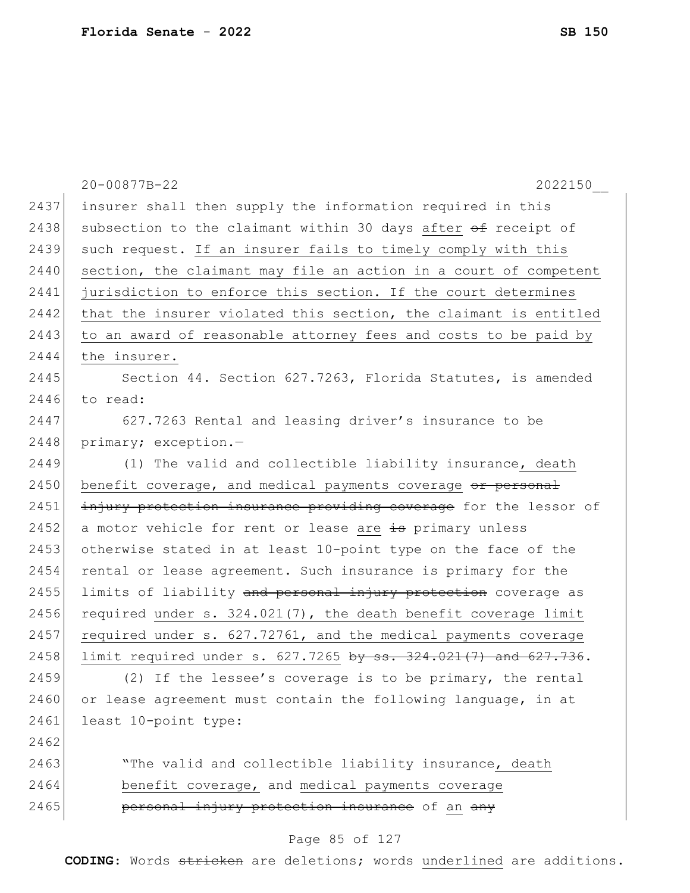|      | 20-00877B-22<br>2022150                                           |
|------|-------------------------------------------------------------------|
| 2437 | insurer shall then supply the information required in this        |
| 2438 | subsection to the claimant within 30 days after of receipt of     |
| 2439 | such request. If an insurer fails to timely comply with this      |
| 2440 | section, the claimant may file an action in a court of competent  |
| 2441 | jurisdiction to enforce this section. If the court determines     |
| 2442 | that the insurer violated this section, the claimant is entitled  |
| 2443 | to an award of reasonable attorney fees and costs to be paid by   |
| 2444 | the insurer.                                                      |
| 2445 | Section 44. Section 627.7263, Florida Statutes, is amended        |
| 2446 | to read:                                                          |
| 2447 | 627.7263 Rental and leasing driver's insurance to be              |
| 2448 | primary; exception.-                                              |
| 2449 | (1) The valid and collectible liability insurance, death          |
| 2450 | benefit coverage, and medical payments coverage or personal       |
| 2451 | injury protection insurance providing coverage for the lessor of  |
| 2452 | a motor vehicle for rent or lease are is primary unless           |
| 2453 | otherwise stated in at least 10-point type on the face of the     |
| 2454 | rental or lease agreement. Such insurance is primary for the      |
| 2455 | limits of liability and personal injury protection coverage as    |
| 2456 | required under $s. 324.021(7)$ , the death benefit coverage limit |
| 2457 | required under s. 627.72761, and the medical payments coverage    |
| 2458 | limit required under s. 627.7265 by ss. 324.021(7) and 627.736.   |
| 2459 | (2) If the lessee's coverage is to be primary, the rental         |
| 2460 | or lease agreement must contain the following language, in at     |
| 2461 | least 10-point type:                                              |
| 2462 |                                                                   |
| 2463 | "The valid and collectible liability insurance, death             |
| 2464 | benefit coverage, and medical payments coverage                   |
| 2465 | personal injury protection insurance of an any                    |
|      |                                                                   |

### Page 85 of 127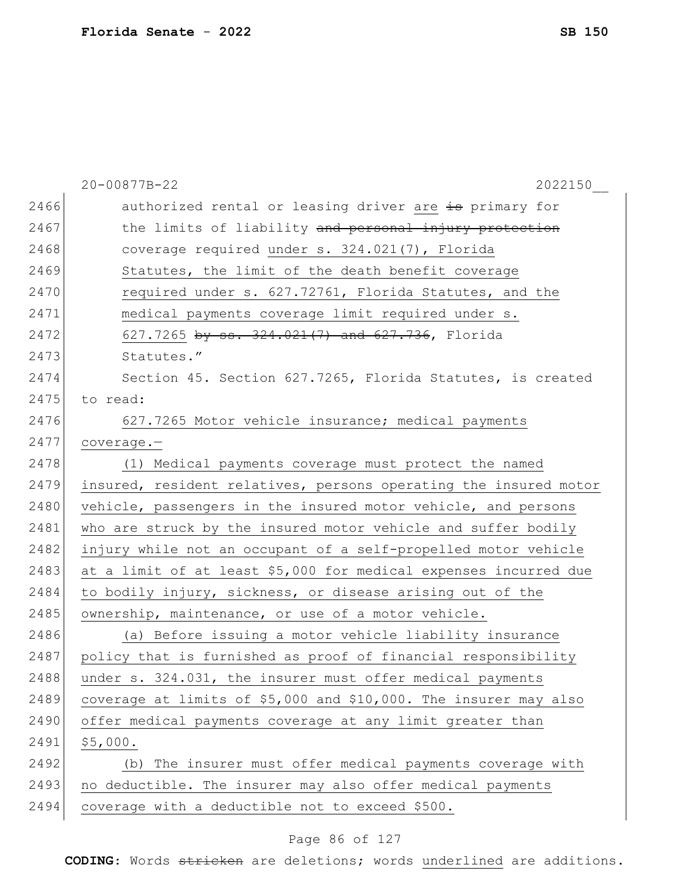|      | 20-00877B-22<br>2022150                                          |
|------|------------------------------------------------------------------|
| 2466 | authorized rental or leasing driver are is primary for           |
| 2467 | the limits of liability and personal injury protection           |
| 2468 | coverage required under s. 324.021(7), Florida                   |
| 2469 | Statutes, the limit of the death benefit coverage                |
| 2470 | required under s. 627.72761, Florida Statutes, and the           |
| 2471 | medical payments coverage limit required under s.                |
| 2472 | 627.7265 by ss. 324.021(7) and 627.736, Florida                  |
| 2473 | Statutes."                                                       |
| 2474 | Section 45. Section 627.7265, Florida Statutes, is created       |
| 2475 | to read:                                                         |
| 2476 | 627.7265 Motor vehicle insurance; medical payments               |
| 2477 | $coverage. -$                                                    |
| 2478 | (1) Medical payments coverage must protect the named             |
| 2479 | insured, resident relatives, persons operating the insured motor |
| 2480 | vehicle, passengers in the insured motor vehicle, and persons    |
| 2481 | who are struck by the insured motor vehicle and suffer bodily    |
| 2482 | injury while not an occupant of a self-propelled motor vehicle   |
| 2483 | at a limit of at least \$5,000 for medical expenses incurred due |
| 2484 | to bodily injury, sickness, or disease arising out of the        |
| 2485 | ownership, maintenance, or use of a motor vehicle.               |
| 2486 | (a) Before issuing a motor vehicle liability insurance           |
| 2487 | policy that is furnished as proof of financial responsibility    |
| 2488 | under s. 324.031, the insurer must offer medical payments        |
| 2489 | coverage at limits of \$5,000 and \$10,000. The insurer may also |
| 2490 | offer medical payments coverage at any limit greater than        |
| 2491 | \$5,000.                                                         |
| 2492 | (b) The insurer must offer medical payments coverage with        |
| 2493 | no deductible. The insurer may also offer medical payments       |
| 2494 | coverage with a deductible not to exceed \$500.                  |

# Page 86 of 127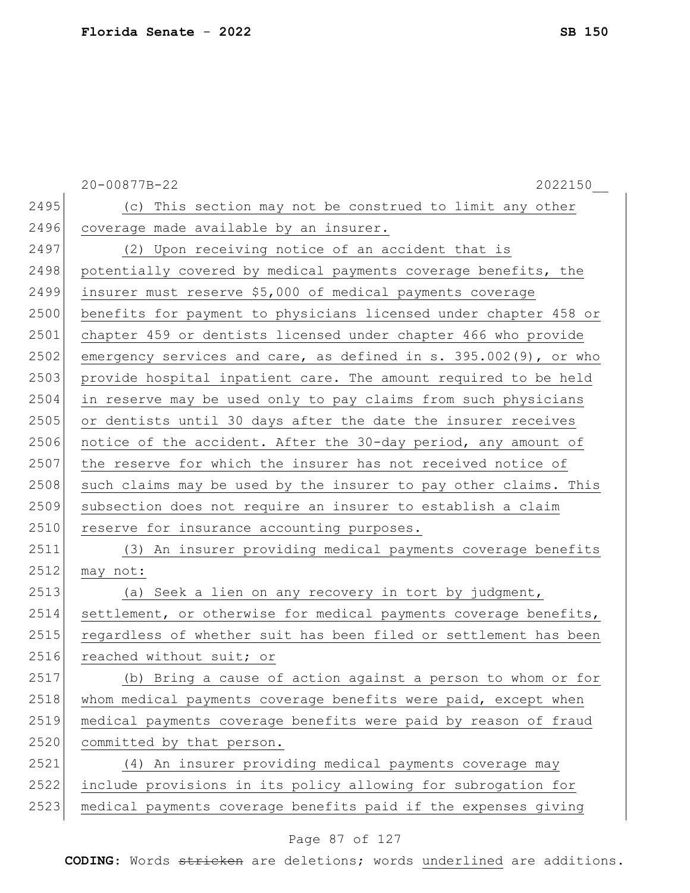|      | 20-00877B-22<br>2022150                                          |
|------|------------------------------------------------------------------|
| 2495 | (c) This section may not be construed to limit any other         |
| 2496 | coverage made available by an insurer.                           |
| 2497 | (2) Upon receiving notice of an accident that is                 |
| 2498 | potentially covered by medical payments coverage benefits, the   |
| 2499 | insurer must reserve \$5,000 of medical payments coverage        |
| 2500 | benefits for payment to physicians licensed under chapter 458 or |
| 2501 | chapter 459 or dentists licensed under chapter 466 who provide   |
| 2502 | emergency services and care, as defined in s. 395.002(9), or who |
| 2503 | provide hospital inpatient care. The amount required to be held  |
| 2504 | in reserve may be used only to pay claims from such physicians   |
| 2505 | or dentists until 30 days after the date the insurer receives    |
| 2506 | notice of the accident. After the 30-day period, any amount of   |
| 2507 | the reserve for which the insurer has not received notice of     |
| 2508 | such claims may be used by the insurer to pay other claims. This |
| 2509 | subsection does not require an insurer to establish a claim      |
| 2510 | reserve for insurance accounting purposes.                       |
| 2511 | (3) An insurer providing medical payments coverage benefits      |
| 2512 | may not:                                                         |
| 2513 | (a) Seek a lien on any recovery in tort by judgment,             |
| 2514 | settlement, or otherwise for medical payments coverage benefits, |
| 2515 | regardless of whether suit has been filed or settlement has been |
| 2516 | reached without suit; or                                         |
| 2517 | (b) Bring a cause of action against a person to whom or for      |
| 2518 | whom medical payments coverage benefits were paid, except when   |
| 2519 | medical payments coverage benefits were paid by reason of fraud  |
| 2520 | committed by that person.                                        |
| 2521 | (4) An insurer providing medical payments coverage may           |
| 2522 | include provisions in its policy allowing for subrogation for    |
| 2523 | medical payments coverage benefits paid if the expenses giving   |

# Page 87 of 127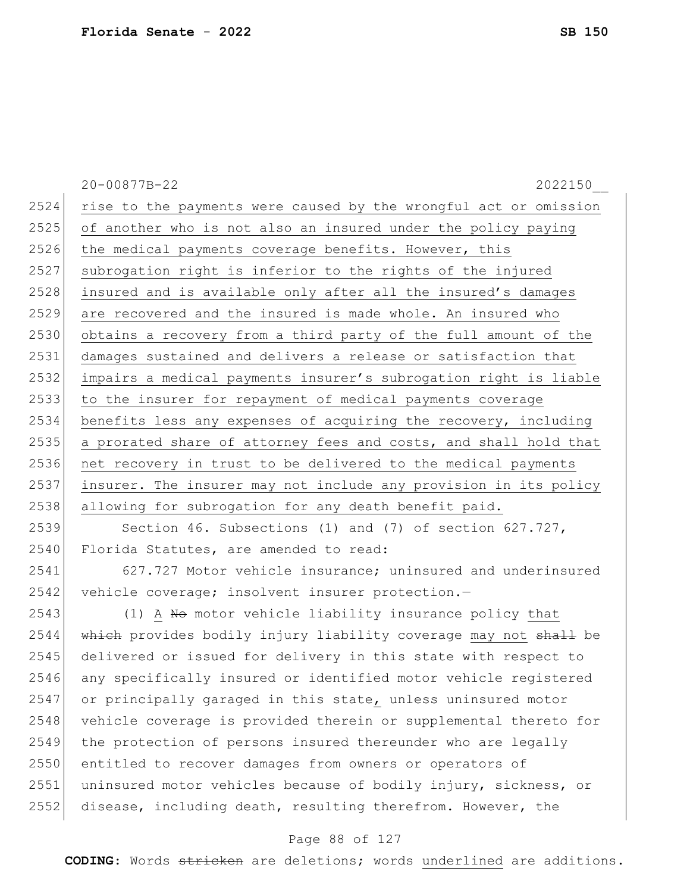|      | 2022150<br>20-00877B-22                                          |
|------|------------------------------------------------------------------|
| 2524 | rise to the payments were caused by the wrongful act or omission |
| 2525 | of another who is not also an insured under the policy paying    |
| 2526 | the medical payments coverage benefits. However, this            |
| 2527 | subrogation right is inferior to the rights of the injured       |
| 2528 | insured and is available only after all the insured's damages    |
| 2529 | are recovered and the insured is made whole. An insured who      |
| 2530 | obtains a recovery from a third party of the full amount of the  |
| 2531 | damages sustained and delivers a release or satisfaction that    |
| 2532 | impairs a medical payments insurer's subrogation right is liable |
| 2533 | to the insurer for repayment of medical payments coverage        |
| 2534 | benefits less any expenses of acquiring the recovery, including  |
| 2535 | a prorated share of attorney fees and costs, and shall hold that |
| 2536 | net recovery in trust to be delivered to the medical payments    |
| 2537 | insurer. The insurer may not include any provision in its policy |
| 2538 | allowing for subrogation for any death benefit paid.             |
| 2539 | Section 46. Subsections (1) and (7) of section $627.727$ ,       |
| 2540 | Florida Statutes, are amended to read:                           |
| 2541 | 627.727 Motor vehicle insurance; uninsured and underinsured      |
| 2542 | vehicle coverage; insolvent insurer protection.-                 |
| 2543 | (1) A No motor vehicle liability insurance policy that           |
| 2544 | which provides bodily injury liability coverage may not shall be |

2545 delivered or issued for delivery in this state with respect to 2546 any specifically insured or identified motor vehicle registered or principally garaged in this state, unless uninsured motor 2548 vehicle coverage is provided therein or supplemental thereto for 2549 the protection of persons insured thereunder who are legally 2550 entitled to recover damages from owners or operators of 2551 uninsured motor vehicles because of bodily injury, sickness, or disease, including death, resulting therefrom. However, the

### Page 88 of 127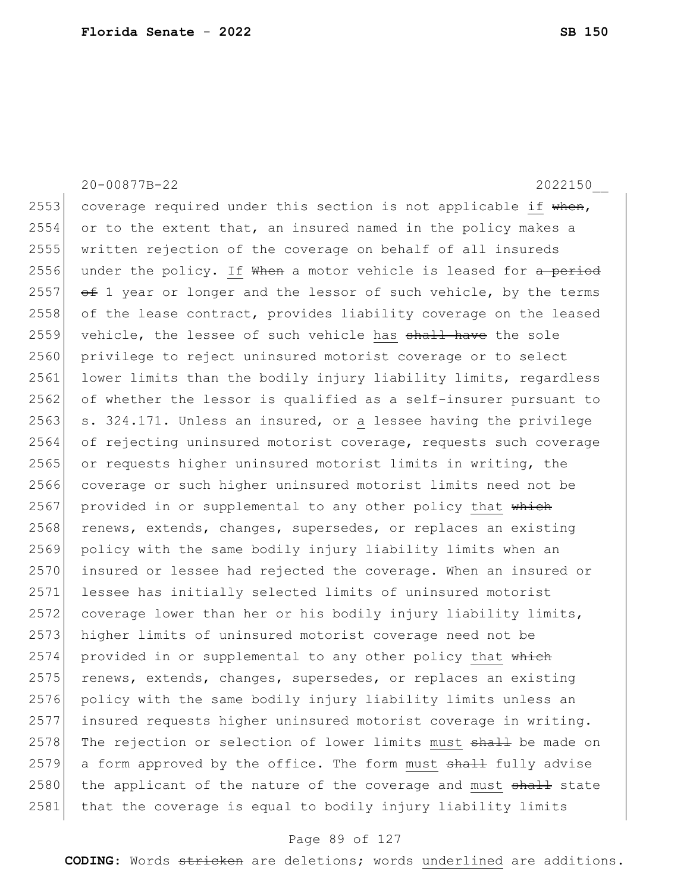20-00877B-22 2022150\_\_ 2553 coverage required under this section is not applicable if  $when,$ 2554 or to the extent that, an insured named in the policy makes a 2555 written rejection of the coverage on behalf of all insureds 2556 under the policy. If  $\mathsf{When}$  a motor vehicle is leased for a period 2557  $\leftarrow$  1 year or longer and the lessor of such vehicle, by the terms 2558 of the lease contract, provides liability coverage on the leased 2559 vehicle, the lessee of such vehicle has shall have the sole 2560 privilege to reject uninsured motorist coverage or to select 2561 lower limits than the bodily injury liability limits, regardless 2562 of whether the lessor is qualified as a self-insurer pursuant to  $2563$  s. 324.171. Unless an insured, or a lessee having the privilege 2564 of rejecting uninsured motorist coverage, requests such coverage 2565 or requests higher uninsured motorist limits in writing, the 2566 coverage or such higher uninsured motorist limits need not be 2567 provided in or supplemental to any other policy that which 2568 renews, extends, changes, supersedes, or replaces an existing 2569 policy with the same bodily injury liability limits when an 2570 insured or lessee had rejected the coverage. When an insured or 2571 lessee has initially selected limits of uninsured motorist 2572 coverage lower than her or his bodily injury liability limits, 2573 higher limits of uninsured motorist coverage need not be  $2574$  provided in or supplemental to any other policy that which  $2575$  renews, extends, changes, supersedes, or replaces an existing 2576 policy with the same bodily injury liability limits unless an 2577 insured requests higher uninsured motorist coverage in writing. 2578 The rejection or selection of lower limits must shall be made on  $2579$  a form approved by the office. The form must  $shall$  fully advise 2580 the applicant of the nature of the coverage and must shall state 2581 that the coverage is equal to bodily injury liability limits

#### Page 89 of 127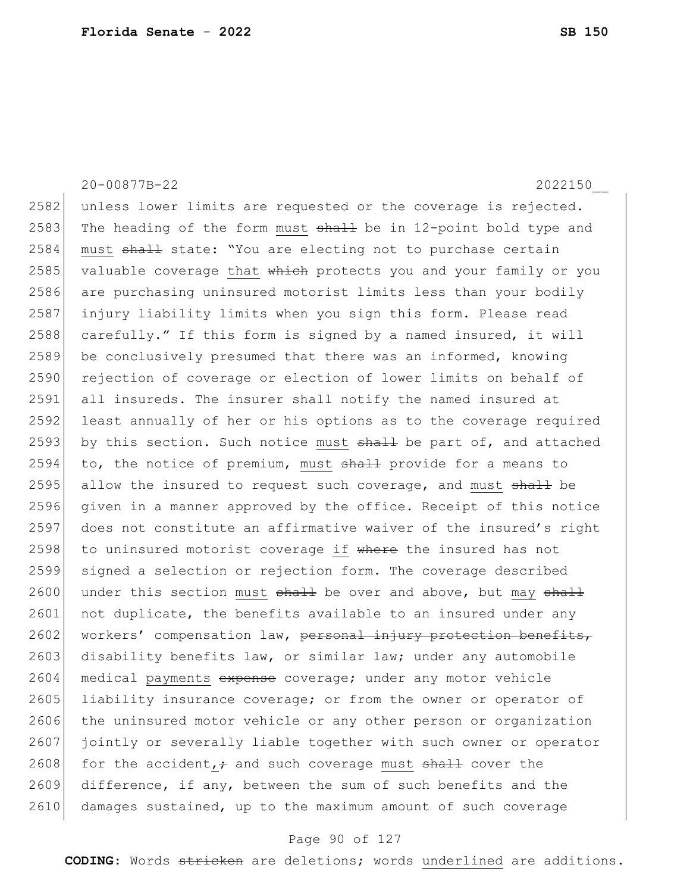2584 must shall state: "You are electing not to purchase certain  $2585$  valuable coverage that  $\frac{1}{2}$  which protects you and your family or you 2586 are purchasing uninsured motorist limits less than your bodily 2587 injury liability limits when you sign this form. Please read 2588 carefully." If this form is signed by a named insured, it will 2589 be conclusively presumed that there was an informed, knowing 2590 rejection of coverage or election of lower limits on behalf of 2591 all insureds. The insurer shall notify the named insured at 2592 least annually of her or his options as to the coverage required 2593 by this section. Such notice must  $shall$  be part of, and attached  $2594$  to, the notice of premium, must  $shall$  provide for a means to 2595 allow the insured to request such coverage, and must  $shall$  be 2596 given in a manner approved by the office. Receipt of this notice 2597 does not constitute an affirmative waiver of the insured's right 2598 to uninsured motorist coverage if where the insured has not 2599 signed a selection or rejection form. The coverage described 2600 under this section must  $shath$  be over and above, but may  $shath$  $2601$  not duplicate, the benefits available to an insured under any

20-00877B-22 2022150\_\_

2582 unless lower limits are requested or the coverage is rejected. 2583 The heading of the form must  $shall$  be in 12-point bold type and

2602 workers' compensation law, personal injury protection benefits, 2603 disability benefits law, or similar law; under any automobile 2604 medical payments expense coverage; under any motor vehicle 2605 liability insurance coverage; or from the owner or operator of 2606 the uninsured motor vehicle or any other person or organization 2607 jointly or severally liable together with such owner or operator 2608 for the accident,  $\div$  and such coverage must shall cover the 2609 difference, if any, between the sum of such benefits and the 2610 damages sustained, up to the maximum amount of such coverage

#### Page 90 of 127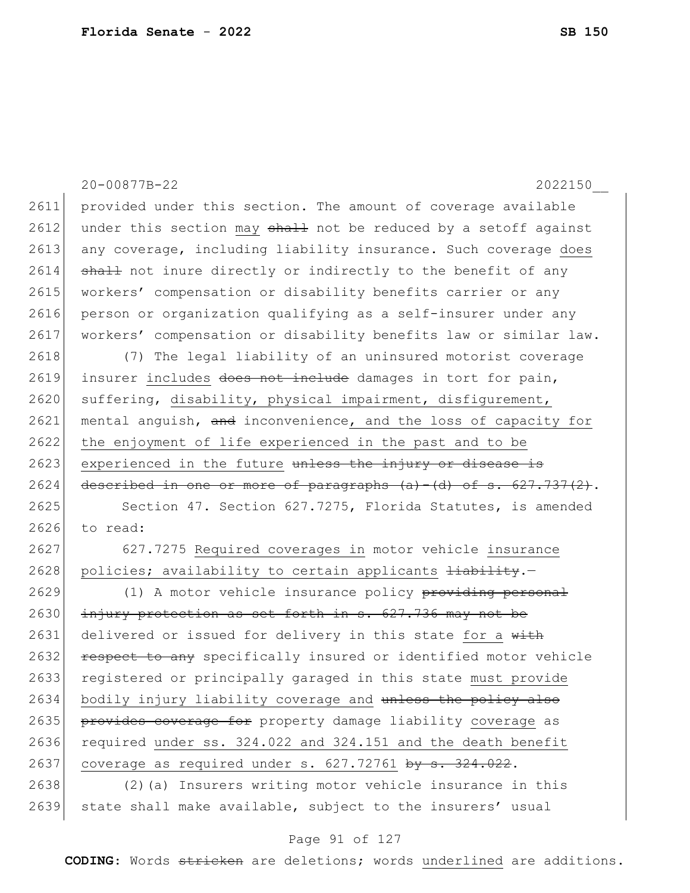|      | 20-00877B-22<br>2022150                                              |
|------|----------------------------------------------------------------------|
| 2611 | provided under this section. The amount of coverage available        |
| 2612 | under this section may shall not be reduced by a setoff against      |
| 2613 | any coverage, including liability insurance. Such coverage does      |
| 2614 | shall not inure directly or indirectly to the benefit of any         |
| 2615 | workers' compensation or disability benefits carrier or any          |
| 2616 | person or organization qualifying as a self-insurer under any        |
| 2617 | workers' compensation or disability benefits law or similar law.     |
| 2618 | (7) The legal liability of an uninsured motorist coverage            |
| 2619 | insurer includes does not include damages in tort for pain,          |
| 2620 | suffering, disability, physical impairment, disfigurement,           |
| 2621 | mental anguish, and inconvenience, and the loss of capacity for      |
| 2622 | the enjoyment of life experienced in the past and to be              |
| 2623 | experienced in the future unless the injury or disease is            |
| 2624 | described in one or more of paragraphs $(a) - (d)$ of s. 627.737(2). |
| 2625 | Section 47. Section 627.7275, Florida Statutes, is amended           |
| 2626 | to read:                                                             |
| 2627 | 627.7275 Required coverages in motor vehicle insurance               |
| 2628 | policies; availability to certain applicants hiability.-             |
| 2629 | (1) A motor vehicle insurance policy providing personal              |
| 2630 | injury protection as set forth in s. 627.736 may not be              |
| 2631 | delivered or issued for delivery in this state for a with            |
| 2632 | respect to any specifically insured or identified motor vehicle      |
| 2633 | registered or principally garaged in this state must provide         |
| 2634 | bodily injury liability coverage and unless the policy also          |
| 2635 | provides coverage for property damage liability coverage as          |
| 2636 | required under ss. 324.022 and 324.151 and the death benefit         |
| 2637 | coverage as required under s. 627.72761 by s. 324.022.               |
| 2638 | (2) (a) Insurers writing motor vehicle insurance in this             |
| 2639 | state shall make available, subject to the insurers' usual           |

# Page 91 of 127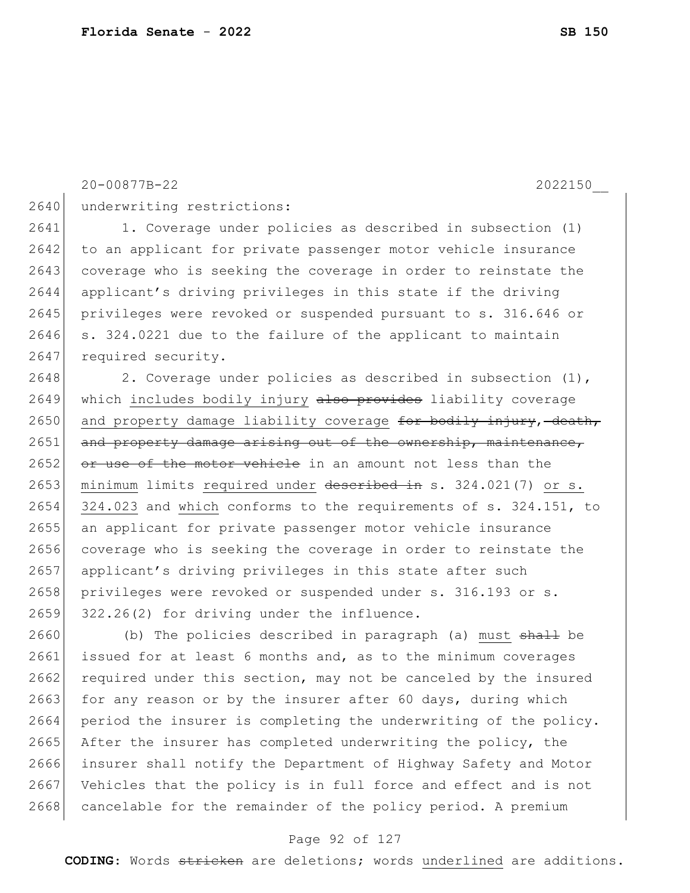20-00877B-22 2022150\_\_

2640 underwriting restrictions:

2641 1. Coverage under policies as described in subsection (1) 2642 to an applicant for private passenger motor vehicle insurance 2643 coverage who is seeking the coverage in order to reinstate the 2644 applicant's driving privileges in this state if the driving 2645 privileges were revoked or suspended pursuant to s. 316.646 or 2646 s. 324.0221 due to the failure of the applicant to maintain 2647 required security.

2648 2. Coverage under policies as described in subsection (1), 2649 which includes bodily injury also provides liability coverage  $2650$  and property damage liability coverage for bodily injury, death,  $2651$  and property damage arising out of the ownership, maintenance,  $2652$  or use of the motor vehicle in an amount not less than the 2653 minimum limits required under described in s. 324.021(7) or s. 2654 324.023 and which conforms to the requirements of s. 324.151, to 2655 an applicant for private passenger motor vehicle insurance 2656 coverage who is seeking the coverage in order to reinstate the 2657 applicant's driving privileges in this state after such 2658 privileges were revoked or suspended under s. 316.193 or s. 2659 322.26(2) for driving under the influence.

2660 (b) The policies described in paragraph (a) must shall be 2661 issued for at least 6 months and, as to the minimum coverages 2662 required under this section, may not be canceled by the insured  $2663$  for any reason or by the insurer after 60 days, during which 2664 period the insurer is completing the underwriting of the policy. 2665 After the insurer has completed underwriting the policy, the 2666 insurer shall notify the Department of Highway Safety and Motor 2667 Vehicles that the policy is in full force and effect and is not 2668 cancelable for the remainder of the policy period. A premium

#### Page 92 of 127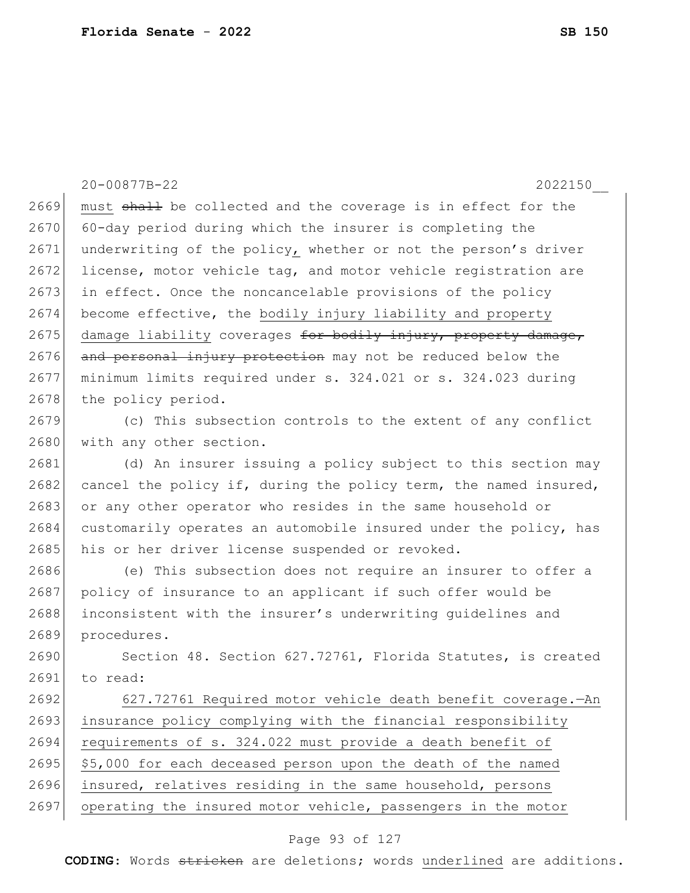2669 must shall be collected and the coverage is in effect for the 2670 60-day period during which the insurer is completing the 2671 underwriting of the policy, whether or not the person's driver 2672 license, motor vehicle tag, and motor vehicle registration are 2673 in effect. Once the noncancelable provisions of the policy  $2674$  become effective, the bodily injury liability and property  $2675$  damage liability coverages for bodily injury, property damage, 2676 and personal injury protection may not be reduced below the 2677 minimum limits required under s. 324.021 or s. 324.023 during 2678 the policy period. 2679 (c) This subsection controls to the extent of any conflict 2680 with any other section. 2681 (d) An insurer issuing a policy subject to this section may  $2682$  cancel the policy if, during the policy term, the named insured, 2683 or any other operator who resides in the same household or 2684 customarily operates an automobile insured under the policy, has 2685 his or her driver license suspended or revoked. 2686 (e) This subsection does not require an insurer to offer a 2687 policy of insurance to an applicant if such offer would be 2688 inconsistent with the insurer's underwriting quidelines and 2689 procedures. 2690 Section 48. Section 627.72761, Florida Statutes, is created 2691 to read: 2692 627.72761 Required motor vehicle death benefit coverage.—An 2693 insurance policy complying with the financial responsibility 2694 requirements of s. 324.022 must provide a death benefit of 2695 \$5,000 for each deceased person upon the death of the named 2696 insured, relatives residing in the same household, persons 2697 operating the insured motor vehicle, passengers in the motor

20-00877B-22 2022150\_\_

### Page 93 of 127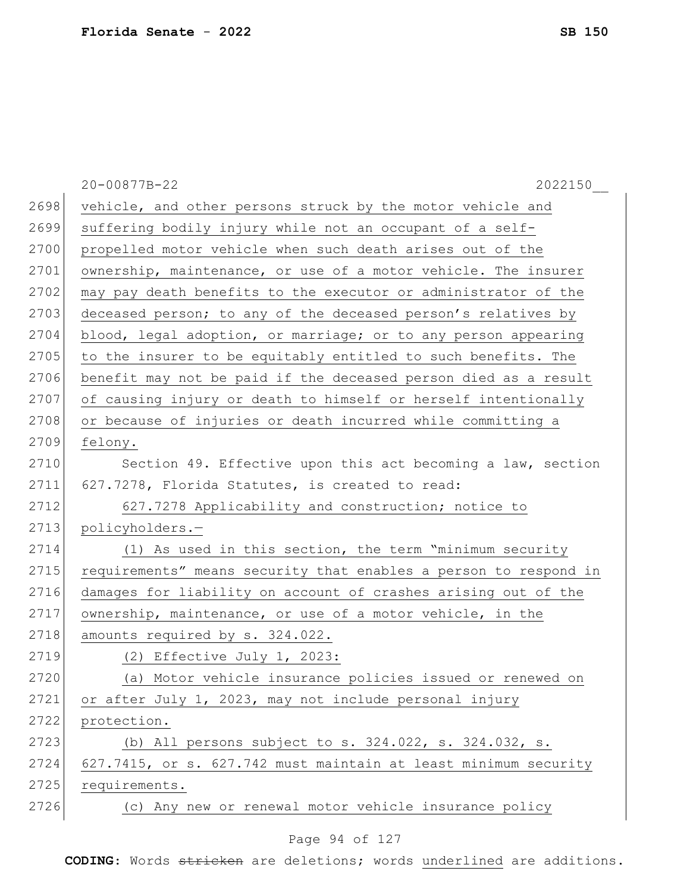|      | 20-00877B-22<br>2022150                                          |
|------|------------------------------------------------------------------|
| 2698 | vehicle, and other persons struck by the motor vehicle and       |
| 2699 | suffering bodily injury while not an occupant of a self-         |
| 2700 | propelled motor vehicle when such death arises out of the        |
| 2701 | ownership, maintenance, or use of a motor vehicle. The insurer   |
| 2702 | may pay death benefits to the executor or administrator of the   |
| 2703 | deceased person; to any of the deceased person's relatives by    |
| 2704 | blood, legal adoption, or marriage; or to any person appearing   |
| 2705 | to the insurer to be equitably entitled to such benefits. The    |
| 2706 | benefit may not be paid if the deceased person died as a result  |
| 2707 | of causing injury or death to himself or herself intentionally   |
| 2708 | or because of injuries or death incurred while committing a      |
| 2709 | felony.                                                          |
| 2710 | Section 49. Effective upon this act becoming a law, section      |
| 2711 | 627.7278, Florida Statutes, is created to read:                  |
| 2712 | 627.7278 Applicability and construction; notice to               |
| 2713 | policyholders.-                                                  |
| 2714 | (1) As used in this section, the term "minimum security          |
| 2715 | requirements" means security that enables a person to respond in |
| 2716 | damages for liability on account of crashes arising out of the   |
| 2717 | ownership, maintenance, or use of a motor vehicle, in the        |
| 2718 | amounts required by s. 324.022.                                  |
| 2719 | (2) Effective July 1, 2023:                                      |
| 2720 | (a) Motor vehicle insurance policies issued or renewed on        |
| 2721 | or after July 1, 2023, may not include personal injury           |
| 2722 | protection.                                                      |
| 2723 | (b) All persons subject to s. 324.022, s. 324.032, s.            |
| 2724 | 627.7415, or s. 627.742 must maintain at least minimum security  |
| 2725 | requirements.                                                    |
| 2726 | (c) Any new or renewal motor vehicle insurance policy            |
|      |                                                                  |

# Page 94 of 127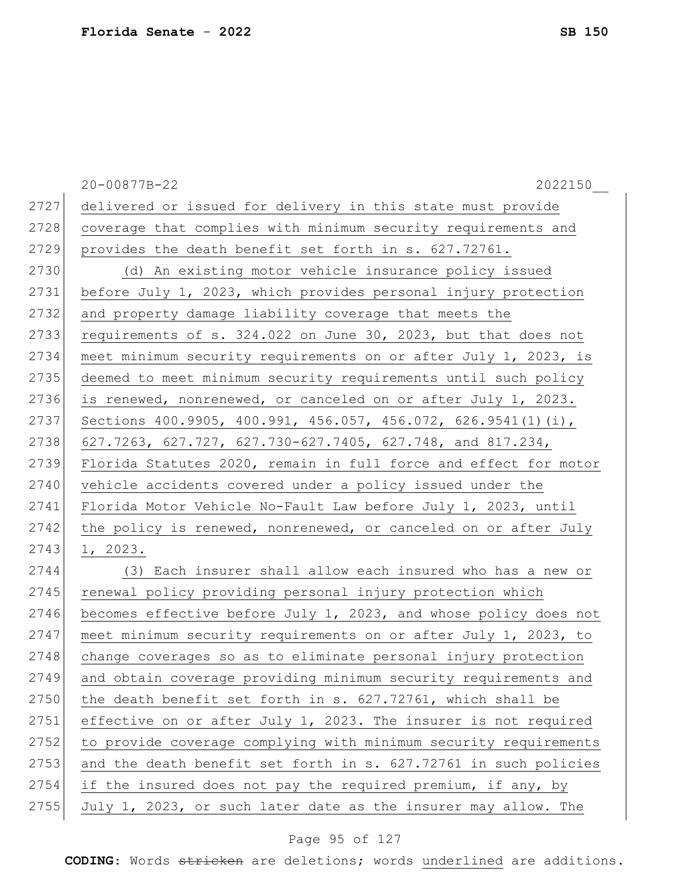|      | 20-00877B-22<br>2022150                                          |
|------|------------------------------------------------------------------|
| 2727 | delivered or issued for delivery in this state must provide      |
| 2728 | coverage that complies with minimum security requirements and    |
| 2729 | provides the death benefit set forth in s. 627.72761.            |
| 2730 | (d) An existing motor vehicle insurance policy issued            |
| 2731 | before July 1, 2023, which provides personal injury protection   |
| 2732 | and property damage liability coverage that meets the            |
| 2733 | requirements of s. 324.022 on June 30, 2023, but that does not   |
| 2734 | meet minimum security requirements on or after July 1, 2023, is  |
| 2735 | deemed to meet minimum security requirements until such policy   |
| 2736 | is renewed, nonrenewed, or canceled on or after July 1, 2023.    |
| 2737 | Sections 400.9905, 400.991, 456.057, 456.072, 626.9541(1)(i),    |
| 2738 | 627.7263, 627.727, 627.730-627.7405, 627.748, and 817.234,       |
| 2739 | Florida Statutes 2020, remain in full force and effect for motor |
| 2740 | vehicle accidents covered under a policy issued under the        |
| 2741 | Florida Motor Vehicle No-Fault Law before July 1, 2023, until    |
| 2742 | the policy is renewed, nonrenewed, or canceled on or after July  |
| 2743 | 1, 2023.                                                         |
| 2744 | (3) Each insurer shall allow each insured who has a new or       |
| 2745 | renewal policy providing personal injury protection which        |
| 2746 | becomes effective before July 1, 2023, and whose policy does not |
| 2747 | meet minimum security requirements on or after July 1, 2023, to  |
| 2748 | change coverages so as to eliminate personal injury protection   |
| 2749 | and obtain coverage providing minimum security requirements and  |
| 2750 | the death benefit set forth in s. 627.72761, which shall be      |
| 2751 | effective on or after July 1, 2023. The insurer is not required  |
| 2752 | to provide coverage complying with minimum security requirements |
| 2753 | and the death benefit set forth in s. 627.72761 in such policies |
| 2754 | if the insured does not pay the required premium, if any, by     |
| 2755 | July 1, 2023, or such later date as the insurer may allow. The   |

# Page 95 of 127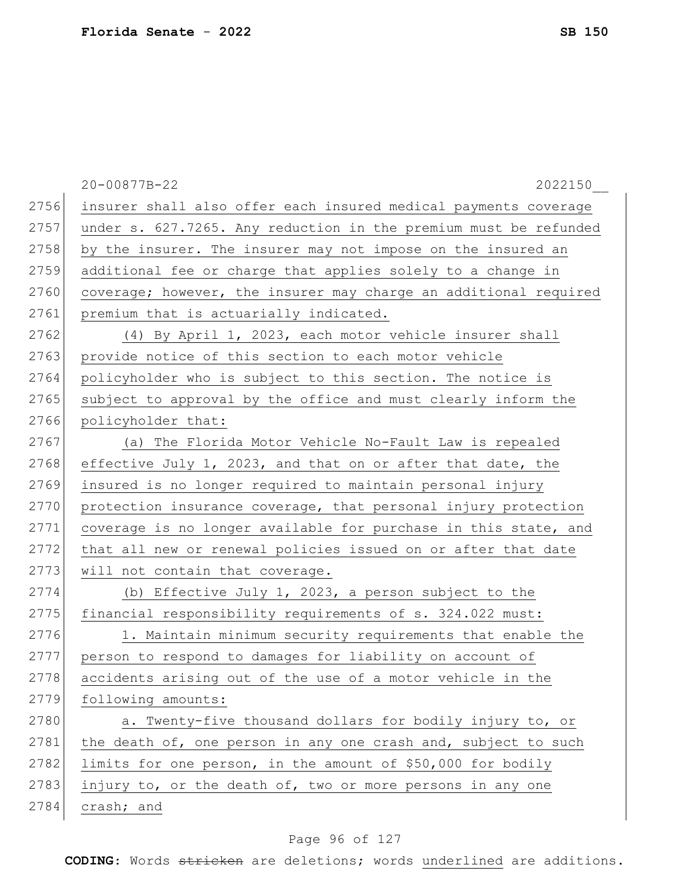|      | 20-00877B-22<br>2022150                                          |
|------|------------------------------------------------------------------|
| 2756 | insurer shall also offer each insured medical payments coverage  |
| 2757 | under s. 627.7265. Any reduction in the premium must be refunded |
| 2758 | by the insurer. The insurer may not impose on the insured an     |
| 2759 | additional fee or charge that applies solely to a change in      |
| 2760 | coverage; however, the insurer may charge an additional required |
| 2761 | premium that is actuarially indicated.                           |
| 2762 | (4) By April 1, 2023, each motor vehicle insurer shall           |
| 2763 | provide notice of this section to each motor vehicle             |
| 2764 | policyholder who is subject to this section. The notice is       |
| 2765 | subject to approval by the office and must clearly inform the    |
| 2766 | policyholder that:                                               |
| 2767 | The Florida Motor Vehicle No-Fault Law is repealed<br>(a)        |
| 2768 | effective July 1, 2023, and that on or after that date, the      |
| 2769 | insured is no longer required to maintain personal injury        |
| 2770 | protection insurance coverage, that personal injury protection   |
| 2771 | coverage is no longer available for purchase in this state, and  |
| 2772 | that all new or renewal policies issued on or after that date    |
| 2773 | will not contain that coverage.                                  |
| 2774 | (b) Effective July 1, 2023, a person subject to the              |
| 2775 | financial responsibility requirements of s. 324.022 must:        |
| 2776 | 1. Maintain minimum security requirements that enable the        |
| 2777 | person to respond to damages for liability on account of         |
| 2778 | accidents arising out of the use of a motor vehicle in the       |
| 2779 | following amounts:                                               |
| 2780 | a. Twenty-five thousand dollars for bodily injury to, or         |
| 2781 | the death of, one person in any one crash and, subject to such   |
| 2782 | limits for one person, in the amount of \$50,000 for bodily      |
| 2783 | injury to, or the death of, two or more persons in any one       |
| 2784 | crash; and                                                       |

# Page 96 of 127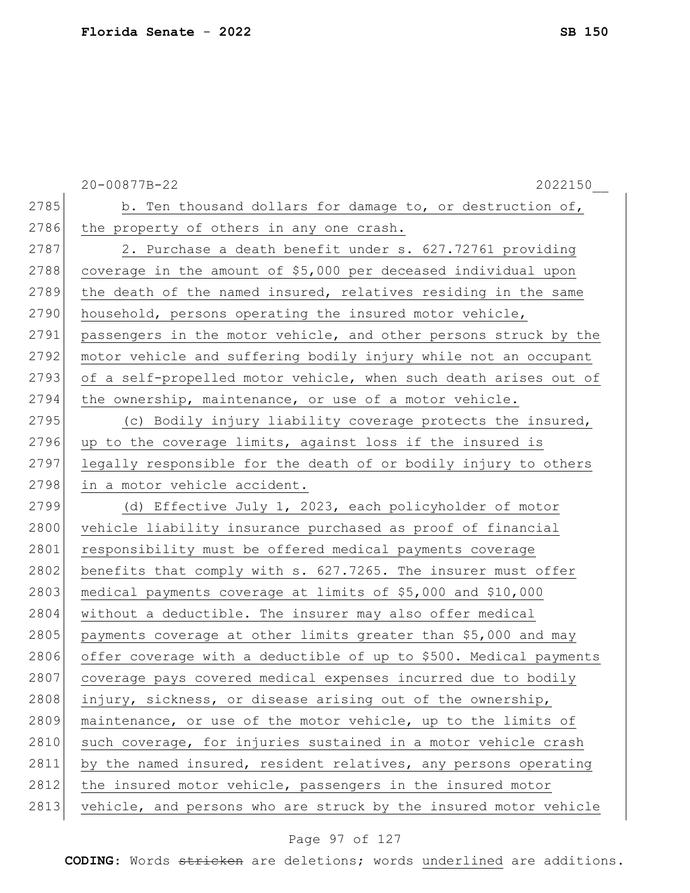|      | 20-00877B-22<br>2022150                                           |
|------|-------------------------------------------------------------------|
| 2785 | b. Ten thousand dollars for damage to, or destruction of,         |
| 2786 | the property of others in any one crash.                          |
| 2787 | 2. Purchase a death benefit under s. 627.72761 providing          |
| 2788 | coverage in the amount of \$5,000 per deceased individual upon    |
| 2789 | the death of the named insured, relatives residing in the same    |
| 2790 | household, persons operating the insured motor vehicle,           |
| 2791 | passengers in the motor vehicle, and other persons struck by the  |
| 2792 | motor vehicle and suffering bodily injury while not an occupant   |
| 2793 | of a self-propelled motor vehicle, when such death arises out of  |
| 2794 | the ownership, maintenance, or use of a motor vehicle.            |
| 2795 | (c) Bodily injury liability coverage protects the insured,        |
| 2796 | up to the coverage limits, against loss if the insured is         |
| 2797 | legally responsible for the death of or bodily injury to others   |
| 2798 | in a motor vehicle accident.                                      |
| 2799 | (d) Effective July 1, 2023, each policyholder of motor            |
| 2800 | vehicle liability insurance purchased as proof of financial       |
| 2801 | responsibility must be offered medical payments coverage          |
| 2802 | benefits that comply with s. 627.7265. The insurer must offer     |
| 2803 | medical payments coverage at limits of \$5,000 and \$10,000       |
| 2804 | without a deductible. The insurer may also offer medical          |
| 2805 | payments coverage at other limits greater than \$5,000 and may    |
| 2806 | offer coverage with a deductible of up to \$500. Medical payments |
| 2807 | coverage pays covered medical expenses incurred due to bodily     |
| 2808 | injury, sickness, or disease arising out of the ownership,        |
| 2809 | maintenance, or use of the motor vehicle, up to the limits of     |
| 2810 | such coverage, for injuries sustained in a motor vehicle crash    |
| 2811 | by the named insured, resident relatives, any persons operating   |
| 2812 | the insured motor vehicle, passengers in the insured motor        |
| 2813 | vehicle, and persons who are struck by the insured motor vehicle  |

# Page 97 of 127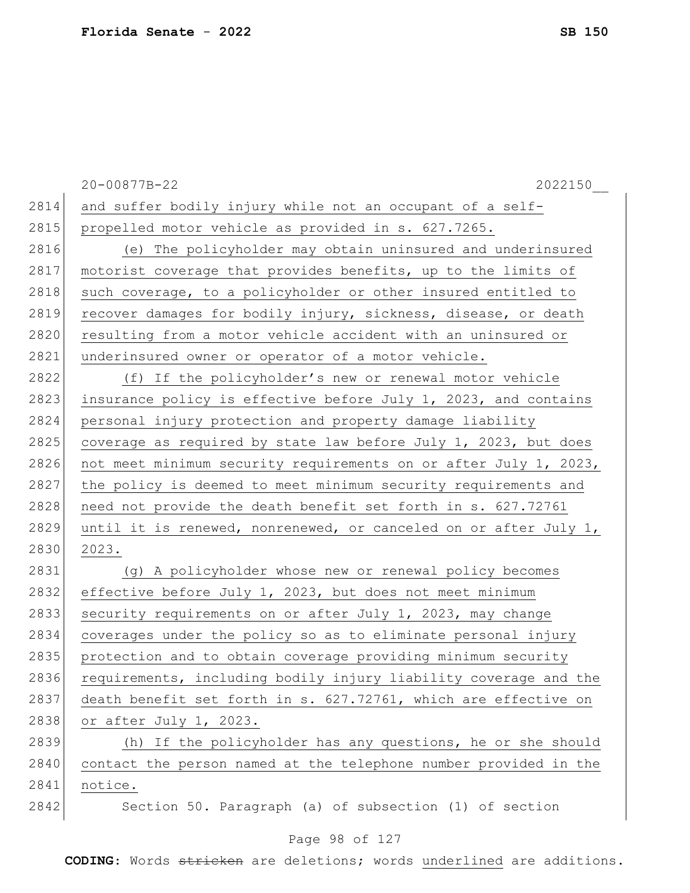|      | 20-00877B-22<br>2022150                                          |
|------|------------------------------------------------------------------|
| 2814 | and suffer bodily injury while not an occupant of a self-        |
| 2815 | propelled motor vehicle as provided in s. 627.7265.              |
| 2816 | (e) The policyholder may obtain uninsured and underinsured       |
| 2817 | motorist coverage that provides benefits, up to the limits of    |
| 2818 | such coverage, to a policyholder or other insured entitled to    |
| 2819 | recover damages for bodily injury, sickness, disease, or death   |
| 2820 | resulting from a motor vehicle accident with an uninsured or     |
| 2821 | underinsured owner or operator of a motor vehicle.               |
| 2822 | (f) If the policyholder's new or renewal motor vehicle           |
| 2823 | insurance policy is effective before July 1, 2023, and contains  |
| 2824 | personal injury protection and property damage liability         |
| 2825 | coverage as required by state law before July 1, 2023, but does  |
| 2826 | not meet minimum security requirements on or after July 1, 2023, |
| 2827 | the policy is deemed to meet minimum security requirements and   |
| 2828 | need not provide the death benefit set forth in s. 627.72761     |
| 2829 | until it is renewed, nonrenewed, or canceled on or after July 1, |
| 2830 | 2023.                                                            |
| 2831 | (g) A policyholder whose new or renewal policy becomes           |
| 2832 | effective before July 1, 2023, but does not meet minimum         |
| 2833 | security requirements on or after July 1, 2023, may change       |
| 2834 | coverages under the policy so as to eliminate personal injury    |
| 2835 | protection and to obtain coverage providing minimum security     |
| 2836 | requirements, including bodily injury liability coverage and the |
| 2837 | death benefit set forth in s. 627.72761, which are effective on  |
| 2838 | or after July 1, 2023.                                           |
| 2839 | (h) If the policyholder has any questions, he or she should      |
| 2840 | contact the person named at the telephone number provided in the |
| 2841 | notice.                                                          |
| 2842 | Section 50. Paragraph (a) of subsection (1) of section           |

# Page 98 of 127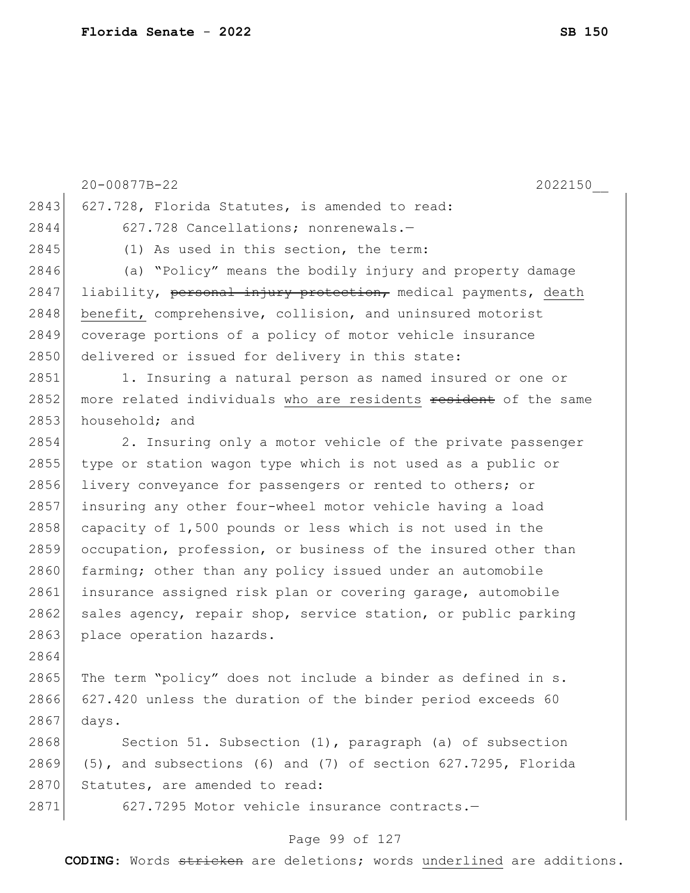|      | 20-00877B-22<br>2022150                                         |
|------|-----------------------------------------------------------------|
| 2843 | 627.728, Florida Statutes, is amended to read:                  |
| 2844 | 627.728 Cancellations; nonrenewals.-                            |
| 2845 | (1) As used in this section, the term:                          |
| 2846 | (a) "Policy" means the bodily injury and property damage        |
| 2847 | liability, personal injury protection, medical payments, death  |
| 2848 | benefit, comprehensive, collision, and uninsured motorist       |
| 2849 | coverage portions of a policy of motor vehicle insurance        |
| 2850 | delivered or issued for delivery in this state:                 |
| 2851 | 1. Insuring a natural person as named insured or one or         |
| 2852 | more related individuals who are residents resident of the same |
| 2853 | household; and                                                  |
| 2854 | 2. Insuring only a motor vehicle of the private passenger       |
| 2855 | type or station wagon type which is not used as a public or     |
| 2856 | livery conveyance for passengers or rented to others; or        |
| 2857 | insuring any other four-wheel motor vehicle having a load       |
| 2858 | capacity of 1,500 pounds or less which is not used in the       |
| 2859 | occupation, profession, or business of the insured other than   |
| 2860 | farming; other than any policy issued under an automobile       |
| 2861 | insurance assigned risk plan or covering garage, automobile     |
| 2862 | sales agency, repair shop, service station, or public parking   |
| 2863 | place operation hazards.                                        |
| 2864 |                                                                 |
| 2865 | The term "policy" does not include a binder as defined in s.    |
| 2866 | 627.420 unless the duration of the binder period exceeds 60     |
| 2867 | days.                                                           |
| 2868 | Section 51. Subsection (1), paragraph (a) of subsection         |
| 2869 | (5), and subsections (6) and (7) of section 627.7295, Florida   |
| 2870 | Statutes, are amended to read:                                  |
| 2871 | 627.7295 Motor vehicle insurance contracts.-                    |

# Page 99 of 127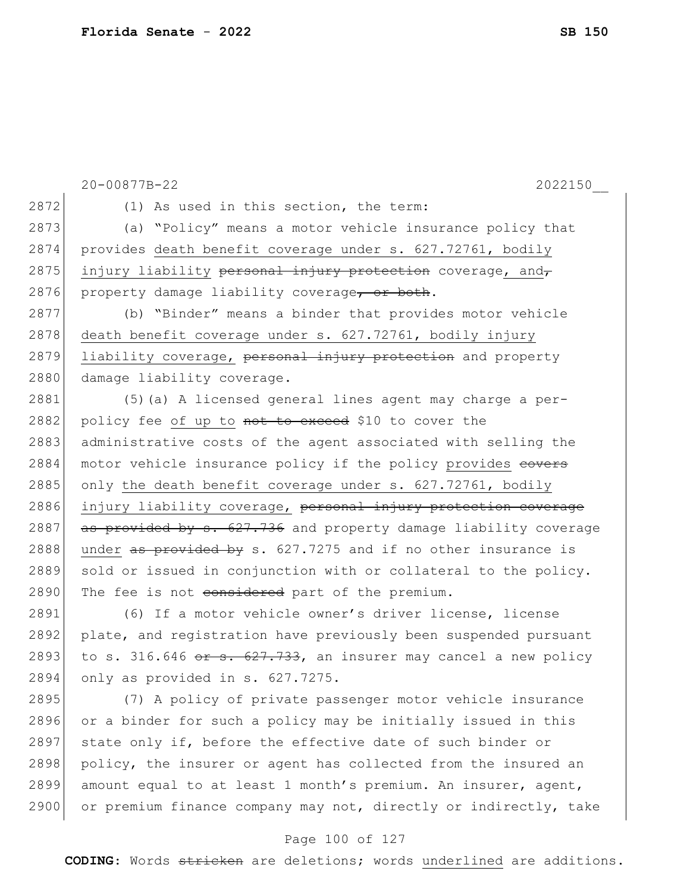20-00877B-22 2022150\_\_ 2872 (1) As used in this section, the term: 2873 (a) "Policy" means a motor vehicle insurance policy that 2874 provides death benefit coverage under s. 627.72761, bodily  $2875$  injury liability personal injury protection coverage, and, 2876 property damage liability coverage, or both. 2877 (b) "Binder" means a binder that provides motor vehicle 2878 death benefit coverage under s. 627.72761, bodily injury 2879 liability coverage, personal injury protection and property 2880 damage liability coverage. 2881 (5)(a) A licensed general lines agent may charge a per-2882 policy fee of up to not to exceed \$10 to cover the 2883 administrative costs of the agent associated with selling the 2884 motor vehicle insurance policy if the policy provides esters 2885 only the death benefit coverage under s.  $627.72761$ , bodily 2886 injury liability coverage, personal injury protection coverage 2887  $\overline{a}$  as provided by s. 627.736 and property damage liability coverage 2888 under  $\frac{a}{b}$  as provided by s. 627.7275 and if no other insurance is 2889 sold or issued in conjunction with or collateral to the policy. 2890 The fee is not considered part of the premium. 2891 (6) If a motor vehicle owner's driver license, license 2892 plate, and registration have previously been suspended pursuant 2893 to s. 316.646 or s. 627.733, an insurer may cancel a new policy 2894 only as provided in s. 627.7275. 2895 (7) A policy of private passenger motor vehicle insurance 2896 or a binder for such a policy may be initially issued in this 2897 state only if, before the effective date of such binder or 2898 policy, the insurer or agent has collected from the insured an 2899 amount equal to at least 1 month's premium. An insurer, agent, 2900 or premium finance company may not, directly or indirectly, take

#### Page 100 of 127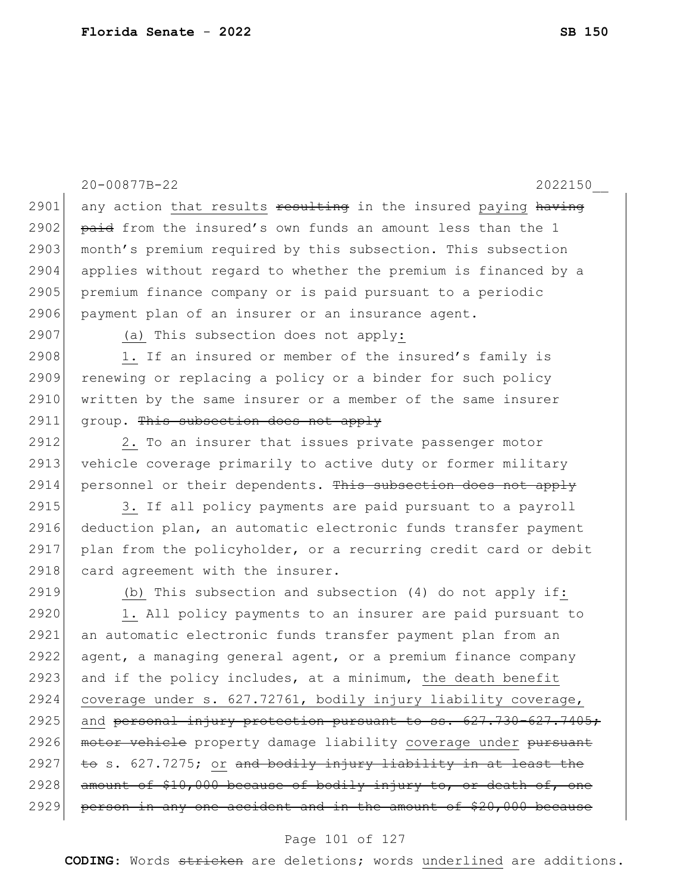20-00877B-22 2022150\_\_ 2901 any action that results  $\frac{1}{2}$  resulting in the insured paying having 2902  $\beta$  paid from the insured's own funds an amount less than the 1 2903 month's premium required by this subsection. This subsection 2904 applies without regard to whether the premium is financed by a 2905 premium finance company or is paid pursuant to a periodic 2906 payment plan of an insurer or an insurance agent. 2907 (a) This subsection does not apply: 2908 1. If an insured or member of the insured's family is 2909 renewing or replacing a policy or a binder for such policy 2910 written by the same insurer or a member of the same insurer  $2911$  group. This subsection does not apply 2912 2. To an insurer that issues private passenger motor 2913 vehicle coverage primarily to active duty or former military 2914 personnel or their dependents. This subsection does not apply 2915 3. If all policy payments are paid pursuant to a payroll 2916 deduction plan, an automatic electronic funds transfer payment 2917 plan from the policyholder, or a recurring credit card or debit 2918 card agreement with the insurer. 2919 (b) This subsection and subsection (4) do not apply if: 2920 1. All policy payments to an insurer are paid pursuant to 2921 an automatic electronic funds transfer payment plan from an 2922 agent, a managing general agent, or a premium finance company 2923 and if the policy includes, at a minimum, the death benefit 2924 coverage under s. 627.72761, bodily injury liability coverage, 2925 and personal injury protection pursuant to ss.  $627.730 - 627.7405$ ; 2926 motor vehicle property damage liability coverage under pursuant  $2927$  to s.  $627.7275$ ; or and bodily injury liability in at least the 2928 amount of  $$10,000$  because of bodily injury to, or death of, 2929 person in any one accident and in the amount of \$20,000 because

#### Page 101 of 127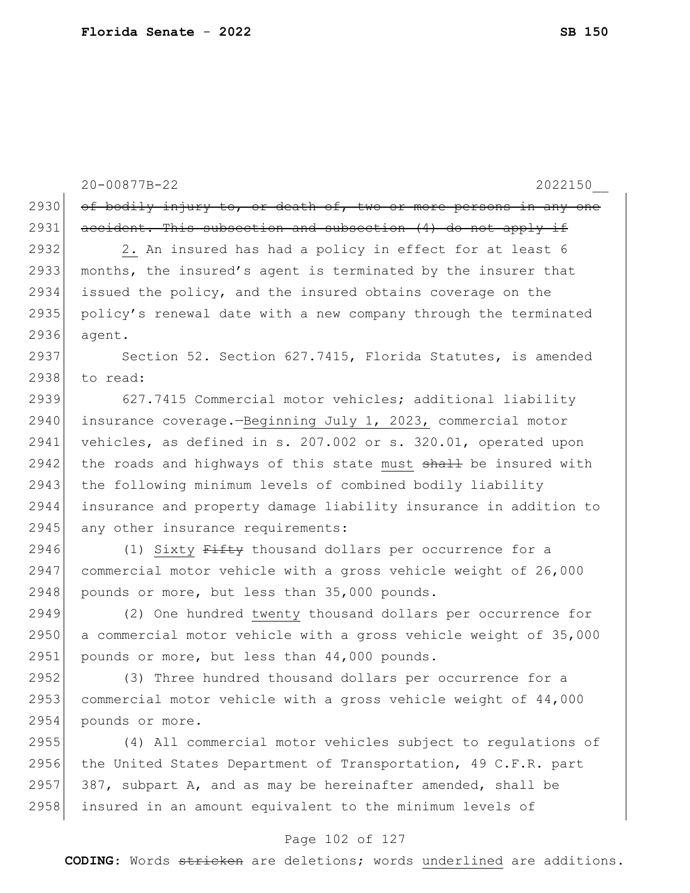|      | 20-00877B-22<br>2022150                                          |
|------|------------------------------------------------------------------|
| 2930 | of bodily injury to, or death of, two or more persons in any one |
| 2931 | accident. This subsection and subsection (4) do not apply if     |
| 2932 | 2. An insured has had a policy in effect for at least 6          |
| 2933 | months, the insured's agent is terminated by the insurer that    |
| 2934 | issued the policy, and the insured obtains coverage on the       |
| 2935 | policy's renewal date with a new company through the terminated  |
| 2936 | agent.                                                           |
| 2937 | Section 52. Section 627.7415, Florida Statutes, is amended       |
| 2938 | to read:                                                         |
| 2939 | 627.7415 Commercial motor vehicles; additional liability         |
| 2940 | insurance coverage.-Beginning July 1, 2023, commercial motor     |
| 2941 | vehicles, as defined in s. 207.002 or s. 320.01, operated upon   |
| 2942 | the roads and highways of this state must shall be insured with  |
| 2943 | the following minimum levels of combined bodily liability        |
| 2944 | insurance and property damage liability insurance in addition to |
| 2945 | any other insurance requirements:                                |
| 2946 | (1) Sixty Fifty thousand dollars per occurrence for a            |
| 2947 | commercial motor vehicle with a gross vehicle weight of 26,000   |
| 2948 | pounds or more, but less than 35,000 pounds.                     |
| 2949 | (2) One hundred twenty thousand dollars per occurrence for       |
| 2950 | a commercial motor vehicle with a gross vehicle weight of 35,000 |
| 2951 | pounds or more, but less than 44,000 pounds.                     |
| 2952 | (3) Three hundred thousand dollars per occurrence for a          |
| 2953 | commercial motor vehicle with a gross vehicle weight of 44,000   |
| 2954 | pounds or more.                                                  |
| 2955 | (4) All commercial motor vehicles subject to regulations of      |
| 2956 | the United States Department of Transportation, 49 C.F.R. part   |
| 2957 | 387, subpart A, and as may be hereinafter amended, shall be      |
| 2958 | insured in an amount equivalent to the minimum levels of         |

# Page 102 of 127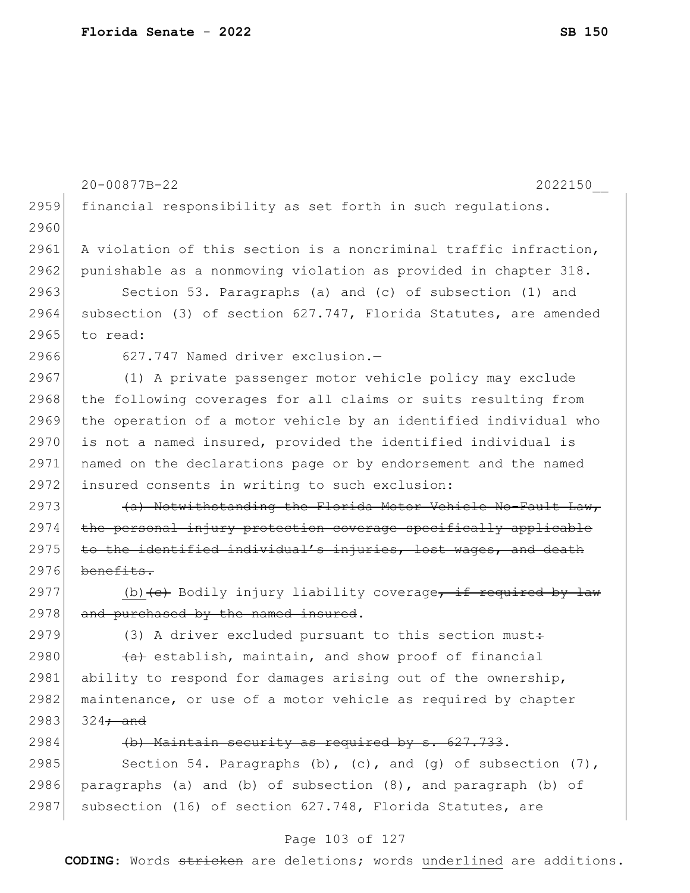|      | 20-00877B-22<br>2022150                                                     |
|------|-----------------------------------------------------------------------------|
| 2959 | financial responsibility as set forth in such regulations.                  |
| 2960 |                                                                             |
| 2961 | A violation of this section is a noncriminal traffic infraction,            |
| 2962 | punishable as a nonmoving violation as provided in chapter 318.             |
| 2963 | Section 53. Paragraphs (a) and (c) of subsection (1) and                    |
| 2964 | subsection (3) of section 627.747, Florida Statutes, are amended            |
| 2965 | to read:                                                                    |
| 2966 | 627.747 Named driver exclusion.-                                            |
| 2967 | (1) A private passenger motor vehicle policy may exclude                    |
| 2968 | the following coverages for all claims or suits resulting from              |
| 2969 | the operation of a motor vehicle by an identified individual who            |
| 2970 | is not a named insured, provided the identified individual is               |
| 2971 | named on the declarations page or by endorsement and the named              |
| 2972 | insured consents in writing to such exclusion:                              |
| 2973 | (a) Notwithstanding the Florida Motor Vehicle No-Fault Law,                 |
| 2974 | the personal injury protection coverage specifically applicable             |
| 2975 | to the identified individual's injuries, lost wages, and death              |
| 2976 | benefits.                                                                   |
| 2977 | (b) $\left\{e\right\}$ Bodily injury liability coverage, if required by law |
| 2978 | and purchased by the named insured.                                         |
| 2979 | (3) A driver excluded pursuant to this section must+                        |
| 2980 | (a) establish, maintain, and show proof of financial                        |
| 2981 | ability to respond for damages arising out of the ownership,                |
| 2982 | maintenance, or use of a motor vehicle as required by chapter               |
| 2983 | $324\div$ and                                                               |
| 2984 | (b) Maintain security as required by s. 627.733.                            |
| 2985 | Section 54. Paragraphs (b), (c), and (g) of subsection $(7)$ ,              |
| 2986 | paragraphs (a) and (b) of subsection (8), and paragraph (b) of              |
| 2987 | subsection (16) of section 627.748, Florida Statutes, are                   |

# Page 103 of 127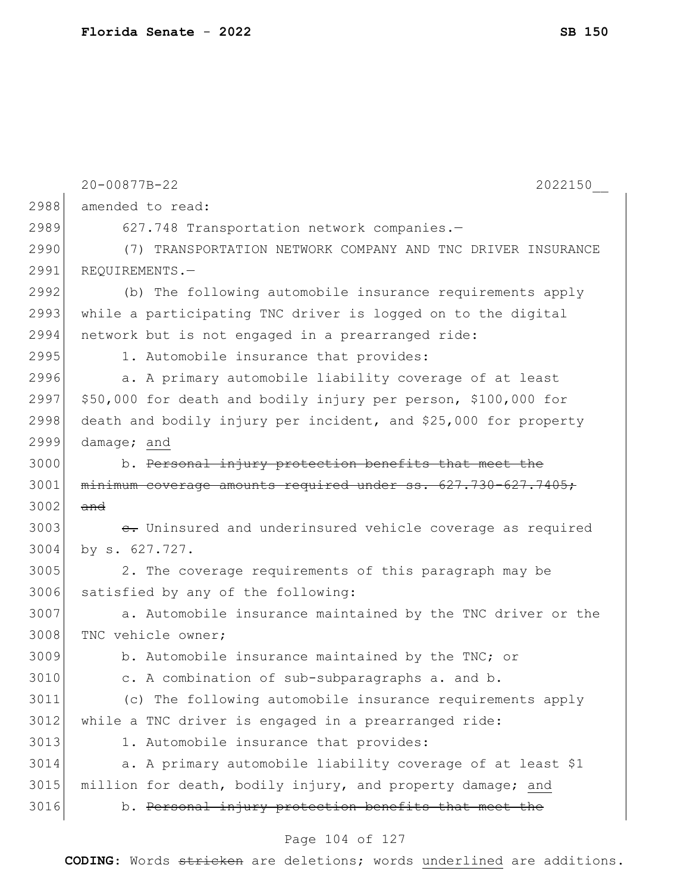|      | 20-00877B-22<br>2022150                                         |
|------|-----------------------------------------------------------------|
| 2988 | amended to read:                                                |
| 2989 | 627.748 Transportation network companies.-                      |
| 2990 | (7) TRANSPORTATION NETWORK COMPANY AND TNC DRIVER INSURANCE     |
| 2991 | REQUIREMENTS.-                                                  |
| 2992 | (b) The following automobile insurance requirements apply       |
| 2993 | while a participating TNC driver is logged on to the digital    |
| 2994 | network but is not engaged in a prearranged ride:               |
| 2995 | 1. Automobile insurance that provides:                          |
| 2996 | a. A primary automobile liability coverage of at least          |
| 2997 | \$50,000 for death and bodily injury per person, \$100,000 for  |
| 2998 | death and bodily injury per incident, and \$25,000 for property |
| 2999 | damage; and                                                     |
| 3000 | b. Personal injury protection benefits that meet the            |
| 3001 | minimum coverage amounts required under ss. 627.730-627.7405;   |
| 3002 | and                                                             |
| 3003 | e. Uninsured and underinsured vehicle coverage as required      |
| 3004 | by s. 627.727.                                                  |
| 3005 | 2. The coverage requirements of this paragraph may be           |
| 3006 | satisfied by any of the following:                              |
| 3007 | a. Automobile insurance maintained by the TNC driver or the     |
| 3008 | TNC vehicle owner;                                              |
| 3009 | b. Automobile insurance maintained by the TNC; or               |
| 3010 | c. A combination of sub-subparagraphs a. and b.                 |
| 3011 | (c) The following automobile insurance requirements apply       |
| 3012 | while a TNC driver is engaged in a prearranged ride:            |
| 3013 | 1. Automobile insurance that provides:                          |
| 3014 | a. A primary automobile liability coverage of at least \$1      |
| 3015 | million for death, bodily injury, and property damage; and      |
| 3016 | b. Personal injury protection benefits that meet the            |
|      |                                                                 |

# Page 104 of 127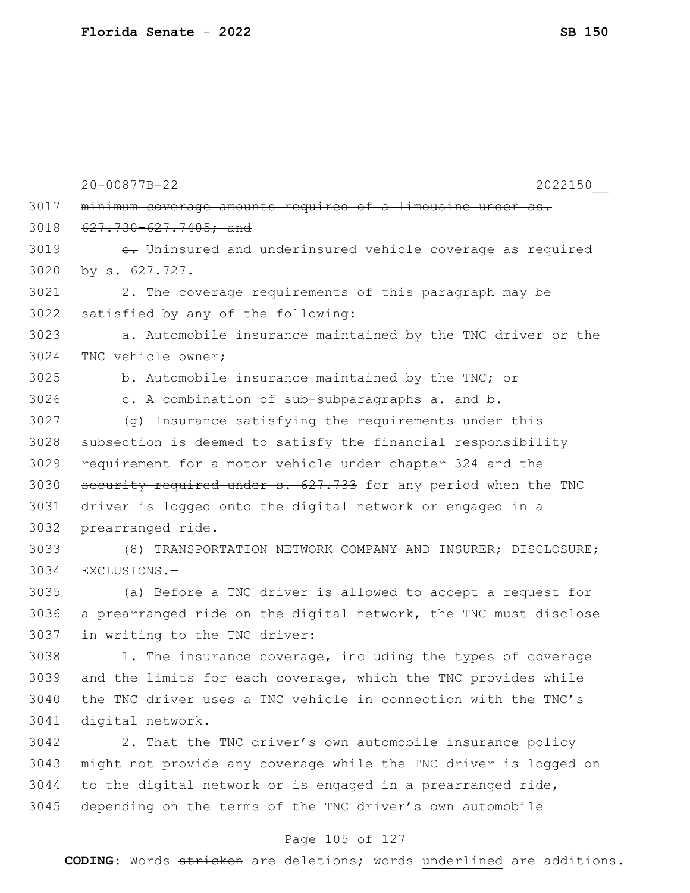|      | 20-00877B-22<br>2022150                                          |
|------|------------------------------------------------------------------|
| 3017 | minimum coverage amounts required of a limousine under ss.       |
| 3018 | 627.730-627.7405; and                                            |
| 3019 | e. Uninsured and underinsured vehicle coverage as required       |
| 3020 | by s. 627.727.                                                   |
| 3021 | 2. The coverage requirements of this paragraph may be            |
| 3022 | satisfied by any of the following:                               |
| 3023 | a. Automobile insurance maintained by the TNC driver or the      |
| 3024 | TNC vehicle owner;                                               |
| 3025 | b. Automobile insurance maintained by the TNC; or                |
| 3026 | c. A combination of sub-subparagraphs a. and b.                  |
| 3027 | (q) Insurance satisfying the requirements under this             |
| 3028 | subsection is deemed to satisfy the financial responsibility     |
| 3029 | requirement for a motor vehicle under chapter 324 and the        |
| 3030 | security required under s. 627.733 for any period when the TNC   |
| 3031 | driver is logged onto the digital network or engaged in a        |
| 3032 | prearranged ride.                                                |
| 3033 | (8) TRANSPORTATION NETWORK COMPANY AND INSURER; DISCLOSURE;      |
| 3034 | EXCLUSIONS.-                                                     |
| 3035 | (a) Before a TNC driver is allowed to accept a request for       |
| 3036 | a prearranged ride on the digital network, the TNC must disclose |
| 3037 | in writing to the TNC driver:                                    |
| 3038 | 1. The insurance coverage, including the types of coverage       |
| 3039 | and the limits for each coverage, which the TNC provides while   |
| 3040 | the TNC driver uses a TNC vehicle in connection with the TNC's   |
| 3041 | digital network.                                                 |
| 3042 | 2. That the TNC driver's own automobile insurance policy         |
| 3043 | might not provide any coverage while the TNC driver is logged on |
| 3044 | to the digital network or is engaged in a prearranged ride,      |
| 3045 | depending on the terms of the TNC driver's own automobile        |
|      |                                                                  |

### Page 105 of 127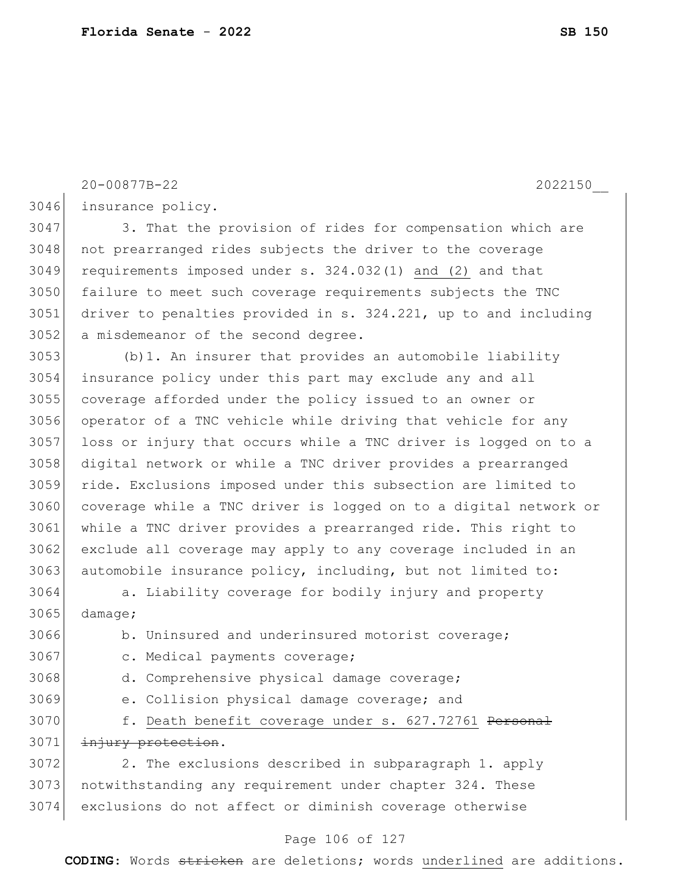insurance policy. 3047 3. That the provision of rides for compensation which are 3048 not prearranged rides subjects the driver to the coverage requirements imposed under s. 324.032(1) and (2) and that failure to meet such coverage requirements subjects the TNC driver to penalties provided in s. 324.221, up to and including a misdemeanor of the second degree. (b)1. An insurer that provides an automobile liability insurance policy under this part may exclude any and all coverage afforded under the policy issued to an owner or operator of a TNC vehicle while driving that vehicle for any 3057 loss or injury that occurs while a TNC driver is logged on to a digital network or while a TNC driver provides a prearranged ride. Exclusions imposed under this subsection are limited to 3060 coverage while a TNC driver is logged on to a digital network or while a TNC driver provides a prearranged ride. This right to 3062 exclude all coverage may apply to any coverage included in an automobile insurance policy, including, but not limited to: a. Liability coverage for bodily injury and property  $3065$  damage; b. Uninsured and underinsured motorist coverage; 3067 c. Medical payments coverage; d. Comprehensive physical damage coverage; e. Collision physical damage coverage; and 3070 f. Death benefit coverage under s. 627.72761 Personal 3071 injury protection. 3072 2. The exclusions described in subparagraph 1. apply 3073 notwithstanding any requirement under chapter 324. These exclusions do not affect or diminish coverage otherwise

20-00877B-22 2022150\_\_

#### Page 106 of 127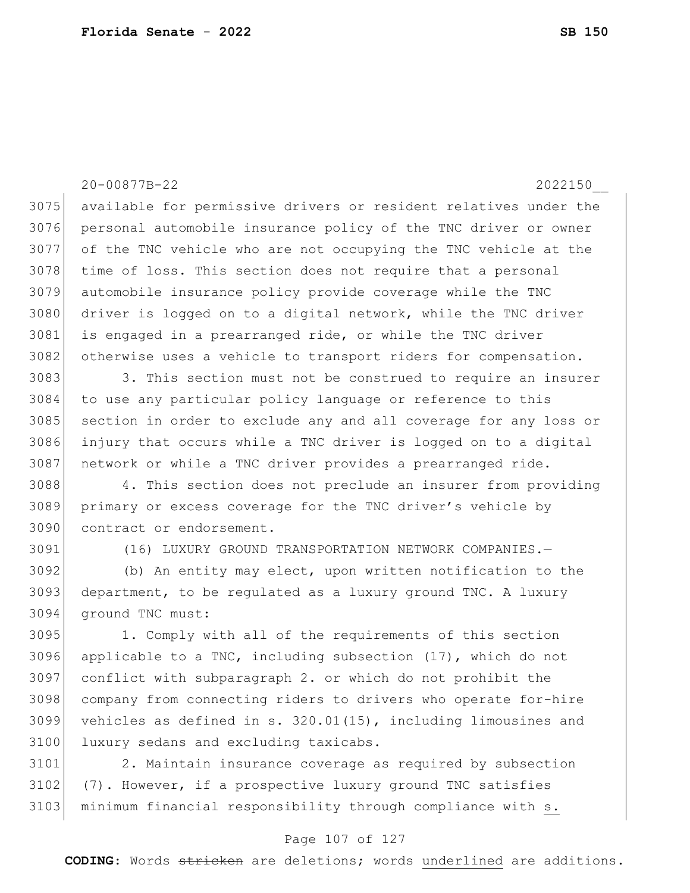20-00877B-22 2022150\_\_ 3075 available for permissive drivers or resident relatives under the personal automobile insurance policy of the TNC driver or owner of the TNC vehicle who are not occupying the TNC vehicle at the 3078 time of loss. This section does not require that a personal automobile insurance policy provide coverage while the TNC 3080 driver is logged on to a digital network, while the TNC driver 3081 is engaged in a prearranged ride, or while the TNC driver 3082 otherwise uses a vehicle to transport riders for compensation. 3083 3083 3. This section must not be construed to require an insurer 3084 to use any particular policy language or reference to this section in order to exclude any and all coverage for any loss or injury that occurs while a TNC driver is logged on to a digital 3087 | network or while a TNC driver provides a prearranged ride. 4. This section does not preclude an insurer from providing primary or excess coverage for the TNC driver's vehicle by contract or endorsement. (16) LUXURY GROUND TRANSPORTATION NETWORK COMPANIES.— (b) An entity may elect, upon written notification to the department, to be regulated as a luxury ground TNC. A luxury ground TNC must: 1. Comply with all of the requirements of this section applicable to a TNC, including subsection (17), which do not conflict with subparagraph 2. or which do not prohibit the company from connecting riders to drivers who operate for-hire vehicles as defined in s. 320.01(15), including limousines and 3100 luxury sedans and excluding taxicabs. 2. Maintain insurance coverage as required by subsection (7). However, if a prospective luxury ground TNC satisfies 3103 minimum financial responsibility through compliance with s.

### Page 107 of 127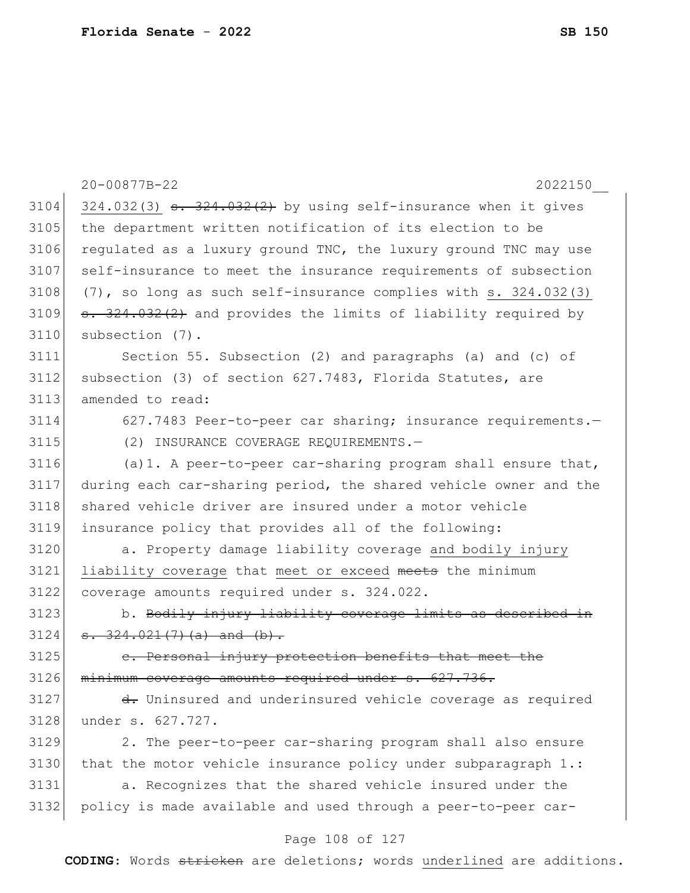|      | 20-00877B-22<br>2022150                                                   |
|------|---------------------------------------------------------------------------|
| 3104 | $324.032(3)$ s. $324.032(2)$ by using self-insurance when it gives        |
| 3105 | the department written notification of its election to be                 |
| 3106 | regulated as a luxury ground TNC, the luxury ground TNC may use           |
| 3107 | self-insurance to meet the insurance requirements of subsection           |
| 3108 | $(7)$ , so long as such self-insurance complies with s. 324.032(3)        |
| 3109 | <del>s. 324.032(2)</del> and provides the limits of liability required by |
| 3110 | subsection (7).                                                           |
| 3111 | Section 55. Subsection (2) and paragraphs (a) and (c) of                  |
| 3112 | subsection (3) of section 627.7483, Florida Statutes, are                 |
| 3113 | amended to read:                                                          |
| 3114 | 627.7483 Peer-to-peer car sharing; insurance requirements.-               |
| 3115 | (2) INSURANCE COVERAGE REQUIREMENTS.-                                     |
| 3116 | (a) 1. A peer-to-peer car-sharing program shall ensure that,              |
| 3117 | during each car-sharing period, the shared vehicle owner and the          |
| 3118 | shared vehicle driver are insured under a motor vehicle                   |
| 3119 | insurance policy that provides all of the following:                      |
| 3120 | a. Property damage liability coverage and bodily injury                   |
| 3121 | liability coverage that meet or exceed meets the minimum                  |
| 3122 | coverage amounts required under s. 324.022.                               |
| 3123 | b. Bodily injury liability coverage limits as described in                |
| 3124 | $\sqrt{324.021(7)(a)}$ and $(b)$ .                                        |
| 3125 | e. Personal injury protection benefits that meet the                      |
| 3126 | minimum coverage amounts required under s. 627.736.                       |
| 3127 | d. Uninsured and underinsured vehicle coverage as required                |
| 3128 | under s. 627.727.                                                         |
| 3129 | 2. The peer-to-peer car-sharing program shall also ensure                 |
| 3130 | that the motor vehicle insurance policy under subparagraph $1$ .:         |
| 3131 | a. Recognizes that the shared vehicle insured under the                   |
| 3132 | policy is made available and used through a peer-to-peer car-             |
|      | Page 108 of 127                                                           |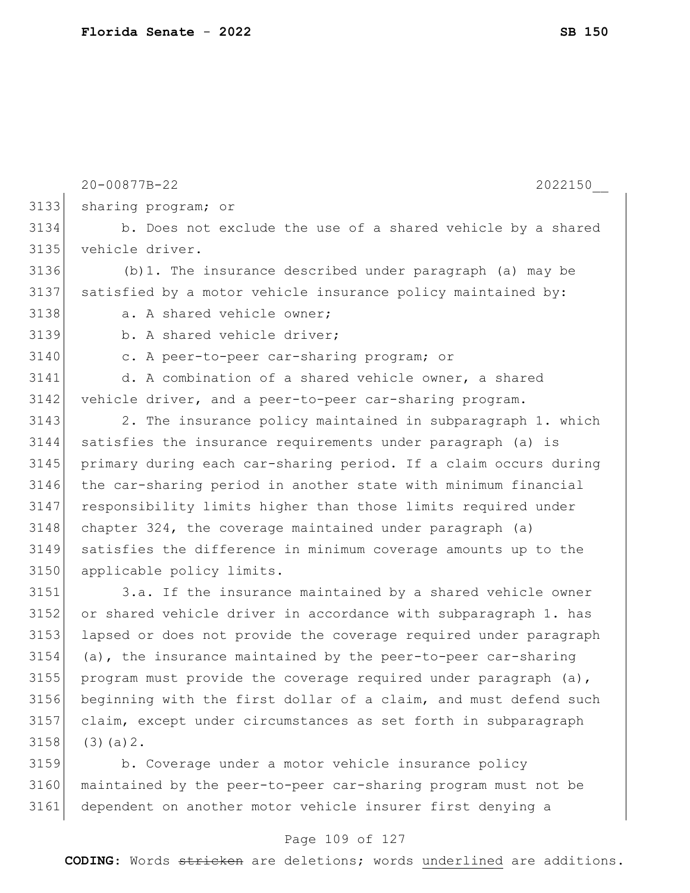|      | 20-00877B-22<br>2022150                                          |
|------|------------------------------------------------------------------|
| 3133 | sharing program; or                                              |
| 3134 | b. Does not exclude the use of a shared vehicle by a shared      |
| 3135 | vehicle driver.                                                  |
| 3136 | $(b)$ 1. The insurance described under paragraph (a) may be      |
| 3137 | satisfied by a motor vehicle insurance policy maintained by:     |
| 3138 | a. A shared vehicle owner;                                       |
| 3139 | b. A shared vehicle driver;                                      |
| 3140 | c. A peer-to-peer car-sharing program; or                        |
| 3141 | d. A combination of a shared vehicle owner, a shared             |
| 3142 | vehicle driver, and a peer-to-peer car-sharing program.          |
| 3143 | 2. The insurance policy maintained in subparagraph 1. which      |
| 3144 | satisfies the insurance requirements under paragraph (a) is      |
| 3145 | primary during each car-sharing period. If a claim occurs during |
| 3146 | the car-sharing period in another state with minimum financial   |
| 3147 | responsibility limits higher than those limits required under    |
| 3148 | chapter 324, the coverage maintained under paragraph (a)         |
| 3149 | satisfies the difference in minimum coverage amounts up to the   |
| 3150 | applicable policy limits.                                        |
| 3151 | 3.a. If the insurance maintained by a shared vehicle owner       |
| 3152 | or shared vehicle driver in accordance with subparagraph 1. has  |
| 3153 | lapsed or does not provide the coverage required under paragraph |
| 3154 | (a), the insurance maintained by the peer-to-peer car-sharing    |
| 3155 | program must provide the coverage required under paragraph (a),  |
| 3156 | beginning with the first dollar of a claim, and must defend such |
| 3157 | claim, except under circumstances as set forth in subparagraph   |
| 3158 | $(3)$ (a) $2$ .                                                  |
| 3159 | b. Coverage under a motor vehicle insurance policy               |
| 3160 | maintained by the peer-to-peer car-sharing program must not be   |

# Page 109 of 127

dependent on another motor vehicle insurer first denying a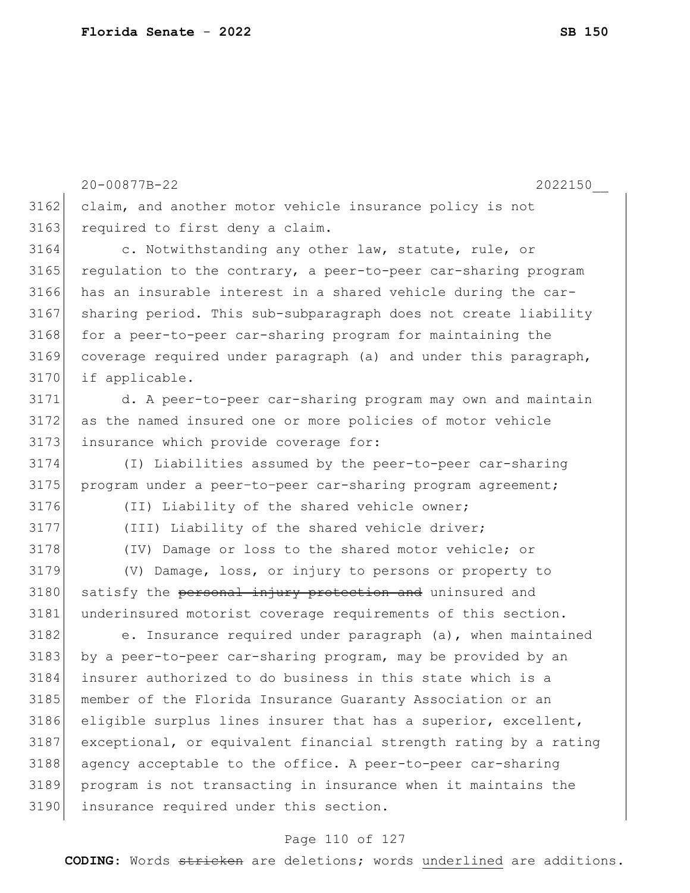20-00877B-22 2022150\_\_ 3162 claim, and another motor vehicle insurance policy is not 3163 required to first deny a claim. 3164 c. Notwithstanding any other law, statute, rule, or  $3165$  regulation to the contrary, a peer-to-peer car-sharing program 3166 has an insurable interest in a shared vehicle during the car-3167 sharing period. This sub-subparagraph does not create liability 3168 for a peer-to-peer car-sharing program for maintaining the 3169 coverage required under paragraph (a) and under this paragraph, 3170 if applicable. 3171 d. A peer-to-peer car-sharing program may own and maintain 3172 as the named insured one or more policies of motor vehicle 3173 insurance which provide coverage for: 3174 (I) Liabilities assumed by the peer-to-peer car-sharing 3175 program under a peer-to-peer car-sharing program agreement; 3176 (II) Liability of the shared vehicle owner; 3177 (III) Liability of the shared vehicle driver; 3178 (IV) Damage or loss to the shared motor vehicle; or 3179 (V) Damage, loss, or injury to persons or property to 3180 satisfy the personal injury protection and uninsured and 3181 underinsured motorist coverage requirements of this section.  $3182$  e. Insurance required under paragraph (a), when maintained 3183 by a peer-to-peer car-sharing program, may be provided by an 3184 insurer authorized to do business in this state which is a 3185 member of the Florida Insurance Guaranty Association or an 3186 eligible surplus lines insurer that has a superior, excellent, 3187 exceptional, or equivalent financial strength rating by a rating 3188 agency acceptable to the office. A peer-to-peer car-sharing 3189 program is not transacting in insurance when it maintains the 3190 insurance required under this section.

#### Page 110 of 127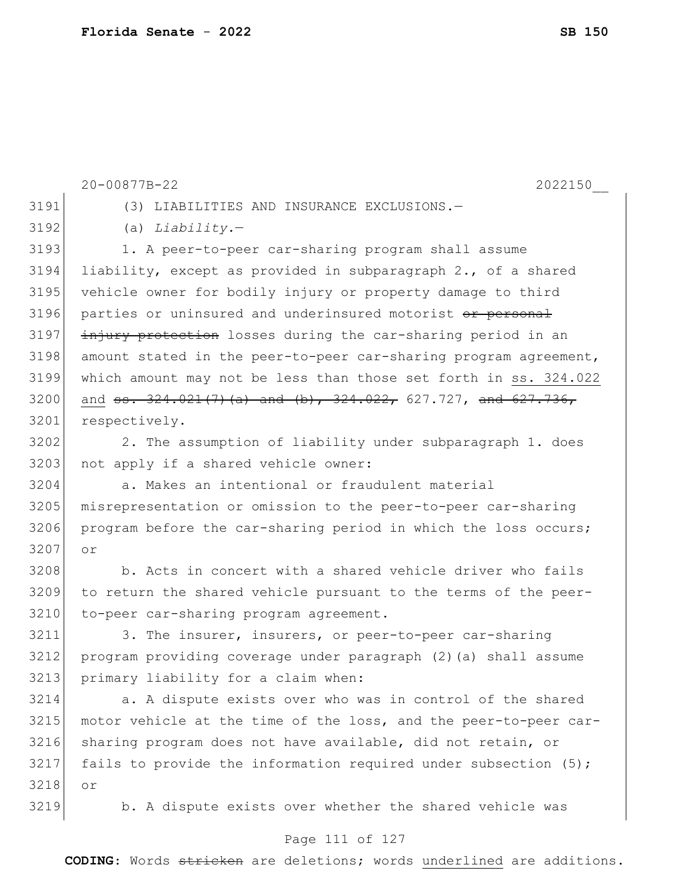|      | 20-00877B-22<br>2022150                                                                                                                                                                                                                                                                                               |
|------|-----------------------------------------------------------------------------------------------------------------------------------------------------------------------------------------------------------------------------------------------------------------------------------------------------------------------|
| 3191 | (3) LIABILITIES AND INSURANCE EXCLUSIONS.-                                                                                                                                                                                                                                                                            |
| 3192 | (a) $Liability.$                                                                                                                                                                                                                                                                                                      |
| 3193 | 1. A peer-to-peer car-sharing program shall assume                                                                                                                                                                                                                                                                    |
| 3194 | liability, except as provided in subparagraph 2., of a shared                                                                                                                                                                                                                                                         |
| 3195 | vehicle owner for bodily injury or property damage to third                                                                                                                                                                                                                                                           |
| 3196 | parties or uninsured and underinsured motorist or personal                                                                                                                                                                                                                                                            |
| 3197 | injury protection losses during the car-sharing period in an                                                                                                                                                                                                                                                          |
| 3198 | amount stated in the peer-to-peer car-sharing program agreement,                                                                                                                                                                                                                                                      |
| 3199 | which amount may not be less than those set forth in ss. 324.022                                                                                                                                                                                                                                                      |
| 3200 | and $\frac{1}{22}$ , $\frac{1}{22}$ , $\frac{1}{22}$ , $\frac{1}{22}$ , $\frac{1}{22}$ , $\frac{1}{22}$ , $\frac{1}{22}$ , $\frac{1}{22}$ , $\frac{1}{22}$ , $\frac{1}{22}$ , $\frac{1}{22}$ , $\frac{1}{22}$ , $\frac{1}{22}$ , $\frac{1}{22}$ , $\frac{1}{22}$ , $\frac{1}{22}$ , $\frac{1}{22}$ , $\frac{1}{22}$ , |
| 3201 | respectively.                                                                                                                                                                                                                                                                                                         |
| 3202 | 2. The assumption of liability under subparagraph 1. does                                                                                                                                                                                                                                                             |
| 3203 | not apply if a shared vehicle owner:                                                                                                                                                                                                                                                                                  |
| 3204 | a. Makes an intentional or fraudulent material                                                                                                                                                                                                                                                                        |
| 3205 | misrepresentation or omission to the peer-to-peer car-sharing                                                                                                                                                                                                                                                         |
| 3206 | program before the car-sharing period in which the loss occurs;                                                                                                                                                                                                                                                       |
| 3207 | or                                                                                                                                                                                                                                                                                                                    |
| 3208 | b. Acts in concert with a shared vehicle driver who fails                                                                                                                                                                                                                                                             |
| 3209 | to return the shared vehicle pursuant to the terms of the peer-                                                                                                                                                                                                                                                       |
| 3210 | to-peer car-sharing program agreement.                                                                                                                                                                                                                                                                                |
| 3211 | 3. The insurer, insurers, or peer-to-peer car-sharing                                                                                                                                                                                                                                                                 |
| 3212 | program providing coverage under paragraph (2) (a) shall assume                                                                                                                                                                                                                                                       |
| 3213 | primary liability for a claim when:                                                                                                                                                                                                                                                                                   |
| 3214 | a. A dispute exists over who was in control of the shared                                                                                                                                                                                                                                                             |
| 3215 | motor vehicle at the time of the loss, and the peer-to-peer car-                                                                                                                                                                                                                                                      |
| 3216 | sharing program does not have available, did not retain, or                                                                                                                                                                                                                                                           |
| 3217 | fails to provide the information required under subsection (5);                                                                                                                                                                                                                                                       |
| 3218 | or                                                                                                                                                                                                                                                                                                                    |
| 3219 | b. A dispute exists over whether the shared vehicle was                                                                                                                                                                                                                                                               |

## Page 111 of 127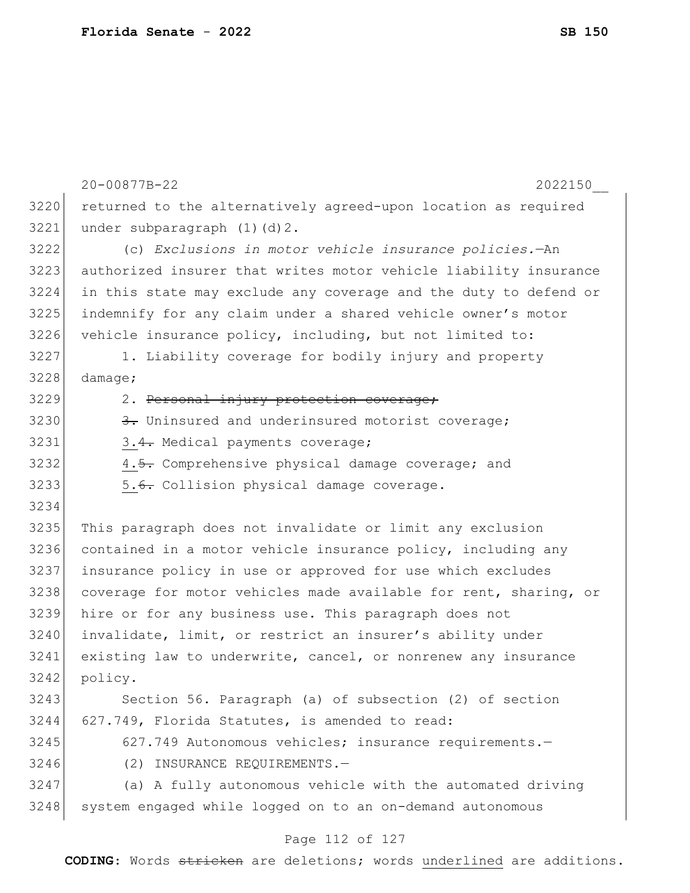|      | 20-00877B-22<br>2022150                                          |
|------|------------------------------------------------------------------|
| 3220 | returned to the alternatively agreed-upon location as required   |
| 3221 | under subparagraph (1)(d)2.                                      |
| 3222 | (c) Exclusions in motor vehicle insurance policies.-An           |
| 3223 | authorized insurer that writes motor vehicle liability insurance |
| 3224 | in this state may exclude any coverage and the duty to defend or |
| 3225 | indemnify for any claim under a shared vehicle owner's motor     |
| 3226 | vehicle insurance policy, including, but not limited to:         |
| 3227 | 1. Liability coverage for bodily injury and property             |
| 3228 | damage;                                                          |
| 3229 | 2. Personal injury protection coverage;                          |
| 3230 | 3. Uninsured and underinsured motorist coverage;                 |
| 3231 | 3.4. Medical payments coverage;                                  |
| 3232 | 4.5. Comprehensive physical damage coverage; and                 |
| 3233 | 5.6. Collision physical damage coverage.                         |
| 3234 |                                                                  |
| 3235 | This paragraph does not invalidate or limit any exclusion        |
| 3236 | contained in a motor vehicle insurance policy, including any     |
| 3237 | insurance policy in use or approved for use which excludes       |
| 3238 | coverage for motor vehicles made available for rent, sharing, or |
| 3239 | hire or for any business use. This paragraph does not            |
| 3240 | invalidate, limit, or restrict an insurer's ability under        |
| 3241 | existing law to underwrite, cancel, or nonrenew any insurance    |
| 3242 | policy.                                                          |
| 3243 | Section 56. Paragraph (a) of subsection (2) of section           |
| 3244 | 627.749, Florida Statutes, is amended to read:                   |
| 3245 | 627.749 Autonomous vehicles; insurance requirements.-            |
| 3246 | INSURANCE REQUIREMENTS.-<br>(2)                                  |
| 3247 | (a) A fully autonomous vehicle with the automated driving        |
| 3248 | system engaged while logged on to an on-demand autonomous        |
|      |                                                                  |

#### Page 112 of 127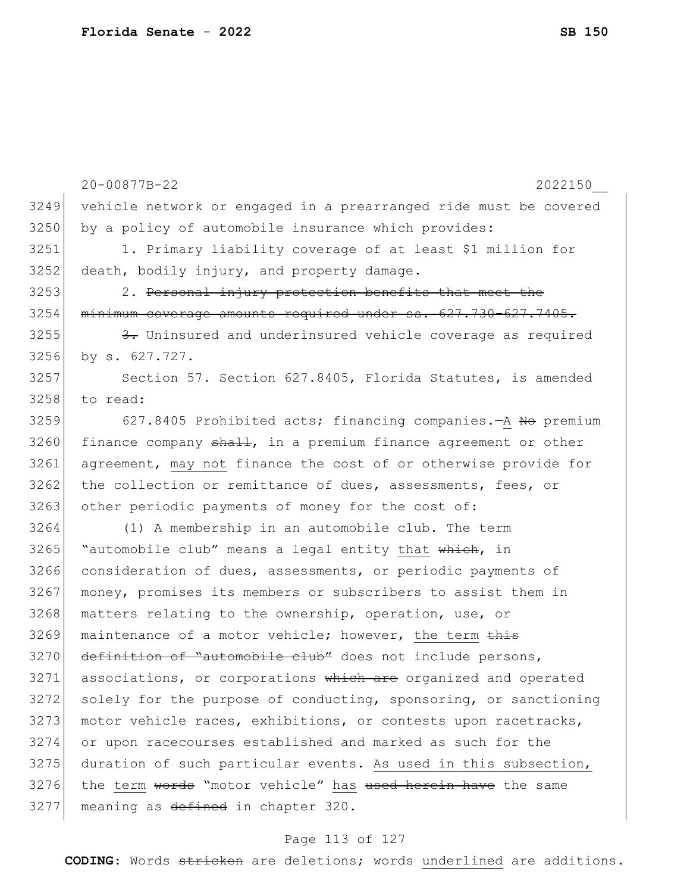|      | 20-00877B-22<br>2022150                                          |
|------|------------------------------------------------------------------|
| 3249 | vehicle network or engaged in a prearranged ride must be covered |
| 3250 | by a policy of automobile insurance which provides:              |
| 3251 | 1. Primary liability coverage of at least \$1 million for        |
| 3252 | death, bodily injury, and property damage.                       |
| 3253 | 2. Personal injury protection benefits that meet the             |
| 3254 | minimum coverage amounts required under ss. 627.730-627.7405.    |
| 3255 | 3. Uninsured and underinsured vehicle coverage as required       |
| 3256 | by s. 627.727.                                                   |
| 3257 | Section 57. Section 627.8405, Florida Statutes, is amended       |
| 3258 | to read:                                                         |
| 3259 | 627.8405 Prohibited acts; financing companies. - A No premium    |
| 3260 | finance company shall, in a premium finance agreement or other   |
| 3261 | agreement, may not finance the cost of or otherwise provide for  |
| 3262 | the collection or remittance of dues, assessments, fees, or      |
| 3263 | other periodic payments of money for the cost of:                |
| 3264 | (1) A membership in an automobile club. The term                 |
| 3265 | "automobile club" means a legal entity that which, in            |
| 3266 | consideration of dues, assessments, or periodic payments of      |
| 3267 | money, promises its members or subscribers to assist them in     |
| 3268 | matters relating to the ownership, operation, use, or            |
| 3269 | maintenance of a motor vehicle; however, the term this           |
| 3270 | definition of "automobile club" does not include persons,        |
| 3271 | associations, or corporations which are organized and operated   |
| 3272 | solely for the purpose of conducting, sponsoring, or sanctioning |
| 3273 | motor vehicle races, exhibitions, or contests upon racetracks,   |
| 3274 | or upon racecourses established and marked as such for the       |
| 3275 | duration of such particular events. As used in this subsection,  |
| 3276 | the term words "motor vehicle" has used herein have the same     |
| 3277 | meaning as defined in chapter 320.                               |
|      |                                                                  |

## Page 113 of 127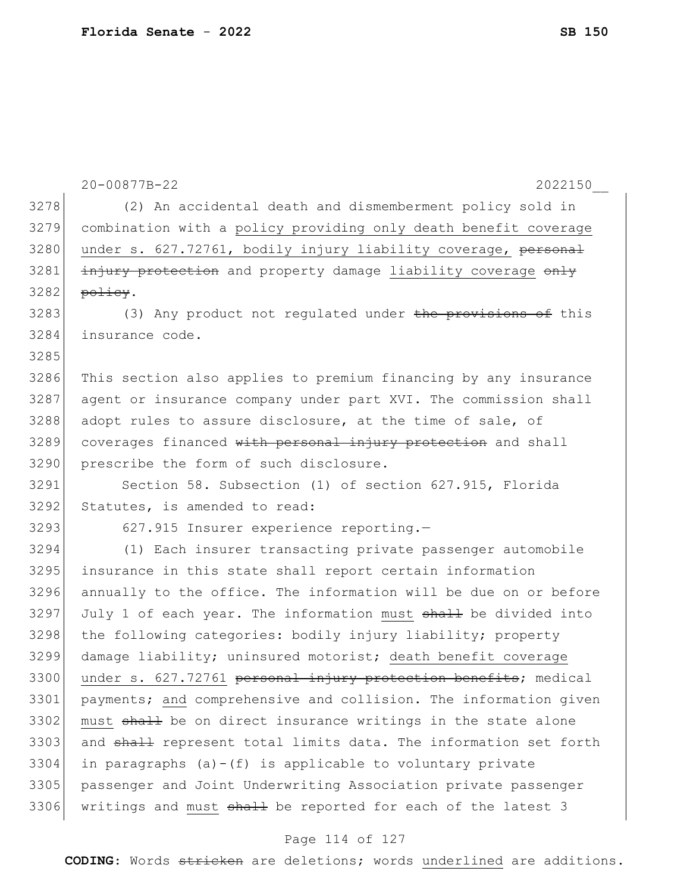|      | $20 - 00877B - 22$<br>2022150                                              |
|------|----------------------------------------------------------------------------|
| 3278 | (2) An accidental death and dismemberment policy sold in                   |
| 3279 | combination with a policy providing only death benefit coverage            |
| 3280 | under s. 627.72761, bodily injury liability coverage, personal             |
| 3281 | injury protection and property damage liability coverage only              |
| 3282 | policy.                                                                    |
| 3283 | (3) Any product not regulated under the provisions of this                 |
| 3284 | insurance code.                                                            |
| 3285 |                                                                            |
| 3286 | This section also applies to premium financing by any insurance            |
| 3287 | agent or insurance company under part XVI. The commission shall            |
| 3288 | adopt rules to assure disclosure, at the time of sale, of                  |
| 3289 | coverages financed with personal injury protection and shall               |
| 3290 | prescribe the form of such disclosure.                                     |
| 3291 | Section 58. Subsection (1) of section 627.915, Florida                     |
| 3292 | Statutes, is amended to read:                                              |
| 3293 | 627.915 Insurer experience reporting.-                                     |
| 3294 | (1) Each insurer transacting private passenger automobile                  |
| 3295 | insurance in this state shall report certain information                   |
| 3296 | annually to the office. The information will be due on or before           |
| 3297 | July 1 of each year. The information must <del>shall</del> be divided into |
| 3298 | the following categories: bodily injury liability; property                |
| 3299 | damage liability; uninsured motorist; death benefit coverage               |
| 3300 | under s. 627.72761 personal injury protection benefits; medical            |
| 3301 | payments; and comprehensive and collision. The information given           |
| 3302 | must shall be on direct insurance writings in the state alone              |
| 3303 | and shall represent total limits data. The information set forth           |
| 3304 | in paragraphs $(a)-(f)$ is applicable to voluntary private                 |
| 3305 | passenger and Joint Underwriting Association private passenger             |
| 3306 | writings and must shall be reported for each of the latest 3               |

## Page 114 of 127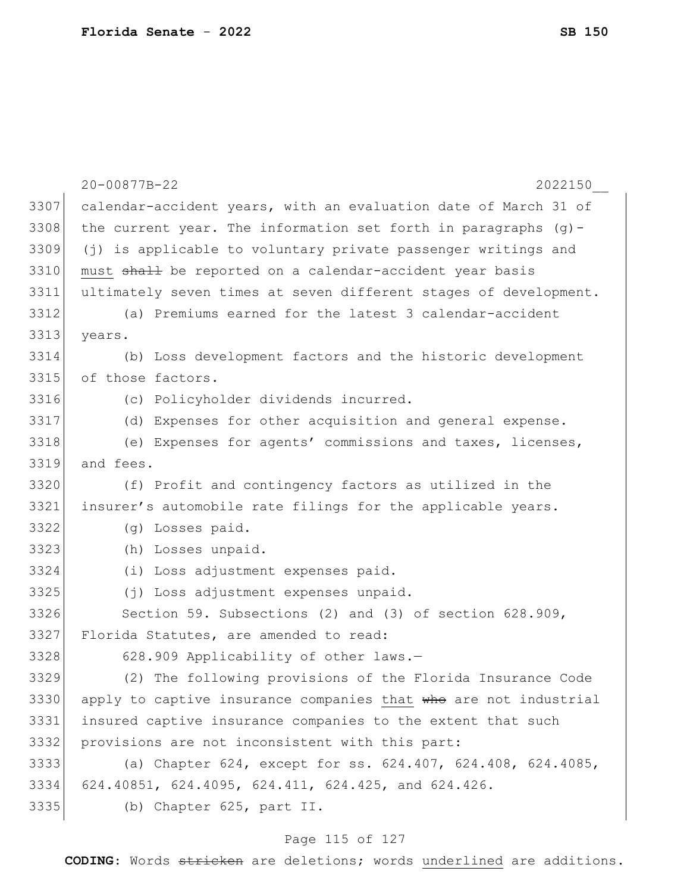|      | 20-00877B-22<br>2022150                                           |
|------|-------------------------------------------------------------------|
| 3307 | calendar-accident years, with an evaluation date of March 31 of   |
| 3308 | the current year. The information set forth in paragraphs $(g)$ - |
| 3309 | (j) is applicable to voluntary private passenger writings and     |
| 3310 | must shall be reported on a calendar-accident year basis          |
| 3311 | ultimately seven times at seven different stages of development.  |
| 3312 | (a) Premiums earned for the latest 3 calendar-accident            |
| 3313 | years.                                                            |
| 3314 | (b) Loss development factors and the historic development         |
| 3315 | of those factors.                                                 |
| 3316 | (c) Policyholder dividends incurred.                              |
| 3317 | (d) Expenses for other acquisition and general expense.           |
| 3318 | (e) Expenses for agents' commissions and taxes, licenses,         |
| 3319 | and fees.                                                         |
| 3320 | (f) Profit and contingency factors as utilized in the             |
| 3321 | insurer's automobile rate filings for the applicable years.       |
| 3322 | (g) Losses paid.                                                  |
| 3323 | (h) Losses unpaid.                                                |
| 3324 | (i) Loss adjustment expenses paid.                                |
| 3325 | (j) Loss adjustment expenses unpaid.                              |
| 3326 | Section 59. Subsections (2) and (3) of section 628.909,           |
| 3327 | Florida Statutes, are amended to read:                            |
| 3328 | 628.909 Applicability of other laws.-                             |
| 3329 | (2) The following provisions of the Florida Insurance Code        |
| 3330 | apply to captive insurance companies that who are not industrial  |
| 3331 | insured captive insurance companies to the extent that such       |
| 3332 | provisions are not inconsistent with this part:                   |
| 3333 | (a) Chapter 624, except for ss. 624.407, 624.408, 624.4085,       |
| 3334 | 624.40851, 624.4095, 624.411, 624.425, and 624.426.               |
| 3335 | (b) Chapter 625, part II.                                         |

## Page 115 of 127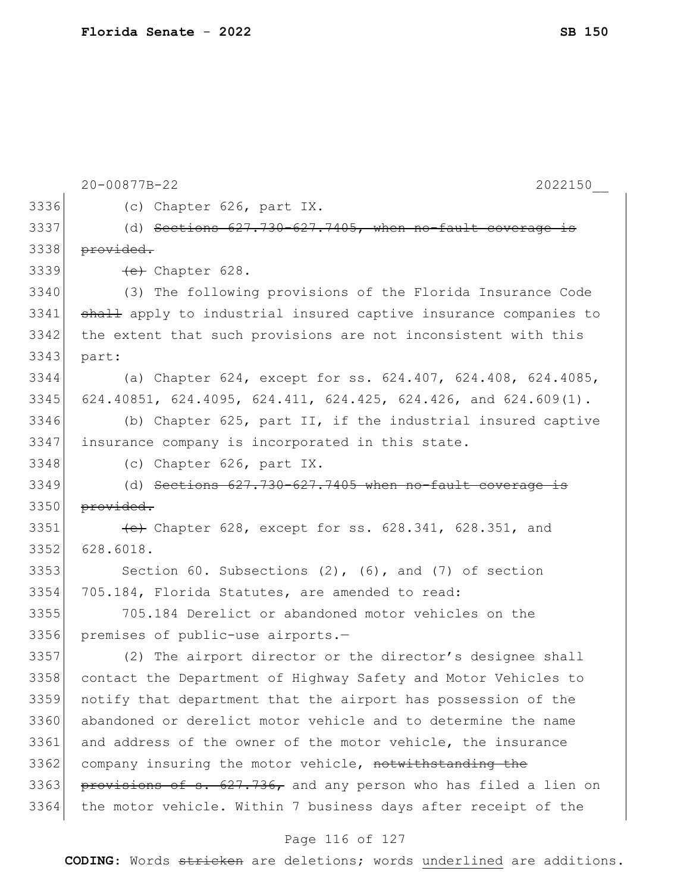|      | 20-00877B-22<br>2022150                                          |
|------|------------------------------------------------------------------|
| 3336 | (c) Chapter 626, part IX.                                        |
| 3337 | (d) Sections 627.730-627.7405, when no-fault coverage            |
| 3338 | provided.                                                        |
| 3339 | (e) Chapter 628.                                                 |
| 3340 | (3) The following provisions of the Florida Insurance Code       |
| 3341 | shall apply to industrial insured captive insurance companies to |
| 3342 | the extent that such provisions are not inconsistent with this   |
| 3343 | part:                                                            |
| 3344 | (a) Chapter 624, except for ss. 624.407, 624.408, 624.4085,      |
| 3345 | 624.40851, 624.4095, 624.411, 624.425, 624.426, and 624.609(1).  |
| 3346 | (b) Chapter 625, part II, if the industrial insured captive      |
| 3347 | insurance company is incorporated in this state.                 |
| 3348 | (c) Chapter 626, part IX.                                        |
| 3349 | (d) Sections 627.730-627.7405 when no-fault coverage             |
| 3350 | provided.                                                        |
| 3351 | (e) Chapter 628, except for ss. 628.341, 628.351, and            |
| 3352 | 628.6018.                                                        |
| 3353 | Section 60. Subsections $(2)$ , $(6)$ , and $(7)$ of section     |
| 3354 | 705.184, Florida Statutes, are amended to read:                  |
| 3355 | 705.184 Derelict or abandoned motor vehicles on the              |
| 3356 | premises of public-use airports.-                                |
| 3357 | (2) The airport director or the director's designee shall        |
| 3358 | contact the Department of Highway Safety and Motor Vehicles to   |
| 3359 | notify that department that the airport has possession of the    |
| 3360 | abandoned or derelict motor vehicle and to determine the name    |
| 3361 | and address of the owner of the motor vehicle, the insurance     |
| 3362 | company insuring the motor vehicle, notwithstanding the          |
| 3363 | provisions of s. 627.736, and any person who has filed a lien on |
| 3364 | the motor vehicle. Within 7 business days after receipt of the   |

## Page 116 of 127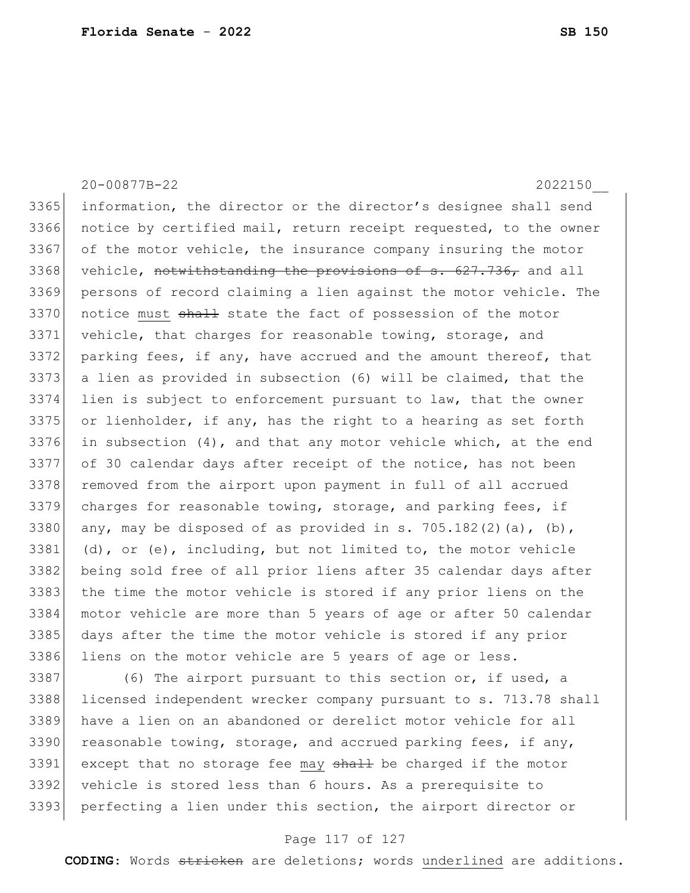20-00877B-22 2022150\_\_ 3365 information, the director or the director's designee shall send 3366 notice by certified mail, return receipt requested, to the owner 3367 of the motor vehicle, the insurance company insuring the motor 3368 vehicle, notwithstanding the provisions of  $s. 627.736$ , and all 3369 persons of record claiming a lien against the motor vehicle. The 3370 notice must shall state the fact of possession of the motor 3371 vehicle, that charges for reasonable towing, storage, and 3372 parking fees, if any, have accrued and the amount thereof, that 3373 a lien as provided in subsection (6) will be claimed, that the 3374 lien is subject to enforcement pursuant to law, that the owner  $3375$  or lienholder, if any, has the right to a hearing as set forth 3376 in subsection  $(4)$ , and that any motor vehicle which, at the end 3377 of 30 calendar days after receipt of the notice, has not been 3378 removed from the airport upon payment in full of all accrued 3379 charges for reasonable towing, storage, and parking fees, if 3380 any, may be disposed of as provided in s. 705.182(2)(a), (b),  $3381$  (d), or (e), including, but not limited to, the motor vehicle 3382 being sold free of all prior liens after 35 calendar days after 3383 the time the motor vehicle is stored if any prior liens on the 3384 motor vehicle are more than 5 years of age or after 50 calendar 3385 days after the time the motor vehicle is stored if any prior 3386 liens on the motor vehicle are 5 years of age or less.

3387 (6) The airport pursuant to this section or, if used, a 3388 licensed independent wrecker company pursuant to s. 713.78 shall 3389 have a lien on an abandoned or derelict motor vehicle for all 3390 reasonable towing, storage, and accrued parking fees, if any, 3391 except that no storage fee may shall be charged if the motor 3392 vehicle is stored less than 6 hours. As a prerequisite to 3393 perfecting a lien under this section, the airport director or

#### Page 117 of 127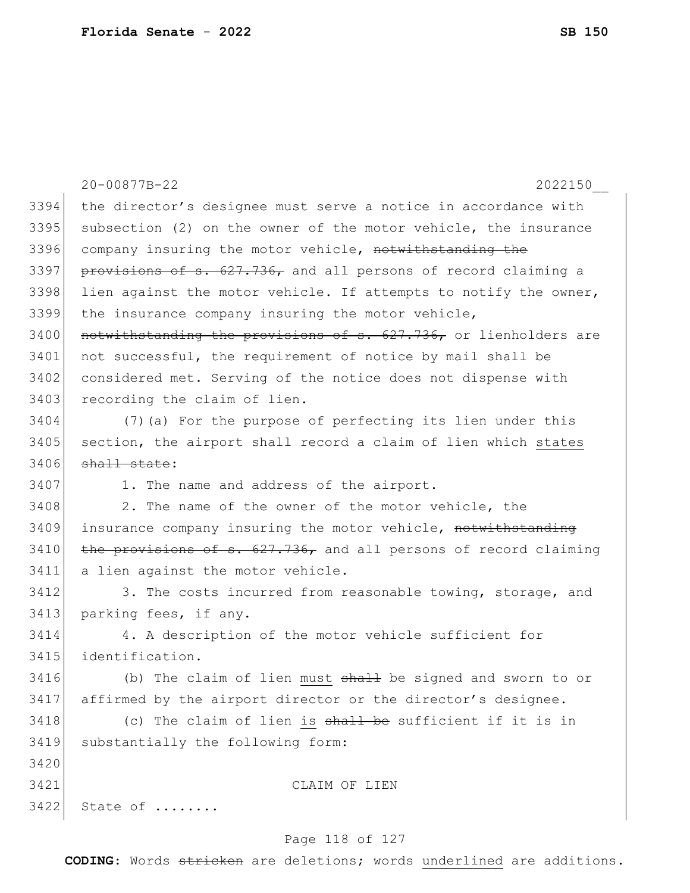|      | 20-00877B-22<br>2022150                                          |
|------|------------------------------------------------------------------|
| 3394 | the director's designee must serve a notice in accordance with   |
| 3395 | subsection (2) on the owner of the motor vehicle, the insurance  |
| 3396 | company insuring the motor vehicle, notwithstanding the          |
| 3397 | provisions of s. 627.736, and all persons of record claiming a   |
| 3398 | lien against the motor vehicle. If attempts to notify the owner, |
| 3399 | the insurance company insuring the motor vehicle,                |
| 3400 | notwithstanding the provisions of s. 627.736, or lienholders are |
| 3401 | not successful, the requirement of notice by mail shall be       |
| 3402 | considered met. Serving of the notice does not dispense with     |
| 3403 | recording the claim of lien.                                     |
| 3404 | (7) (a) For the purpose of perfecting its lien under this        |
| 3405 | section, the airport shall record a claim of lien which states   |
| 3406 | shall state:                                                     |
| 3407 | 1. The name and address of the airport.                          |
| 3408 | 2. The name of the owner of the motor vehicle, the               |
| 3409 | insurance company insuring the motor vehicle, notwithstanding    |
| 3410 | the provisions of s. 627.736, and all persons of record claiming |
| 3411 | a lien against the motor vehicle.                                |
| 3412 | 3. The costs incurred from reasonable towing, storage, and       |
| 3413 | parking fees, if any.                                            |
| 3414 | 4. A description of the motor vehicle sufficient for             |
| 3415 | identification.                                                  |
| 3416 | (b) The claim of lien must shall be signed and sworn to or       |
| 3417 | affirmed by the airport director or the director's designee.     |
| 3418 | (c) The claim of lien is shall be sufficient if it is in         |
| 3419 | substantially the following form:                                |
| 3420 |                                                                  |
| 3421 | CLAIM OF LIEN                                                    |
| 3422 | State of                                                         |

## Page 118 of 127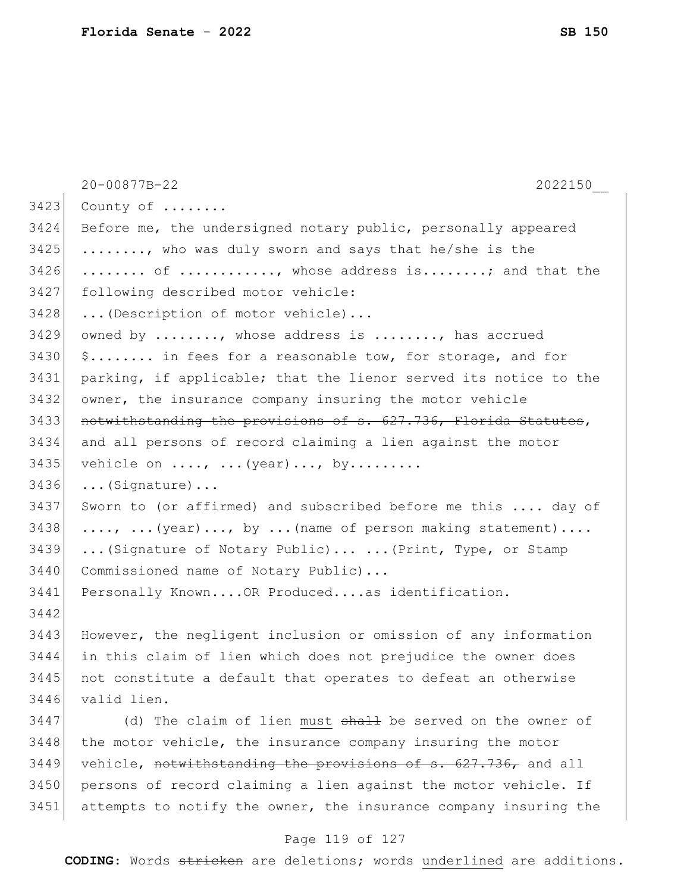|      | 20-00877B-22<br>2022150                                                   |
|------|---------------------------------------------------------------------------|
| 3423 | County of                                                                 |
| 3424 | Before me, the undersigned notary public, personally appeared             |
| 3425 | , who was duly sworn and says that he/she is the                          |
| 3426 | of , whose address is; and that the                                       |
| 3427 | following described motor vehicle:                                        |
| 3428 | (Description of motor vehicle)                                            |
| 3429 | owned by , whose address is , has accrued                                 |
| 3430 | \$ in fees for a reasonable tow, for storage, and for                     |
| 3431 | parking, if applicable; that the lienor served its notice to the          |
| 3432 | owner, the insurance company insuring the motor vehicle                   |
| 3433 | notwithstanding the provisions of s. 627.736, Florida Statutes,           |
| 3434 | and all persons of record claiming a lien against the motor               |
| 3435 | vehicle on $\ldots$ , $\ldots$ (year), by                                 |
| 3436 | $\ldots$ (Signature)                                                      |
| 3437 | Sworn to (or affirmed) and subscribed before me this  day of              |
| 3438 | $\ldots$ , $\ldots$ (year), by $\ldots$ (name of person making statement) |
| 3439 | (Signature of Notary Public)  (Print, Type, or Stamp                      |
| 3440 | Commissioned name of Notary Public)                                       |
| 3441 | Personally KnownOR Producedas identification.                             |
| 3442 |                                                                           |
| 3443 | However, the negligent inclusion or omission of any information           |
| 3444 | in this claim of lien which does not prejudice the owner does             |
| 3445 | not constitute a default that operates to defeat an otherwise             |
| 3446 | valid lien.                                                               |
| 3447 | (d) The claim of lien must shall be served on the owner of                |
| 3448 | the motor vehicle, the insurance company insuring the motor               |
| 3449 | vehicle, notwithstanding the provisions of s. 627.736, and all            |
| 3450 | persons of record claiming a lien against the motor vehicle. If           |
| 3451 | attempts to notify the owner, the insurance company insuring the          |

## Page 119 of 127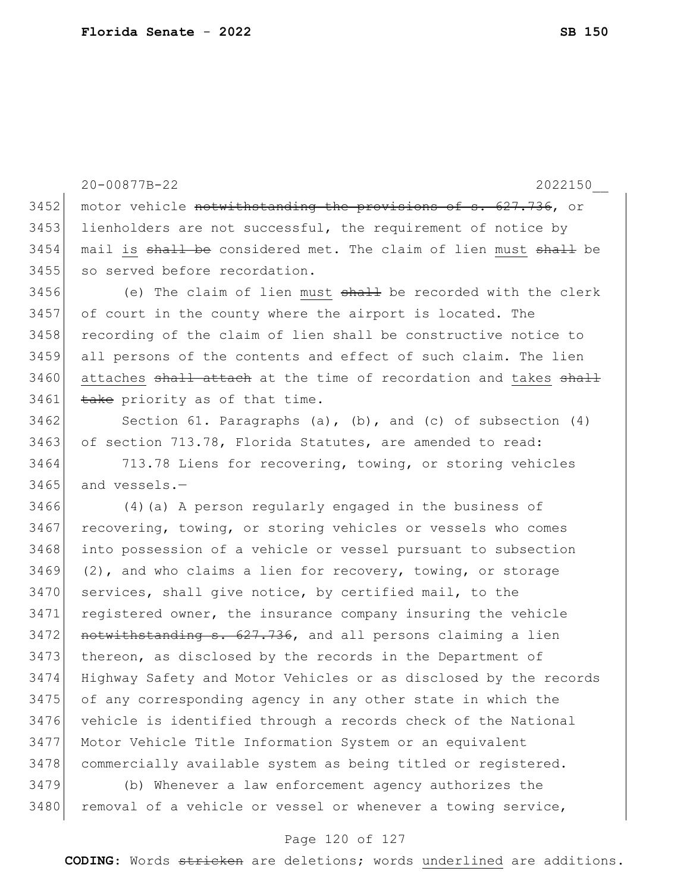20-00877B-22 2022150\_\_ 3452 motor vehicle notwithstanding the provisions of s. 627.736, or 3453 lienholders are not successful, the requirement of notice by 3454 mail is shall be considered met. The claim of lien must shall be 3455 so served before recordation.  $3456$  (e) The claim of lien must  $shath$  be recorded with the clerk 3457 of court in the county where the airport is located. The 3458 recording of the claim of lien shall be constructive notice to 3459 all persons of the contents and effect of such claim. The lien 3460 attaches shall attach at the time of recordation and takes shall  $3461$  take priority as of that time.  $3462$  Section 61. Paragraphs (a), (b), and (c) of subsection (4) 3463 of section 713.78, Florida Statutes, are amended to read: 3464 713.78 Liens for recovering, towing, or storing vehicles  $3465$  and vessels.  $-$ 3466 (4)(a) A person regularly engaged in the business of 3467 recovering, towing, or storing vehicles or vessels who comes 3468 into possession of a vehicle or vessel pursuant to subsection  $3469$  (2), and who claims a lien for recovery, towing, or storage 3470 services, shall give notice, by certified mail, to the 3471 registered owner, the insurance company insuring the vehicle  $3472$  notwithstanding s. 627.736, and all persons claiming a lien 3473 thereon, as disclosed by the records in the Department of 3474 Highway Safety and Motor Vehicles or as disclosed by the records 3475 of any corresponding agency in any other state in which the 3476 vehicle is identified through a records check of the National 3477 Motor Vehicle Title Information System or an equivalent 3478 commercially available system as being titled or registered. 3479 (b) Whenever a law enforcement agency authorizes the

3480 removal of a vehicle or vessel or whenever a towing service,

#### Page 120 of 127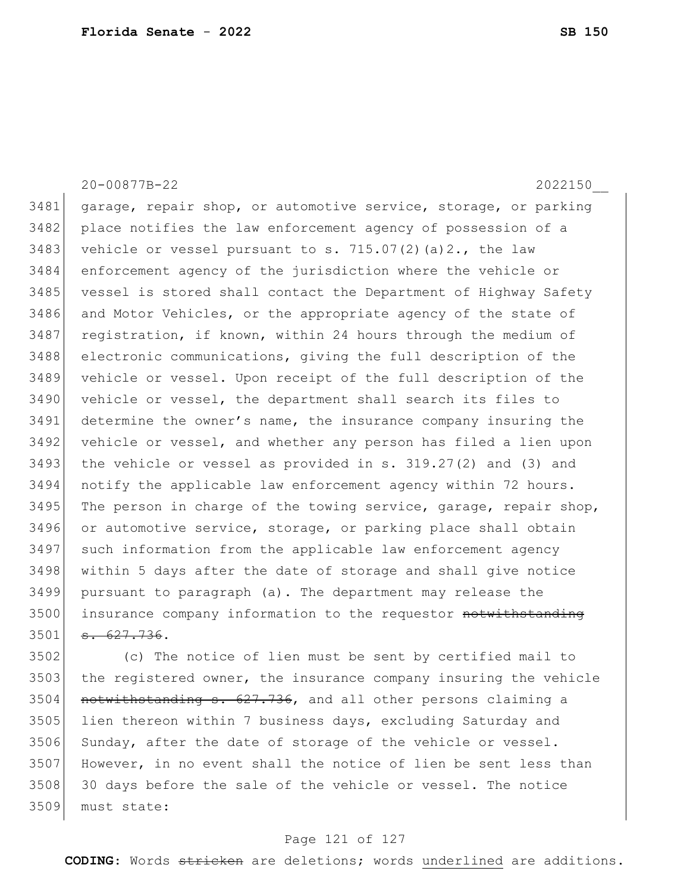20-00877B-22 2022150\_\_ 3481 garage, repair shop, or automotive service, storage, or parking 3482 place notifies the law enforcement agency of possession of a 3483 vehicle or vessel pursuant to s.  $715.07(2)(a)2.$ , the law 3484 enforcement agency of the jurisdiction where the vehicle or 3485 vessel is stored shall contact the Department of Highway Safety 3486 and Motor Vehicles, or the appropriate agency of the state of 3487 registration, if known, within 24 hours through the medium of 3488 electronic communications, giving the full description of the 3489 vehicle or vessel. Upon receipt of the full description of the 3490 vehicle or vessel, the department shall search its files to 3491 determine the owner's name, the insurance company insuring the 3492 vehicle or vessel, and whether any person has filed a lien upon  $3493$  the vehicle or vessel as provided in s.  $319.27(2)$  and (3) and 3494 notify the applicable law enforcement agency within 72 hours. 3495 The person in charge of the towing service, garage, repair shop, 3496 or automotive service, storage, or parking place shall obtain 3497 such information from the applicable law enforcement agency

3498 within 5 days after the date of storage and shall give notice 3499 pursuant to paragraph (a). The department may release the 3500 insurance company information to the requestor notwithstanding  $3501 \quad s. 627.736.$ 

3502 (c) The notice of lien must be sent by certified mail to 3503 the registered owner, the insurance company insuring the vehicle  $3504$  notwithstanding s.  $627.736$ , and all other persons claiming a 3505 lien thereon within 7 business days, excluding Saturday and 3506 Sunday, after the date of storage of the vehicle or vessel. 3507 However, in no event shall the notice of lien be sent less than 3508 30 days before the sale of the vehicle or vessel. The notice 3509 must state:

#### Page 121 of 127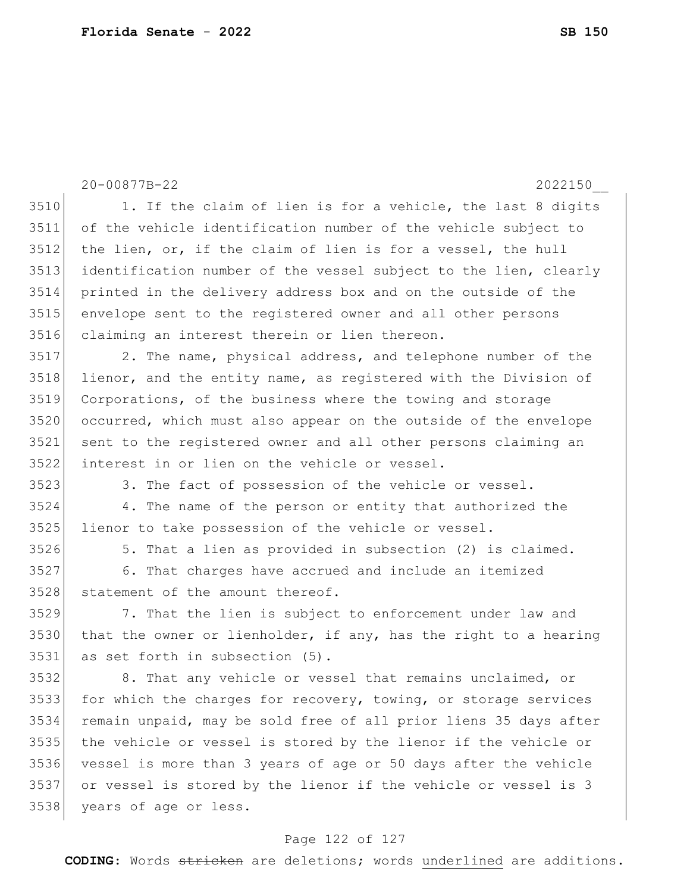|      | 20-00877B-22<br>2022150                                          |
|------|------------------------------------------------------------------|
| 3510 | 1. If the claim of lien is for a vehicle, the last 8 digits      |
| 3511 | of the vehicle identification number of the vehicle subject to   |
| 3512 | the lien, or, if the claim of lien is for a vessel, the hull     |
| 3513 | identification number of the vessel subject to the lien, clearly |
| 3514 | printed in the delivery address box and on the outside of the    |
| 3515 | envelope sent to the registered owner and all other persons      |
| 3516 | claiming an interest therein or lien thereon.                    |
| 3517 | 2. The name, physical address, and telephone number of the       |
| 3518 | lienor, and the entity name, as registered with the Division of  |
| 3519 | Corporations, of the business where the towing and storage       |
| 3520 | occurred, which must also appear on the outside of the envelope  |
| 3521 | sent to the registered owner and all other persons claiming an   |
| 3522 | interest in or lien on the vehicle or vessel.                    |
| 3523 | 3. The fact of possession of the vehicle or vessel.              |
| 3524 | 4. The name of the person or entity that authorized the          |
| 3525 | lienor to take possession of the vehicle or vessel.              |
| 3526 | 5. That a lien as provided in subsection (2) is claimed.         |
| 3527 | 6. That charges have accrued and include an itemized             |
| 3528 | statement of the amount thereof.                                 |
| 3529 | 7. That the lien is subject to enforcement under law and         |
| 3530 | that the owner or lienholder, if any, has the right to a hearing |
| 3531 | as set forth in subsection (5).                                  |
| 3532 | 8. That any vehicle or vessel that remains unclaimed, or         |
| 3533 | for which the charges for recovery, towing, or storage services  |
| 3534 | remain unpaid, may be sold free of all prior liens 35 days after |
| 3535 | the vehicle or vessel is stored by the lienor if the vehicle or  |
| 3536 | vessel is more than 3 years of age or 50 days after the vehicle  |
| 3537 | or vessel is stored by the lienor if the vehicle or vessel is 3  |
| 3538 | years of age or less.                                            |
|      |                                                                  |

## Page 122 of 127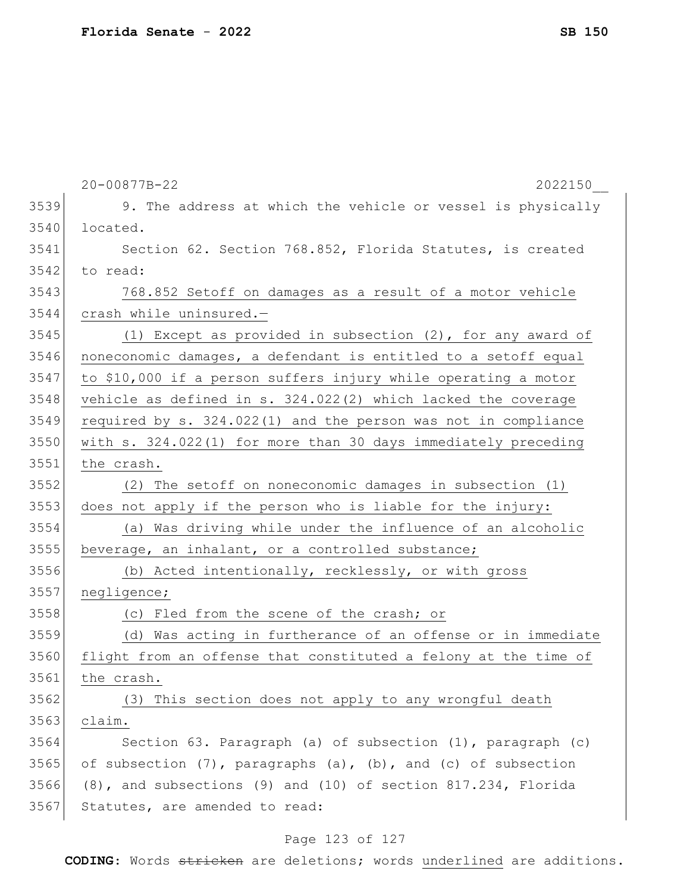|      | 20-00877B-22<br>2022150                                                  |
|------|--------------------------------------------------------------------------|
| 3539 | 9. The address at which the vehicle or vessel is physically              |
| 3540 | located.                                                                 |
| 3541 | Section 62. Section 768.852, Florida Statutes, is created                |
| 3542 | to read:                                                                 |
| 3543 | 768.852 Setoff on damages as a result of a motor vehicle                 |
| 3544 | crash while uninsured.-                                                  |
| 3545 | (1) Except as provided in subsection (2), for any award of               |
| 3546 | noneconomic damages, a defendant is entitled to a setoff equal           |
| 3547 | to \$10,000 if a person suffers injury while operating a motor           |
| 3548 | vehicle as defined in s. 324.022(2) which lacked the coverage            |
| 3549 | required by s. 324.022(1) and the person was not in compliance           |
| 3550 | with s. 324.022(1) for more than 30 days immediately preceding           |
| 3551 | the crash.                                                               |
| 3552 | (2) The setoff on noneconomic damages in subsection (1)                  |
| 3553 | does not apply if the person who is liable for the injury:               |
| 3554 | (a) Was driving while under the influence of an alcoholic                |
| 3555 | beverage, an inhalant, or a controlled substance;                        |
| 3556 | (b) Acted intentionally, recklessly, or with gross                       |
| 3557 | negligence;                                                              |
| 3558 | (c) Fled from the scene of the crash; or                                 |
| 3559 | (d) Was acting in furtherance of an offense or in immediate              |
| 3560 | flight from an offense that constituted a felony at the time of          |
| 3561 | the crash.                                                               |
| 3562 | (3) This section does not apply to any wrongful death                    |
| 3563 | claim.                                                                   |
| 3564 | Section 63. Paragraph (a) of subsection (1), paragraph (c)               |
| 3565 | of subsection $(7)$ , paragraphs $(a)$ , $(b)$ , and $(c)$ of subsection |
| 3566 | (8), and subsections (9) and (10) of section 817.234, Florida            |
| 3567 | Statutes, are amended to read:                                           |
|      |                                                                          |

#### Page 123 of 127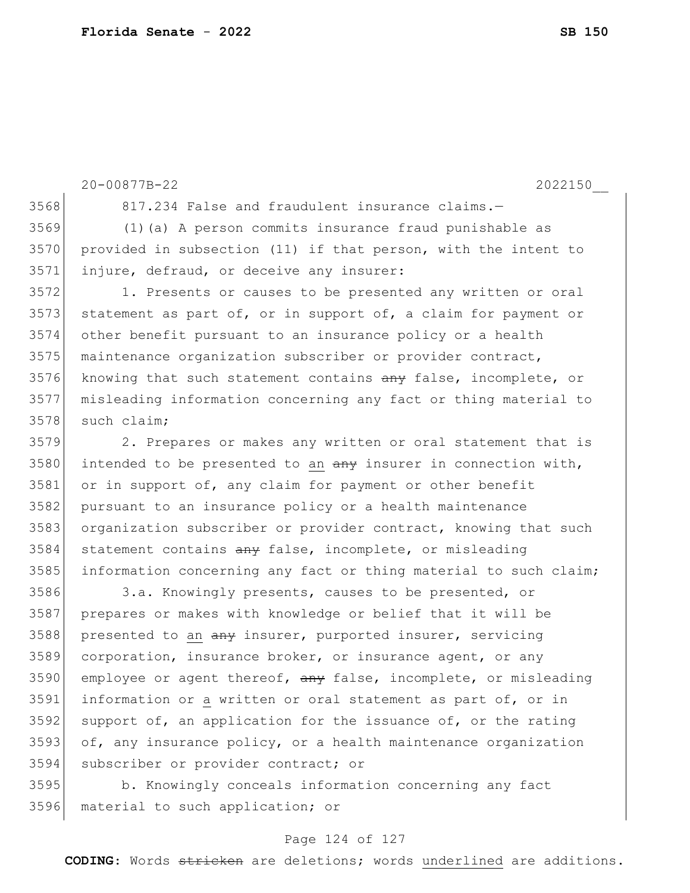|      | 20-00877B-22<br>2022150                                          |
|------|------------------------------------------------------------------|
| 3568 | 817.234 False and fraudulent insurance claims.-                  |
| 3569 | (1) (a) A person commits insurance fraud punishable as           |
| 3570 | provided in subsection (11) if that person, with the intent to   |
| 3571 | injure, defraud, or deceive any insurer:                         |
| 3572 | 1. Presents or causes to be presented any written or oral        |
| 3573 | statement as part of, or in support of, a claim for payment or   |
| 3574 | other benefit pursuant to an insurance policy or a health        |
| 3575 | maintenance organization subscriber or provider contract,        |
| 3576 | knowing that such statement contains any false, incomplete, or   |
| 3577 | misleading information concerning any fact or thing material to  |
| 3578 | such claim;                                                      |
| 3579 | 2. Prepares or makes any written or oral statement that is       |
| 3580 | intended to be presented to an any insurer in connection with,   |
| 3581 | or in support of, any claim for payment or other benefit         |
| 3582 | pursuant to an insurance policy or a health maintenance          |
| 3583 | organization subscriber or provider contract, knowing that such  |
| 3584 | statement contains any false, incomplete, or misleading          |
| 3585 | information concerning any fact or thing material to such claim; |
| 3586 | 3.a. Knowingly presents, causes to be presented, or              |
| 3587 | prepares or makes with knowledge or belief that it will be       |
| 3588 | presented to an any insurer, purported insurer, servicing        |
| 3589 | corporation, insurance broker, or insurance agent, or any        |
| 3590 | employee or agent thereof, any false, incomplete, or misleading  |
|      |                                                                  |

 $3592$  support of, an application for the issuance of, or the rating  $3593$  of, any insurance policy, or a health maintenance organization 3594 subscriber or provider contract; or

3591 information or a written or oral statement as part of, or in

3595 b. Knowingly conceals information concerning any fact 3596 material to such application; or

#### Page 124 of 127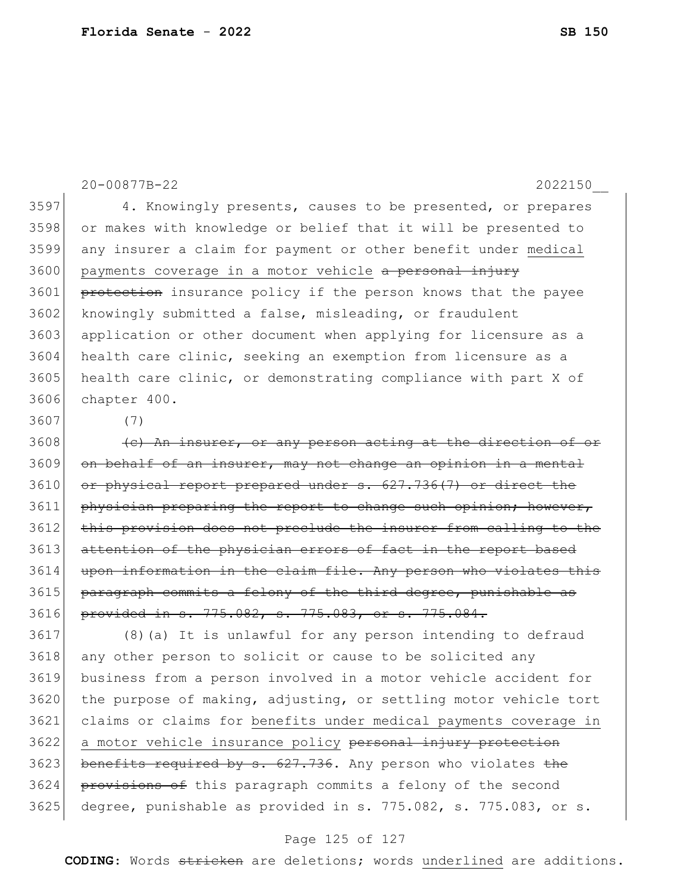20-00877B-22 2022150\_\_ 3597 4. Knowingly presents, causes to be presented, or prepares 3598 or makes with knowledge or belief that it will be presented to 3599 any insurer a claim for payment or other benefit under medical 3600 payments coverage in a motor vehicle <del>a personal injury</del> 3601 protection insurance policy if the person knows that the payee 3602 knowingly submitted a false, misleading, or fraudulent 3603 application or other document when applying for licensure as a 3604 health care clinic, seeking an exemption from licensure as a 3605 health care clinic, or demonstrating compliance with part X of 3606 chapter 400.

3607 (7)

 $3608$  (c) An insurer, or any person acting at the direction of  $3609$  on behalf of an insurer, may not change an opinion  $3610$  or physical report prepared under s.  $627.736(7)$  or direct the 3611 physician preparing the report to change such opinion; however, 3612 this provision does not preclude the insurer from calling to the 3613 attention of the physician errors of fact in the report based 3614 upon information in the claim file. Any person who violates this 3615 paragraph commits a felony of the third degree, punishable as 3616 provided in s. 775.082, s. 775.083, or s. 775.084.

3617 (8)(a) It is unlawful for any person intending to defraud 3618 any other person to solicit or cause to be solicited any 3619 business from a person involved in a motor vehicle accident for 3620 the purpose of making, adjusting, or settling motor vehicle tort 3621 claims or claims for benefits under medical payments coverage in 3622 a motor vehicle insurance policy personal injury protection  $3623$  benefits required by s.  $627.736$ . Any person who violates the 3624 provisions of this paragraph commits a felony of the second  $3625$  degree, punishable as provided in s. 775.082, s. 775.083, or s.

#### Page 125 of 127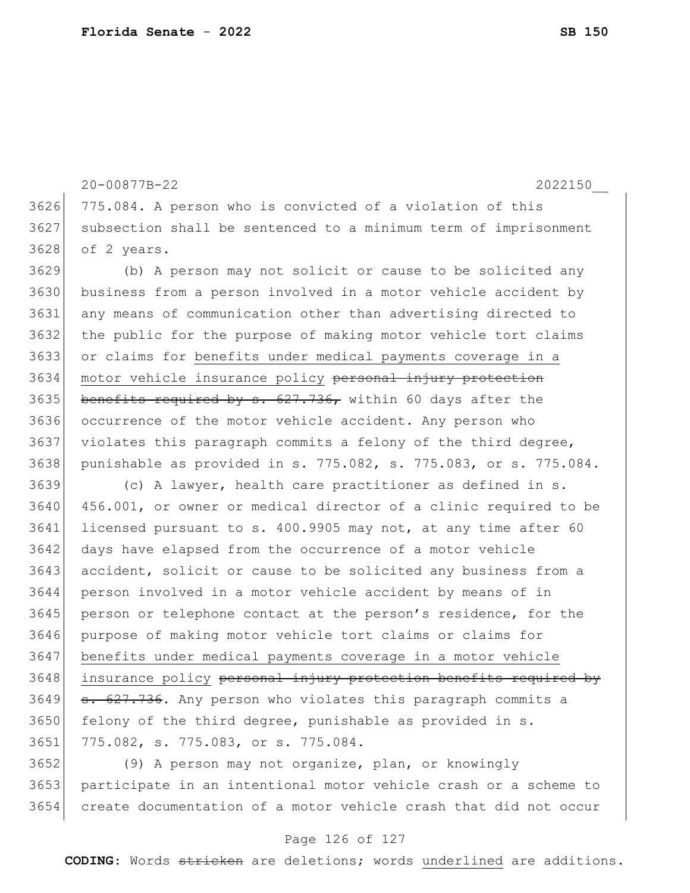20-00877B-22 2022150\_\_ 3626 775.084. A person who is convicted of a violation of this subsection shall be sentenced to a minimum term of imprisonment of 2 years. (b) A person may not solicit or cause to be solicited any business from a person involved in a motor vehicle accident by any means of communication other than advertising directed to the public for the purpose of making motor vehicle tort claims or claims for benefits under medical payments coverage in a 3634 motor vehicle insurance policy personal injury protection 3635 benefits required by s.  $627.736$ , within 60 days after the occurrence of the motor vehicle accident. Any person who violates this paragraph commits a felony of the third degree, punishable as provided in s. 775.082, s. 775.083, or s. 775.084. (c) A lawyer, health care practitioner as defined in s. 456.001, or owner or medical director of a clinic required to be 3641 licensed pursuant to s. 400.9905 may not, at any time after 60 3642 days have elapsed from the occurrence of a motor vehicle 3643 accident, solicit or cause to be solicited any business from a person involved in a motor vehicle accident by means of in 3645 person or telephone contact at the person's residence, for the purpose of making motor vehicle tort claims or claims for benefits under medical payments coverage in a motor vehicle 3648 insurance policy personal injury protection benefits required by 3649 <del>s. 627.736</del>. Any person who violates this paragraph commits a 3650 felony of the third degree, punishable as provided in s. 775.082, s. 775.083, or s. 775.084. (9) A person may not organize, plan, or knowingly

3653 participate in an intentional motor vehicle crash or a scheme to 3654 create documentation of a motor vehicle crash that did not occur

#### Page 126 of 127